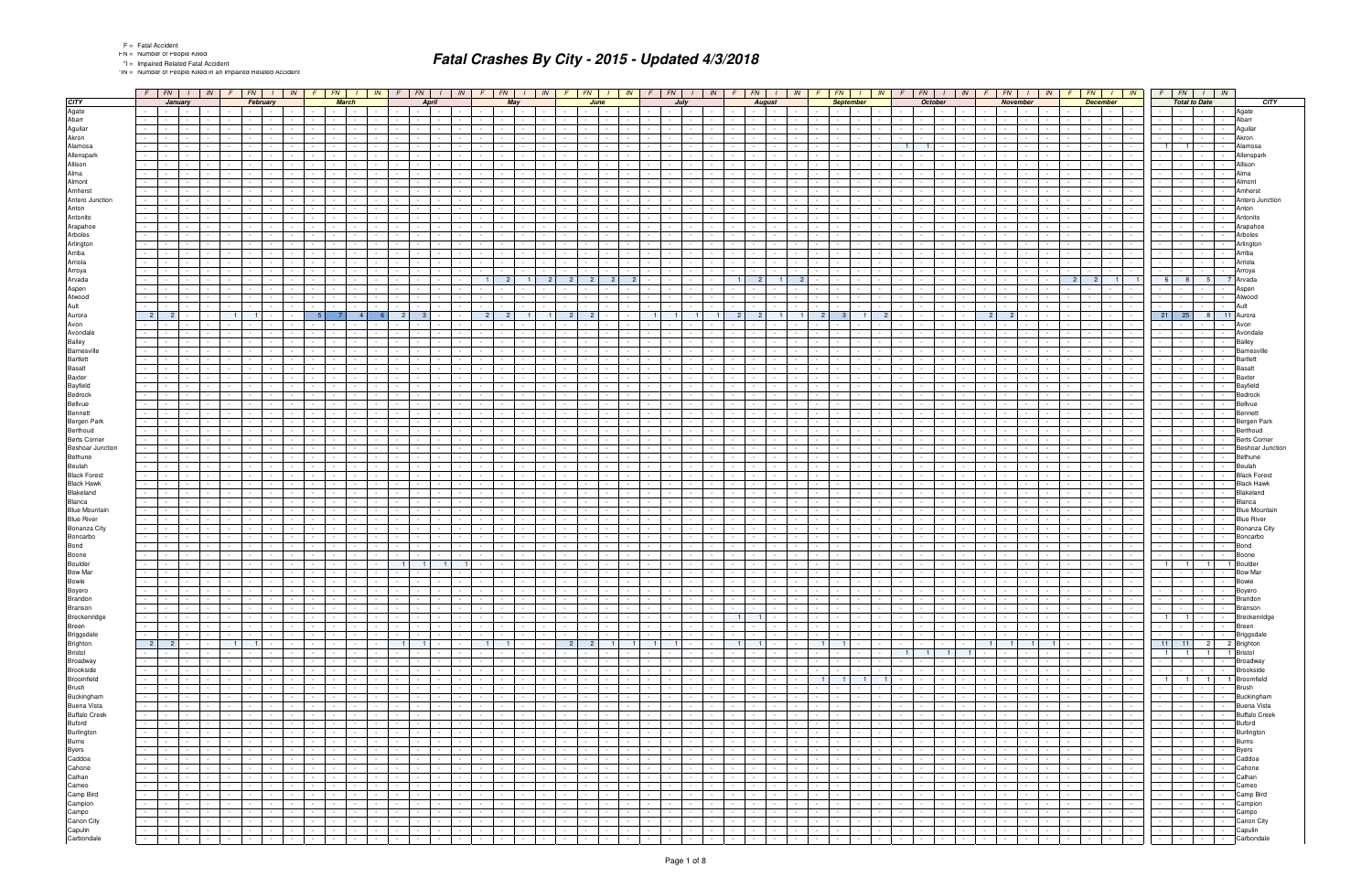\*IN = Number of People Killed in an Impaired Related Accident

| January<br>February<br><b>March</b><br><b>April</b><br>May<br><b>September</b><br><b>October</b><br>November<br><b>December</b><br><b>Total to Date</b><br><b>CITY</b><br>June<br>July<br>August<br>Agate<br>Agate<br>$\sim 100$<br>$\sim$<br>Abarr<br>Abarr<br>Aguilar<br>Aquilar<br>Akron<br>Akron<br>Alamosa<br>$\overline{1}$<br>Alamosa<br>Allenspark<br>Allenspark<br>Allison<br>Allison<br>Alma<br>Alma<br>Almont<br>Almont<br>Amherst<br>Amhers<br>Antero Junction<br>Antero Junction<br>Anton<br>Anton<br>Antonito<br>Antonito<br>Arapahoe<br>Arapahoe<br>Arboles<br>Arboles<br>Arlington<br>Arlinato<br>Arriba<br>Arriba<br>Arriola<br>Arriola<br>Arroya<br>Arvada<br>2<br>$\mathcal{P}$<br>- 6 I<br>-5<br>$\mathbf{R}$<br>Arvad:<br>Aspen<br>Atwood<br>Atwood<br>Ault<br>$21 \mid 25 \mid$<br>Aurora<br>-2<br>2 <sup>1</sup><br>- 2 1<br>2<br>8 <sup>1</sup><br>11 Aurora<br>Avon<br>Avondale<br>Avondal<br>Bailey<br>Barnesville<br>Barnes<br><b>Bartlett</b><br><b>Basalt</b><br><b>Basal</b><br><b>Baxter</b><br>Baxter<br>Bayfield<br>Bedrock<br>Bellvue<br>Bennett<br>Bergen Park<br>Berthoud<br>Berthoud<br><b>Berts Corner</b><br>Berts Corne<br><b>Beshoar Junction</b><br>Beshoar Junction<br>Bethune<br>Bethune<br>Beulah<br>Beulah<br><b>Black Forest</b><br>Black Fores<br><b>Black Hawk</b><br>Blakeland<br>Blanca<br>Rlanca<br><b>Blue Mountain</b><br><b>Blue River</b><br>Bonanza City<br><b>Bonanza City</b><br>Boncarbo<br>Boncarbo<br>Bond<br>Bond<br>Boone<br>300ne<br>Boulder<br>1 <sup>1</sup><br><b>Bow Mar</b><br>Bowie<br>$\sim$ $-$<br>Boyero<br>Brandon<br>Branson<br>Branson<br>Breckenridge<br>Bregsdale<br>Brighton<br>Broadway<br>Broadway<br>Broadway<br>Broadway<br>Broadway<br>Buting Bruns<br>Buting Buting<br>Buting Buting<br>Care<br>Caddoa<br>Cahone<br>Calhan<br>Camp Birg<br>Camp Birg<br>Camp Birg<br>Camp Birg<br>Camp Bi<br>.<br>$\sim$<br>$\mathbf{I}$ and $\mathbf{I}$<br>the contract of the con-<br>$\mathbf{I}$ $\mathbf{I}$<br>the contract of the con-<br>$\sim$ 100 $\pm$<br>$\mathbf{1}$ and $\mathbf{1}$ and $\mathbf{1}$<br>$  -$<br>$\mathbf{I}$ and $\mathbf{I}$<br>1.7.1.7.<br>  <del>                </del><br>Boyero<br>$\sim$<br>$\sim$ 100 $\sim$<br>Brandon<br><b>Contract</b><br>$\sim 10^{-10}$<br>$\sim$<br>$\sim 10^{-11}$<br>$\sim 100$<br>and the state<br>$\sim 100$<br><b>Contract Contract Contract</b><br>$\sim 100$<br><b>Contract Contract</b><br>$\sim$ $-$<br><b>Contract</b><br>$\sim$<br><b>Contract</b><br>$\sim$<br>$\sim 10^{-11}$<br>$\sim$<br><b>Contract Contract</b><br>the contract of the con-<br>the contract of the con-<br><b>Contractor</b><br>$\sim$<br>the contract of<br><b>Contract</b><br>$\sim$<br><b>Contract</b><br>$\sim 100$<br><b>Contract Contract</b><br>$\sim 10^{-11}$<br><b>Contract</b><br><b>Contract</b><br>$\sim$ $\sim$ $\sim$ $\sim$<br>$\sim$ $-$<br>$\sim$<br><b>Contract Contract</b><br>$\sim$ $-$<br>the contract of the con-<br><b>Contract Contract</b><br>the contract of<br>$\sim 10^{-11}$<br><b>Contract</b><br>$\sim$<br>$\sim$ $-$<br>$\sim$ $-$<br><b>Contract Contract</b><br>$\sim 10^{-11}$<br>$\sim 100$<br>$\sim$ $-$<br>$\sim$<br>$\sim 10^{-11}$<br>$\sim$ $-$<br>$\sim$ $-$<br>$\sim 10^{-10}$<br>$\sim 10^{-11}$<br>$\sim 100$<br>$\sim$<br><b>Contract</b><br>$\sim 10^{-11}$<br>$\sim$ $-$<br><b>Contract Contract Contract</b><br><b>Contract Contract</b><br><b>Contract</b><br><b>Contract Contract</b><br>$\sim 100$<br>$\sim$ $-$<br><b>Contract</b><br>$\sim$<br>$\sim$ $-$<br>$\sim$ $-$<br><b>Contract</b><br>1   1   -   - Breckenridge<br>the contract of<br><b>Second Control</b><br>$\sim$ $\sim$<br>$\sim 10^{-10}$<br>the company<br>the contract of the con-<br>the control of the<br>$\sim 10^{-11}$<br>$\sim 10^{-1}$<br>and the state<br>$1 \t1 \t1$<br>$\sim$<br>$1 - 1 - 1$<br>and the contract<br>and the state<br>$\sim$<br>$\sim$<br>$\sim$ $\sim$ $\sim$<br>$\sim$<br>$\sim 10^{-11}$<br>$\sim$<br>$\sim$ $\sim$<br>$\sim$<br>the contract of the<br>$\sim$<br>$\sim 10^{-11}$<br>$\sim 10^{-11}$<br>$\sim$ 100 $\mu$<br>$\sim 10^{-1}$<br><b>Service Control</b><br>$\sim 10^{-11}$<br>$\sim$<br>$\sim$<br>$\sim 10^{-10}$<br><b>Contract Contract</b><br><b>Contract Contract</b><br>$\sim 10^{-10}$<br>Breen<br>$\mathcal{L}_{\rm{max}}$<br>the contract of<br>$\sim 10^{-1}$<br>$\sim$<br>$\sim$<br>$\sim 10^{-11}$<br>and the control<br>$\sim 10^{-11}$<br>$\sim 10^{-11}$<br><b>Contract</b><br>the contract of<br>$\sim 10^{-11}$<br>$\sim$<br>$\sim 10^{-11}$<br>$\sim 10^{-1}$<br>$\sim 10^{-11}$<br>$\sim 10^{-1}$<br>$\sim 10^{-10}$<br>$\sim 10^{-11}$<br>$\sim 100$<br>$\sim$ $-$<br>$\sim 10^{-1}$<br>$\sim$<br>$\sim$ $\sim$ $\sim$<br>$\sim 10^{-11}$<br>$\sim 10^{-1}$<br>$\sim$<br>$\sim 10^{-11}$<br>$\sim 10^{-1}$<br>-   -   -   - Briggsdale<br>$\sim 10^{-1}$<br>the contract of<br>the contract of<br>$1 - 1 - 1$<br>the contract of<br>$\sim 10^{-10}$<br><b>Contract Contract</b><br>the contract of the con-<br>the contract of the<br>$\sim$<br>$\sim$<br><b>Contract</b><br>$\sim$<br>$\sim$ 100 $\pm$<br>$\sim$ $-$<br>$\sim 10^{-11}$<br>the contract of the con-<br>$\mathbf{I}$ and $\mathbf{I}$<br>$\sim$<br>the contract of<br>$\sim$<br>$\sim$ $-$<br>$\sim$ $-$<br>$\sim 10^{-10}$<br>$\sim 100$<br>$\sim$ 100 $\pm$<br>$\sim$<br><b>Contract Contract</b><br>$\sim$<br>$\sim$ 100 $\mu$<br>the contract of the con-<br><b>Contract Contract</b><br>$\sim$ 100 $\mu$<br><b>Service</b><br>$\begin{array}{ c c c c c }\n\hline\n2 & 2 \\ \hline\n\end{array}$<br>$2 \mid 2 \mid$<br>$1$ 1 1 $1$ $1$<br>$1 \cdot 1$<br>$1$ 1 1 1 $1$<br>11 11 2 2 Brighton<br>$1 \mid 1 \mid$<br>$-1$ $-1$ $-$<br>$-1$ $-1$ $-$<br>1949 - 1949 - 1949 - 1949 - 1949 - 1949 - 1949 - 1949 - 1949 - 1949 - 1949 - 1949 - 1949 - 1949 - 1949 - 1949<br>$\sim$<br>$\sim$<br>$\sim 10^{-11}$<br>$\sim$<br>$\sim 100$<br>$\sim 10^{-11}$<br>$\sim 100$<br>$\sim$<br>$\sim$ $-$<br>$\sim 100$<br>$\sim 10^{-11}$<br>$\sim$<br>1 1 1 1 Bristol<br>the contract of<br><b>Service Control</b><br>$\sim$<br>$\sim$ $\sim$<br>$\sim 10^{-11}$<br>the contract of<br>$\sim 10^{-11}$<br>$\mathbb{R}$ and $\mathbb{R}$<br>$\sim$<br>$\sim$ $\sim$<br>$\sim 10^{-11}$<br>$\sim 10^{-11}$<br>$\sim 10^{-11}$<br>$\sim 10^{-11}$<br><b>Contract</b><br>$\sim$<br>and the state<br>$1$ 1 1 1 1 $-1$<br><b>Contract Contract</b><br><b>Contract Contract</b><br>$\sim 10^{-1}$<br>$\sim 100$<br>$\sim$<br><b>Contract</b><br>$\sim$<br>$\mathbf{I}$<br>$\sim$ $\sim$ $\sim$<br>$\sim$ $-$<br>$\sim$<br>$\sim$<br>$\sim$<br>$\sim 10^{-1}$<br><b>Contract Contract Contract</b><br>$\sim 10^{-10}$<br>- Broadway<br>the contract of<br>$\sim$<br><b>Contract Contract</b><br>the contract of<br>the control of the<br>the contract of the con-<br>$\sim$ 100 $\pm$<br>$\mathbf{I}$<br>$\sim$<br>$\sim$<br>$\sim 10^{-11}$<br>$\sim$<br>$\sim 10^{-11}$<br>the contract of the con-<br><b>Contract Contract</b><br>$\sim$<br>the contract of<br>$\sim$<br>$\sim$<br>$\sim$<br>$\sim$<br>$\sim 10^{-11}$<br>$\sim 100$<br>$\sim$<br>the contract of the con-<br><b>Service</b><br>$\sim$ $-$<br>the contract of the con-<br>$\sim$ $-$<br>$\sim$ $-$<br>the contract of the con-<br><b>Contract Contract</b><br>$\sim$<br>Brookside<br>$\sim 10^{-1}$<br>and the state of the state<br>$\sim$<br><b>Contract</b><br>$\sim$<br>$\sim$ $-$<br>$\sim$<br>$\sim 10^{-11}$<br>$\sim$ $-$<br>$\sim 10^{-11}$<br>$\sim 10^{-11}$<br>$\sim 10^{-11}$<br>$\sim 10^{-11}$<br>$\sim$ $\sim$<br>$\sim$ $-$<br>$\sim$<br>$\sim$ $-$<br>$\sim$<br>$\sim 10^{-11}$<br>$\sim 10^{-1}$<br>$\sim 10^{-11}$<br>$\sim$ $-$<br>$\sim$<br>$\sim$ $\sim$<br>$\sim$<br>$\sim$ $-$<br>$\sim$ $-$<br>$\sim$ $-$<br>$\sim 10^{-11}$<br>$\sim 100$<br>$\sim 10^{-11}$<br><b>Contract Contract</b><br>$\sim 10^{-1}$<br>the contract of<br>$ -$<br>$\sim 10^{-11}$<br>$\sim$ 100 $\mu$<br>$\sim$<br>$\sim$<br>$\sim 100$<br>$\sim 10^{-11}$<br>$1 \quad 1 \quad 1 \quad 1$<br>1 1 1 1 Broomfield<br>$\sim 10^{-11}$<br>the contract of<br>the contract of<br>$\sim$<br>$\sim$<br>$\sim 10^{-10}$<br>and the control<br>the contract of<br>$\sim 100$ km s $^{-1}$<br>$\sim$<br>the contract of<br>$\sim 10^{-1}$<br>$\sim 10^{-11}$<br>$\sim 10^{-1}$<br>$\sim 10^{-10}$<br>$\sim 10^{-1}$<br>and the contract<br><b>The Common</b><br>$\sim 10^{-11}$<br>the contract of<br><b>Contract Contract</b><br><b>Contract</b><br>and the state of the state of the state<br>$\sim 10^{-1}$<br>$\sim 100$<br>$\sim$<br><b>Contract Contract</b><br>$\sim$<br><b>Contract</b><br>$\sim$ $\sim$ $\sim$ $\sim$<br>$\sim 10^{-11}$<br>- Brush<br><b>Committee</b><br>the contract of<br>$\sim 100$<br>$\sim$<br>$\sim 10^{-11}$<br>the contract of<br>$\sim 10^{-11}$<br>$\sim 10^{-10}$ m $^{-1}$<br>$\sim 10^{-10}$<br>$\sim 10^{-11}$<br>$\sim$<br>$\sim 10^{-1}$<br>$\sim 10^{-1}$<br>المتوار والمرا<br><b>Service</b> Service<br>$\sim 100$ km s $^{-1}$<br>$\sim$<br><b>Second Control</b><br>$\sim$ $-$<br>$\sim 10^{-10}$<br>$\sim$ $-$<br>$\sim$ $\sim$ $\sim$<br>$\sim$ $\sim$ $\sim$<br>$\sim 10^{-11}$<br>$\sim 10^{-11}$<br>$\sim$ $-$<br>$\sim$<br>$\sim$ $-$<br>$\sim$<br>$\sim$ $-$<br>$\sim 100$<br>$\sim$<br>$\sim$ $-$<br>$\alpha$ - $\alpha$ - $\alpha$<br><b>Contract Contract</b><br>$\sim$ $\sim$ $\sim$<br><b>Service</b><br>$\sim$<br><b>Service</b><br>Buckingham<br>$\sim$<br>$\sim 10^{-11}$<br><b>Service</b> Service<br><b>Contract Contract</b><br>the contract of<br>$\sim$<br>$\sim$<br>$\sim 10^{-11}$<br>$\sim$ $  -$<br>$\sim 100$<br><b>Contract</b><br>the control of the<br>$\sim$ $-$<br>$\sim 10^{-11}$<br>$\sim 10^{-10}$<br>$\sim$<br>the contract of<br>$\sim$ $\sim$ $\sim$ $\sim$<br>$\sim 100$<br>the contract of<br>$\sim 10^{-10}$<br>1999 - Personal Property Corp.<br><b>Service</b><br>$\sim$<br>$\sim$ 100 $\mu$<br>$\sim$<br>$\sim 10^{-11}$<br>$\sim$ $-$<br>$\sim$<br>$\sim$<br>$\sim$<br>$\sim$<br>$\sim 100$<br>$\sim$<br><b>Service</b><br>$\sim$ $-$<br>$\sim$ $-$<br><b>Contract Contract</b><br><b>Buena Vista</b><br>$\sim 10^{-11}$<br><b>Contract Contract Contract</b><br>the contract of the con-<br>$\sim$<br>$\sim$<br>$\sim$<br>$\sim$<br>$\sim 10^{-11}$<br>and the state of the state<br>and the state of the state<br><b>Contract</b><br>$\sim$<br><b>Contract Contract</b><br>$\sim 10^{-10}$<br>$\sim$ $-$<br>$\sim 10^{-11}$<br>$\sim$<br>$\sim 10^{-10}$<br>$\sim 100$<br><b>Contract Contract</b><br>$\sim 100$<br>$\sim$ $-$<br><b>Contract Contract</b><br>.<br>$\sim$ $-$<br>$\sim 10^{-11}$<br><b>Contract Contract Contract</b><br><b>Contract Contract</b><br>$\sim 10^{-10}$<br>$\sim 10^{-11}$<br><b>Contract Contract</b><br>$\sim$ 10 $\pm$<br>$\sim 100$<br><b>Contract</b><br><b>Contract</b><br>$\sim$<br><b>Buffalo Creek</b><br>$\sim 10^{-1}$<br>the contract of<br>$\sim 10^{-11}$<br>$\sim$<br>$\sim$ $-$<br>the contract of<br>$\sim 10^{-11}$<br>$\sim 100$ km s $^{-1}$<br>$\sim$<br>the contract<br>$\sim$<br>$\sim 10^{-11}$<br>$\sim 10^{-10}$<br>$\sim 10^{-10}$<br>$\sim$<br>and the state<br>$\sim 10^{-1}$<br>the contract of<br><b>Contract Contract</b><br>$\sim 10^{-1}$<br>and the state<br><b>Service State</b><br><b>Contract Contract</b><br>$\sim 100$<br><b>Contractor</b><br>$\sim$ $-$<br>$\sim$<br>$\sim$<br>$\sim$ $-$<br>$\sim$<br>$\sim 10^{-10}$<br>$\sim$ $-$<br>$\sim$ $-$<br>$\sim 10^{-1}$<br>$\sim 100$<br>$\sim$ $-$<br><b>Contract</b><br><b>Buford</b><br>$\sim 10^{-11}$<br>the contract of<br>$\sim$<br>$\sim 10^{-1}$<br>$\sim 10^{-1}$<br>$\sim 10^{-11}$<br>$\sim$<br>$\sim 10^{-11}$<br>$\sim 10^{-11}$<br>the contract of<br>the contract<br>and the state of the state<br>$\sim$<br>$\sim$ $-$<br>$\sim$ $-$<br>$\sim 100$<br>$\sim$<br>$\sim$ $\sim$ $\sim$<br>$\sim 10^{-1}$<br><b>Contract Contract</b><br><b>Service</b><br>$\sim 10^{-11}$<br>$\sim 10^{-1}$<br>$\sim$ $\sim$<br>$\sim$ $\sim$<br><b>Contract Contract</b><br><b>Contract Contract</b><br>$\sim$<br>$\sim 100$<br><b>Service</b><br>$\sim$<br>$\sim$ $-$<br>$\sim$<br>$\sim 100$<br>$\sim$ 100 $\pm$<br>$\sim$<br>$\sim 10^{-11}$<br>Burlington<br>$\sim 10^{-1}$<br>$\sim$<br>the contract of<br>the contract of<br>$\sim$<br>$\sim$<br>$\sim$<br>$\sim 100$ km s $^{-1}$<br><b>Contract Contract</b><br>$\sim$ $-$<br>the contract of<br>the contract of<br>$\sim 10^{-10}$<br><b>Contract Contract</b><br>the contract of<br>.<br>$\sim$<br>$\sim$ 10 $\pm$<br>$\sim 100$<br>$\sim$<br>$\sim$ 100 $\mu$<br>$\sim$<br>$\sim 100$<br>$\sim 10^{-11}$<br>the contract of the con-<br><b>Contract Contract</b><br>$\sim 100$<br><b>Contract</b><br>$\sim$ $\sim$ $\sim$ $\sim$<br>$\sim$ $-$<br>$\sim$ $-$<br>$\sim$<br>$\sim$ $-$<br>$\sim$ $-$<br>$\sim 10^{-10}$<br>$\sim 100$<br>$\sim 10^{-10}$<br>$\sim$ 100 $\pm$<br>$\sim$ $-$<br>$\sim$<br>$\sim$ $-$<br>$\sim 10^{-11}$<br><b>Burns</b><br>the contract of<br>$\sim 100$<br>$\sim$<br>$\sim$ $-$<br>the contract of<br>$\sim 10^{-1}$<br><b>Contract</b><br>$\sim$<br>the contract<br>$\sim 10^{-11}$<br>$\sim$ $-$<br>$\sim 10^{-11}$<br>$\sim$<br>$\sim 10^{-1}$<br>the contract of<br>$\sim 10^{-1}$<br>1940 - Peter<br><b>Service</b> Service<br>$\sim$<br>$\sim 100$ km s $^{-1}$<br>$\sim$<br>$\sim$<br>$\sim$<br>$\sim$ $-$<br>$\sim$<br>$\sim 100$<br>$\sim$ $-$<br>$\sim$<br>$\sim$<br>$\sim$ $\sim$<br>$\sim$ 100 $\pm$<br><b>Contract Contract</b><br>$\sim$ $\sim$ $\sim$<br>$\sim 10^{-10}$<br>$\sim 10^{-11}$<br><b>Service</b><br>$\sim$ $-$<br>the contract of<br>$\sim 10^{-1}$<br>$\sim 10^{-1}$<br>$\sim 10^{-11}$<br>$\sim$<br>$\sim 10^{-11}$<br>and the state of the state of the state<br><b>Service</b> Service<br><b>Byers</b><br>the contract of the con-<br>$\sim$<br>$\sim$<br>$\sim$ $-$<br>$\sim$ $-$<br><b>Contract</b><br>$\sim$<br>the contract of<br><b>Contract Contract</b><br><b>Service</b><br>$\sim 10^{-11}$<br>$\sim$ $\sim$ $\sim$ $\sim$<br>$\sim 10^{-1}$<br>$\sim$ $\sim$<br>$\sim$ $\sim$<br><b>Contract Contract</b><br>$\sim 10^{-11}$<br><b>Service</b><br>$\sim$<br>$\sim$<br><b>Contract Contract</b><br>$\sim 100$<br>$\sim$<br>$\sim$ $-$<br>$\sim$<br>$\sim 100$<br>$\sim$ 100 $\pm$<br>$\sim$ $\sim$<br>$\sim 10^{-11}$<br>Caddoa<br>$\sim 10^{-10}$<br>the contract of<br>the contract of<br>$\sim$<br>$\sim 10^{-11}$<br>$\sim 100$<br>$\sim$<br>$\sim 10^{-11}$<br><b>Contract</b><br>$\sim 100$<br>$\sim$<br>the contract of the<br>$\sim 10^{-1}$<br>the contract of<br>the contract of<br>$\sim 10^{-10}$<br><b>Contract Contract</b><br>the contract of<br>$\sim$<br>$\sim$ 10 $\pm$<br>$\sim$<br>$\sim 100$<br>$\sim$<br><b>Contract</b><br>$\sim$<br>$\sim 100$<br>the contract of the con-<br><b>Contract Contract</b><br><b>Contractor</b><br>$\sim$ $\sim$ $\sim$<br>$\sim$ $-$<br>$\sim$<br>$\sim$<br>$\sim$ $-$<br>$\sim$<br>$\sim 100$<br>$\sim$<br>$\sim$ $\sim$ $\sim$ $\sim$<br>$\sim 10^{-11}$<br>$\sim 10^{-11}$<br>$\sim$<br>$\sim$<br>Cahone<br>$\sim 10^{-1}$<br>$\sim$ $\sim$ $\sim$<br>the contract of<br>the contract of the con-<br>$\sim$ $-$<br>$\sim$<br>$\sim$<br>$\sim 10^{-11}$<br><b>Contract Contract</b><br>the control of the<br><b>The Contract Contract</b><br>$\sim$ $-$<br>the contract of<br>$\sim$ $-$<br>$\sim$ $-$<br>$\sim 10^{-10}$<br>$\sim 10^{-1}$<br><b>Service Control</b><br>$\sim$<br><b>Contract Contract</b><br>and the state<br><b>Contract Contract Contract</b><br><b>Contract Contract</b><br>$\sim 10^{-10}$<br><b>Contract</b><br><b>Contract Contract</b><br>the contract of<br>$\sim$ $-$<br>$\sim$ 10 $\mu$<br><b>Contract</b><br>$\sim$<br><b>Contract Contract</b><br>$\sim 10^{-11}$<br><b>Service</b><br><b>Contract Contract</b><br>$\sim 100$<br>$\sim$<br>$\sim 10^{-11}$<br>$\sim$ 100 $\mu$<br>Calhan<br>$\sim 10^{-1}$<br>$\sim 10^{-1}$<br>$\sim 10^{-11}$<br>and the state of the state of the state<br><b>Contract Contract Contract</b><br>the contract of the<br>$\sim$<br>$\sim$<br>$\sim$<br>$\sim$<br>$\sim$<br>$\sim$ $  -$<br>$\sim 10^{-11}$<br><b>Service</b><br><b>Contract</b><br>$\sim$<br>the contract of<br>$\sim$ $-$<br>$\sim$ $-$<br>$\sim$<br>$\sim 10^{-10}$<br>$\sim$ $-$<br><b>Contract</b><br>$\sim 100$<br>$\sim$ $-$<br>$-1$<br>$\sim 10^{-1}$<br>$\sim$ $\sim$ $\sim$<br>$\sim 10^{-1}$<br>$\sim 10^{-11}$<br>$\sim$ $\sim$ $\sim$<br><b>Contract</b><br>$\sim 10^{-11}$<br><b>Contract</b><br>the control of the<br>$\sim$ $-$<br>$\sim 10^{-11}$<br><b>Contract Contract</b><br>$\sim 10^{-11}$<br><b>Service</b><br><b>Service</b><br>- 1 - 1<br>$\sim 10^{-11}$<br>and the state of the state<br><b>Contract Contract</b><br><b>Carl Carl</b><br>Cameo<br>and the state<br>$\sim$ $\sim$ $\sim$<br>$\sim 10^{-10}$<br><b>Contract Contract</b><br>the contract of the con-<br>$\sim$<br>the control of the<br>$\sim 10^{-11}$<br>$\sim$ $\sim$ $\sim$<br>$\sim 100$<br>.<br>$\sim$<br><b>Contract Contract</b><br><b>Second Control</b><br><b>Service</b> Service<br>$\sim 100$<br>$\sim$<br>$\sim$<br>$\sim$<br>and the state<br>$\sim$ $-$<br>$\sim 10^{-1}$<br>$\sim$<br>$\sim 10^{-11}$<br>$\sim 100$<br>$\sim$ $\sim$<br>$\sim$ $\sim$<br>$\sim 10^{-11}$<br>Camp Bird<br>$\sim 10^{-10}$<br><b>Contract Contract Contract</b><br>$\sim$ $\sim$ $\sim$<br><b>Contract Contract</b><br>$\sim$<br>$\sim$<br>$\sim$<br><b>Contract</b><br>and the state of the state<br>$\sim 100$<br><b>Contract</b><br>$\sim$ $-$<br><b>Service</b> Service<br>$\sim 10^{-10}$<br>$\sim 100$<br>$\sim 10^{-10}$<br>$\sim 10^{-11}$<br>$\sim$<br>and the property of the con-<br>$\sim$ $-$<br><b>Contract Contract Contract</b><br>$\sim 10^{-11}$<br>and the state<br>the contract of<br>$\sim$<br>$\sim$<br>$\sim 100$<br><b>Contract</b><br><b>Contract Contract</b><br>$\sim 10^{-11}$<br>$\sim$<br><b>Contract Contract</b><br>$\sim 10^{-11}$<br>$\sim$<br>$\sim$ $-$<br>$\sim 100$<br>$\sim 100$<br>$\sim$<br><b>Service</b><br><b>Contract</b><br><b>Contract Contract</b><br><b>Contract Contract</b><br><b>Service</b><br>Campion<br>$\sim 10^{-1}$<br>the contract of<br>the contract of<br>$\sim$<br>$\sim$<br>$\sim$ $-$<br>$\sim 10^{-11}$<br>and the state of the state<br>the contract of<br>$\mathbf{I}$ and $\mathbf{I}$<br>$\sim$ $-$<br>the control of the<br>$\sim 10^{-11}$<br>$\sim$ $-$<br>$\sim 10^{-10}$<br>$\sim$ $-$<br><b>Contract Contract Contract</b><br><b>Contract Contract</b><br>$\sim$<br>and the property of the con-<br>$\sim$ $\sim$ $\sim$<br>the contract of<br>the contract of<br><b>Contract</b><br>$-1 - 1 - 1 - 1$<br>the contract of<br>the contract<br>$\sim$ 10 $\pm$<br>$\sim$ 100 $\pm$<br>$\sim$<br><b>Contract Contract</b><br>$\mathbf{I}$<br><b>Service</b><br>$\sim$<br>$\sim$ $-$<br>$\sim 10^{-1}$<br>the contract of the con-<br><b>Second Second</b><br>Campo<br>the contract of<br>the contract of<br>$\sim$ $\sim$ $\sim$<br>$\sim 10^{-11}$<br>the contract of the con-<br>$\sim$<br><b>Service</b> Service<br>$\sim 10^{-10}$<br>and the state<br>$\sim$<br>1.441144<br><b>CALL CALL</b><br><b>Contract Contract</b><br><b>Contract Contract</b><br>$\sim 100$<br>$\sim$<br>$\sim$<br>$\sim$<br>and the state<br>$\sim$ $-$<br>$\sim$ $-$<br>$\sim$ $-$<br>the contract of the<br>$\sim$<br>$\sim 10^{-11}$<br><b>Contract</b><br>$\sim 10^{-11}$<br>$\sim$ $\sim$ $\sim$<br>$\sim 10^{-11}$<br><b>Contract</b><br>$\sim$<br>$\sim 10^{-11}$<br>Canon City<br>and the state of<br><b>Contract</b><br>$\sim 10^{-11}$<br>$\sim 10^{-11}$<br>and the state of<br>$\sim 10^{-1}$<br><b>Contract Contract</b><br>$\sim 10^{-11}$<br>$\sim$<br>$\sim$ $\sim$<br>$\sim 100$<br>$\sim 10^{-11}$<br>$\sim$<br>the contract of<br>the company<br>$\sim$ $-$<br>$\sim$<br>$\sim 100$<br><b>Contractor</b><br>$\sim$<br>$\sim 10^{-11}$<br>$\sim$ $-$<br><b>Contract Contract</b><br>$\sim$<br><b>Contract Contract</b><br>$\sim$<br><b>Contract</b><br><b>Service</b><br><b>Contract Contract</b><br>$\sim$<br><b>Service</b><br>$\sim$<br>$\sim$<br>$\sim$<br>$\sim$<br>$\sim 100$<br><b>Contract</b><br>$\sim$<br>$\sim$ 100 $\mu$<br><b>Contract Contract</b><br><b>Contract</b><br>$\sim$<br><b>Service</b><br>$\sim 10^{-10}$<br><b>Contract Contract</b><br>$\sim 10^{-11}$<br><b>Contract</b><br>$\sim$<br>Capulin<br>$\sim 10^{-11}$<br><b>Contract Contract</b><br>the contract of<br>$\sim$<br>$\sim$<br>$\sim 10^{-10}$<br>$\sim 10^{-1}$<br>$\mathbf{1}$<br>$\sim$ $-$<br>$\sim$ $-$<br>and the state<br>the contract of<br>$\sim 100$ km s $^{-1}$<br>$\sim$<br>the control of the<br>$\sim$ $-$<br>$\sim 10^{-11}$<br>$\sim 10^{-1}$<br>$\sim 10^{-10}$<br>$\sim$ $-$<br>$\sim$<br><b>Contract Contract</b><br>$\sim$<br>and the property of the con-<br>$\sim 10^{-11}$<br><b>Contract Contract</b><br>the contract of<br>$\sim 10^{-11}$<br>$\sim 10^{-11}$<br>the contract of<br>the contract of<br>$\sim 100$<br>$\sim 100$<br>$\sim$<br>$\sim$ $\sim$<br>Carbondale<br>$\sim$<br><b>Second Control</b><br>the contract of<br>$\sim$<br>$\sim 10^{-10}$<br><b>Committee</b><br><b>Carl Carl Carl</b><br>$\sim$<br>$\sim$<br>the contract of the con-<br>$\sim$<br><b>Contract Contract</b><br>the contract of<br><b>Contract Contract</b><br>$\sim$<br><b>Service</b> Service<br>$\sim$<br>$\sim 10^{-1}$<br>$\sim$<br>$\sim$<br>$\sim 10^{-1}$<br>$\sim$<br>$\sim 10^{-11}$<br>$\sim 10^{-10}$<br>$\sim$ $\sim$<br>$\sim$<br>$\sim 10^{-11}$<br>$\sim$<br>$\sim 10^{-11}$<br><b>Contract Contract</b><br>$\sim 10^{-11}$<br>$\sim 10^{-11}$<br>$\sim$<br>$\sim$ $-$<br>$\sim 10^{-11}$<br>$\sim$<br>$\sim 100$<br>$\sim$ |             | $F$ $FN$ $I$ |  | $IN$ $F$ $FN$ |  | $IN \mid F$ | F N | IN | $F \mid FN$ | IN |  | $FN$   $1$ | IN | $F \parallel FN$ | $IN$ $F$ | FN | IN | F. | FN 1 | IN | FN | FN | IN | FN | IN |  | $FN$ $I$ $IN$ | $F$ $FN$ | IN |  |
|----------------------------------------------------------------------------------------------------------------------------------------------------------------------------------------------------------------------------------------------------------------------------------------------------------------------------------------------------------------------------------------------------------------------------------------------------------------------------------------------------------------------------------------------------------------------------------------------------------------------------------------------------------------------------------------------------------------------------------------------------------------------------------------------------------------------------------------------------------------------------------------------------------------------------------------------------------------------------------------------------------------------------------------------------------------------------------------------------------------------------------------------------------------------------------------------------------------------------------------------------------------------------------------------------------------------------------------------------------------------------------------------------------------------------------------------------------------------------------------------------------------------------------------------------------------------------------------------------------------------------------------------------------------------------------------------------------------------------------------------------------------------------------------------------------------------------------------------------------------------------------------------------------------------------------------------------------------------------------------------------------------------------------------------------------------------------------------------------------------------------------------------------------------------------------------------------------------------------------------------------------------------------------------------------------------------------------------------------------------------------------------------------------------------------------------------------------------------------------------------------------------------------------------------------------------------------------------------------------------------------------------------------------------------------------------------------------------------------------------------------------------------------------------------------------------------------------------------------------------------------------------------------------------------------------------------------------------------------------------------------------------------------------------------------------------------------------------------------------------------------------------------------------------------------------------------------------------------------------------------------------------------------------------------------------------------------------------------------------------------------------------------------------------------------------------------------------------------------------------------------------------------------------------------------------------------------------------------------------------------------------------------------------------------------------------------------------------------------------------------------------------------------------------------------------------------------------------------------------------------------------------------------------------------------------------------------------------------------------------------------------------------------------------------------------------------------------------------------------------------------------------------------------------------------------------------------------------------------------------------------------------------------------------------------------------------------------------------------------------------------------------------------------------------------------------------------------------------------------------------------------------------------------------------------------------------------------------------------------------------------------------------------------------------------------------------------------------------------------------------------------------------------------------------------------------------------------------------------------------------------------------------------------------------------------------------------------------------------------------------------------------------------------------------------------------------------------------------------------------------------------------------------------------------------------------------------------------------------------------------------------------------------------------------------------------------------------------------------------------------------------------------------------------------------------------------------------------------------------------------------------------------------------------------------------------------------------------------------------------------------------------------------------------------------------------------------------------------------------------------------------------------------------------------------------------------------------------------------------------------------------------------------------------------------------------------------------------------------------------------------------------------------------------------------------------------------------------------------------------------------------------------------------------------------------------------------------------------------------------------------------------------------------------------------------------------------------------------------------------------------------------------------------------------------------------------------------------------------------------------------------------------------------------------------------------------------------------------------------------------------------------------------------------------------------------------------------------------------------------------------------------------------------------------------------------------------------------------------------------------------------------------------------------------------------------------------------------------------------------------------------------------------------------------------------------------------------------------------------------------------------------------------------------------------------------------------------------------------------------------------------------------------------------------------------------------------------------------------------------------------------------------------------------------------------------------------------------------------------------------------------------------------------------------------------------------------------------------------------------------------------------------------------------------------------------------------------------------------------------------------------------------------------------------------------------------------------------------------------------------------------------------------------------------------------------------------------------------------------------------------------------------------------------------------------------------------------------------------------------------------------------------------------------------------------------------------------------------------------------------------------------------------------------------------------------------------------------------------------------------------------------------------------------------------------------------------------------------------------------------------------------------------------------------------------------------------------------------------------------------------------------------------------------------------------------------------------------------------------------------------------------------------------------------------------------------------------------------------------------------------------------------------------------------------------------------------------------------------------------------------------------------------------------------------------------------------------------------------------------------------------------------------------------------------------------------------------------------------------------------------------------------------------------------------------------------------------------------------------------------------------------------------------------------------------------------------------------------------------------------------------------------------------------------------------------------------------------------------------------------------------------------------------------------------------------------------------------------------------------------------------------------------------------------------------------------------------------------------------------------------------------------------------------------------------------------------------------------------------------------------------------------------------------------------------------------------------------------------------------------------------------------------------------------------------------------------------------------------------------------------------------------------------------------------------------------------------------------------------------------------------------------------------------------------------------------------------------------------------------------------------------------------------------------------------------------------------------------------------------------------------------------------------------------------------------------------------------------------------------------------------------------------------------------------------------------------------------------------------------------------------------------------------------------------------------------------------------------------------------------------------------------------------------------------------------------------------------------------------------------------------------------------------------------------------------------------------------------------------------------------------------------------------------------------------------------------------------------------------------------------------------------------------------------------------------------------------------------------------------------------------------------------------------------------------------------------------------------------------------------------------------------------------------------------------------------------------------------------------------------------------------------------------------------------------------------------------------------------------------------------------------------------------------------------------------------------------------------------------------------------------------------------------------------------------------------------------------------------------------------------------------------------------------------------------------------------------------------------------------------------------------------------------------------------------------------------------------------------------------------------------------------------------------------------------------------------------------------------------------------------------------------------------------------------------------------------------------------------------------------------------------------------------------------------------------------------------------------------------------------------------------------------------------------------------------------------------------------------------------------------------------------------------------------------------------------------------------------------------------------------------------------------------------------------------------------------------------------------------------------------------------------------------------------------------------------------------------------------------------------------------------------------------------------------------------------------------------------------------------------------------------------------------------------------------------------------------------------------------------------------------------------------------------------------------------------------------------------------------------------------------------------------------------------------------------------------------------------------------------------------------------------------------------------------------------------------------------------------------------------------------------------------------------------------------------------------------------------------------------------------------------------------------------------------------------------------------------------------------------------------------------------------------------------------------------------------------------------------------------------------------------------------------------------------------------------------------------------------------------------------------------------------------------------------------------------------------------------------------------------------------------------------------------------------------------------------------------------------------------------------------------------------------------------------------------------------------------------------------------------------------------------------------------------------------------------------------------------------------------------------------------------------------------------------------------------------------------------------------------------------------------------------------------------------------------------------------------------------------------------------------------------------------------------------------------------------------------------------------------------------------------------------------------------------------------------------------------------------------------------------------------------------------------------------------------------------------------------------------------------------------------------------------------------------------------------------------------------------------------------------------------------------------------------------------------------------------------------------------------------------------------------------------------------------------------------------------------------------------------------------------------------------------------------------------------------------------------------------------------------------------------------------------------------------------------------------------------------------------------------------------------------------------------------------------------------------------------------------------------------------------------------------------------------------------------------------------------------------------------------------------------------------------------------------------------------------------------------------------------------------------------------------------------------------------------------------------------------------------------------------------------------------------------------------------------------------------------------------------------------------------------------------------------------------------------------------------------------------------------------------------------------------------------------------------------------------------------------------------------------------------------------------------------------------------------------------------------------------------------------------------------------------------------------------------------------------------------------------------------------------------------------------------------------------------------------------------------------------------------------------------------------------------------------------------------------------------------------------------------------------------------------------------------------------------------------------------------------------------------------------------------------------------------------------------------------------------------------------------------------------------------------------------------------------------------------------------------------------------------------------------------------------------------------------------------------------------------------------------------------------------------------------------------------------------------------------------------------------------------------------------------------------------------------------------------------------------------------------------------------------------------------------------------------------------------------------------------------------------------------------------------------------------------------------------------------------------------------------------------------------------------------------------------------------------------------------------------------------------------------------------------------------------------------------------------------------------------------------------------------------------------------------------------------------------------------------------------------------------------------------------------------------------------------------------------------------------------------------------------------------------------------------------------------------------------------------------------------------------------------------------------------------------------------------------------------------------------------------------------------------------------------------------------------------------------------------------------------------------------------------------------------------------------------------------------------------------------------------------------------------------------------------------------------------------------------------------------------------------------------------------------------------------------------------------------------------------------------------------------------------------------------------------------------------------------------------------------------------------------------------------------------------------------------------------------------------------------------------------------------------------------------------------------------------------------------------------------------------------------------------------------------------------------------------------------------------------------------------------------------------------------------------------------------------------------------------------------------------------------------------------------------------------------------------------------------------------------------------------------------------------------------------------------------------------------------------------------------------------------------------------------------------------------------------------------------------------------------------------------------------------------------------------------------------------------------------------------------------------------------------------------------------------------------------------------------------------------------------------------------------------------------------------------------------------------------------------------------------------------------------------------------------------------------------------------------------------------------------------------------------------------------------------------------------------------------------------------------------------------------------------------------------------------------------------------------------------------------------------------------------------------------------------------------------------------------------------------------------------------------------------------------------------------------|-------------|--------------|--|---------------|--|-------------|-----|----|-------------|----|--|------------|----|------------------|----------|----|----|----|------|----|----|----|----|----|----|--|---------------|----------|----|--|
|                                                                                                                                                                                                                                                                                                                                                                                                                                                                                                                                                                                                                                                                                                                                                                                                                                                                                                                                                                                                                                                                                                                                                                                                                                                                                                                                                                                                                                                                                                                                                                                                                                                                                                                                                                                                                                                                                                                                                                                                                                                                                                                                                                                                                                                                                                                                                                                                                                                                                                                                                                                                                                                                                                                                                                                                                                                                                                                                                                                                                                                                                                                                                                                                                                                                                                                                                                                                                                                                                                                                                                                                                                                                                                                                                                                                                                                                                                                                                                                                                                                                                                                                                                                                                                                                                                                                                                                                                                                                                                                                                                                                                                                                                                                                                                                                                                                                                                                                                                                                                                                                                                                                                                                                                                                                                                                                                                                                                                                                                                                                                                                                                                                                                                                                                                                                                                                                                                                                                                                                                                                                                                                                                                                                                                                                                                                                                                                                                                                                                                                                                                                                                                                                                                                                                                                                                                                                                                                                                                                                                                                                                                                                                                                                                                                                                                                                                                                                                                                                                                                                                                                                                                                                                                                                                                                                                                                                                                                                                                                                                                                                                                                                                                                                                                                                                                                                                                                                                                                                                                                                                                                                                                                                                                                                                                                                                                                                                                                                                                                                                                                                                                                                                                                                                                                                                                                                                                                                                                                                                                                                                                                                                                                                                                                                                                                                                                                                                                                                                                                                                                                                                                                                                                                                                                                                                                                                                                                                                                                                                                                                                                                                                                                                                                                                                                                                                                                                                                                                                                                                                                                                                                                                                                                                                                                                                                                                                                                                                                                                                                                                                                                                                                                                                                                                                                                                                                                                                                                                                                                                                                                                                                                                                                                                                                                                                                                                                                                                                                                                                                                                                                                                                                                                                                                                                                                                                                                                                                                                                                                                                                                                                                                                                                                                                                                                                                                                                                                                                                                                                                                                                                                                                                                                                                                                                                                                                                                                                                                                                                                                                                                                                                                                                                                                                                                                                                                                                                                                                                                                                                                                                                                                                                                                                                                                                                                                                                                                                                                                                                                                                                                                                                                                                                                                                                                                                                                                                                                                                                                                                                                                                                                                                                                                                                                                                                                                                                                                                                                                                                                                                                                                                                                                                                                                                                                                                                                                                                                                                                                                                                                                                                                                                                                                                                                                                                                                                                                                                                                                                                                                                                                                                                                                                                                                                                                                                                                                                                                                                                                                                                                                                                                                                                                                                                                                                                                                                                                                                                                                                                                                                                                                                                                                                                                                                                                                                                                                                                                                                                                                                                                                                                                                                                                                                                                                                                                                                                                                                                                                                                                                                                                                                                                                                                                                                                                                                                                                                                                                                                                                                                                                                                                                                                                                                                                                                                                                                                                                                                                                                                                                                                                                                                                                                                                                                                                                                                                                                                                                                                                                                                                                                                                                                                                                                                                                                                                                                                                                                                                                                                                                                                                                                                                                                                                                                                                                                                                                                                                                                                                                                                                                                                                                                                                                      | <b>CITY</b> |              |  |               |  |             |     |    |             |    |  |            |    |                  |          |    |    |    |      |    |    |    |    |    |    |  |               |          |    |  |
|                                                                                                                                                                                                                                                                                                                                                                                                                                                                                                                                                                                                                                                                                                                                                                                                                                                                                                                                                                                                                                                                                                                                                                                                                                                                                                                                                                                                                                                                                                                                                                                                                                                                                                                                                                                                                                                                                                                                                                                                                                                                                                                                                                                                                                                                                                                                                                                                                                                                                                                                                                                                                                                                                                                                                                                                                                                                                                                                                                                                                                                                                                                                                                                                                                                                                                                                                                                                                                                                                                                                                                                                                                                                                                                                                                                                                                                                                                                                                                                                                                                                                                                                                                                                                                                                                                                                                                                                                                                                                                                                                                                                                                                                                                                                                                                                                                                                                                                                                                                                                                                                                                                                                                                                                                                                                                                                                                                                                                                                                                                                                                                                                                                                                                                                                                                                                                                                                                                                                                                                                                                                                                                                                                                                                                                                                                                                                                                                                                                                                                                                                                                                                                                                                                                                                                                                                                                                                                                                                                                                                                                                                                                                                                                                                                                                                                                                                                                                                                                                                                                                                                                                                                                                                                                                                                                                                                                                                                                                                                                                                                                                                                                                                                                                                                                                                                                                                                                                                                                                                                                                                                                                                                                                                                                                                                                                                                                                                                                                                                                                                                                                                                                                                                                                                                                                                                                                                                                                                                                                                                                                                                                                                                                                                                                                                                                                                                                                                                                                                                                                                                                                                                                                                                                                                                                                                                                                                                                                                                                                                                                                                                                                                                                                                                                                                                                                                                                                                                                                                                                                                                                                                                                                                                                                                                                                                                                                                                                                                                                                                                                                                                                                                                                                                                                                                                                                                                                                                                                                                                                                                                                                                                                                                                                                                                                                                                                                                                                                                                                                                                                                                                                                                                                                                                                                                                                                                                                                                                                                                                                                                                                                                                                                                                                                                                                                                                                                                                                                                                                                                                                                                                                                                                                                                                                                                                                                                                                                                                                                                                                                                                                                                                                                                                                                                                                                                                                                                                                                                                                                                                                                                                                                                                                                                                                                                                                                                                                                                                                                                                                                                                                                                                                                                                                                                                                                                                                                                                                                                                                                                                                                                                                                                                                                                                                                                                                                                                                                                                                                                                                                                                                                                                                                                                                                                                                                                                                                                                                                                                                                                                                                                                                                                                                                                                                                                                                                                                                                                                                                                                                                                                                                                                                                                                                                                                                                                                                                                                                                                                                                                                                                                                                                                                                                                                                                                                                                                                                                                                                                                                                                                                                                                                                                                                                                                                                                                                                                                                                                                                                                                                                                                                                                                                                                                                                                                                                                                                                                                                                                                                                                                                                                                                                                                                                                                                                                                                                                                                                                                                                                                                                                                                                                                                                                                                                                                                                                                                                                                                                                                                                                                                                                                                                                                                                                                                                                                                                                                                                                                                                                                                                                                                                                                                                                                                                                                                                                                                                                                                                                                                                                                                                                                                                                                                                                                                                                                                                                                                                                                                                                                                                                                                                                                                                                      |             |              |  |               |  |             |     |    |             |    |  |            |    |                  |          |    |    |    |      |    |    |    |    |    |    |  |               |          |    |  |
|                                                                                                                                                                                                                                                                                                                                                                                                                                                                                                                                                                                                                                                                                                                                                                                                                                                                                                                                                                                                                                                                                                                                                                                                                                                                                                                                                                                                                                                                                                                                                                                                                                                                                                                                                                                                                                                                                                                                                                                                                                                                                                                                                                                                                                                                                                                                                                                                                                                                                                                                                                                                                                                                                                                                                                                                                                                                                                                                                                                                                                                                                                                                                                                                                                                                                                                                                                                                                                                                                                                                                                                                                                                                                                                                                                                                                                                                                                                                                                                                                                                                                                                                                                                                                                                                                                                                                                                                                                                                                                                                                                                                                                                                                                                                                                                                                                                                                                                                                                                                                                                                                                                                                                                                                                                                                                                                                                                                                                                                                                                                                                                                                                                                                                                                                                                                                                                                                                                                                                                                                                                                                                                                                                                                                                                                                                                                                                                                                                                                                                                                                                                                                                                                                                                                                                                                                                                                                                                                                                                                                                                                                                                                                                                                                                                                                                                                                                                                                                                                                                                                                                                                                                                                                                                                                                                                                                                                                                                                                                                                                                                                                                                                                                                                                                                                                                                                                                                                                                                                                                                                                                                                                                                                                                                                                                                                                                                                                                                                                                                                                                                                                                                                                                                                                                                                                                                                                                                                                                                                                                                                                                                                                                                                                                                                                                                                                                                                                                                                                                                                                                                                                                                                                                                                                                                                                                                                                                                                                                                                                                                                                                                                                                                                                                                                                                                                                                                                                                                                                                                                                                                                                                                                                                                                                                                                                                                                                                                                                                                                                                                                                                                                                                                                                                                                                                                                                                                                                                                                                                                                                                                                                                                                                                                                                                                                                                                                                                                                                                                                                                                                                                                                                                                                                                                                                                                                                                                                                                                                                                                                                                                                                                                                                                                                                                                                                                                                                                                                                                                                                                                                                                                                                                                                                                                                                                                                                                                                                                                                                                                                                                                                                                                                                                                                                                                                                                                                                                                                                                                                                                                                                                                                                                                                                                                                                                                                                                                                                                                                                                                                                                                                                                                                                                                                                                                                                                                                                                                                                                                                                                                                                                                                                                                                                                                                                                                                                                                                                                                                                                                                                                                                                                                                                                                                                                                                                                                                                                                                                                                                                                                                                                                                                                                                                                                                                                                                                                                                                                                                                                                                                                                                                                                                                                                                                                                                                                                                                                                                                                                                                                                                                                                                                                                                                                                                                                                                                                                                                                                                                                                                                                                                                                                                                                                                                                                                                                                                                                                                                                                                                                                                                                                                                                                                                                                                                                                                                                                                                                                                                                                                                                                                                                                                                                                                                                                                                                                                                                                                                                                                                                                                                                                                                                                                                                                                                                                                                                                                                                                                                                                                                                                                                                                                                                                                                                                                                                                                                                                                                                                                                                                                                                                                                                                                                                                                                                                                                                                                                                                                                                                                                                                                                                                                                                                                                                                                                                                                                                                                                                                                                                                                                                                                                                                                      |             |              |  |               |  |             |     |    |             |    |  |            |    |                  |          |    |    |    |      |    |    |    |    |    |    |  |               |          |    |  |
|                                                                                                                                                                                                                                                                                                                                                                                                                                                                                                                                                                                                                                                                                                                                                                                                                                                                                                                                                                                                                                                                                                                                                                                                                                                                                                                                                                                                                                                                                                                                                                                                                                                                                                                                                                                                                                                                                                                                                                                                                                                                                                                                                                                                                                                                                                                                                                                                                                                                                                                                                                                                                                                                                                                                                                                                                                                                                                                                                                                                                                                                                                                                                                                                                                                                                                                                                                                                                                                                                                                                                                                                                                                                                                                                                                                                                                                                                                                                                                                                                                                                                                                                                                                                                                                                                                                                                                                                                                                                                                                                                                                                                                                                                                                                                                                                                                                                                                                                                                                                                                                                                                                                                                                                                                                                                                                                                                                                                                                                                                                                                                                                                                                                                                                                                                                                                                                                                                                                                                                                                                                                                                                                                                                                                                                                                                                                                                                                                                                                                                                                                                                                                                                                                                                                                                                                                                                                                                                                                                                                                                                                                                                                                                                                                                                                                                                                                                                                                                                                                                                                                                                                                                                                                                                                                                                                                                                                                                                                                                                                                                                                                                                                                                                                                                                                                                                                                                                                                                                                                                                                                                                                                                                                                                                                                                                                                                                                                                                                                                                                                                                                                                                                                                                                                                                                                                                                                                                                                                                                                                                                                                                                                                                                                                                                                                                                                                                                                                                                                                                                                                                                                                                                                                                                                                                                                                                                                                                                                                                                                                                                                                                                                                                                                                                                                                                                                                                                                                                                                                                                                                                                                                                                                                                                                                                                                                                                                                                                                                                                                                                                                                                                                                                                                                                                                                                                                                                                                                                                                                                                                                                                                                                                                                                                                                                                                                                                                                                                                                                                                                                                                                                                                                                                                                                                                                                                                                                                                                                                                                                                                                                                                                                                                                                                                                                                                                                                                                                                                                                                                                                                                                                                                                                                                                                                                                                                                                                                                                                                                                                                                                                                                                                                                                                                                                                                                                                                                                                                                                                                                                                                                                                                                                                                                                                                                                                                                                                                                                                                                                                                                                                                                                                                                                                                                                                                                                                                                                                                                                                                                                                                                                                                                                                                                                                                                                                                                                                                                                                                                                                                                                                                                                                                                                                                                                                                                                                                                                                                                                                                                                                                                                                                                                                                                                                                                                                                                                                                                                                                                                                                                                                                                                                                                                                                                                                                                                                                                                                                                                                                                                                                                                                                                                                                                                                                                                                                                                                                                                                                                                                                                                                                                                                                                                                                                                                                                                                                                                                                                                                                                                                                                                                                                                                                                                                                                                                                                                                                                                                                                                                                                                                                                                                                                                                                                                                                                                                                                                                                                                                                                                                                                                                                                                                                                                                                                                                                                                                                                                                                                                                                                                                                                                                                                                                                                                                                                                                                                                                                                                                                                                                                                                                                                                                                                                                                                                                                                                                                                                                                                                                                                                                                                                                                                                                                                                                                                                                                                                                                                                                                                                                                                                                                                                                                      |             |              |  |               |  |             |     |    |             |    |  |            |    |                  |          |    |    |    |      |    |    |    |    |    |    |  |               |          |    |  |
|                                                                                                                                                                                                                                                                                                                                                                                                                                                                                                                                                                                                                                                                                                                                                                                                                                                                                                                                                                                                                                                                                                                                                                                                                                                                                                                                                                                                                                                                                                                                                                                                                                                                                                                                                                                                                                                                                                                                                                                                                                                                                                                                                                                                                                                                                                                                                                                                                                                                                                                                                                                                                                                                                                                                                                                                                                                                                                                                                                                                                                                                                                                                                                                                                                                                                                                                                                                                                                                                                                                                                                                                                                                                                                                                                                                                                                                                                                                                                                                                                                                                                                                                                                                                                                                                                                                                                                                                                                                                                                                                                                                                                                                                                                                                                                                                                                                                                                                                                                                                                                                                                                                                                                                                                                                                                                                                                                                                                                                                                                                                                                                                                                                                                                                                                                                                                                                                                                                                                                                                                                                                                                                                                                                                                                                                                                                                                                                                                                                                                                                                                                                                                                                                                                                                                                                                                                                                                                                                                                                                                                                                                                                                                                                                                                                                                                                                                                                                                                                                                                                                                                                                                                                                                                                                                                                                                                                                                                                                                                                                                                                                                                                                                                                                                                                                                                                                                                                                                                                                                                                                                                                                                                                                                                                                                                                                                                                                                                                                                                                                                                                                                                                                                                                                                                                                                                                                                                                                                                                                                                                                                                                                                                                                                                                                                                                                                                                                                                                                                                                                                                                                                                                                                                                                                                                                                                                                                                                                                                                                                                                                                                                                                                                                                                                                                                                                                                                                                                                                                                                                                                                                                                                                                                                                                                                                                                                                                                                                                                                                                                                                                                                                                                                                                                                                                                                                                                                                                                                                                                                                                                                                                                                                                                                                                                                                                                                                                                                                                                                                                                                                                                                                                                                                                                                                                                                                                                                                                                                                                                                                                                                                                                                                                                                                                                                                                                                                                                                                                                                                                                                                                                                                                                                                                                                                                                                                                                                                                                                                                                                                                                                                                                                                                                                                                                                                                                                                                                                                                                                                                                                                                                                                                                                                                                                                                                                                                                                                                                                                                                                                                                                                                                                                                                                                                                                                                                                                                                                                                                                                                                                                                                                                                                                                                                                                                                                                                                                                                                                                                                                                                                                                                                                                                                                                                                                                                                                                                                                                                                                                                                                                                                                                                                                                                                                                                                                                                                                                                                                                                                                                                                                                                                                                                                                                                                                                                                                                                                                                                                                                                                                                                                                                                                                                                                                                                                                                                                                                                                                                                                                                                                                                                                                                                                                                                                                                                                                                                                                                                                                                                                                                                                                                                                                                                                                                                                                                                                                                                                                                                                                                                                                                                                                                                                                                                                                                                                                                                                                                                                                                                                                                                                                                                                                                                                                                                                                                                                                                                                                                                                                                                                                                                                                                                                                                                                                                                                                                                                                                                                                                                                                                                                                                                                                                                                                                                                                                                                                                                                                                                                                                                                                                                                                                                                                                                                                                                                                                                                                                                                                                                                                                                                                                                                                                      |             |              |  |               |  |             |     |    |             |    |  |            |    |                  |          |    |    |    |      |    |    |    |    |    |    |  |               |          |    |  |
|                                                                                                                                                                                                                                                                                                                                                                                                                                                                                                                                                                                                                                                                                                                                                                                                                                                                                                                                                                                                                                                                                                                                                                                                                                                                                                                                                                                                                                                                                                                                                                                                                                                                                                                                                                                                                                                                                                                                                                                                                                                                                                                                                                                                                                                                                                                                                                                                                                                                                                                                                                                                                                                                                                                                                                                                                                                                                                                                                                                                                                                                                                                                                                                                                                                                                                                                                                                                                                                                                                                                                                                                                                                                                                                                                                                                                                                                                                                                                                                                                                                                                                                                                                                                                                                                                                                                                                                                                                                                                                                                                                                                                                                                                                                                                                                                                                                                                                                                                                                                                                                                                                                                                                                                                                                                                                                                                                                                                                                                                                                                                                                                                                                                                                                                                                                                                                                                                                                                                                                                                                                                                                                                                                                                                                                                                                                                                                                                                                                                                                                                                                                                                                                                                                                                                                                                                                                                                                                                                                                                                                                                                                                                                                                                                                                                                                                                                                                                                                                                                                                                                                                                                                                                                                                                                                                                                                                                                                                                                                                                                                                                                                                                                                                                                                                                                                                                                                                                                                                                                                                                                                                                                                                                                                                                                                                                                                                                                                                                                                                                                                                                                                                                                                                                                                                                                                                                                                                                                                                                                                                                                                                                                                                                                                                                                                                                                                                                                                                                                                                                                                                                                                                                                                                                                                                                                                                                                                                                                                                                                                                                                                                                                                                                                                                                                                                                                                                                                                                                                                                                                                                                                                                                                                                                                                                                                                                                                                                                                                                                                                                                                                                                                                                                                                                                                                                                                                                                                                                                                                                                                                                                                                                                                                                                                                                                                                                                                                                                                                                                                                                                                                                                                                                                                                                                                                                                                                                                                                                                                                                                                                                                                                                                                                                                                                                                                                                                                                                                                                                                                                                                                                                                                                                                                                                                                                                                                                                                                                                                                                                                                                                                                                                                                                                                                                                                                                                                                                                                                                                                                                                                                                                                                                                                                                                                                                                                                                                                                                                                                                                                                                                                                                                                                                                                                                                                                                                                                                                                                                                                                                                                                                                                                                                                                                                                                                                                                                                                                                                                                                                                                                                                                                                                                                                                                                                                                                                                                                                                                                                                                                                                                                                                                                                                                                                                                                                                                                                                                                                                                                                                                                                                                                                                                                                                                                                                                                                                                                                                                                                                                                                                                                                                                                                                                                                                                                                                                                                                                                                                                                                                                                                                                                                                                                                                                                                                                                                                                                                                                                                                                                                                                                                                                                                                                                                                                                                                                                                                                                                                                                                                                                                                                                                                                                                                                                                                                                                                                                                                                                                                                                                                                                                                                                                                                                                                                                                                                                                                                                                                                                                                                                                                                                                                                                                                                                                                                                                                                                                                                                                                                                                                                                                                                                                                                                                                                                                                                                                                                                                                                                                                                                                                                                                                                                                                                                                                                                                                                                                                                                                                                                                                                                                                                                                                      |             |              |  |               |  |             |     |    |             |    |  |            |    |                  |          |    |    |    |      |    |    |    |    |    |    |  |               |          |    |  |
|                                                                                                                                                                                                                                                                                                                                                                                                                                                                                                                                                                                                                                                                                                                                                                                                                                                                                                                                                                                                                                                                                                                                                                                                                                                                                                                                                                                                                                                                                                                                                                                                                                                                                                                                                                                                                                                                                                                                                                                                                                                                                                                                                                                                                                                                                                                                                                                                                                                                                                                                                                                                                                                                                                                                                                                                                                                                                                                                                                                                                                                                                                                                                                                                                                                                                                                                                                                                                                                                                                                                                                                                                                                                                                                                                                                                                                                                                                                                                                                                                                                                                                                                                                                                                                                                                                                                                                                                                                                                                                                                                                                                                                                                                                                                                                                                                                                                                                                                                                                                                                                                                                                                                                                                                                                                                                                                                                                                                                                                                                                                                                                                                                                                                                                                                                                                                                                                                                                                                                                                                                                                                                                                                                                                                                                                                                                                                                                                                                                                                                                                                                                                                                                                                                                                                                                                                                                                                                                                                                                                                                                                                                                                                                                                                                                                                                                                                                                                                                                                                                                                                                                                                                                                                                                                                                                                                                                                                                                                                                                                                                                                                                                                                                                                                                                                                                                                                                                                                                                                                                                                                                                                                                                                                                                                                                                                                                                                                                                                                                                                                                                                                                                                                                                                                                                                                                                                                                                                                                                                                                                                                                                                                                                                                                                                                                                                                                                                                                                                                                                                                                                                                                                                                                                                                                                                                                                                                                                                                                                                                                                                                                                                                                                                                                                                                                                                                                                                                                                                                                                                                                                                                                                                                                                                                                                                                                                                                                                                                                                                                                                                                                                                                                                                                                                                                                                                                                                                                                                                                                                                                                                                                                                                                                                                                                                                                                                                                                                                                                                                                                                                                                                                                                                                                                                                                                                                                                                                                                                                                                                                                                                                                                                                                                                                                                                                                                                                                                                                                                                                                                                                                                                                                                                                                                                                                                                                                                                                                                                                                                                                                                                                                                                                                                                                                                                                                                                                                                                                                                                                                                                                                                                                                                                                                                                                                                                                                                                                                                                                                                                                                                                                                                                                                                                                                                                                                                                                                                                                                                                                                                                                                                                                                                                                                                                                                                                                                                                                                                                                                                                                                                                                                                                                                                                                                                                                                                                                                                                                                                                                                                                                                                                                                                                                                                                                                                                                                                                                                                                                                                                                                                                                                                                                                                                                                                                                                                                                                                                                                                                                                                                                                                                                                                                                                                                                                                                                                                                                                                                                                                                                                                                                                                                                                                                                                                                                                                                                                                                                                                                                                                                                                                                                                                                                                                                                                                                                                                                                                                                                                                                                                                                                                                                                                                                                                                                                                                                                                                                                                                                                                                                                                                                                                                                                                                                                                                                                                                                                                                                                                                                                                                                                                                                                                                                                                                                                                                                                                                                                                                                                                                                                                                                                                                                                                                                                                                                                                                                                                                                                                                                                                                                                                                                                                                                                                                                                                                                                                                                                                                                                                                                                                                                                                                                                      |             |              |  |               |  |             |     |    |             |    |  |            |    |                  |          |    |    |    |      |    |    |    |    |    |    |  |               |          |    |  |
|                                                                                                                                                                                                                                                                                                                                                                                                                                                                                                                                                                                                                                                                                                                                                                                                                                                                                                                                                                                                                                                                                                                                                                                                                                                                                                                                                                                                                                                                                                                                                                                                                                                                                                                                                                                                                                                                                                                                                                                                                                                                                                                                                                                                                                                                                                                                                                                                                                                                                                                                                                                                                                                                                                                                                                                                                                                                                                                                                                                                                                                                                                                                                                                                                                                                                                                                                                                                                                                                                                                                                                                                                                                                                                                                                                                                                                                                                                                                                                                                                                                                                                                                                                                                                                                                                                                                                                                                                                                                                                                                                                                                                                                                                                                                                                                                                                                                                                                                                                                                                                                                                                                                                                                                                                                                                                                                                                                                                                                                                                                                                                                                                                                                                                                                                                                                                                                                                                                                                                                                                                                                                                                                                                                                                                                                                                                                                                                                                                                                                                                                                                                                                                                                                                                                                                                                                                                                                                                                                                                                                                                                                                                                                                                                                                                                                                                                                                                                                                                                                                                                                                                                                                                                                                                                                                                                                                                                                                                                                                                                                                                                                                                                                                                                                                                                                                                                                                                                                                                                                                                                                                                                                                                                                                                                                                                                                                                                                                                                                                                                                                                                                                                                                                                                                                                                                                                                                                                                                                                                                                                                                                                                                                                                                                                                                                                                                                                                                                                                                                                                                                                                                                                                                                                                                                                                                                                                                                                                                                                                                                                                                                                                                                                                                                                                                                                                                                                                                                                                                                                                                                                                                                                                                                                                                                                                                                                                                                                                                                                                                                                                                                                                                                                                                                                                                                                                                                                                                                                                                                                                                                                                                                                                                                                                                                                                                                                                                                                                                                                                                                                                                                                                                                                                                                                                                                                                                                                                                                                                                                                                                                                                                                                                                                                                                                                                                                                                                                                                                                                                                                                                                                                                                                                                                                                                                                                                                                                                                                                                                                                                                                                                                                                                                                                                                                                                                                                                                                                                                                                                                                                                                                                                                                                                                                                                                                                                                                                                                                                                                                                                                                                                                                                                                                                                                                                                                                                                                                                                                                                                                                                                                                                                                                                                                                                                                                                                                                                                                                                                                                                                                                                                                                                                                                                                                                                                                                                                                                                                                                                                                                                                                                                                                                                                                                                                                                                                                                                                                                                                                                                                                                                                                                                                                                                                                                                                                                                                                                                                                                                                                                                                                                                                                                                                                                                                                                                                                                                                                                                                                                                                                                                                                                                                                                                                                                                                                                                                                                                                                                                                                                                                                                                                                                                                                                                                                                                                                                                                                                                                                                                                                                                                                                                                                                                                                                                                                                                                                                                                                                                                                                                                                                                                                                                                                                                                                                                                                                                                                                                                                                                                                                                                                                                                                                                                                                                                                                                                                                                                                                                                                                                                                                                                                                                                                                                                                                                                                                                                                                                                                                                                                                                                                                                                                                                                                                                                                                                                                                                                                                                                                                                                                                                                                                                                      |             |              |  |               |  |             |     |    |             |    |  |            |    |                  |          |    |    |    |      |    |    |    |    |    |    |  |               |          |    |  |
|                                                                                                                                                                                                                                                                                                                                                                                                                                                                                                                                                                                                                                                                                                                                                                                                                                                                                                                                                                                                                                                                                                                                                                                                                                                                                                                                                                                                                                                                                                                                                                                                                                                                                                                                                                                                                                                                                                                                                                                                                                                                                                                                                                                                                                                                                                                                                                                                                                                                                                                                                                                                                                                                                                                                                                                                                                                                                                                                                                                                                                                                                                                                                                                                                                                                                                                                                                                                                                                                                                                                                                                                                                                                                                                                                                                                                                                                                                                                                                                                                                                                                                                                                                                                                                                                                                                                                                                                                                                                                                                                                                                                                                                                                                                                                                                                                                                                                                                                                                                                                                                                                                                                                                                                                                                                                                                                                                                                                                                                                                                                                                                                                                                                                                                                                                                                                                                                                                                                                                                                                                                                                                                                                                                                                                                                                                                                                                                                                                                                                                                                                                                                                                                                                                                                                                                                                                                                                                                                                                                                                                                                                                                                                                                                                                                                                                                                                                                                                                                                                                                                                                                                                                                                                                                                                                                                                                                                                                                                                                                                                                                                                                                                                                                                                                                                                                                                                                                                                                                                                                                                                                                                                                                                                                                                                                                                                                                                                                                                                                                                                                                                                                                                                                                                                                                                                                                                                                                                                                                                                                                                                                                                                                                                                                                                                                                                                                                                                                                                                                                                                                                                                                                                                                                                                                                                                                                                                                                                                                                                                                                                                                                                                                                                                                                                                                                                                                                                                                                                                                                                                                                                                                                                                                                                                                                                                                                                                                                                                                                                                                                                                                                                                                                                                                                                                                                                                                                                                                                                                                                                                                                                                                                                                                                                                                                                                                                                                                                                                                                                                                                                                                                                                                                                                                                                                                                                                                                                                                                                                                                                                                                                                                                                                                                                                                                                                                                                                                                                                                                                                                                                                                                                                                                                                                                                                                                                                                                                                                                                                                                                                                                                                                                                                                                                                                                                                                                                                                                                                                                                                                                                                                                                                                                                                                                                                                                                                                                                                                                                                                                                                                                                                                                                                                                                                                                                                                                                                                                                                                                                                                                                                                                                                                                                                                                                                                                                                                                                                                                                                                                                                                                                                                                                                                                                                                                                                                                                                                                                                                                                                                                                                                                                                                                                                                                                                                                                                                                                                                                                                                                                                                                                                                                                                                                                                                                                                                                                                                                                                                                                                                                                                                                                                                                                                                                                                                                                                                                                                                                                                                                                                                                                                                                                                                                                                                                                                                                                                                                                                                                                                                                                                                                                                                                                                                                                                                                                                                                                                                                                                                                                                                                                                                                                                                                                                                                                                                                                                                                                                                                                                                                                                                                                                                                                                                                                                                                                                                                                                                                                                                                                                                                                                                                                                                                                                                                                                                                                                                                                                                                                                                                                                                                                                                                                                                                                                                                                                                                                                                                                                                                                                                                                                                                                                                                                                                                                                                                                                                                                                                                                                                                                                                                                                                                                      |             |              |  |               |  |             |     |    |             |    |  |            |    |                  |          |    |    |    |      |    |    |    |    |    |    |  |               |          |    |  |
|                                                                                                                                                                                                                                                                                                                                                                                                                                                                                                                                                                                                                                                                                                                                                                                                                                                                                                                                                                                                                                                                                                                                                                                                                                                                                                                                                                                                                                                                                                                                                                                                                                                                                                                                                                                                                                                                                                                                                                                                                                                                                                                                                                                                                                                                                                                                                                                                                                                                                                                                                                                                                                                                                                                                                                                                                                                                                                                                                                                                                                                                                                                                                                                                                                                                                                                                                                                                                                                                                                                                                                                                                                                                                                                                                                                                                                                                                                                                                                                                                                                                                                                                                                                                                                                                                                                                                                                                                                                                                                                                                                                                                                                                                                                                                                                                                                                                                                                                                                                                                                                                                                                                                                                                                                                                                                                                                                                                                                                                                                                                                                                                                                                                                                                                                                                                                                                                                                                                                                                                                                                                                                                                                                                                                                                                                                                                                                                                                                                                                                                                                                                                                                                                                                                                                                                                                                                                                                                                                                                                                                                                                                                                                                                                                                                                                                                                                                                                                                                                                                                                                                                                                                                                                                                                                                                                                                                                                                                                                                                                                                                                                                                                                                                                                                                                                                                                                                                                                                                                                                                                                                                                                                                                                                                                                                                                                                                                                                                                                                                                                                                                                                                                                                                                                                                                                                                                                                                                                                                                                                                                                                                                                                                                                                                                                                                                                                                                                                                                                                                                                                                                                                                                                                                                                                                                                                                                                                                                                                                                                                                                                                                                                                                                                                                                                                                                                                                                                                                                                                                                                                                                                                                                                                                                                                                                                                                                                                                                                                                                                                                                                                                                                                                                                                                                                                                                                                                                                                                                                                                                                                                                                                                                                                                                                                                                                                                                                                                                                                                                                                                                                                                                                                                                                                                                                                                                                                                                                                                                                                                                                                                                                                                                                                                                                                                                                                                                                                                                                                                                                                                                                                                                                                                                                                                                                                                                                                                                                                                                                                                                                                                                                                                                                                                                                                                                                                                                                                                                                                                                                                                                                                                                                                                                                                                                                                                                                                                                                                                                                                                                                                                                                                                                                                                                                                                                                                                                                                                                                                                                                                                                                                                                                                                                                                                                                                                                                                                                                                                                                                                                                                                                                                                                                                                                                                                                                                                                                                                                                                                                                                                                                                                                                                                                                                                                                                                                                                                                                                                                                                                                                                                                                                                                                                                                                                                                                                                                                                                                                                                                                                                                                                                                                                                                                                                                                                                                                                                                                                                                                                                                                                                                                                                                                                                                                                                                                                                                                                                                                                                                                                                                                                                                                                                                                                                                                                                                                                                                                                                                                                                                                                                                                                                                                                                                                                                                                                                                                                                                                                                                                                                                                                                                                                                                                                                                                                                                                                                                                                                                                                                                                                                                                                                                                                                                                                                                                                                                                                                                                                                                                                                                                                                                                                                                                                                                                                                                                                                                                                                                                                                                                                                                                                                                                                                                                                                                                                                                                                                                                                                                                                                                                                                                                                                                      |             |              |  |               |  |             |     |    |             |    |  |            |    |                  |          |    |    |    |      |    |    |    |    |    |    |  |               |          |    |  |
|                                                                                                                                                                                                                                                                                                                                                                                                                                                                                                                                                                                                                                                                                                                                                                                                                                                                                                                                                                                                                                                                                                                                                                                                                                                                                                                                                                                                                                                                                                                                                                                                                                                                                                                                                                                                                                                                                                                                                                                                                                                                                                                                                                                                                                                                                                                                                                                                                                                                                                                                                                                                                                                                                                                                                                                                                                                                                                                                                                                                                                                                                                                                                                                                                                                                                                                                                                                                                                                                                                                                                                                                                                                                                                                                                                                                                                                                                                                                                                                                                                                                                                                                                                                                                                                                                                                                                                                                                                                                                                                                                                                                                                                                                                                                                                                                                                                                                                                                                                                                                                                                                                                                                                                                                                                                                                                                                                                                                                                                                                                                                                                                                                                                                                                                                                                                                                                                                                                                                                                                                                                                                                                                                                                                                                                                                                                                                                                                                                                                                                                                                                                                                                                                                                                                                                                                                                                                                                                                                                                                                                                                                                                                                                                                                                                                                                                                                                                                                                                                                                                                                                                                                                                                                                                                                                                                                                                                                                                                                                                                                                                                                                                                                                                                                                                                                                                                                                                                                                                                                                                                                                                                                                                                                                                                                                                                                                                                                                                                                                                                                                                                                                                                                                                                                                                                                                                                                                                                                                                                                                                                                                                                                                                                                                                                                                                                                                                                                                                                                                                                                                                                                                                                                                                                                                                                                                                                                                                                                                                                                                                                                                                                                                                                                                                                                                                                                                                                                                                                                                                                                                                                                                                                                                                                                                                                                                                                                                                                                                                                                                                                                                                                                                                                                                                                                                                                                                                                                                                                                                                                                                                                                                                                                                                                                                                                                                                                                                                                                                                                                                                                                                                                                                                                                                                                                                                                                                                                                                                                                                                                                                                                                                                                                                                                                                                                                                                                                                                                                                                                                                                                                                                                                                                                                                                                                                                                                                                                                                                                                                                                                                                                                                                                                                                                                                                                                                                                                                                                                                                                                                                                                                                                                                                                                                                                                                                                                                                                                                                                                                                                                                                                                                                                                                                                                                                                                                                                                                                                                                                                                                                                                                                                                                                                                                                                                                                                                                                                                                                                                                                                                                                                                                                                                                                                                                                                                                                                                                                                                                                                                                                                                                                                                                                                                                                                                                                                                                                                                                                                                                                                                                                                                                                                                                                                                                                                                                                                                                                                                                                                                                                                                                                                                                                                                                                                                                                                                                                                                                                                                                                                                                                                                                                                                                                                                                                                                                                                                                                                                                                                                                                                                                                                                                                                                                                                                                                                                                                                                                                                                                                                                                                                                                                                                                                                                                                                                                                                                                                                                                                                                                                                                                                                                                                                                                                                                                                                                                                                                                                                                                                                                                                                                                                                                                                                                                                                                                                                                                                                                                                                                                                                                                                                                                                                                                                                                                                                                                                                                                                                                                                                                                                                                                                                                                                                                                                                                                                                                                                                                                                                                                                                                                                                                                                                      |             |              |  |               |  |             |     |    |             |    |  |            |    |                  |          |    |    |    |      |    |    |    |    |    |    |  |               |          |    |  |
|                                                                                                                                                                                                                                                                                                                                                                                                                                                                                                                                                                                                                                                                                                                                                                                                                                                                                                                                                                                                                                                                                                                                                                                                                                                                                                                                                                                                                                                                                                                                                                                                                                                                                                                                                                                                                                                                                                                                                                                                                                                                                                                                                                                                                                                                                                                                                                                                                                                                                                                                                                                                                                                                                                                                                                                                                                                                                                                                                                                                                                                                                                                                                                                                                                                                                                                                                                                                                                                                                                                                                                                                                                                                                                                                                                                                                                                                                                                                                                                                                                                                                                                                                                                                                                                                                                                                                                                                                                                                                                                                                                                                                                                                                                                                                                                                                                                                                                                                                                                                                                                                                                                                                                                                                                                                                                                                                                                                                                                                                                                                                                                                                                                                                                                                                                                                                                                                                                                                                                                                                                                                                                                                                                                                                                                                                                                                                                                                                                                                                                                                                                                                                                                                                                                                                                                                                                                                                                                                                                                                                                                                                                                                                                                                                                                                                                                                                                                                                                                                                                                                                                                                                                                                                                                                                                                                                                                                                                                                                                                                                                                                                                                                                                                                                                                                                                                                                                                                                                                                                                                                                                                                                                                                                                                                                                                                                                                                                                                                                                                                                                                                                                                                                                                                                                                                                                                                                                                                                                                                                                                                                                                                                                                                                                                                                                                                                                                                                                                                                                                                                                                                                                                                                                                                                                                                                                                                                                                                                                                                                                                                                                                                                                                                                                                                                                                                                                                                                                                                                                                                                                                                                                                                                                                                                                                                                                                                                                                                                                                                                                                                                                                                                                                                                                                                                                                                                                                                                                                                                                                                                                                                                                                                                                                                                                                                                                                                                                                                                                                                                                                                                                                                                                                                                                                                                                                                                                                                                                                                                                                                                                                                                                                                                                                                                                                                                                                                                                                                                                                                                                                                                                                                                                                                                                                                                                                                                                                                                                                                                                                                                                                                                                                                                                                                                                                                                                                                                                                                                                                                                                                                                                                                                                                                                                                                                                                                                                                                                                                                                                                                                                                                                                                                                                                                                                                                                                                                                                                                                                                                                                                                                                                                                                                                                                                                                                                                                                                                                                                                                                                                                                                                                                                                                                                                                                                                                                                                                                                                                                                                                                                                                                                                                                                                                                                                                                                                                                                                                                                                                                                                                                                                                                                                                                                                                                                                                                                                                                                                                                                                                                                                                                                                                                                                                                                                                                                                                                                                                                                                                                                                                                                                                                                                                                                                                                                                                                                                                                                                                                                                                                                                                                                                                                                                                                                                                                                                                                                                                                                                                                                                                                                                                                                                                                                                                                                                                                                                                                                                                                                                                                                                                                                                                                                                                                                                                                                                                                                                                                                                                                                                                                                                                                                                                                                                                                                                                                                                                                                                                                                                                                                                                                                                                                                                                                                                                                                                                                                                                                                                                                                                                                                                                                                                                                                                                                                                                                                                                                                                                                                                                                                                                                                                                                                                      |             |              |  |               |  |             |     |    |             |    |  |            |    |                  |          |    |    |    |      |    |    |    |    |    |    |  |               |          |    |  |
|                                                                                                                                                                                                                                                                                                                                                                                                                                                                                                                                                                                                                                                                                                                                                                                                                                                                                                                                                                                                                                                                                                                                                                                                                                                                                                                                                                                                                                                                                                                                                                                                                                                                                                                                                                                                                                                                                                                                                                                                                                                                                                                                                                                                                                                                                                                                                                                                                                                                                                                                                                                                                                                                                                                                                                                                                                                                                                                                                                                                                                                                                                                                                                                                                                                                                                                                                                                                                                                                                                                                                                                                                                                                                                                                                                                                                                                                                                                                                                                                                                                                                                                                                                                                                                                                                                                                                                                                                                                                                                                                                                                                                                                                                                                                                                                                                                                                                                                                                                                                                                                                                                                                                                                                                                                                                                                                                                                                                                                                                                                                                                                                                                                                                                                                                                                                                                                                                                                                                                                                                                                                                                                                                                                                                                                                                                                                                                                                                                                                                                                                                                                                                                                                                                                                                                                                                                                                                                                                                                                                                                                                                                                                                                                                                                                                                                                                                                                                                                                                                                                                                                                                                                                                                                                                                                                                                                                                                                                                                                                                                                                                                                                                                                                                                                                                                                                                                                                                                                                                                                                                                                                                                                                                                                                                                                                                                                                                                                                                                                                                                                                                                                                                                                                                                                                                                                                                                                                                                                                                                                                                                                                                                                                                                                                                                                                                                                                                                                                                                                                                                                                                                                                                                                                                                                                                                                                                                                                                                                                                                                                                                                                                                                                                                                                                                                                                                                                                                                                                                                                                                                                                                                                                                                                                                                                                                                                                                                                                                                                                                                                                                                                                                                                                                                                                                                                                                                                                                                                                                                                                                                                                                                                                                                                                                                                                                                                                                                                                                                                                                                                                                                                                                                                                                                                                                                                                                                                                                                                                                                                                                                                                                                                                                                                                                                                                                                                                                                                                                                                                                                                                                                                                                                                                                                                                                                                                                                                                                                                                                                                                                                                                                                                                                                                                                                                                                                                                                                                                                                                                                                                                                                                                                                                                                                                                                                                                                                                                                                                                                                                                                                                                                                                                                                                                                                                                                                                                                                                                                                                                                                                                                                                                                                                                                                                                                                                                                                                                                                                                                                                                                                                                                                                                                                                                                                                                                                                                                                                                                                                                                                                                                                                                                                                                                                                                                                                                                                                                                                                                                                                                                                                                                                                                                                                                                                                                                                                                                                                                                                                                                                                                                                                                                                                                                                                                                                                                                                                                                                                                                                                                                                                                                                                                                                                                                                                                                                                                                                                                                                                                                                                                                                                                                                                                                                                                                                                                                                                                                                                                                                                                                                                                                                                                                                                                                                                                                                                                                                                                                                                                                                                                                                                                                                                                                                                                                                                                                                                                                                                                                                                                                                                                                                                                                                                                                                                                                                                                                                                                                                                                                                                                                                                                                                                                                                                                                                                                                                                                                                                                                                                                                                                                                                                                                                                                                                                                                                                                                                                                                                                                                                                                                                                                                                                                      |             |              |  |               |  |             |     |    |             |    |  |            |    |                  |          |    |    |    |      |    |    |    |    |    |    |  |               |          |    |  |
|                                                                                                                                                                                                                                                                                                                                                                                                                                                                                                                                                                                                                                                                                                                                                                                                                                                                                                                                                                                                                                                                                                                                                                                                                                                                                                                                                                                                                                                                                                                                                                                                                                                                                                                                                                                                                                                                                                                                                                                                                                                                                                                                                                                                                                                                                                                                                                                                                                                                                                                                                                                                                                                                                                                                                                                                                                                                                                                                                                                                                                                                                                                                                                                                                                                                                                                                                                                                                                                                                                                                                                                                                                                                                                                                                                                                                                                                                                                                                                                                                                                                                                                                                                                                                                                                                                                                                                                                                                                                                                                                                                                                                                                                                                                                                                                                                                                                                                                                                                                                                                                                                                                                                                                                                                                                                                                                                                                                                                                                                                                                                                                                                                                                                                                                                                                                                                                                                                                                                                                                                                                                                                                                                                                                                                                                                                                                                                                                                                                                                                                                                                                                                                                                                                                                                                                                                                                                                                                                                                                                                                                                                                                                                                                                                                                                                                                                                                                                                                                                                                                                                                                                                                                                                                                                                                                                                                                                                                                                                                                                                                                                                                                                                                                                                                                                                                                                                                                                                                                                                                                                                                                                                                                                                                                                                                                                                                                                                                                                                                                                                                                                                                                                                                                                                                                                                                                                                                                                                                                                                                                                                                                                                                                                                                                                                                                                                                                                                                                                                                                                                                                                                                                                                                                                                                                                                                                                                                                                                                                                                                                                                                                                                                                                                                                                                                                                                                                                                                                                                                                                                                                                                                                                                                                                                                                                                                                                                                                                                                                                                                                                                                                                                                                                                                                                                                                                                                                                                                                                                                                                                                                                                                                                                                                                                                                                                                                                                                                                                                                                                                                                                                                                                                                                                                                                                                                                                                                                                                                                                                                                                                                                                                                                                                                                                                                                                                                                                                                                                                                                                                                                                                                                                                                                                                                                                                                                                                                                                                                                                                                                                                                                                                                                                                                                                                                                                                                                                                                                                                                                                                                                                                                                                                                                                                                                                                                                                                                                                                                                                                                                                                                                                                                                                                                                                                                                                                                                                                                                                                                                                                                                                                                                                                                                                                                                                                                                                                                                                                                                                                                                                                                                                                                                                                                                                                                                                                                                                                                                                                                                                                                                                                                                                                                                                                                                                                                                                                                                                                                                                                                                                                                                                                                                                                                                                                                                                                                                                                                                                                                                                                                                                                                                                                                                                                                                                                                                                                                                                                                                                                                                                                                                                                                                                                                                                                                                                                                                                                                                                                                                                                                                                                                                                                                                                                                                                                                                                                                                                                                                                                                                                                                                                                                                                                                                                                                                                                                                                                                                                                                                                                                                                                                                                                                                                                                                                                                                                                                                                                                                                                                                                                                                                                                                                                                                                                                                                                                                                                                                                                                                                                                                                                                                                                                                                                                                                                                                                                                                                                                                                                                                                                                                                                                                                                                                                                                                                                                                                                                                                                                                                                                                                                                                                                                                      |             |              |  |               |  |             |     |    |             |    |  |            |    |                  |          |    |    |    |      |    |    |    |    |    |    |  |               |          |    |  |
|                                                                                                                                                                                                                                                                                                                                                                                                                                                                                                                                                                                                                                                                                                                                                                                                                                                                                                                                                                                                                                                                                                                                                                                                                                                                                                                                                                                                                                                                                                                                                                                                                                                                                                                                                                                                                                                                                                                                                                                                                                                                                                                                                                                                                                                                                                                                                                                                                                                                                                                                                                                                                                                                                                                                                                                                                                                                                                                                                                                                                                                                                                                                                                                                                                                                                                                                                                                                                                                                                                                                                                                                                                                                                                                                                                                                                                                                                                                                                                                                                                                                                                                                                                                                                                                                                                                                                                                                                                                                                                                                                                                                                                                                                                                                                                                                                                                                                                                                                                                                                                                                                                                                                                                                                                                                                                                                                                                                                                                                                                                                                                                                                                                                                                                                                                                                                                                                                                                                                                                                                                                                                                                                                                                                                                                                                                                                                                                                                                                                                                                                                                                                                                                                                                                                                                                                                                                                                                                                                                                                                                                                                                                                                                                                                                                                                                                                                                                                                                                                                                                                                                                                                                                                                                                                                                                                                                                                                                                                                                                                                                                                                                                                                                                                                                                                                                                                                                                                                                                                                                                                                                                                                                                                                                                                                                                                                                                                                                                                                                                                                                                                                                                                                                                                                                                                                                                                                                                                                                                                                                                                                                                                                                                                                                                                                                                                                                                                                                                                                                                                                                                                                                                                                                                                                                                                                                                                                                                                                                                                                                                                                                                                                                                                                                                                                                                                                                                                                                                                                                                                                                                                                                                                                                                                                                                                                                                                                                                                                                                                                                                                                                                                                                                                                                                                                                                                                                                                                                                                                                                                                                                                                                                                                                                                                                                                                                                                                                                                                                                                                                                                                                                                                                                                                                                                                                                                                                                                                                                                                                                                                                                                                                                                                                                                                                                                                                                                                                                                                                                                                                                                                                                                                                                                                                                                                                                                                                                                                                                                                                                                                                                                                                                                                                                                                                                                                                                                                                                                                                                                                                                                                                                                                                                                                                                                                                                                                                                                                                                                                                                                                                                                                                                                                                                                                                                                                                                                                                                                                                                                                                                                                                                                                                                                                                                                                                                                                                                                                                                                                                                                                                                                                                                                                                                                                                                                                                                                                                                                                                                                                                                                                                                                                                                                                                                                                                                                                                                                                                                                                                                                                                                                                                                                                                                                                                                                                                                                                                                                                                                                                                                                                                                                                                                                                                                                                                                                                                                                                                                                                                                                                                                                                                                                                                                                                                                                                                                                                                                                                                                                                                                                                                                                                                                                                                                                                                                                                                                                                                                                                                                                                                                                                                                                                                                                                                                                                                                                                                                                                                                                                                                                                                                                                                                                                                                                                                                                                                                                                                                                                                                                                                                                                                                                                                                                                                                                                                                                                                                                                                                                                                                                                                                                                                                                                                                                                                                                                                                                                                                                                                                                                                                                                                                                                                                                                                                                                                                                                                                                                                                                                                                                                                                                                                                                      |             |              |  |               |  |             |     |    |             |    |  |            |    |                  |          |    |    |    |      |    |    |    |    |    |    |  |               |          |    |  |
|                                                                                                                                                                                                                                                                                                                                                                                                                                                                                                                                                                                                                                                                                                                                                                                                                                                                                                                                                                                                                                                                                                                                                                                                                                                                                                                                                                                                                                                                                                                                                                                                                                                                                                                                                                                                                                                                                                                                                                                                                                                                                                                                                                                                                                                                                                                                                                                                                                                                                                                                                                                                                                                                                                                                                                                                                                                                                                                                                                                                                                                                                                                                                                                                                                                                                                                                                                                                                                                                                                                                                                                                                                                                                                                                                                                                                                                                                                                                                                                                                                                                                                                                                                                                                                                                                                                                                                                                                                                                                                                                                                                                                                                                                                                                                                                                                                                                                                                                                                                                                                                                                                                                                                                                                                                                                                                                                                                                                                                                                                                                                                                                                                                                                                                                                                                                                                                                                                                                                                                                                                                                                                                                                                                                                                                                                                                                                                                                                                                                                                                                                                                                                                                                                                                                                                                                                                                                                                                                                                                                                                                                                                                                                                                                                                                                                                                                                                                                                                                                                                                                                                                                                                                                                                                                                                                                                                                                                                                                                                                                                                                                                                                                                                                                                                                                                                                                                                                                                                                                                                                                                                                                                                                                                                                                                                                                                                                                                                                                                                                                                                                                                                                                                                                                                                                                                                                                                                                                                                                                                                                                                                                                                                                                                                                                                                                                                                                                                                                                                                                                                                                                                                                                                                                                                                                                                                                                                                                                                                                                                                                                                                                                                                                                                                                                                                                                                                                                                                                                                                                                                                                                                                                                                                                                                                                                                                                                                                                                                                                                                                                                                                                                                                                                                                                                                                                                                                                                                                                                                                                                                                                                                                                                                                                                                                                                                                                                                                                                                                                                                                                                                                                                                                                                                                                                                                                                                                                                                                                                                                                                                                                                                                                                                                                                                                                                                                                                                                                                                                                                                                                                                                                                                                                                                                                                                                                                                                                                                                                                                                                                                                                                                                                                                                                                                                                                                                                                                                                                                                                                                                                                                                                                                                                                                                                                                                                                                                                                                                                                                                                                                                                                                                                                                                                                                                                                                                                                                                                                                                                                                                                                                                                                                                                                                                                                                                                                                                                                                                                                                                                                                                                                                                                                                                                                                                                                                                                                                                                                                                                                                                                                                                                                                                                                                                                                                                                                                                                                                                                                                                                                                                                                                                                                                                                                                                                                                                                                                                                                                                                                                                                                                                                                                                                                                                                                                                                                                                                                                                                                                                                                                                                                                                                                                                                                                                                                                                                                                                                                                                                                                                                                                                                                                                                                                                                                                                                                                                                                                                                                                                                                                                                                                                                                                                                                                                                                                                                                                                                                                                                                                                                                                                                                                                                                                                                                                                                                                                                                                                                                                                                                                                                                                                                                                                                                                                                                                                                                                                                                                                                                                                                                                                                                                                                                                                                                                                                                                                                                                                                                                                                                                                                                                                                                                                                                                                                                                                                                                                                                                                                                                                                                                                                                                                                                      |             |              |  |               |  |             |     |    |             |    |  |            |    |                  |          |    |    |    |      |    |    |    |    |    |    |  |               |          |    |  |
|                                                                                                                                                                                                                                                                                                                                                                                                                                                                                                                                                                                                                                                                                                                                                                                                                                                                                                                                                                                                                                                                                                                                                                                                                                                                                                                                                                                                                                                                                                                                                                                                                                                                                                                                                                                                                                                                                                                                                                                                                                                                                                                                                                                                                                                                                                                                                                                                                                                                                                                                                                                                                                                                                                                                                                                                                                                                                                                                                                                                                                                                                                                                                                                                                                                                                                                                                                                                                                                                                                                                                                                                                                                                                                                                                                                                                                                                                                                                                                                                                                                                                                                                                                                                                                                                                                                                                                                                                                                                                                                                                                                                                                                                                                                                                                                                                                                                                                                                                                                                                                                                                                                                                                                                                                                                                                                                                                                                                                                                                                                                                                                                                                                                                                                                                                                                                                                                                                                                                                                                                                                                                                                                                                                                                                                                                                                                                                                                                                                                                                                                                                                                                                                                                                                                                                                                                                                                                                                                                                                                                                                                                                                                                                                                                                                                                                                                                                                                                                                                                                                                                                                                                                                                                                                                                                                                                                                                                                                                                                                                                                                                                                                                                                                                                                                                                                                                                                                                                                                                                                                                                                                                                                                                                                                                                                                                                                                                                                                                                                                                                                                                                                                                                                                                                                                                                                                                                                                                                                                                                                                                                                                                                                                                                                                                                                                                                                                                                                                                                                                                                                                                                                                                                                                                                                                                                                                                                                                                                                                                                                                                                                                                                                                                                                                                                                                                                                                                                                                                                                                                                                                                                                                                                                                                                                                                                                                                                                                                                                                                                                                                                                                                                                                                                                                                                                                                                                                                                                                                                                                                                                                                                                                                                                                                                                                                                                                                                                                                                                                                                                                                                                                                                                                                                                                                                                                                                                                                                                                                                                                                                                                                                                                                                                                                                                                                                                                                                                                                                                                                                                                                                                                                                                                                                                                                                                                                                                                                                                                                                                                                                                                                                                                                                                                                                                                                                                                                                                                                                                                                                                                                                                                                                                                                                                                                                                                                                                                                                                                                                                                                                                                                                                                                                                                                                                                                                                                                                                                                                                                                                                                                                                                                                                                                                                                                                                                                                                                                                                                                                                                                                                                                                                                                                                                                                                                                                                                                                                                                                                                                                                                                                                                                                                                                                                                                                                                                                                                                                                                                                                                                                                                                                                                                                                                                                                                                                                                                                                                                                                                                                                                                                                                                                                                                                                                                                                                                                                                                                                                                                                                                                                                                                                                                                                                                                                                                                                                                                                                                                                                                                                                                                                                                                                                                                                                                                                                                                                                                                                                                                                                                                                                                                                                                                                                                                                                                                                                                                                                                                                                                                                                                                                                                                                                                                                                                                                                                                                                                                                                                                                                                                                                                                                                                                                                                                                                                                                                                                                                                                                                                                                                                                                                                                                                                                                                                                                                                                                                                                                                                                                                                                                                                                                                                                                                                                                                                                                                                                                                                                                                                                                                                                                                                                                                                      |             |              |  |               |  |             |     |    |             |    |  |            |    |                  |          |    |    |    |      |    |    |    |    |    |    |  |               |          |    |  |
|                                                                                                                                                                                                                                                                                                                                                                                                                                                                                                                                                                                                                                                                                                                                                                                                                                                                                                                                                                                                                                                                                                                                                                                                                                                                                                                                                                                                                                                                                                                                                                                                                                                                                                                                                                                                                                                                                                                                                                                                                                                                                                                                                                                                                                                                                                                                                                                                                                                                                                                                                                                                                                                                                                                                                                                                                                                                                                                                                                                                                                                                                                                                                                                                                                                                                                                                                                                                                                                                                                                                                                                                                                                                                                                                                                                                                                                                                                                                                                                                                                                                                                                                                                                                                                                                                                                                                                                                                                                                                                                                                                                                                                                                                                                                                                                                                                                                                                                                                                                                                                                                                                                                                                                                                                                                                                                                                                                                                                                                                                                                                                                                                                                                                                                                                                                                                                                                                                                                                                                                                                                                                                                                                                                                                                                                                                                                                                                                                                                                                                                                                                                                                                                                                                                                                                                                                                                                                                                                                                                                                                                                                                                                                                                                                                                                                                                                                                                                                                                                                                                                                                                                                                                                                                                                                                                                                                                                                                                                                                                                                                                                                                                                                                                                                                                                                                                                                                                                                                                                                                                                                                                                                                                                                                                                                                                                                                                                                                                                                                                                                                                                                                                                                                                                                                                                                                                                                                                                                                                                                                                                                                                                                                                                                                                                                                                                                                                                                                                                                                                                                                                                                                                                                                                                                                                                                                                                                                                                                                                                                                                                                                                                                                                                                                                                                                                                                                                                                                                                                                                                                                                                                                                                                                                                                                                                                                                                                                                                                                                                                                                                                                                                                                                                                                                                                                                                                                                                                                                                                                                                                                                                                                                                                                                                                                                                                                                                                                                                                                                                                                                                                                                                                                                                                                                                                                                                                                                                                                                                                                                                                                                                                                                                                                                                                                                                                                                                                                                                                                                                                                                                                                                                                                                                                                                                                                                                                                                                                                                                                                                                                                                                                                                                                                                                                                                                                                                                                                                                                                                                                                                                                                                                                                                                                                                                                                                                                                                                                                                                                                                                                                                                                                                                                                                                                                                                                                                                                                                                                                                                                                                                                                                                                                                                                                                                                                                                                                                                                                                                                                                                                                                                                                                                                                                                                                                                                                                                                                                                                                                                                                                                                                                                                                                                                                                                                                                                                                                                                                                                                                                                                                                                                                                                                                                                                                                                                                                                                                                                                                                                                                                                                                                                                                                                                                                                                                                                                                                                                                                                                                                                                                                                                                                                                                                                                                                                                                                                                                                                                                                                                                                                                                                                                                                                                                                                                                                                                                                                                                                                                                                                                                                                                                                                                                                                                                                                                                                                                                                                                                                                                                                                                                                                                                                                                                                                                                                                                                                                                                                                                                                                                                                                                                                                                                                                                                                                                                                                                                                                                                                                                                                                                                                                                                                                                                                                                                                                                                                                                                                                                                                                                                                                                                                                                                                                                                                                                                                                                                                                                                                                                                                                                                                                                                                                      |             |              |  |               |  |             |     |    |             |    |  |            |    |                  |          |    |    |    |      |    |    |    |    |    |    |  |               |          |    |  |
|                                                                                                                                                                                                                                                                                                                                                                                                                                                                                                                                                                                                                                                                                                                                                                                                                                                                                                                                                                                                                                                                                                                                                                                                                                                                                                                                                                                                                                                                                                                                                                                                                                                                                                                                                                                                                                                                                                                                                                                                                                                                                                                                                                                                                                                                                                                                                                                                                                                                                                                                                                                                                                                                                                                                                                                                                                                                                                                                                                                                                                                                                                                                                                                                                                                                                                                                                                                                                                                                                                                                                                                                                                                                                                                                                                                                                                                                                                                                                                                                                                                                                                                                                                                                                                                                                                                                                                                                                                                                                                                                                                                                                                                                                                                                                                                                                                                                                                                                                                                                                                                                                                                                                                                                                                                                                                                                                                                                                                                                                                                                                                                                                                                                                                                                                                                                                                                                                                                                                                                                                                                                                                                                                                                                                                                                                                                                                                                                                                                                                                                                                                                                                                                                                                                                                                                                                                                                                                                                                                                                                                                                                                                                                                                                                                                                                                                                                                                                                                                                                                                                                                                                                                                                                                                                                                                                                                                                                                                                                                                                                                                                                                                                                                                                                                                                                                                                                                                                                                                                                                                                                                                                                                                                                                                                                                                                                                                                                                                                                                                                                                                                                                                                                                                                                                                                                                                                                                                                                                                                                                                                                                                                                                                                                                                                                                                                                                                                                                                                                                                                                                                                                                                                                                                                                                                                                                                                                                                                                                                                                                                                                                                                                                                                                                                                                                                                                                                                                                                                                                                                                                                                                                                                                                                                                                                                                                                                                                                                                                                                                                                                                                                                                                                                                                                                                                                                                                                                                                                                                                                                                                                                                                                                                                                                                                                                                                                                                                                                                                                                                                                                                                                                                                                                                                                                                                                                                                                                                                                                                                                                                                                                                                                                                                                                                                                                                                                                                                                                                                                                                                                                                                                                                                                                                                                                                                                                                                                                                                                                                                                                                                                                                                                                                                                                                                                                                                                                                                                                                                                                                                                                                                                                                                                                                                                                                                                                                                                                                                                                                                                                                                                                                                                                                                                                                                                                                                                                                                                                                                                                                                                                                                                                                                                                                                                                                                                                                                                                                                                                                                                                                                                                                                                                                                                                                                                                                                                                                                                                                                                                                                                                                                                                                                                                                                                                                                                                                                                                                                                                                                                                                                                                                                                                                                                                                                                                                                                                                                                                                                                                                                                                                                                                                                                                                                                                                                                                                                                                                                                                                                                                                                                                                                                                                                                                                                                                                                                                                                                                                                                                                                                                                                                                                                                                                                                                                                                                                                                                                                                                                                                                                                                                                                                                                                                                                                                                                                                                                                                                                                                                                                                                                                                                                                                                                                                                                                                                                                                                                                                                                                                                                                                                                                                                                                                                                                                                                                                                                                                                                                                                                                                                                                                                                                                                                                                                                                                                                                                                                                                                                                                                                                                                                                                                                                                                                                                                                                                                                                                                                                                                                                                                                                                                                                                                      |             |              |  |               |  |             |     |    |             |    |  |            |    |                  |          |    |    |    |      |    |    |    |    |    |    |  |               |          |    |  |
|                                                                                                                                                                                                                                                                                                                                                                                                                                                                                                                                                                                                                                                                                                                                                                                                                                                                                                                                                                                                                                                                                                                                                                                                                                                                                                                                                                                                                                                                                                                                                                                                                                                                                                                                                                                                                                                                                                                                                                                                                                                                                                                                                                                                                                                                                                                                                                                                                                                                                                                                                                                                                                                                                                                                                                                                                                                                                                                                                                                                                                                                                                                                                                                                                                                                                                                                                                                                                                                                                                                                                                                                                                                                                                                                                                                                                                                                                                                                                                                                                                                                                                                                                                                                                                                                                                                                                                                                                                                                                                                                                                                                                                                                                                                                                                                                                                                                                                                                                                                                                                                                                                                                                                                                                                                                                                                                                                                                                                                                                                                                                                                                                                                                                                                                                                                                                                                                                                                                                                                                                                                                                                                                                                                                                                                                                                                                                                                                                                                                                                                                                                                                                                                                                                                                                                                                                                                                                                                                                                                                                                                                                                                                                                                                                                                                                                                                                                                                                                                                                                                                                                                                                                                                                                                                                                                                                                                                                                                                                                                                                                                                                                                                                                                                                                                                                                                                                                                                                                                                                                                                                                                                                                                                                                                                                                                                                                                                                                                                                                                                                                                                                                                                                                                                                                                                                                                                                                                                                                                                                                                                                                                                                                                                                                                                                                                                                                                                                                                                                                                                                                                                                                                                                                                                                                                                                                                                                                                                                                                                                                                                                                                                                                                                                                                                                                                                                                                                                                                                                                                                                                                                                                                                                                                                                                                                                                                                                                                                                                                                                                                                                                                                                                                                                                                                                                                                                                                                                                                                                                                                                                                                                                                                                                                                                                                                                                                                                                                                                                                                                                                                                                                                                                                                                                                                                                                                                                                                                                                                                                                                                                                                                                                                                                                                                                                                                                                                                                                                                                                                                                                                                                                                                                                                                                                                                                                                                                                                                                                                                                                                                                                                                                                                                                                                                                                                                                                                                                                                                                                                                                                                                                                                                                                                                                                                                                                                                                                                                                                                                                                                                                                                                                                                                                                                                                                                                                                                                                                                                                                                                                                                                                                                                                                                                                                                                                                                                                                                                                                                                                                                                                                                                                                                                                                                                                                                                                                                                                                                                                                                                                                                                                                                                                                                                                                                                                                                                                                                                                                                                                                                                                                                                                                                                                                                                                                                                                                                                                                                                                                                                                                                                                                                                                                                                                                                                                                                                                                                                                                                                                                                                                                                                                                                                                                                                                                                                                                                                                                                                                                                                                                                                                                                                                                                                                                                                                                                                                                                                                                                                                                                                                                                                                                                                                                                                                                                                                                                                                                                                                                                                                                                                                                                                                                                                                                                                                                                                                                                                                                                                                                                                                                                                                                                                                                                                                                                                                                                                                                                                                                                                                                                                                                                                                                                                                                                                                                                                                                                                                                                                                                                                                                                                                                                                                                                                                                                                                                                                                                                                                                                                                                                                                                                                                                                      |             |              |  |               |  |             |     |    |             |    |  |            |    |                  |          |    |    |    |      |    |    |    |    |    |    |  |               |          |    |  |
|                                                                                                                                                                                                                                                                                                                                                                                                                                                                                                                                                                                                                                                                                                                                                                                                                                                                                                                                                                                                                                                                                                                                                                                                                                                                                                                                                                                                                                                                                                                                                                                                                                                                                                                                                                                                                                                                                                                                                                                                                                                                                                                                                                                                                                                                                                                                                                                                                                                                                                                                                                                                                                                                                                                                                                                                                                                                                                                                                                                                                                                                                                                                                                                                                                                                                                                                                                                                                                                                                                                                                                                                                                                                                                                                                                                                                                                                                                                                                                                                                                                                                                                                                                                                                                                                                                                                                                                                                                                                                                                                                                                                                                                                                                                                                                                                                                                                                                                                                                                                                                                                                                                                                                                                                                                                                                                                                                                                                                                                                                                                                                                                                                                                                                                                                                                                                                                                                                                                                                                                                                                                                                                                                                                                                                                                                                                                                                                                                                                                                                                                                                                                                                                                                                                                                                                                                                                                                                                                                                                                                                                                                                                                                                                                                                                                                                                                                                                                                                                                                                                                                                                                                                                                                                                                                                                                                                                                                                                                                                                                                                                                                                                                                                                                                                                                                                                                                                                                                                                                                                                                                                                                                                                                                                                                                                                                                                                                                                                                                                                                                                                                                                                                                                                                                                                                                                                                                                                                                                                                                                                                                                                                                                                                                                                                                                                                                                                                                                                                                                                                                                                                                                                                                                                                                                                                                                                                                                                                                                                                                                                                                                                                                                                                                                                                                                                                                                                                                                                                                                                                                                                                                                                                                                                                                                                                                                                                                                                                                                                                                                                                                                                                                                                                                                                                                                                                                                                                                                                                                                                                                                                                                                                                                                                                                                                                                                                                                                                                                                                                                                                                                                                                                                                                                                                                                                                                                                                                                                                                                                                                                                                                                                                                                                                                                                                                                                                                                                                                                                                                                                                                                                                                                                                                                                                                                                                                                                                                                                                                                                                                                                                                                                                                                                                                                                                                                                                                                                                                                                                                                                                                                                                                                                                                                                                                                                                                                                                                                                                                                                                                                                                                                                                                                                                                                                                                                                                                                                                                                                                                                                                                                                                                                                                                                                                                                                                                                                                                                                                                                                                                                                                                                                                                                                                                                                                                                                                                                                                                                                                                                                                                                                                                                                                                                                                                                                                                                                                                                                                                                                                                                                                                                                                                                                                                                                                                                                                                                                                                                                                                                                                                                                                                                                                                                                                                                                                                                                                                                                                                                                                                                                                                                                                                                                                                                                                                                                                                                                                                                                                                                                                                                                                                                                                                                                                                                                                                                                                                                                                                                                                                                                                                                                                                                                                                                                                                                                                                                                                                                                                                                                                                                                                                                                                                                                                                                                                                                                                                                                                                                                                                                                                                                                                                                                                                                                                                                                                                                                                                                                                                                                                                                                                                                                                                                                                                                                                                                                                                                                                                                                                                                                                                                                                                                                                                                                                                                                                                                                                                                                                                                                                                                                                                                                                                      |             |              |  |               |  |             |     |    |             |    |  |            |    |                  |          |    |    |    |      |    |    |    |    |    |    |  |               |          |    |  |
|                                                                                                                                                                                                                                                                                                                                                                                                                                                                                                                                                                                                                                                                                                                                                                                                                                                                                                                                                                                                                                                                                                                                                                                                                                                                                                                                                                                                                                                                                                                                                                                                                                                                                                                                                                                                                                                                                                                                                                                                                                                                                                                                                                                                                                                                                                                                                                                                                                                                                                                                                                                                                                                                                                                                                                                                                                                                                                                                                                                                                                                                                                                                                                                                                                                                                                                                                                                                                                                                                                                                                                                                                                                                                                                                                                                                                                                                                                                                                                                                                                                                                                                                                                                                                                                                                                                                                                                                                                                                                                                                                                                                                                                                                                                                                                                                                                                                                                                                                                                                                                                                                                                                                                                                                                                                                                                                                                                                                                                                                                                                                                                                                                                                                                                                                                                                                                                                                                                                                                                                                                                                                                                                                                                                                                                                                                                                                                                                                                                                                                                                                                                                                                                                                                                                                                                                                                                                                                                                                                                                                                                                                                                                                                                                                                                                                                                                                                                                                                                                                                                                                                                                                                                                                                                                                                                                                                                                                                                                                                                                                                                                                                                                                                                                                                                                                                                                                                                                                                                                                                                                                                                                                                                                                                                                                                                                                                                                                                                                                                                                                                                                                                                                                                                                                                                                                                                                                                                                                                                                                                                                                                                                                                                                                                                                                                                                                                                                                                                                                                                                                                                                                                                                                                                                                                                                                                                                                                                                                                                                                                                                                                                                                                                                                                                                                                                                                                                                                                                                                                                                                                                                                                                                                                                                                                                                                                                                                                                                                                                                                                                                                                                                                                                                                                                                                                                                                                                                                                                                                                                                                                                                                                                                                                                                                                                                                                                                                                                                                                                                                                                                                                                                                                                                                                                                                                                                                                                                                                                                                                                                                                                                                                                                                                                                                                                                                                                                                                                                                                                                                                                                                                                                                                                                                                                                                                                                                                                                                                                                                                                                                                                                                                                                                                                                                                                                                                                                                                                                                                                                                                                                                                                                                                                                                                                                                                                                                                                                                                                                                                                                                                                                                                                                                                                                                                                                                                                                                                                                                                                                                                                                                                                                                                                                                                                                                                                                                                                                                                                                                                                                                                                                                                                                                                                                                                                                                                                                                                                                                                                                                                                                                                                                                                                                                                                                                                                                                                                                                                                                                                                                                                                                                                                                                                                                                                                                                                                                                                                                                                                                                                                                                                                                                                                                                                                                                                                                                                                                                                                                                                                                                                                                                                                                                                                                                                                                                                                                                                                                                                                                                                                                                                                                                                                                                                                                                                                                                                                                                                                                                                                                                                                                                                                                                                                                                                                                                                                                                                                                                                                                                                                                                                                                                                                                                                                                                                                                                                                                                                                                                                                                                                                                                                                                                                                                                                                                                                                                                                                                                                                                                                                                                                                                                                                                                                                                                                                                                                                                                                                                                                                                                                                                                                                                                                                                                                                                                                                                                                                                                                                                                                                                                                                                                                                                      |             |              |  |               |  |             |     |    |             |    |  |            |    |                  |          |    |    |    |      |    |    |    |    |    |    |  |               |          |    |  |
|                                                                                                                                                                                                                                                                                                                                                                                                                                                                                                                                                                                                                                                                                                                                                                                                                                                                                                                                                                                                                                                                                                                                                                                                                                                                                                                                                                                                                                                                                                                                                                                                                                                                                                                                                                                                                                                                                                                                                                                                                                                                                                                                                                                                                                                                                                                                                                                                                                                                                                                                                                                                                                                                                                                                                                                                                                                                                                                                                                                                                                                                                                                                                                                                                                                                                                                                                                                                                                                                                                                                                                                                                                                                                                                                                                                                                                                                                                                                                                                                                                                                                                                                                                                                                                                                                                                                                                                                                                                                                                                                                                                                                                                                                                                                                                                                                                                                                                                                                                                                                                                                                                                                                                                                                                                                                                                                                                                                                                                                                                                                                                                                                                                                                                                                                                                                                                                                                                                                                                                                                                                                                                                                                                                                                                                                                                                                                                                                                                                                                                                                                                                                                                                                                                                                                                                                                                                                                                                                                                                                                                                                                                                                                                                                                                                                                                                                                                                                                                                                                                                                                                                                                                                                                                                                                                                                                                                                                                                                                                                                                                                                                                                                                                                                                                                                                                                                                                                                                                                                                                                                                                                                                                                                                                                                                                                                                                                                                                                                                                                                                                                                                                                                                                                                                                                                                                                                                                                                                                                                                                                                                                                                                                                                                                                                                                                                                                                                                                                                                                                                                                                                                                                                                                                                                                                                                                                                                                                                                                                                                                                                                                                                                                                                                                                                                                                                                                                                                                                                                                                                                                                                                                                                                                                                                                                                                                                                                                                                                                                                                                                                                                                                                                                                                                                                                                                                                                                                                                                                                                                                                                                                                                                                                                                                                                                                                                                                                                                                                                                                                                                                                                                                                                                                                                                                                                                                                                                                                                                                                                                                                                                                                                                                                                                                                                                                                                                                                                                                                                                                                                                                                                                                                                                                                                                                                                                                                                                                                                                                                                                                                                                                                                                                                                                                                                                                                                                                                                                                                                                                                                                                                                                                                                                                                                                                                                                                                                                                                                                                                                                                                                                                                                                                                                                                                                                                                                                                                                                                                                                                                                                                                                                                                                                                                                                                                                                                                                                                                                                                                                                                                                                                                                                                                                                                                                                                                                                                                                                                                                                                                                                                                                                                                                                                                                                                                                                                                                                                                                                                                                                                                                                                                                                                                                                                                                                                                                                                                                                                                                                                                                                                                                                                                                                                                                                                                                                                                                                                                                                                                                                                                                                                                                                                                                                                                                                                                                                                                                                                                                                                                                                                                                                                                                                                                                                                                                                                                                                                                                                                                                                                                                                                                                                                                                                                                                                                                                                                                                                                                                                                                                                                                                                                                                                                                                                                                                                                                                                                                                                                                                                                                                                                                                                                                                                                                                                                                                                                                                                                                                                                                                                                                                                                                                                                                                                                                                                                                                                                                                                                                                                                                                                                                                                                                                                                                                                                                                                                                                                                                                                                                                                                                                                                                                                                      |             |              |  |               |  |             |     |    |             |    |  |            |    |                  |          |    |    |    |      |    |    |    |    |    |    |  |               |          |    |  |
|                                                                                                                                                                                                                                                                                                                                                                                                                                                                                                                                                                                                                                                                                                                                                                                                                                                                                                                                                                                                                                                                                                                                                                                                                                                                                                                                                                                                                                                                                                                                                                                                                                                                                                                                                                                                                                                                                                                                                                                                                                                                                                                                                                                                                                                                                                                                                                                                                                                                                                                                                                                                                                                                                                                                                                                                                                                                                                                                                                                                                                                                                                                                                                                                                                                                                                                                                                                                                                                                                                                                                                                                                                                                                                                                                                                                                                                                                                                                                                                                                                                                                                                                                                                                                                                                                                                                                                                                                                                                                                                                                                                                                                                                                                                                                                                                                                                                                                                                                                                                                                                                                                                                                                                                                                                                                                                                                                                                                                                                                                                                                                                                                                                                                                                                                                                                                                                                                                                                                                                                                                                                                                                                                                                                                                                                                                                                                                                                                                                                                                                                                                                                                                                                                                                                                                                                                                                                                                                                                                                                                                                                                                                                                                                                                                                                                                                                                                                                                                                                                                                                                                                                                                                                                                                                                                                                                                                                                                                                                                                                                                                                                                                                                                                                                                                                                                                                                                                                                                                                                                                                                                                                                                                                                                                                                                                                                                                                                                                                                                                                                                                                                                                                                                                                                                                                                                                                                                                                                                                                                                                                                                                                                                                                                                                                                                                                                                                                                                                                                                                                                                                                                                                                                                                                                                                                                                                                                                                                                                                                                                                                                                                                                                                                                                                                                                                                                                                                                                                                                                                                                                                                                                                                                                                                                                                                                                                                                                                                                                                                                                                                                                                                                                                                                                                                                                                                                                                                                                                                                                                                                                                                                                                                                                                                                                                                                                                                                                                                                                                                                                                                                                                                                                                                                                                                                                                                                                                                                                                                                                                                                                                                                                                                                                                                                                                                                                                                                                                                                                                                                                                                                                                                                                                                                                                                                                                                                                                                                                                                                                                                                                                                                                                                                                                                                                                                                                                                                                                                                                                                                                                                                                                                                                                                                                                                                                                                                                                                                                                                                                                                                                                                                                                                                                                                                                                                                                                                                                                                                                                                                                                                                                                                                                                                                                                                                                                                                                                                                                                                                                                                                                                                                                                                                                                                                                                                                                                                                                                                                                                                                                                                                                                                                                                                                                                                                                                                                                                                                                                                                                                                                                                                                                                                                                                                                                                                                                                                                                                                                                                                                                                                                                                                                                                                                                                                                                                                                                                                                                                                                                                                                                                                                                                                                                                                                                                                                                                                                                                                                                                                                                                                                                                                                                                                                                                                                                                                                                                                                                                                                                                                                                                                                                                                                                                                                                                                                                                                                                                                                                                                                                                                                                                                                                                                                                                                                                                                                                                                                                                                                                                                                                                                                                                                                                                                                                                                                                                                                                                                                                                                                                                                                                                                                                                                                                                                                                                                                                                                                                                                                                                                                                                                                                                                                                                                                                                                                                                                                                                                                                                                                                                                                                                                                                                                      |             |              |  |               |  |             |     |    |             |    |  |            |    |                  |          |    |    |    |      |    |    |    |    |    |    |  |               |          |    |  |
|                                                                                                                                                                                                                                                                                                                                                                                                                                                                                                                                                                                                                                                                                                                                                                                                                                                                                                                                                                                                                                                                                                                                                                                                                                                                                                                                                                                                                                                                                                                                                                                                                                                                                                                                                                                                                                                                                                                                                                                                                                                                                                                                                                                                                                                                                                                                                                                                                                                                                                                                                                                                                                                                                                                                                                                                                                                                                                                                                                                                                                                                                                                                                                                                                                                                                                                                                                                                                                                                                                                                                                                                                                                                                                                                                                                                                                                                                                                                                                                                                                                                                                                                                                                                                                                                                                                                                                                                                                                                                                                                                                                                                                                                                                                                                                                                                                                                                                                                                                                                                                                                                                                                                                                                                                                                                                                                                                                                                                                                                                                                                                                                                                                                                                                                                                                                                                                                                                                                                                                                                                                                                                                                                                                                                                                                                                                                                                                                                                                                                                                                                                                                                                                                                                                                                                                                                                                                                                                                                                                                                                                                                                                                                                                                                                                                                                                                                                                                                                                                                                                                                                                                                                                                                                                                                                                                                                                                                                                                                                                                                                                                                                                                                                                                                                                                                                                                                                                                                                                                                                                                                                                                                                                                                                                                                                                                                                                                                                                                                                                                                                                                                                                                                                                                                                                                                                                                                                                                                                                                                                                                                                                                                                                                                                                                                                                                                                                                                                                                                                                                                                                                                                                                                                                                                                                                                                                                                                                                                                                                                                                                                                                                                                                                                                                                                                                                                                                                                                                                                                                                                                                                                                                                                                                                                                                                                                                                                                                                                                                                                                                                                                                                                                                                                                                                                                                                                                                                                                                                                                                                                                                                                                                                                                                                                                                                                                                                                                                                                                                                                                                                                                                                                                                                                                                                                                                                                                                                                                                                                                                                                                                                                                                                                                                                                                                                                                                                                                                                                                                                                                                                                                                                                                                                                                                                                                                                                                                                                                                                                                                                                                                                                                                                                                                                                                                                                                                                                                                                                                                                                                                                                                                                                                                                                                                                                                                                                                                                                                                                                                                                                                                                                                                                                                                                                                                                                                                                                                                                                                                                                                                                                                                                                                                                                                                                                                                                                                                                                                                                                                                                                                                                                                                                                                                                                                                                                                                                                                                                                                                                                                                                                                                                                                                                                                                                                                                                                                                                                                                                                                                                                                                                                                                                                                                                                                                                                                                                                                                                                                                                                                                                                                                                                                                                                                                                                                                                                                                                                                                                                                                                                                                                                                                                                                                                                                                                                                                                                                                                                                                                                                                                                                                                                                                                                                                                                                                                                                                                                                                                                                                                                                                                                                                                                                                                                                                                                                                                                                                                                                                                                                                                                                                                                                                                                                                                                                                                                                                                                                                                                                                                                                                                                                                                                                                                                                                                                                                                                                                                                                                                                                                                                                                                                                                                                                                                                                                                                                                                                                                                                                                                                                                                                                                                                                                                                                                                                                                                                                                                                                                                                                                                                                                                                                                                      |             |              |  |               |  |             |     |    |             |    |  |            |    |                  |          |    |    |    |      |    |    |    |    |    |    |  |               |          |    |  |
|                                                                                                                                                                                                                                                                                                                                                                                                                                                                                                                                                                                                                                                                                                                                                                                                                                                                                                                                                                                                                                                                                                                                                                                                                                                                                                                                                                                                                                                                                                                                                                                                                                                                                                                                                                                                                                                                                                                                                                                                                                                                                                                                                                                                                                                                                                                                                                                                                                                                                                                                                                                                                                                                                                                                                                                                                                                                                                                                                                                                                                                                                                                                                                                                                                                                                                                                                                                                                                                                                                                                                                                                                                                                                                                                                                                                                                                                                                                                                                                                                                                                                                                                                                                                                                                                                                                                                                                                                                                                                                                                                                                                                                                                                                                                                                                                                                                                                                                                                                                                                                                                                                                                                                                                                                                                                                                                                                                                                                                                                                                                                                                                                                                                                                                                                                                                                                                                                                                                                                                                                                                                                                                                                                                                                                                                                                                                                                                                                                                                                                                                                                                                                                                                                                                                                                                                                                                                                                                                                                                                                                                                                                                                                                                                                                                                                                                                                                                                                                                                                                                                                                                                                                                                                                                                                                                                                                                                                                                                                                                                                                                                                                                                                                                                                                                                                                                                                                                                                                                                                                                                                                                                                                                                                                                                                                                                                                                                                                                                                                                                                                                                                                                                                                                                                                                                                                                                                                                                                                                                                                                                                                                                                                                                                                                                                                                                                                                                                                                                                                                                                                                                                                                                                                                                                                                                                                                                                                                                                                                                                                                                                                                                                                                                                                                                                                                                                                                                                                                                                                                                                                                                                                                                                                                                                                                                                                                                                                                                                                                                                                                                                                                                                                                                                                                                                                                                                                                                                                                                                                                                                                                                                                                                                                                                                                                                                                                                                                                                                                                                                                                                                                                                                                                                                                                                                                                                                                                                                                                                                                                                                                                                                                                                                                                                                                                                                                                                                                                                                                                                                                                                                                                                                                                                                                                                                                                                                                                                                                                                                                                                                                                                                                                                                                                                                                                                                                                                                                                                                                                                                                                                                                                                                                                                                                                                                                                                                                                                                                                                                                                                                                                                                                                                                                                                                                                                                                                                                                                                                                                                                                                                                                                                                                                                                                                                                                                                                                                                                                                                                                                                                                                                                                                                                                                                                                                                                                                                                                                                                                                                                                                                                                                                                                                                                                                                                                                                                                                                                                                                                                                                                                                                                                                                                                                                                                                                                                                                                                                                                                                                                                                                                                                                                                                                                                                                                                                                                                                                                                                                                                                                                                                                                                                                                                                                                                                                                                                                                                                                                                                                                                                                                                                                                                                                                                                                                                                                                                                                                                                                                                                                                                                                                                                                                                                                                                                                                                                                                                                                                                                                                                                                                                                                                                                                                                                                                                                                                                                                                                                                                                                                                                                                                                                                                                                                                                                                                                                                                                                                                                                                                                                                                                                                                                                                                                                                                                                                                                                                                                                                                                                                                                                                                                                                                                                                                                                                                                                                                                                                                                                                                                                                                                                                                                                                      |             |              |  |               |  |             |     |    |             |    |  |            |    |                  |          |    |    |    |      |    |    |    |    |    |    |  |               |          |    |  |
|                                                                                                                                                                                                                                                                                                                                                                                                                                                                                                                                                                                                                                                                                                                                                                                                                                                                                                                                                                                                                                                                                                                                                                                                                                                                                                                                                                                                                                                                                                                                                                                                                                                                                                                                                                                                                                                                                                                                                                                                                                                                                                                                                                                                                                                                                                                                                                                                                                                                                                                                                                                                                                                                                                                                                                                                                                                                                                                                                                                                                                                                                                                                                                                                                                                                                                                                                                                                                                                                                                                                                                                                                                                                                                                                                                                                                                                                                                                                                                                                                                                                                                                                                                                                                                                                                                                                                                                                                                                                                                                                                                                                                                                                                                                                                                                                                                                                                                                                                                                                                                                                                                                                                                                                                                                                                                                                                                                                                                                                                                                                                                                                                                                                                                                                                                                                                                                                                                                                                                                                                                                                                                                                                                                                                                                                                                                                                                                                                                                                                                                                                                                                                                                                                                                                                                                                                                                                                                                                                                                                                                                                                                                                                                                                                                                                                                                                                                                                                                                                                                                                                                                                                                                                                                                                                                                                                                                                                                                                                                                                                                                                                                                                                                                                                                                                                                                                                                                                                                                                                                                                                                                                                                                                                                                                                                                                                                                                                                                                                                                                                                                                                                                                                                                                                                                                                                                                                                                                                                                                                                                                                                                                                                                                                                                                                                                                                                                                                                                                                                                                                                                                                                                                                                                                                                                                                                                                                                                                                                                                                                                                                                                                                                                                                                                                                                                                                                                                                                                                                                                                                                                                                                                                                                                                                                                                                                                                                                                                                                                                                                                                                                                                                                                                                                                                                                                                                                                                                                                                                                                                                                                                                                                                                                                                                                                                                                                                                                                                                                                                                                                                                                                                                                                                                                                                                                                                                                                                                                                                                                                                                                                                                                                                                                                                                                                                                                                                                                                                                                                                                                                                                                                                                                                                                                                                                                                                                                                                                                                                                                                                                                                                                                                                                                                                                                                                                                                                                                                                                                                                                                                                                                                                                                                                                                                                                                                                                                                                                                                                                                                                                                                                                                                                                                                                                                                                                                                                                                                                                                                                                                                                                                                                                                                                                                                                                                                                                                                                                                                                                                                                                                                                                                                                                                                                                                                                                                                                                                                                                                                                                                                                                                                                                                                                                                                                                                                                                                                                                                                                                                                                                                                                                                                                                                                                                                                                                                                                                                                                                                                                                                                                                                                                                                                                                                                                                                                                                                                                                                                                                                                                                                                                                                                                                                                                                                                                                                                                                                                                                                                                                                                                                                                                                                                                                                                                                                                                                                                                                                                                                                                                                                                                                                                                                                                                                                                                                                                                                                                                                                                                                                                                                                                                                                                                                                                                                                                                                                                                                                                                                                                                                                                                                                                                                                                                                                                                                                                                                                                                                                                                                                                                                                                                                                                                                                                                                                                                                                                                                                                                                                                                                                                                                                                                                                                                                                                                                                                                                                                                                                                                                                                                                                                                                                                                      |             |              |  |               |  |             |     |    |             |    |  |            |    |                  |          |    |    |    |      |    |    |    |    |    |    |  |               |          |    |  |
|                                                                                                                                                                                                                                                                                                                                                                                                                                                                                                                                                                                                                                                                                                                                                                                                                                                                                                                                                                                                                                                                                                                                                                                                                                                                                                                                                                                                                                                                                                                                                                                                                                                                                                                                                                                                                                                                                                                                                                                                                                                                                                                                                                                                                                                                                                                                                                                                                                                                                                                                                                                                                                                                                                                                                                                                                                                                                                                                                                                                                                                                                                                                                                                                                                                                                                                                                                                                                                                                                                                                                                                                                                                                                                                                                                                                                                                                                                                                                                                                                                                                                                                                                                                                                                                                                                                                                                                                                                                                                                                                                                                                                                                                                                                                                                                                                                                                                                                                                                                                                                                                                                                                                                                                                                                                                                                                                                                                                                                                                                                                                                                                                                                                                                                                                                                                                                                                                                                                                                                                                                                                                                                                                                                                                                                                                                                                                                                                                                                                                                                                                                                                                                                                                                                                                                                                                                                                                                                                                                                                                                                                                                                                                                                                                                                                                                                                                                                                                                                                                                                                                                                                                                                                                                                                                                                                                                                                                                                                                                                                                                                                                                                                                                                                                                                                                                                                                                                                                                                                                                                                                                                                                                                                                                                                                                                                                                                                                                                                                                                                                                                                                                                                                                                                                                                                                                                                                                                                                                                                                                                                                                                                                                                                                                                                                                                                                                                                                                                                                                                                                                                                                                                                                                                                                                                                                                                                                                                                                                                                                                                                                                                                                                                                                                                                                                                                                                                                                                                                                                                                                                                                                                                                                                                                                                                                                                                                                                                                                                                                                                                                                                                                                                                                                                                                                                                                                                                                                                                                                                                                                                                                                                                                                                                                                                                                                                                                                                                                                                                                                                                                                                                                                                                                                                                                                                                                                                                                                                                                                                                                                                                                                                                                                                                                                                                                                                                                                                                                                                                                                                                                                                                                                                                                                                                                                                                                                                                                                                                                                                                                                                                                                                                                                                                                                                                                                                                                                                                                                                                                                                                                                                                                                                                                                                                                                                                                                                                                                                                                                                                                                                                                                                                                                                                                                                                                                                                                                                                                                                                                                                                                                                                                                                                                                                                                                                                                                                                                                                                                                                                                                                                                                                                                                                                                                                                                                                                                                                                                                                                                                                                                                                                                                                                                                                                                                                                                                                                                                                                                                                                                                                                                                                                                                                                                                                                                                                                                                                                                                                                                                                                                                                                                                                                                                                                                                                                                                                                                                                                                                                                                                                                                                                                                                                                                                                                                                                                                                                                                                                                                                                                                                                                                                                                                                                                                                                                                                                                                                                                                                                                                                                                                                                                                                                                                                                                                                                                                                                                                                                                                                                                                                                                                                                                                                                                                                                                                                                                                                                                                                                                                                                                                                                                                                                                                                                                                                                                                                                                                                                                                                                                                                                                                                                                                                                                                                                                                                                                                                                                                                                                                                                                                                                                                                                                                                                                                                                                                                                                                                                                                                                                                                                                                                                                                      |             |              |  |               |  |             |     |    |             |    |  |            |    |                  |          |    |    |    |      |    |    |    |    |    |    |  |               |          |    |  |
|                                                                                                                                                                                                                                                                                                                                                                                                                                                                                                                                                                                                                                                                                                                                                                                                                                                                                                                                                                                                                                                                                                                                                                                                                                                                                                                                                                                                                                                                                                                                                                                                                                                                                                                                                                                                                                                                                                                                                                                                                                                                                                                                                                                                                                                                                                                                                                                                                                                                                                                                                                                                                                                                                                                                                                                                                                                                                                                                                                                                                                                                                                                                                                                                                                                                                                                                                                                                                                                                                                                                                                                                                                                                                                                                                                                                                                                                                                                                                                                                                                                                                                                                                                                                                                                                                                                                                                                                                                                                                                                                                                                                                                                                                                                                                                                                                                                                                                                                                                                                                                                                                                                                                                                                                                                                                                                                                                                                                                                                                                                                                                                                                                                                                                                                                                                                                                                                                                                                                                                                                                                                                                                                                                                                                                                                                                                                                                                                                                                                                                                                                                                                                                                                                                                                                                                                                                                                                                                                                                                                                                                                                                                                                                                                                                                                                                                                                                                                                                                                                                                                                                                                                                                                                                                                                                                                                                                                                                                                                                                                                                                                                                                                                                                                                                                                                                                                                                                                                                                                                                                                                                                                                                                                                                                                                                                                                                                                                                                                                                                                                                                                                                                                                                                                                                                                                                                                                                                                                                                                                                                                                                                                                                                                                                                                                                                                                                                                                                                                                                                                                                                                                                                                                                                                                                                                                                                                                                                                                                                                                                                                                                                                                                                                                                                                                                                                                                                                                                                                                                                                                                                                                                                                                                                                                                                                                                                                                                                                                                                                                                                                                                                                                                                                                                                                                                                                                                                                                                                                                                                                                                                                                                                                                                                                                                                                                                                                                                                                                                                                                                                                                                                                                                                                                                                                                                                                                                                                                                                                                                                                                                                                                                                                                                                                                                                                                                                                                                                                                                                                                                                                                                                                                                                                                                                                                                                                                                                                                                                                                                                                                                                                                                                                                                                                                                                                                                                                                                                                                                                                                                                                                                                                                                                                                                                                                                                                                                                                                                                                                                                                                                                                                                                                                                                                                                                                                                                                                                                                                                                                                                                                                                                                                                                                                                                                                                                                                                                                                                                                                                                                                                                                                                                                                                                                                                                                                                                                                                                                                                                                                                                                                                                                                                                                                                                                                                                                                                                                                                                                                                                                                                                                                                                                                                                                                                                                                                                                                                                                                                                                                                                                                                                                                                                                                                                                                                                                                                                                                                                                                                                                                                                                                                                                                                                                                                                                                                                                                                                                                                                                                                                                                                                                                                                                                                                                                                                                                                                                                                                                                                                                                                                                                                                                                                                                                                                                                                                                                                                                                                                                                                                                                                                                                                                                                                                                                                                                                                                                                                                                                                                                                                                                                                                                                                                                                                                                                                                                                                                                                                                                                                                                                                                                                                                                                                                                                                                                                                                                                                                                                                                                                                                                                                                                                                                                                                                                                                                                                                                                                                                                                                                                                                                                                                                                      |             |              |  |               |  |             |     |    |             |    |  |            |    |                  |          |    |    |    |      |    |    |    |    |    |    |  |               |          |    |  |
|                                                                                                                                                                                                                                                                                                                                                                                                                                                                                                                                                                                                                                                                                                                                                                                                                                                                                                                                                                                                                                                                                                                                                                                                                                                                                                                                                                                                                                                                                                                                                                                                                                                                                                                                                                                                                                                                                                                                                                                                                                                                                                                                                                                                                                                                                                                                                                                                                                                                                                                                                                                                                                                                                                                                                                                                                                                                                                                                                                                                                                                                                                                                                                                                                                                                                                                                                                                                                                                                                                                                                                                                                                                                                                                                                                                                                                                                                                                                                                                                                                                                                                                                                                                                                                                                                                                                                                                                                                                                                                                                                                                                                                                                                                                                                                                                                                                                                                                                                                                                                                                                                                                                                                                                                                                                                                                                                                                                                                                                                                                                                                                                                                                                                                                                                                                                                                                                                                                                                                                                                                                                                                                                                                                                                                                                                                                                                                                                                                                                                                                                                                                                                                                                                                                                                                                                                                                                                                                                                                                                                                                                                                                                                                                                                                                                                                                                                                                                                                                                                                                                                                                                                                                                                                                                                                                                                                                                                                                                                                                                                                                                                                                                                                                                                                                                                                                                                                                                                                                                                                                                                                                                                                                                                                                                                                                                                                                                                                                                                                                                                                                                                                                                                                                                                                                                                                                                                                                                                                                                                                                                                                                                                                                                                                                                                                                                                                                                                                                                                                                                                                                                                                                                                                                                                                                                                                                                                                                                                                                                                                                                                                                                                                                                                                                                                                                                                                                                                                                                                                                                                                                                                                                                                                                                                                                                                                                                                                                                                                                                                                                                                                                                                                                                                                                                                                                                                                                                                                                                                                                                                                                                                                                                                                                                                                                                                                                                                                                                                                                                                                                                                                                                                                                                                                                                                                                                                                                                                                                                                                                                                                                                                                                                                                                                                                                                                                                                                                                                                                                                                                                                                                                                                                                                                                                                                                                                                                                                                                                                                                                                                                                                                                                                                                                                                                                                                                                                                                                                                                                                                                                                                                                                                                                                                                                                                                                                                                                                                                                                                                                                                                                                                                                                                                                                                                                                                                                                                                                                                                                                                                                                                                                                                                                                                                                                                                                                                                                                                                                                                                                                                                                                                                                                                                                                                                                                                                                                                                                                                                                                                                                                                                                                                                                                                                                                                                                                                                                                                                                                                                                                                                                                                                                                                                                                                                                                                                                                                                                                                                                                                                                                                                                                                                                                                                                                                                                                                                                                                                                                                                                                                                                                                                                                                                                                                                                                                                                                                                                                                                                                                                                                                                                                                                                                                                                                                                                                                                                                                                                                                                                                                                                                                                                                                                                                                                                                                                                                                                                                                                                                                                                                                                                                                                                                                                                                                                                                                                                                                                                                                                                                                                                                                                                                                                                                                                                                                                                                                                                                                                                                                                                                                                                                                                                                                                                                                                                                                                                                                                                                                                                                                                                                                                                                                                                                                                                                                                                                                                                                                                                                                                                                                                                                                                                                      |             |              |  |               |  |             |     |    |             |    |  |            |    |                  |          |    |    |    |      |    |    |    |    |    |    |  |               |          |    |  |
|                                                                                                                                                                                                                                                                                                                                                                                                                                                                                                                                                                                                                                                                                                                                                                                                                                                                                                                                                                                                                                                                                                                                                                                                                                                                                                                                                                                                                                                                                                                                                                                                                                                                                                                                                                                                                                                                                                                                                                                                                                                                                                                                                                                                                                                                                                                                                                                                                                                                                                                                                                                                                                                                                                                                                                                                                                                                                                                                                                                                                                                                                                                                                                                                                                                                                                                                                                                                                                                                                                                                                                                                                                                                                                                                                                                                                                                                                                                                                                                                                                                                                                                                                                                                                                                                                                                                                                                                                                                                                                                                                                                                                                                                                                                                                                                                                                                                                                                                                                                                                                                                                                                                                                                                                                                                                                                                                                                                                                                                                                                                                                                                                                                                                                                                                                                                                                                                                                                                                                                                                                                                                                                                                                                                                                                                                                                                                                                                                                                                                                                                                                                                                                                                                                                                                                                                                                                                                                                                                                                                                                                                                                                                                                                                                                                                                                                                                                                                                                                                                                                                                                                                                                                                                                                                                                                                                                                                                                                                                                                                                                                                                                                                                                                                                                                                                                                                                                                                                                                                                                                                                                                                                                                                                                                                                                                                                                                                                                                                                                                                                                                                                                                                                                                                                                                                                                                                                                                                                                                                                                                                                                                                                                                                                                                                                                                                                                                                                                                                                                                                                                                                                                                                                                                                                                                                                                                                                                                                                                                                                                                                                                                                                                                                                                                                                                                                                                                                                                                                                                                                                                                                                                                                                                                                                                                                                                                                                                                                                                                                                                                                                                                                                                                                                                                                                                                                                                                                                                                                                                                                                                                                                                                                                                                                                                                                                                                                                                                                                                                                                                                                                                                                                                                                                                                                                                                                                                                                                                                                                                                                                                                                                                                                                                                                                                                                                                                                                                                                                                                                                                                                                                                                                                                                                                                                                                                                                                                                                                                                                                                                                                                                                                                                                                                                                                                                                                                                                                                                                                                                                                                                                                                                                                                                                                                                                                                                                                                                                                                                                                                                                                                                                                                                                                                                                                                                                                                                                                                                                                                                                                                                                                                                                                                                                                                                                                                                                                                                                                                                                                                                                                                                                                                                                                                                                                                                                                                                                                                                                                                                                                                                                                                                                                                                                                                                                                                                                                                                                                                                                                                                                                                                                                                                                                                                                                                                                                                                                                                                                                                                                                                                                                                                                                                                                                                                                                                                                                                                                                                                                                                                                                                                                                                                                                                                                                                                                                                                                                                                                                                                                                                                                                                                                                                                                                                                                                                                                                                                                                                                                                                                                                                                                                                                                                                                                                                                                                                                                                                                                                                                                                                                                                                                                                                                                                                                                                                                                                                                                                                                                                                                                                                                                                                                                                                                                                                                                                                                                                                                                                                                                                                                                                                                                                                                                                                                                                                                                                                                                                                                                                                                                                                                                                                                                                                                                                                                                                                                                                                                                                                                                                                                                                                                                                                                      |             |              |  |               |  |             |     |    |             |    |  |            |    |                  |          |    |    |    |      |    |    |    |    |    |    |  |               |          |    |  |
|                                                                                                                                                                                                                                                                                                                                                                                                                                                                                                                                                                                                                                                                                                                                                                                                                                                                                                                                                                                                                                                                                                                                                                                                                                                                                                                                                                                                                                                                                                                                                                                                                                                                                                                                                                                                                                                                                                                                                                                                                                                                                                                                                                                                                                                                                                                                                                                                                                                                                                                                                                                                                                                                                                                                                                                                                                                                                                                                                                                                                                                                                                                                                                                                                                                                                                                                                                                                                                                                                                                                                                                                                                                                                                                                                                                                                                                                                                                                                                                                                                                                                                                                                                                                                                                                                                                                                                                                                                                                                                                                                                                                                                                                                                                                                                                                                                                                                                                                                                                                                                                                                                                                                                                                                                                                                                                                                                                                                                                                                                                                                                                                                                                                                                                                                                                                                                                                                                                                                                                                                                                                                                                                                                                                                                                                                                                                                                                                                                                                                                                                                                                                                                                                                                                                                                                                                                                                                                                                                                                                                                                                                                                                                                                                                                                                                                                                                                                                                                                                                                                                                                                                                                                                                                                                                                                                                                                                                                                                                                                                                                                                                                                                                                                                                                                                                                                                                                                                                                                                                                                                                                                                                                                                                                                                                                                                                                                                                                                                                                                                                                                                                                                                                                                                                                                                                                                                                                                                                                                                                                                                                                                                                                                                                                                                                                                                                                                                                                                                                                                                                                                                                                                                                                                                                                                                                                                                                                                                                                                                                                                                                                                                                                                                                                                                                                                                                                                                                                                                                                                                                                                                                                                                                                                                                                                                                                                                                                                                                                                                                                                                                                                                                                                                                                                                                                                                                                                                                                                                                                                                                                                                                                                                                                                                                                                                                                                                                                                                                                                                                                                                                                                                                                                                                                                                                                                                                                                                                                                                                                                                                                                                                                                                                                                                                                                                                                                                                                                                                                                                                                                                                                                                                                                                                                                                                                                                                                                                                                                                                                                                                                                                                                                                                                                                                                                                                                                                                                                                                                                                                                                                                                                                                                                                                                                                                                                                                                                                                                                                                                                                                                                                                                                                                                                                                                                                                                                                                                                                                                                                                                                                                                                                                                                                                                                                                                                                                                                                                                                                                                                                                                                                                                                                                                                                                                                                                                                                                                                                                                                                                                                                                                                                                                                                                                                                                                                                                                                                                                                                                                                                                                                                                                                                                                                                                                                                                                                                                                                                                                                                                                                                                                                                                                                                                                                                                                                                                                                                                                                                                                                                                                                                                                                                                                                                                                                                                                                                                                                                                                                                                                                                                                                                                                                                                                                                                                                                                                                                                                                                                                                                                                                                                                                                                                                                                                                                                                                                                                                                                                                                                                                                                                                                                                                                                                                                                                                                                                                                                                                                                                                                                                                                                                                                                                                                                                                                                                                                                                                                                                                                                                                                                                                                                                                                                                                                                                                                                                                                                                                                                                                                                                                                                                                                                                                                                                                                                                                                                                                                                                                                                                                                                                                                                                                                      |             |              |  |               |  |             |     |    |             |    |  |            |    |                  |          |    |    |    |      |    |    |    |    |    |    |  |               |          |    |  |
|                                                                                                                                                                                                                                                                                                                                                                                                                                                                                                                                                                                                                                                                                                                                                                                                                                                                                                                                                                                                                                                                                                                                                                                                                                                                                                                                                                                                                                                                                                                                                                                                                                                                                                                                                                                                                                                                                                                                                                                                                                                                                                                                                                                                                                                                                                                                                                                                                                                                                                                                                                                                                                                                                                                                                                                                                                                                                                                                                                                                                                                                                                                                                                                                                                                                                                                                                                                                                                                                                                                                                                                                                                                                                                                                                                                                                                                                                                                                                                                                                                                                                                                                                                                                                                                                                                                                                                                                                                                                                                                                                                                                                                                                                                                                                                                                                                                                                                                                                                                                                                                                                                                                                                                                                                                                                                                                                                                                                                                                                                                                                                                                                                                                                                                                                                                                                                                                                                                                                                                                                                                                                                                                                                                                                                                                                                                                                                                                                                                                                                                                                                                                                                                                                                                                                                                                                                                                                                                                                                                                                                                                                                                                                                                                                                                                                                                                                                                                                                                                                                                                                                                                                                                                                                                                                                                                                                                                                                                                                                                                                                                                                                                                                                                                                                                                                                                                                                                                                                                                                                                                                                                                                                                                                                                                                                                                                                                                                                                                                                                                                                                                                                                                                                                                                                                                                                                                                                                                                                                                                                                                                                                                                                                                                                                                                                                                                                                                                                                                                                                                                                                                                                                                                                                                                                                                                                                                                                                                                                                                                                                                                                                                                                                                                                                                                                                                                                                                                                                                                                                                                                                                                                                                                                                                                                                                                                                                                                                                                                                                                                                                                                                                                                                                                                                                                                                                                                                                                                                                                                                                                                                                                                                                                                                                                                                                                                                                                                                                                                                                                                                                                                                                                                                                                                                                                                                                                                                                                                                                                                                                                                                                                                                                                                                                                                                                                                                                                                                                                                                                                                                                                                                                                                                                                                                                                                                                                                                                                                                                                                                                                                                                                                                                                                                                                                                                                                                                                                                                                                                                                                                                                                                                                                                                                                                                                                                                                                                                                                                                                                                                                                                                                                                                                                                                                                                                                                                                                                                                                                                                                                                                                                                                                                                                                                                                                                                                                                                                                                                                                                                                                                                                                                                                                                                                                                                                                                                                                                                                                                                                                                                                                                                                                                                                                                                                                                                                                                                                                                                                                                                                                                                                                                                                                                                                                                                                                                                                                                                                                                                                                                                                                                                                                                                                                                                                                                                                                                                                                                                                                                                                                                                                                                                                                                                                                                                                                                                                                                                                                                                                                                                                                                                                                                                                                                                                                                                                                                                                                                                                                                                                                                                                                                                                                                                                                                                                                                                                                                                                                                                                                                                                                                                                                                                                                                                                                                                                                                                                                                                                                                                                                                                                                                                                                                                                                                                                                                                                                                                                                                                                                                                                                                                                                                                                                                                                                                                                                                                                                                                                                                                                                                                                                                                                                                                                                                                                                                                                                                                                                                                                                                                                                                                                                                                                      |             |              |  |               |  |             |     |    |             |    |  |            |    |                  |          |    |    |    |      |    |    |    |    |    |    |  |               |          |    |  |
|                                                                                                                                                                                                                                                                                                                                                                                                                                                                                                                                                                                                                                                                                                                                                                                                                                                                                                                                                                                                                                                                                                                                                                                                                                                                                                                                                                                                                                                                                                                                                                                                                                                                                                                                                                                                                                                                                                                                                                                                                                                                                                                                                                                                                                                                                                                                                                                                                                                                                                                                                                                                                                                                                                                                                                                                                                                                                                                                                                                                                                                                                                                                                                                                                                                                                                                                                                                                                                                                                                                                                                                                                                                                                                                                                                                                                                                                                                                                                                                                                                                                                                                                                                                                                                                                                                                                                                                                                                                                                                                                                                                                                                                                                                                                                                                                                                                                                                                                                                                                                                                                                                                                                                                                                                                                                                                                                                                                                                                                                                                                                                                                                                                                                                                                                                                                                                                                                                                                                                                                                                                                                                                                                                                                                                                                                                                                                                                                                                                                                                                                                                                                                                                                                                                                                                                                                                                                                                                                                                                                                                                                                                                                                                                                                                                                                                                                                                                                                                                                                                                                                                                                                                                                                                                                                                                                                                                                                                                                                                                                                                                                                                                                                                                                                                                                                                                                                                                                                                                                                                                                                                                                                                                                                                                                                                                                                                                                                                                                                                                                                                                                                                                                                                                                                                                                                                                                                                                                                                                                                                                                                                                                                                                                                                                                                                                                                                                                                                                                                                                                                                                                                                                                                                                                                                                                                                                                                                                                                                                                                                                                                                                                                                                                                                                                                                                                                                                                                                                                                                                                                                                                                                                                                                                                                                                                                                                                                                                                                                                                                                                                                                                                                                                                                                                                                                                                                                                                                                                                                                                                                                                                                                                                                                                                                                                                                                                                                                                                                                                                                                                                                                                                                                                                                                                                                                                                                                                                                                                                                                                                                                                                                                                                                                                                                                                                                                                                                                                                                                                                                                                                                                                                                                                                                                                                                                                                                                                                                                                                                                                                                                                                                                                                                                                                                                                                                                                                                                                                                                                                                                                                                                                                                                                                                                                                                                                                                                                                                                                                                                                                                                                                                                                                                                                                                                                                                                                                                                                                                                                                                                                                                                                                                                                                                                                                                                                                                                                                                                                                                                                                                                                                                                                                                                                                                                                                                                                                                                                                                                                                                                                                                                                                                                                                                                                                                                                                                                                                                                                                                                                                                                                                                                                                                                                                                                                                                                                                                                                                                                                                                                                                                                                                                                                                                                                                                                                                                                                                                                                                                                                                                                                                                                                                                                                                                                                                                                                                                                                                                                                                                                                                                                                                                                                                                                                                                                                                                                                                                                                                                                                                                                                                                                                                                                                                                                                                                                                                                                                                                                                                                                                                                                                                                                                                                                                                                                                                                                                                                                                                                                                                                                                                                                                                                                                                                                                                                                                                                                                                                                                                                                                                                                                                                                                                                                                                                                                                                                                                                                                                                                                                                                                                                                                                                                                                                                                                                                                                                                                                                                                                                                                                                                                                                                                                      |             |              |  |               |  |             |     |    |             |    |  |            |    |                  |          |    |    |    |      |    |    |    |    |    |    |  |               |          |    |  |
|                                                                                                                                                                                                                                                                                                                                                                                                                                                                                                                                                                                                                                                                                                                                                                                                                                                                                                                                                                                                                                                                                                                                                                                                                                                                                                                                                                                                                                                                                                                                                                                                                                                                                                                                                                                                                                                                                                                                                                                                                                                                                                                                                                                                                                                                                                                                                                                                                                                                                                                                                                                                                                                                                                                                                                                                                                                                                                                                                                                                                                                                                                                                                                                                                                                                                                                                                                                                                                                                                                                                                                                                                                                                                                                                                                                                                                                                                                                                                                                                                                                                                                                                                                                                                                                                                                                                                                                                                                                                                                                                                                                                                                                                                                                                                                                                                                                                                                                                                                                                                                                                                                                                                                                                                                                                                                                                                                                                                                                                                                                                                                                                                                                                                                                                                                                                                                                                                                                                                                                                                                                                                                                                                                                                                                                                                                                                                                                                                                                                                                                                                                                                                                                                                                                                                                                                                                                                                                                                                                                                                                                                                                                                                                                                                                                                                                                                                                                                                                                                                                                                                                                                                                                                                                                                                                                                                                                                                                                                                                                                                                                                                                                                                                                                                                                                                                                                                                                                                                                                                                                                                                                                                                                                                                                                                                                                                                                                                                                                                                                                                                                                                                                                                                                                                                                                                                                                                                                                                                                                                                                                                                                                                                                                                                                                                                                                                                                                                                                                                                                                                                                                                                                                                                                                                                                                                                                                                                                                                                                                                                                                                                                                                                                                                                                                                                                                                                                                                                                                                                                                                                                                                                                                                                                                                                                                                                                                                                                                                                                                                                                                                                                                                                                                                                                                                                                                                                                                                                                                                                                                                                                                                                                                                                                                                                                                                                                                                                                                                                                                                                                                                                                                                                                                                                                                                                                                                                                                                                                                                                                                                                                                                                                                                                                                                                                                                                                                                                                                                                                                                                                                                                                                                                                                                                                                                                                                                                                                                                                                                                                                                                                                                                                                                                                                                                                                                                                                                                                                                                                                                                                                                                                                                                                                                                                                                                                                                                                                                                                                                                                                                                                                                                                                                                                                                                                                                                                                                                                                                                                                                                                                                                                                                                                                                                                                                                                                                                                                                                                                                                                                                                                                                                                                                                                                                                                                                                                                                                                                                                                                                                                                                                                                                                                                                                                                                                                                                                                                                                                                                                                                                                                                                                                                                                                                                                                                                                                                                                                                                                                                                                                                                                                                                                                                                                                                                                                                                                                                                                                                                                                                                                                                                                                                                                                                                                                                                                                                                                                                                                                                                                                                                                                                                                                                                                                                                                                                                                                                                                                                                                                                                                                                                                                                                                                                                                                                                                                                                                                                                                                                                                                                                                                                                                                                                                                                                                                                                                                                                                                                                                                                                                                                                                                                                                                                                                                                                                                                                                                                                                                                                                                                                                                                                                                                                                                                                                                                                                                                                                                                                                                                                                                                                                                                                                                                                                                                                                                                                                                                                                                                                                                                                                                                                                                                      |             |              |  |               |  |             |     |    |             |    |  |            |    |                  |          |    |    |    |      |    |    |    |    |    |    |  |               |          |    |  |
|                                                                                                                                                                                                                                                                                                                                                                                                                                                                                                                                                                                                                                                                                                                                                                                                                                                                                                                                                                                                                                                                                                                                                                                                                                                                                                                                                                                                                                                                                                                                                                                                                                                                                                                                                                                                                                                                                                                                                                                                                                                                                                                                                                                                                                                                                                                                                                                                                                                                                                                                                                                                                                                                                                                                                                                                                                                                                                                                                                                                                                                                                                                                                                                                                                                                                                                                                                                                                                                                                                                                                                                                                                                                                                                                                                                                                                                                                                                                                                                                                                                                                                                                                                                                                                                                                                                                                                                                                                                                                                                                                                                                                                                                                                                                                                                                                                                                                                                                                                                                                                                                                                                                                                                                                                                                                                                                                                                                                                                                                                                                                                                                                                                                                                                                                                                                                                                                                                                                                                                                                                                                                                                                                                                                                                                                                                                                                                                                                                                                                                                                                                                                                                                                                                                                                                                                                                                                                                                                                                                                                                                                                                                                                                                                                                                                                                                                                                                                                                                                                                                                                                                                                                                                                                                                                                                                                                                                                                                                                                                                                                                                                                                                                                                                                                                                                                                                                                                                                                                                                                                                                                                                                                                                                                                                                                                                                                                                                                                                                                                                                                                                                                                                                                                                                                                                                                                                                                                                                                                                                                                                                                                                                                                                                                                                                                                                                                                                                                                                                                                                                                                                                                                                                                                                                                                                                                                                                                                                                                                                                                                                                                                                                                                                                                                                                                                                                                                                                                                                                                                                                                                                                                                                                                                                                                                                                                                                                                                                                                                                                                                                                                                                                                                                                                                                                                                                                                                                                                                                                                                                                                                                                                                                                                                                                                                                                                                                                                                                                                                                                                                                                                                                                                                                                                                                                                                                                                                                                                                                                                                                                                                                                                                                                                                                                                                                                                                                                                                                                                                                                                                                                                                                                                                                                                                                                                                                                                                                                                                                                                                                                                                                                                                                                                                                                                                                                                                                                                                                                                                                                                                                                                                                                                                                                                                                                                                                                                                                                                                                                                                                                                                                                                                                                                                                                                                                                                                                                                                                                                                                                                                                                                                                                                                                                                                                                                                                                                                                                                                                                                                                                                                                                                                                                                                                                                                                                                                                                                                                                                                                                                                                                                                                                                                                                                                                                                                                                                                                                                                                                                                                                                                                                                                                                                                                                                                                                                                                                                                                                                                                                                                                                                                                                                                                                                                                                                                                                                                                                                                                                                                                                                                                                                                                                                                                                                                                                                                                                                                                                                                                                                                                                                                                                                                                                                                                                                                                                                                                                                                                                                                                                                                                                                                                                                                                                                                                                                                                                                                                                                                                                                                                                                                                                                                                                                                                                                                                                                                                                                                                                                                                                                                                                                                                                                                                                                                                                                                                                                                                                                                                                                                                                                                                                                                                                                                                                                                                                                                                                                                                                                                                                                                                                                                                                                                                                                                                                                                                                                                                                                                                                                                                                                                                                                                                      |             |              |  |               |  |             |     |    |             |    |  |            |    |                  |          |    |    |    |      |    |    |    |    |    |    |  |               |          |    |  |
|                                                                                                                                                                                                                                                                                                                                                                                                                                                                                                                                                                                                                                                                                                                                                                                                                                                                                                                                                                                                                                                                                                                                                                                                                                                                                                                                                                                                                                                                                                                                                                                                                                                                                                                                                                                                                                                                                                                                                                                                                                                                                                                                                                                                                                                                                                                                                                                                                                                                                                                                                                                                                                                                                                                                                                                                                                                                                                                                                                                                                                                                                                                                                                                                                                                                                                                                                                                                                                                                                                                                                                                                                                                                                                                                                                                                                                                                                                                                                                                                                                                                                                                                                                                                                                                                                                                                                                                                                                                                                                                                                                                                                                                                                                                                                                                                                                                                                                                                                                                                                                                                                                                                                                                                                                                                                                                                                                                                                                                                                                                                                                                                                                                                                                                                                                                                                                                                                                                                                                                                                                                                                                                                                                                                                                                                                                                                                                                                                                                                                                                                                                                                                                                                                                                                                                                                                                                                                                                                                                                                                                                                                                                                                                                                                                                                                                                                                                                                                                                                                                                                                                                                                                                                                                                                                                                                                                                                                                                                                                                                                                                                                                                                                                                                                                                                                                                                                                                                                                                                                                                                                                                                                                                                                                                                                                                                                                                                                                                                                                                                                                                                                                                                                                                                                                                                                                                                                                                                                                                                                                                                                                                                                                                                                                                                                                                                                                                                                                                                                                                                                                                                                                                                                                                                                                                                                                                                                                                                                                                                                                                                                                                                                                                                                                                                                                                                                                                                                                                                                                                                                                                                                                                                                                                                                                                                                                                                                                                                                                                                                                                                                                                                                                                                                                                                                                                                                                                                                                                                                                                                                                                                                                                                                                                                                                                                                                                                                                                                                                                                                                                                                                                                                                                                                                                                                                                                                                                                                                                                                                                                                                                                                                                                                                                                                                                                                                                                                                                                                                                                                                                                                                                                                                                                                                                                                                                                                                                                                                                                                                                                                                                                                                                                                                                                                                                                                                                                                                                                                                                                                                                                                                                                                                                                                                                                                                                                                                                                                                                                                                                                                                                                                                                                                                                                                                                                                                                                                                                                                                                                                                                                                                                                                                                                                                                                                                                                                                                                                                                                                                                                                                                                                                                                                                                                                                                                                                                                                                                                                                                                                                                                                                                                                                                                                                                                                                                                                                                                                                                                                                                                                                                                                                                                                                                                                                                                                                                                                                                                                                                                                                                                                                                                                                                                                                                                                                                                                                                                                                                                                                                                                                                                                                                                                                                                                                                                                                                                                                                                                                                                                                                                                                                                                                                                                                                                                                                                                                                                                                                                                                                                                                                                                                                                                                                                                                                                                                                                                                                                                                                                                                                                                                                                                                                                                                                                                                                                                                                                                                                                                                                                                                                                                                                                                                                                                                                                                                                                                                                                                                                                                                                                                                                                                                                                                                                                                                                                                                                                                                                                                                                                                                                                                                                                                                                                                                                                                                                                                                                                                                                                                                                                                                                                                                                                      |             |              |  |               |  |             |     |    |             |    |  |            |    |                  |          |    |    |    |      |    |    |    |    |    |    |  |               |          |    |  |
|                                                                                                                                                                                                                                                                                                                                                                                                                                                                                                                                                                                                                                                                                                                                                                                                                                                                                                                                                                                                                                                                                                                                                                                                                                                                                                                                                                                                                                                                                                                                                                                                                                                                                                                                                                                                                                                                                                                                                                                                                                                                                                                                                                                                                                                                                                                                                                                                                                                                                                                                                                                                                                                                                                                                                                                                                                                                                                                                                                                                                                                                                                                                                                                                                                                                                                                                                                                                                                                                                                                                                                                                                                                                                                                                                                                                                                                                                                                                                                                                                                                                                                                                                                                                                                                                                                                                                                                                                                                                                                                                                                                                                                                                                                                                                                                                                                                                                                                                                                                                                                                                                                                                                                                                                                                                                                                                                                                                                                                                                                                                                                                                                                                                                                                                                                                                                                                                                                                                                                                                                                                                                                                                                                                                                                                                                                                                                                                                                                                                                                                                                                                                                                                                                                                                                                                                                                                                                                                                                                                                                                                                                                                                                                                                                                                                                                                                                                                                                                                                                                                                                                                                                                                                                                                                                                                                                                                                                                                                                                                                                                                                                                                                                                                                                                                                                                                                                                                                                                                                                                                                                                                                                                                                                                                                                                                                                                                                                                                                                                                                                                                                                                                                                                                                                                                                                                                                                                                                                                                                                                                                                                                                                                                                                                                                                                                                                                                                                                                                                                                                                                                                                                                                                                                                                                                                                                                                                                                                                                                                                                                                                                                                                                                                                                                                                                                                                                                                                                                                                                                                                                                                                                                                                                                                                                                                                                                                                                                                                                                                                                                                                                                                                                                                                                                                                                                                                                                                                                                                                                                                                                                                                                                                                                                                                                                                                                                                                                                                                                                                                                                                                                                                                                                                                                                                                                                                                                                                                                                                                                                                                                                                                                                                                                                                                                                                                                                                                                                                                                                                                                                                                                                                                                                                                                                                                                                                                                                                                                                                                                                                                                                                                                                                                                                                                                                                                                                                                                                                                                                                                                                                                                                                                                                                                                                                                                                                                                                                                                                                                                                                                                                                                                                                                                                                                                                                                                                                                                                                                                                                                                                                                                                                                                                                                                                                                                                                                                                                                                                                                                                                                                                                                                                                                                                                                                                                                                                                                                                                                                                                                                                                                                                                                                                                                                                                                                                                                                                                                                                                                                                                                                                                                                                                                                                                                                                                                                                                                                                                                                                                                                                                                                                                                                                                                                                                                                                                                                                                                                                                                                                                                                                                                                                                                                                                                                                                                                                                                                                                                                                                                                                                                                                                                                                                                                                                                                                                                                                                                                                                                                                                                                                                                                                                                                                                                                                                                                                                                                                                                                                                                                                                                                                                                                                                                                                                                                                                                                                                                                                                                                                                                                                                                                                                                                                                                                                                                                                                                                                                                                                                                                                                                                                                                                                                                                                                                                                                                                                                                                                                                                                                                                                                                                                                                                                                                                                                                                                                                                                                                                                                                                                                                                                                                                                                      |             |              |  |               |  |             |     |    |             |    |  |            |    |                  |          |    |    |    |      |    |    |    |    |    |    |  |               |          |    |  |
|                                                                                                                                                                                                                                                                                                                                                                                                                                                                                                                                                                                                                                                                                                                                                                                                                                                                                                                                                                                                                                                                                                                                                                                                                                                                                                                                                                                                                                                                                                                                                                                                                                                                                                                                                                                                                                                                                                                                                                                                                                                                                                                                                                                                                                                                                                                                                                                                                                                                                                                                                                                                                                                                                                                                                                                                                                                                                                                                                                                                                                                                                                                                                                                                                                                                                                                                                                                                                                                                                                                                                                                                                                                                                                                                                                                                                                                                                                                                                                                                                                                                                                                                                                                                                                                                                                                                                                                                                                                                                                                                                                                                                                                                                                                                                                                                                                                                                                                                                                                                                                                                                                                                                                                                                                                                                                                                                                                                                                                                                                                                                                                                                                                                                                                                                                                                                                                                                                                                                                                                                                                                                                                                                                                                                                                                                                                                                                                                                                                                                                                                                                                                                                                                                                                                                                                                                                                                                                                                                                                                                                                                                                                                                                                                                                                                                                                                                                                                                                                                                                                                                                                                                                                                                                                                                                                                                                                                                                                                                                                                                                                                                                                                                                                                                                                                                                                                                                                                                                                                                                                                                                                                                                                                                                                                                                                                                                                                                                                                                                                                                                                                                                                                                                                                                                                                                                                                                                                                                                                                                                                                                                                                                                                                                                                                                                                                                                                                                                                                                                                                                                                                                                                                                                                                                                                                                                                                                                                                                                                                                                                                                                                                                                                                                                                                                                                                                                                                                                                                                                                                                                                                                                                                                                                                                                                                                                                                                                                                                                                                                                                                                                                                                                                                                                                                                                                                                                                                                                                                                                                                                                                                                                                                                                                                                                                                                                                                                                                                                                                                                                                                                                                                                                                                                                                                                                                                                                                                                                                                                                                                                                                                                                                                                                                                                                                                                                                                                                                                                                                                                                                                                                                                                                                                                                                                                                                                                                                                                                                                                                                                                                                                                                                                                                                                                                                                                                                                                                                                                                                                                                                                                                                                                                                                                                                                                                                                                                                                                                                                                                                                                                                                                                                                                                                                                                                                                                                                                                                                                                                                                                                                                                                                                                                                                                                                                                                                                                                                                                                                                                                                                                                                                                                                                                                                                                                                                                                                                                                                                                                                                                                                                                                                                                                                                                                                                                                                                                                                                                                                                                                                                                                                                                                                                                                                                                                                                                                                                                                                                                                                                                                                                                                                                                                                                                                                                                                                                                                                                                                                                                                                                                                                                                                                                                                                                                                                                                                                                                                                                                                                                                                                                                                                                                                                                                                                                                                                                                                                                                                                                                                                                                                                                                                                                                                                                                                                                                                                                                                                                                                                                                                                                                                                                                                                                                                                                                                                                                                                                                                                                                                                                                                                                                                                                                                                                                                                                                                                                                                                                                                                                                                                                                                                                                                                                                                                                                                                                                                                                                                                                                                                                                                                                                                                                                                                                                                                                                                                                                                                                                                                                                                                                                                                                                                                      |             |              |  |               |  |             |     |    |             |    |  |            |    |                  |          |    |    |    |      |    |    |    |    |    |    |  |               |          |    |  |
|                                                                                                                                                                                                                                                                                                                                                                                                                                                                                                                                                                                                                                                                                                                                                                                                                                                                                                                                                                                                                                                                                                                                                                                                                                                                                                                                                                                                                                                                                                                                                                                                                                                                                                                                                                                                                                                                                                                                                                                                                                                                                                                                                                                                                                                                                                                                                                                                                                                                                                                                                                                                                                                                                                                                                                                                                                                                                                                                                                                                                                                                                                                                                                                                                                                                                                                                                                                                                                                                                                                                                                                                                                                                                                                                                                                                                                                                                                                                                                                                                                                                                                                                                                                                                                                                                                                                                                                                                                                                                                                                                                                                                                                                                                                                                                                                                                                                                                                                                                                                                                                                                                                                                                                                                                                                                                                                                                                                                                                                                                                                                                                                                                                                                                                                                                                                                                                                                                                                                                                                                                                                                                                                                                                                                                                                                                                                                                                                                                                                                                                                                                                                                                                                                                                                                                                                                                                                                                                                                                                                                                                                                                                                                                                                                                                                                                                                                                                                                                                                                                                                                                                                                                                                                                                                                                                                                                                                                                                                                                                                                                                                                                                                                                                                                                                                                                                                                                                                                                                                                                                                                                                                                                                                                                                                                                                                                                                                                                                                                                                                                                                                                                                                                                                                                                                                                                                                                                                                                                                                                                                                                                                                                                                                                                                                                                                                                                                                                                                                                                                                                                                                                                                                                                                                                                                                                                                                                                                                                                                                                                                                                                                                                                                                                                                                                                                                                                                                                                                                                                                                                                                                                                                                                                                                                                                                                                                                                                                                                                                                                                                                                                                                                                                                                                                                                                                                                                                                                                                                                                                                                                                                                                                                                                                                                                                                                                                                                                                                                                                                                                                                                                                                                                                                                                                                                                                                                                                                                                                                                                                                                                                                                                                                                                                                                                                                                                                                                                                                                                                                                                                                                                                                                                                                                                                                                                                                                                                                                                                                                                                                                                                                                                                                                                                                                                                                                                                                                                                                                                                                                                                                                                                                                                                                                                                                                                                                                                                                                                                                                                                                                                                                                                                                                                                                                                                                                                                                                                                                                                                                                                                                                                                                                                                                                                                                                                                                                                                                                                                                                                                                                                                                                                                                                                                                                                                                                                                                                                                                                                                                                                                                                                                                                                                                                                                                                                                                                                                                                                                                                                                                                                                                                                                                                                                                                                                                                                                                                                                                                                                                                                                                                                                                                                                                                                                                                                                                                                                                                                                                                                                                                                                                                                                                                                                                                                                                                                                                                                                                                                                                                                                                                                                                                                                                                                                                                                                                                                                                                                                                                                                                                                                                                                                                                                                                                                                                                                                                                                                                                                                                                                                                                                                                                                                                                                                                                                                                                                                                                                                                                                                                                                                                                                                                                                                                                                                                                                                                                                                                                                                                                                                                                                                                                                                                                                                                                                                                                                                                                                                                                                                                                                                                                                                                                                                                                                                                                                                                                                                                                                                                                                                                                                                                                                                                      |             |              |  |               |  |             |     |    |             |    |  |            |    |                  |          |    |    |    |      |    |    |    |    |    |    |  |               |          |    |  |
|                                                                                                                                                                                                                                                                                                                                                                                                                                                                                                                                                                                                                                                                                                                                                                                                                                                                                                                                                                                                                                                                                                                                                                                                                                                                                                                                                                                                                                                                                                                                                                                                                                                                                                                                                                                                                                                                                                                                                                                                                                                                                                                                                                                                                                                                                                                                                                                                                                                                                                                                                                                                                                                                                                                                                                                                                                                                                                                                                                                                                                                                                                                                                                                                                                                                                                                                                                                                                                                                                                                                                                                                                                                                                                                                                                                                                                                                                                                                                                                                                                                                                                                                                                                                                                                                                                                                                                                                                                                                                                                                                                                                                                                                                                                                                                                                                                                                                                                                                                                                                                                                                                                                                                                                                                                                                                                                                                                                                                                                                                                                                                                                                                                                                                                                                                                                                                                                                                                                                                                                                                                                                                                                                                                                                                                                                                                                                                                                                                                                                                                                                                                                                                                                                                                                                                                                                                                                                                                                                                                                                                                                                                                                                                                                                                                                                                                                                                                                                                                                                                                                                                                                                                                                                                                                                                                                                                                                                                                                                                                                                                                                                                                                                                                                                                                                                                                                                                                                                                                                                                                                                                                                                                                                                                                                                                                                                                                                                                                                                                                                                                                                                                                                                                                                                                                                                                                                                                                                                                                                                                                                                                                                                                                                                                                                                                                                                                                                                                                                                                                                                                                                                                                                                                                                                                                                                                                                                                                                                                                                                                                                                                                                                                                                                                                                                                                                                                                                                                                                                                                                                                                                                                                                                                                                                                                                                                                                                                                                                                                                                                                                                                                                                                                                                                                                                                                                                                                                                                                                                                                                                                                                                                                                                                                                                                                                                                                                                                                                                                                                                                                                                                                                                                                                                                                                                                                                                                                                                                                                                                                                                                                                                                                                                                                                                                                                                                                                                                                                                                                                                                                                                                                                                                                                                                                                                                                                                                                                                                                                                                                                                                                                                                                                                                                                                                                                                                                                                                                                                                                                                                                                                                                                                                                                                                                                                                                                                                                                                                                                                                                                                                                                                                                                                                                                                                                                                                                                                                                                                                                                                                                                                                                                                                                                                                                                                                                                                                                                                                                                                                                                                                                                                                                                                                                                                                                                                                                                                                                                                                                                                                                                                                                                                                                                                                                                                                                                                                                                                                                                                                                                                                                                                                                                                                                                                                                                                                                                                                                                                                                                                                                                                                                                                                                                                                                                                                                                                                                                                                                                                                                                                                                                                                                                                                                                                                                                                                                                                                                                                                                                                                                                                                                                                                                                                                                                                                                                                                                                                                                                                                                                                                                                                                                                                                                                                                                                                                                                                                                                                                                                                                                                                                                                                                                                                                                                                                                                                                                                                                                                                                                                                                                                                                                                                                                                                                                                                                                                                                                                                                                                                                                                                                                                                                                                                                                                                                                                                                                                                                                                                                                                                                                                                                                                                                                                                                                                                                                                                                                                                                                                                                                                                                                                                                                                      |             |              |  |               |  |             |     |    |             |    |  |            |    |                  |          |    |    |    |      |    |    |    |    |    |    |  |               |          |    |  |
|                                                                                                                                                                                                                                                                                                                                                                                                                                                                                                                                                                                                                                                                                                                                                                                                                                                                                                                                                                                                                                                                                                                                                                                                                                                                                                                                                                                                                                                                                                                                                                                                                                                                                                                                                                                                                                                                                                                                                                                                                                                                                                                                                                                                                                                                                                                                                                                                                                                                                                                                                                                                                                                                                                                                                                                                                                                                                                                                                                                                                                                                                                                                                                                                                                                                                                                                                                                                                                                                                                                                                                                                                                                                                                                                                                                                                                                                                                                                                                                                                                                                                                                                                                                                                                                                                                                                                                                                                                                                                                                                                                                                                                                                                                                                                                                                                                                                                                                                                                                                                                                                                                                                                                                                                                                                                                                                                                                                                                                                                                                                                                                                                                                                                                                                                                                                                                                                                                                                                                                                                                                                                                                                                                                                                                                                                                                                                                                                                                                                                                                                                                                                                                                                                                                                                                                                                                                                                                                                                                                                                                                                                                                                                                                                                                                                                                                                                                                                                                                                                                                                                                                                                                                                                                                                                                                                                                                                                                                                                                                                                                                                                                                                                                                                                                                                                                                                                                                                                                                                                                                                                                                                                                                                                                                                                                                                                                                                                                                                                                                                                                                                                                                                                                                                                                                                                                                                                                                                                                                                                                                                                                                                                                                                                                                                                                                                                                                                                                                                                                                                                                                                                                                                                                                                                                                                                                                                                                                                                                                                                                                                                                                                                                                                                                                                                                                                                                                                                                                                                                                                                                                                                                                                                                                                                                                                                                                                                                                                                                                                                                                                                                                                                                                                                                                                                                                                                                                                                                                                                                                                                                                                                                                                                                                                                                                                                                                                                                                                                                                                                                                                                                                                                                                                                                                                                                                                                                                                                                                                                                                                                                                                                                                                                                                                                                                                                                                                                                                                                                                                                                                                                                                                                                                                                                                                                                                                                                                                                                                                                                                                                                                                                                                                                                                                                                                                                                                                                                                                                                                                                                                                                                                                                                                                                                                                                                                                                                                                                                                                                                                                                                                                                                                                                                                                                                                                                                                                                                                                                                                                                                                                                                                                                                                                                                                                                                                                                                                                                                                                                                                                                                                                                                                                                                                                                                                                                                                                                                                                                                                                                                                                                                                                                                                                                                                                                                                                                                                                                                                                                                                                                                                                                                                                                                                                                                                                                                                                                                                                                                                                                                                                                                                                                                                                                                                                                                                                                                                                                                                                                                                                                                                                                                                                                                                                                                                                                                                                                                                                                                                                                                                                                                                                                                                                                                                                                                                                                                                                                                                                                                                                                                                                                                                                                                                                                                                                                                                                                                                                                                                                                                                                                                                                                                                                                                                                                                                                                                                                                                                                                                                                                                                                                                                                                                                                                                                                                                                                                                                                                                                                                                                                                                                                                                                                                                                                                                                                                                                                                                                                                                                                                                                                                                                                                                                                                                                                                                                                                                                                                                                                                                                                                                                                                                                                      |             |              |  |               |  |             |     |    |             |    |  |            |    |                  |          |    |    |    |      |    |    |    |    |    |    |  |               |          |    |  |
|                                                                                                                                                                                                                                                                                                                                                                                                                                                                                                                                                                                                                                                                                                                                                                                                                                                                                                                                                                                                                                                                                                                                                                                                                                                                                                                                                                                                                                                                                                                                                                                                                                                                                                                                                                                                                                                                                                                                                                                                                                                                                                                                                                                                                                                                                                                                                                                                                                                                                                                                                                                                                                                                                                                                                                                                                                                                                                                                                                                                                                                                                                                                                                                                                                                                                                                                                                                                                                                                                                                                                                                                                                                                                                                                                                                                                                                                                                                                                                                                                                                                                                                                                                                                                                                                                                                                                                                                                                                                                                                                                                                                                                                                                                                                                                                                                                                                                                                                                                                                                                                                                                                                                                                                                                                                                                                                                                                                                                                                                                                                                                                                                                                                                                                                                                                                                                                                                                                                                                                                                                                                                                                                                                                                                                                                                                                                                                                                                                                                                                                                                                                                                                                                                                                                                                                                                                                                                                                                                                                                                                                                                                                                                                                                                                                                                                                                                                                                                                                                                                                                                                                                                                                                                                                                                                                                                                                                                                                                                                                                                                                                                                                                                                                                                                                                                                                                                                                                                                                                                                                                                                                                                                                                                                                                                                                                                                                                                                                                                                                                                                                                                                                                                                                                                                                                                                                                                                                                                                                                                                                                                                                                                                                                                                                                                                                                                                                                                                                                                                                                                                                                                                                                                                                                                                                                                                                                                                                                                                                                                                                                                                                                                                                                                                                                                                                                                                                                                                                                                                                                                                                                                                                                                                                                                                                                                                                                                                                                                                                                                                                                                                                                                                                                                                                                                                                                                                                                                                                                                                                                                                                                                                                                                                                                                                                                                                                                                                                                                                                                                                                                                                                                                                                                                                                                                                                                                                                                                                                                                                                                                                                                                                                                                                                                                                                                                                                                                                                                                                                                                                                                                                                                                                                                                                                                                                                                                                                                                                                                                                                                                                                                                                                                                                                                                                                                                                                                                                                                                                                                                                                                                                                                                                                                                                                                                                                                                                                                                                                                                                                                                                                                                                                                                                                                                                                                                                                                                                                                                                                                                                                                                                                                                                                                                                                                                                                                                                                                                                                                                                                                                                                                                                                                                                                                                                                                                                                                                                                                                                                                                                                                                                                                                                                                                                                                                                                                                                                                                                                                                                                                                                                                                                                                                                                                                                                                                                                                                                                                                                                                                                                                                                                                                                                                                                                                                                                                                                                                                                                                                                                                                                                                                                                                                                                                                                                                                                                                                                                                                                                                                                                                                                                                                                                                                                                                                                                                                                                                                                                                                                                                                                                                                                                                                                                                                                                                                                                                                                                                                                                                                                                                                                                                                                                                                                                                                                                                                                                                                                                                                                                                                                                                                                                                                                                                                                                                                                                                                                                                                                                                                                                                                                                                                                                                                                                                                                                                                                                                                                                                                                                                                                                                                                                                                                                                                                                                                                                                                                                                                                                                                                                                                                                                                                                                      |             |              |  |               |  |             |     |    |             |    |  |            |    |                  |          |    |    |    |      |    |    |    |    |    |    |  |               |          |    |  |
|                                                                                                                                                                                                                                                                                                                                                                                                                                                                                                                                                                                                                                                                                                                                                                                                                                                                                                                                                                                                                                                                                                                                                                                                                                                                                                                                                                                                                                                                                                                                                                                                                                                                                                                                                                                                                                                                                                                                                                                                                                                                                                                                                                                                                                                                                                                                                                                                                                                                                                                                                                                                                                                                                                                                                                                                                                                                                                                                                                                                                                                                                                                                                                                                                                                                                                                                                                                                                                                                                                                                                                                                                                                                                                                                                                                                                                                                                                                                                                                                                                                                                                                                                                                                                                                                                                                                                                                                                                                                                                                                                                                                                                                                                                                                                                                                                                                                                                                                                                                                                                                                                                                                                                                                                                                                                                                                                                                                                                                                                                                                                                                                                                                                                                                                                                                                                                                                                                                                                                                                                                                                                                                                                                                                                                                                                                                                                                                                                                                                                                                                                                                                                                                                                                                                                                                                                                                                                                                                                                                                                                                                                                                                                                                                                                                                                                                                                                                                                                                                                                                                                                                                                                                                                                                                                                                                                                                                                                                                                                                                                                                                                                                                                                                                                                                                                                                                                                                                                                                                                                                                                                                                                                                                                                                                                                                                                                                                                                                                                                                                                                                                                                                                                                                                                                                                                                                                                                                                                                                                                                                                                                                                                                                                                                                                                                                                                                                                                                                                                                                                                                                                                                                                                                                                                                                                                                                                                                                                                                                                                                                                                                                                                                                                                                                                                                                                                                                                                                                                                                                                                                                                                                                                                                                                                                                                                                                                                                                                                                                                                                                                                                                                                                                                                                                                                                                                                                                                                                                                                                                                                                                                                                                                                                                                                                                                                                                                                                                                                                                                                                                                                                                                                                                                                                                                                                                                                                                                                                                                                                                                                                                                                                                                                                                                                                                                                                                                                                                                                                                                                                                                                                                                                                                                                                                                                                                                                                                                                                                                                                                                                                                                                                                                                                                                                                                                                                                                                                                                                                                                                                                                                                                                                                                                                                                                                                                                                                                                                                                                                                                                                                                                                                                                                                                                                                                                                                                                                                                                                                                                                                                                                                                                                                                                                                                                                                                                                                                                                                                                                                                                                                                                                                                                                                                                                                                                                                                                                                                                                                                                                                                                                                                                                                                                                                                                                                                                                                                                                                                                                                                                                                                                                                                                                                                                                                                                                                                                                                                                                                                                                                                                                                                                                                                                                                                                                                                                                                                                                                                                                                                                                                                                                                                                                                                                                                                                                                                                                                                                                                                                                                                                                                                                                                                                                                                                                                                                                                                                                                                                                                                                                                                                                                                                                                                                                                                                                                                                                                                                                                                                                                                                                                                                                                                                                                                                                                                                                                                                                                                                                                                                                                                                                                                                                                                                                                                                                                                                                                                                                                                                                                                                                                                                                                                                                                                                                                                                                                                                                                                                                                                                                                                                                                                                                                                                                                                                                                                                                                                                                                                                                                                                                                                                                                                                      |             |              |  |               |  |             |     |    |             |    |  |            |    |                  |          |    |    |    |      |    |    |    |    |    |    |  |               |          |    |  |
|                                                                                                                                                                                                                                                                                                                                                                                                                                                                                                                                                                                                                                                                                                                                                                                                                                                                                                                                                                                                                                                                                                                                                                                                                                                                                                                                                                                                                                                                                                                                                                                                                                                                                                                                                                                                                                                                                                                                                                                                                                                                                                                                                                                                                                                                                                                                                                                                                                                                                                                                                                                                                                                                                                                                                                                                                                                                                                                                                                                                                                                                                                                                                                                                                                                                                                                                                                                                                                                                                                                                                                                                                                                                                                                                                                                                                                                                                                                                                                                                                                                                                                                                                                                                                                                                                                                                                                                                                                                                                                                                                                                                                                                                                                                                                                                                                                                                                                                                                                                                                                                                                                                                                                                                                                                                                                                                                                                                                                                                                                                                                                                                                                                                                                                                                                                                                                                                                                                                                                                                                                                                                                                                                                                                                                                                                                                                                                                                                                                                                                                                                                                                                                                                                                                                                                                                                                                                                                                                                                                                                                                                                                                                                                                                                                                                                                                                                                                                                                                                                                                                                                                                                                                                                                                                                                                                                                                                                                                                                                                                                                                                                                                                                                                                                                                                                                                                                                                                                                                                                                                                                                                                                                                                                                                                                                                                                                                                                                                                                                                                                                                                                                                                                                                                                                                                                                                                                                                                                                                                                                                                                                                                                                                                                                                                                                                                                                                                                                                                                                                                                                                                                                                                                                                                                                                                                                                                                                                                                                                                                                                                                                                                                                                                                                                                                                                                                                                                                                                                                                                                                                                                                                                                                                                                                                                                                                                                                                                                                                                                                                                                                                                                                                                                                                                                                                                                                                                                                                                                                                                                                                                                                                                                                                                                                                                                                                                                                                                                                                                                                                                                                                                                                                                                                                                                                                                                                                                                                                                                                                                                                                                                                                                                                                                                                                                                                                                                                                                                                                                                                                                                                                                                                                                                                                                                                                                                                                                                                                                                                                                                                                                                                                                                                                                                                                                                                                                                                                                                                                                                                                                                                                                                                                                                                                                                                                                                                                                                                                                                                                                                                                                                                                                                                                                                                                                                                                                                                                                                                                                                                                                                                                                                                                                                                                                                                                                                                                                                                                                                                                                                                                                                                                                                                                                                                                                                                                                                                                                                                                                                                                                                                                                                                                                                                                                                                                                                                                                                                                                                                                                                                                                                                                                                                                                                                                                                                                                                                                                                                                                                                                                                                                                                                                                                                                                                                                                                                                                                                                                                                                                                                                                                                                                                                                                                                                                                                                                                                                                                                                                                                                                                                                                                                                                                                                                                                                                                                                                                                                                                                                                                                                                                                                                                                                                                                                                                                                                                                                                                                                                                                                                                                                                                                                                                                                                                                                                                                                                                                                                                                                                                                                                                                                                                                                                                                                                                                                                                                                                                                                                                                                                                                                                                                                                                                                                                                                                                                                                                                                                                                                                                                                                                                                                                                                                                                                                                                                                                                                                                                                                                                                                                                                                                                                                                      |             |              |  |               |  |             |     |    |             |    |  |            |    |                  |          |    |    |    |      |    |    |    |    |    |    |  |               |          |    |  |
|                                                                                                                                                                                                                                                                                                                                                                                                                                                                                                                                                                                                                                                                                                                                                                                                                                                                                                                                                                                                                                                                                                                                                                                                                                                                                                                                                                                                                                                                                                                                                                                                                                                                                                                                                                                                                                                                                                                                                                                                                                                                                                                                                                                                                                                                                                                                                                                                                                                                                                                                                                                                                                                                                                                                                                                                                                                                                                                                                                                                                                                                                                                                                                                                                                                                                                                                                                                                                                                                                                                                                                                                                                                                                                                                                                                                                                                                                                                                                                                                                                                                                                                                                                                                                                                                                                                                                                                                                                                                                                                                                                                                                                                                                                                                                                                                                                                                                                                                                                                                                                                                                                                                                                                                                                                                                                                                                                                                                                                                                                                                                                                                                                                                                                                                                                                                                                                                                                                                                                                                                                                                                                                                                                                                                                                                                                                                                                                                                                                                                                                                                                                                                                                                                                                                                                                                                                                                                                                                                                                                                                                                                                                                                                                                                                                                                                                                                                                                                                                                                                                                                                                                                                                                                                                                                                                                                                                                                                                                                                                                                                                                                                                                                                                                                                                                                                                                                                                                                                                                                                                                                                                                                                                                                                                                                                                                                                                                                                                                                                                                                                                                                                                                                                                                                                                                                                                                                                                                                                                                                                                                                                                                                                                                                                                                                                                                                                                                                                                                                                                                                                                                                                                                                                                                                                                                                                                                                                                                                                                                                                                                                                                                                                                                                                                                                                                                                                                                                                                                                                                                                                                                                                                                                                                                                                                                                                                                                                                                                                                                                                                                                                                                                                                                                                                                                                                                                                                                                                                                                                                                                                                                                                                                                                                                                                                                                                                                                                                                                                                                                                                                                                                                                                                                                                                                                                                                                                                                                                                                                                                                                                                                                                                                                                                                                                                                                                                                                                                                                                                                                                                                                                                                                                                                                                                                                                                                                                                                                                                                                                                                                                                                                                                                                                                                                                                                                                                                                                                                                                                                                                                                                                                                                                                                                                                                                                                                                                                                                                                                                                                                                                                                                                                                                                                                                                                                                                                                                                                                                                                                                                                                                                                                                                                                                                                                                                                                                                                                                                                                                                                                                                                                                                                                                                                                                                                                                                                                                                                                                                                                                                                                                                                                                                                                                                                                                                                                                                                                                                                                                                                                                                                                                                                                                                                                                                                                                                                                                                                                                                                                                                                                                                                                                                                                                                                                                                                                                                                                                                                                                                                                                                                                                                                                                                                                                                                                                                                                                                                                                                                                                                                                                                                                                                                                                                                                                                                                                                                                                                                                                                                                                                                                                                                                                                                                                                                                                                                                                                                                                                                                                                                                                                                                                                                                                                                                                                                                                                                                                                                                                                                                                                                                                                                                                                                                                                                                                                                                                                                                                                                                                                                                                                                                                                                                                                                                                                                                                                                                                                                                                                                                                                                                                                                                                                                                                                                                                                                                                                                                                                                                                                                                                                                                                                                                      |             |              |  |               |  |             |     |    |             |    |  |            |    |                  |          |    |    |    |      |    |    |    |    |    |    |  |               |          |    |  |
|                                                                                                                                                                                                                                                                                                                                                                                                                                                                                                                                                                                                                                                                                                                                                                                                                                                                                                                                                                                                                                                                                                                                                                                                                                                                                                                                                                                                                                                                                                                                                                                                                                                                                                                                                                                                                                                                                                                                                                                                                                                                                                                                                                                                                                                                                                                                                                                                                                                                                                                                                                                                                                                                                                                                                                                                                                                                                                                                                                                                                                                                                                                                                                                                                                                                                                                                                                                                                                                                                                                                                                                                                                                                                                                                                                                                                                                                                                                                                                                                                                                                                                                                                                                                                                                                                                                                                                                                                                                                                                                                                                                                                                                                                                                                                                                                                                                                                                                                                                                                                                                                                                                                                                                                                                                                                                                                                                                                                                                                                                                                                                                                                                                                                                                                                                                                                                                                                                                                                                                                                                                                                                                                                                                                                                                                                                                                                                                                                                                                                                                                                                                                                                                                                                                                                                                                                                                                                                                                                                                                                                                                                                                                                                                                                                                                                                                                                                                                                                                                                                                                                                                                                                                                                                                                                                                                                                                                                                                                                                                                                                                                                                                                                                                                                                                                                                                                                                                                                                                                                                                                                                                                                                                                                                                                                                                                                                                                                                                                                                                                                                                                                                                                                                                                                                                                                                                                                                                                                                                                                                                                                                                                                                                                                                                                                                                                                                                                                                                                                                                                                                                                                                                                                                                                                                                                                                                                                                                                                                                                                                                                                                                                                                                                                                                                                                                                                                                                                                                                                                                                                                                                                                                                                                                                                                                                                                                                                                                                                                                                                                                                                                                                                                                                                                                                                                                                                                                                                                                                                                                                                                                                                                                                                                                                                                                                                                                                                                                                                                                                                                                                                                                                                                                                                                                                                                                                                                                                                                                                                                                                                                                                                                                                                                                                                                                                                                                                                                                                                                                                                                                                                                                                                                                                                                                                                                                                                                                                                                                                                                                                                                                                                                                                                                                                                                                                                                                                                                                                                                                                                                                                                                                                                                                                                                                                                                                                                                                                                                                                                                                                                                                                                                                                                                                                                                                                                                                                                                                                                                                                                                                                                                                                                                                                                                                                                                                                                                                                                                                                                                                                                                                                                                                                                                                                                                                                                                                                                                                                                                                                                                                                                                                                                                                                                                                                                                                                                                                                                                                                                                                                                                                                                                                                                                                                                                                                                                                                                                                                                                                                                                                                                                                                                                                                                                                                                                                                                                                                                                                                                                                                                                                                                                                                                                                                                                                                                                                                                                                                                                                                                                                                                                                                                                                                                                                                                                                                                                                                                                                                                                                                                                                                                                                                                                                                                                                                                                                                                                                                                                                                                                                                                                                                                                                                                                                                                                                                                                                                                                                                                                                                                                                                                                                                                                                                                                                                                                                                                                                                                                                                                                                                                                                                                                                                                                                                                                                                                                                                                                                                                                                                                                                                                                                                                                                                                                                                                                                                                                                                                                                                                                                                                                                                                                                                      |             |              |  |               |  |             |     |    |             |    |  |            |    |                  |          |    |    |    |      |    |    |    |    |    |    |  |               |          |    |  |
|                                                                                                                                                                                                                                                                                                                                                                                                                                                                                                                                                                                                                                                                                                                                                                                                                                                                                                                                                                                                                                                                                                                                                                                                                                                                                                                                                                                                                                                                                                                                                                                                                                                                                                                                                                                                                                                                                                                                                                                                                                                                                                                                                                                                                                                                                                                                                                                                                                                                                                                                                                                                                                                                                                                                                                                                                                                                                                                                                                                                                                                                                                                                                                                                                                                                                                                                                                                                                                                                                                                                                                                                                                                                                                                                                                                                                                                                                                                                                                                                                                                                                                                                                                                                                                                                                                                                                                                                                                                                                                                                                                                                                                                                                                                                                                                                                                                                                                                                                                                                                                                                                                                                                                                                                                                                                                                                                                                                                                                                                                                                                                                                                                                                                                                                                                                                                                                                                                                                                                                                                                                                                                                                                                                                                                                                                                                                                                                                                                                                                                                                                                                                                                                                                                                                                                                                                                                                                                                                                                                                                                                                                                                                                                                                                                                                                                                                                                                                                                                                                                                                                                                                                                                                                                                                                                                                                                                                                                                                                                                                                                                                                                                                                                                                                                                                                                                                                                                                                                                                                                                                                                                                                                                                                                                                                                                                                                                                                                                                                                                                                                                                                                                                                                                                                                                                                                                                                                                                                                                                                                                                                                                                                                                                                                                                                                                                                                                                                                                                                                                                                                                                                                                                                                                                                                                                                                                                                                                                                                                                                                                                                                                                                                                                                                                                                                                                                                                                                                                                                                                                                                                                                                                                                                                                                                                                                                                                                                                                                                                                                                                                                                                                                                                                                                                                                                                                                                                                                                                                                                                                                                                                                                                                                                                                                                                                                                                                                                                                                                                                                                                                                                                                                                                                                                                                                                                                                                                                                                                                                                                                                                                                                                                                                                                                                                                                                                                                                                                                                                                                                                                                                                                                                                                                                                                                                                                                                                                                                                                                                                                                                                                                                                                                                                                                                                                                                                                                                                                                                                                                                                                                                                                                                                                                                                                                                                                                                                                                                                                                                                                                                                                                                                                                                                                                                                                                                                                                                                                                                                                                                                                                                                                                                                                                                                                                                                                                                                                                                                                                                                                                                                                                                                                                                                                                                                                                                                                                                                                                                                                                                                                                                                                                                                                                                                                                                                                                                                                                                                                                                                                                                                                                                                                                                                                                                                                                                                                                                                                                                                                                                                                                                                                                                                                                                                                                                                                                                                                                                                                                                                                                                                                                                                                                                                                                                                                                                                                                                                                                                                                                                                                                                                                                                                                                                                                                                                                                                                                                                                                                                                                                                                                                                                                                                                                                                                                                                                                                                                                                                                                                                                                                                                                                                                                                                                                                                                                                                                                                                                                                                                                                                                                                                                                                                                                                                                                                                                                                                                                                                                                                                                                                                                                                                                                                                                                                                                                                                                                                                                                                                                                                                                                                                                                                                                                                                                                                                                                                                                                                                                                                                                                                                                                                                                                                      |             |              |  |               |  |             |     |    |             |    |  |            |    |                  |          |    |    |    |      |    |    |    |    |    |    |  |               |          |    |  |
|                                                                                                                                                                                                                                                                                                                                                                                                                                                                                                                                                                                                                                                                                                                                                                                                                                                                                                                                                                                                                                                                                                                                                                                                                                                                                                                                                                                                                                                                                                                                                                                                                                                                                                                                                                                                                                                                                                                                                                                                                                                                                                                                                                                                                                                                                                                                                                                                                                                                                                                                                                                                                                                                                                                                                                                                                                                                                                                                                                                                                                                                                                                                                                                                                                                                                                                                                                                                                                                                                                                                                                                                                                                                                                                                                                                                                                                                                                                                                                                                                                                                                                                                                                                                                                                                                                                                                                                                                                                                                                                                                                                                                                                                                                                                                                                                                                                                                                                                                                                                                                                                                                                                                                                                                                                                                                                                                                                                                                                                                                                                                                                                                                                                                                                                                                                                                                                                                                                                                                                                                                                                                                                                                                                                                                                                                                                                                                                                                                                                                                                                                                                                                                                                                                                                                                                                                                                                                                                                                                                                                                                                                                                                                                                                                                                                                                                                                                                                                                                                                                                                                                                                                                                                                                                                                                                                                                                                                                                                                                                                                                                                                                                                                                                                                                                                                                                                                                                                                                                                                                                                                                                                                                                                                                                                                                                                                                                                                                                                                                                                                                                                                                                                                                                                                                                                                                                                                                                                                                                                                                                                                                                                                                                                                                                                                                                                                                                                                                                                                                                                                                                                                                                                                                                                                                                                                                                                                                                                                                                                                                                                                                                                                                                                                                                                                                                                                                                                                                                                                                                                                                                                                                                                                                                                                                                                                                                                                                                                                                                                                                                                                                                                                                                                                                                                                                                                                                                                                                                                                                                                                                                                                                                                                                                                                                                                                                                                                                                                                                                                                                                                                                                                                                                                                                                                                                                                                                                                                                                                                                                                                                                                                                                                                                                                                                                                                                                                                                                                                                                                                                                                                                                                                                                                                                                                                                                                                                                                                                                                                                                                                                                                                                                                                                                                                                                                                                                                                                                                                                                                                                                                                                                                                                                                                                                                                                                                                                                                                                                                                                                                                                                                                                                                                                                                                                                                                                                                                                                                                                                                                                                                                                                                                                                                                                                                                                                                                                                                                                                                                                                                                                                                                                                                                                                                                                                                                                                                                                                                                                                                                                                                                                                                                                                                                                                                                                                                                                                                                                                                                                                                                                                                                                                                                                                                                                                                                                                                                                                                                                                                                                                                                                                                                                                                                                                                                                                                                                                                                                                                                                                                                                                                                                                                                                                                                                                                                                                                                                                                                                                                                                                                                                                                                                                                                                                                                                                                                                                                                                                                                                                                                                                                                                                                                                                                                                                                                                                                                                                                                                                                                                                                                                                                                                                                                                                                                                                                                                                                                                                                                                                                                                                                                                                                                                                                                                                                                                                                                                                                                                                                                                                                                                                                                                                                                                                                                                                                                                                                                                                                                                                                                                                                                                                                                                                                                                                                                                                                                                                                                                                                                                                                                                                                                                                                      |             |              |  |               |  |             |     |    |             |    |  |            |    |                  |          |    |    |    |      |    |    |    |    |    |    |  |               |          |    |  |
|                                                                                                                                                                                                                                                                                                                                                                                                                                                                                                                                                                                                                                                                                                                                                                                                                                                                                                                                                                                                                                                                                                                                                                                                                                                                                                                                                                                                                                                                                                                                                                                                                                                                                                                                                                                                                                                                                                                                                                                                                                                                                                                                                                                                                                                                                                                                                                                                                                                                                                                                                                                                                                                                                                                                                                                                                                                                                                                                                                                                                                                                                                                                                                                                                                                                                                                                                                                                                                                                                                                                                                                                                                                                                                                                                                                                                                                                                                                                                                                                                                                                                                                                                                                                                                                                                                                                                                                                                                                                                                                                                                                                                                                                                                                                                                                                                                                                                                                                                                                                                                                                                                                                                                                                                                                                                                                                                                                                                                                                                                                                                                                                                                                                                                                                                                                                                                                                                                                                                                                                                                                                                                                                                                                                                                                                                                                                                                                                                                                                                                                                                                                                                                                                                                                                                                                                                                                                                                                                                                                                                                                                                                                                                                                                                                                                                                                                                                                                                                                                                                                                                                                                                                                                                                                                                                                                                                                                                                                                                                                                                                                                                                                                                                                                                                                                                                                                                                                                                                                                                                                                                                                                                                                                                                                                                                                                                                                                                                                                                                                                                                                                                                                                                                                                                                                                                                                                                                                                                                                                                                                                                                                                                                                                                                                                                                                                                                                                                                                                                                                                                                                                                                                                                                                                                                                                                                                                                                                                                                                                                                                                                                                                                                                                                                                                                                                                                                                                                                                                                                                                                                                                                                                                                                                                                                                                                                                                                                                                                                                                                                                                                                                                                                                                                                                                                                                                                                                                                                                                                                                                                                                                                                                                                                                                                                                                                                                                                                                                                                                                                                                                                                                                                                                                                                                                                                                                                                                                                                                                                                                                                                                                                                                                                                                                                                                                                                                                                                                                                                                                                                                                                                                                                                                                                                                                                                                                                                                                                                                                                                                                                                                                                                                                                                                                                                                                                                                                                                                                                                                                                                                                                                                                                                                                                                                                                                                                                                                                                                                                                                                                                                                                                                                                                                                                                                                                                                                                                                                                                                                                                                                                                                                                                                                                                                                                                                                                                                                                                                                                                                                                                                                                                                                                                                                                                                                                                                                                                                                                                                                                                                                                                                                                                                                                                                                                                                                                                                                                                                                                                                                                                                                                                                                                                                                                                                                                                                                                                                                                                                                                                                                                                                                                                                                                                                                                                                                                                                                                                                                                                                                                                                                                                                                                                                                                                                                                                                                                                                                                                                                                                                                                                                                                                                                                                                                                                                                                                                                                                                                                                                                                                                                                                                                                                                                                                                                                                                                                                                                                                                                                                                                                                                                                                                                                                                                                                                                                                                                                                                                                                                                                                                                                                                                                                                                                                                                                                                                                                                                                                                                                                                                                                                                                                                                                                                                                                                                                                                                                                                                                                                                                                                                                                                                                                                                                                                                                                                                                                                                                                                                                                                                                                                                                                                                                      |             |              |  |               |  |             |     |    |             |    |  |            |    |                  |          |    |    |    |      |    |    |    |    |    |    |  |               |          |    |  |
|                                                                                                                                                                                                                                                                                                                                                                                                                                                                                                                                                                                                                                                                                                                                                                                                                                                                                                                                                                                                                                                                                                                                                                                                                                                                                                                                                                                                                                                                                                                                                                                                                                                                                                                                                                                                                                                                                                                                                                                                                                                                                                                                                                                                                                                                                                                                                                                                                                                                                                                                                                                                                                                                                                                                                                                                                                                                                                                                                                                                                                                                                                                                                                                                                                                                                                                                                                                                                                                                                                                                                                                                                                                                                                                                                                                                                                                                                                                                                                                                                                                                                                                                                                                                                                                                                                                                                                                                                                                                                                                                                                                                                                                                                                                                                                                                                                                                                                                                                                                                                                                                                                                                                                                                                                                                                                                                                                                                                                                                                                                                                                                                                                                                                                                                                                                                                                                                                                                                                                                                                                                                                                                                                                                                                                                                                                                                                                                                                                                                                                                                                                                                                                                                                                                                                                                                                                                                                                                                                                                                                                                                                                                                                                                                                                                                                                                                                                                                                                                                                                                                                                                                                                                                                                                                                                                                                                                                                                                                                                                                                                                                                                                                                                                                                                                                                                                                                                                                                                                                                                                                                                                                                                                                                                                                                                                                                                                                                                                                                                                                                                                                                                                                                                                                                                                                                                                                                                                                                                                                                                                                                                                                                                                                                                                                                                                                                                                                                                                                                                                                                                                                                                                                                                                                                                                                                                                                                                                                                                                                                                                                                                                                                                                                                                                                                                                                                                                                                                                                                                                                                                                                                                                                                                                                                                                                                                                                                                                                                                                                                                                                                                                                                                                                                                                                                                                                                                                                                                                                                                                                                                                                                                                                                                                                                                                                                                                                                                                                                                                                                                                                                                                                                                                                                                                                                                                                                                                                                                                                                                                                                                                                                                                                                                                                                                                                                                                                                                                                                                                                                                                                                                                                                                                                                                                                                                                                                                                                                                                                                                                                                                                                                                                                                                                                                                                                                                                                                                                                                                                                                                                                                                                                                                                                                                                                                                                                                                                                                                                                                                                                                                                                                                                                                                                                                                                                                                                                                                                                                                                                                                                                                                                                                                                                                                                                                                                                                                                                                                                                                                                                                                                                                                                                                                                                                                                                                                                                                                                                                                                                                                                                                                                                                                                                                                                                                                                                                                                                                                                                                                                                                                                                                                                                                                                                                                                                                                                                                                                                                                                                                                                                                                                                                                                                                                                                                                                                                                                                                                                                                                                                                                                                                                                                                                                                                                                                                                                                                                                                                                                                                                                                                                                                                                                                                                                                                                                                                                                                                                                                                                                                                                                                                                                                                                                                                                                                                                                                                                                                                                                                                                                                                                                                                                                                                                                                                                                                                                                                                                                                                                                                                                                                                                                                                                                                                                                                                                                                                                                                                                                                                                                                                                                                                                                                                                                                                                                                                                                                                                                                                                                                                                                                                                                                                                                                                                                                                                                                                                                                                                                                                                                                                                                                                                                                      |             |              |  |               |  |             |     |    |             |    |  |            |    |                  |          |    |    |    |      |    |    |    |    |    |    |  |               |          |    |  |
|                                                                                                                                                                                                                                                                                                                                                                                                                                                                                                                                                                                                                                                                                                                                                                                                                                                                                                                                                                                                                                                                                                                                                                                                                                                                                                                                                                                                                                                                                                                                                                                                                                                                                                                                                                                                                                                                                                                                                                                                                                                                                                                                                                                                                                                                                                                                                                                                                                                                                                                                                                                                                                                                                                                                                                                                                                                                                                                                                                                                                                                                                                                                                                                                                                                                                                                                                                                                                                                                                                                                                                                                                                                                                                                                                                                                                                                                                                                                                                                                                                                                                                                                                                                                                                                                                                                                                                                                                                                                                                                                                                                                                                                                                                                                                                                                                                                                                                                                                                                                                                                                                                                                                                                                                                                                                                                                                                                                                                                                                                                                                                                                                                                                                                                                                                                                                                                                                                                                                                                                                                                                                                                                                                                                                                                                                                                                                                                                                                                                                                                                                                                                                                                                                                                                                                                                                                                                                                                                                                                                                                                                                                                                                                                                                                                                                                                                                                                                                                                                                                                                                                                                                                                                                                                                                                                                                                                                                                                                                                                                                                                                                                                                                                                                                                                                                                                                                                                                                                                                                                                                                                                                                                                                                                                                                                                                                                                                                                                                                                                                                                                                                                                                                                                                                                                                                                                                                                                                                                                                                                                                                                                                                                                                                                                                                                                                                                                                                                                                                                                                                                                                                                                                                                                                                                                                                                                                                                                                                                                                                                                                                                                                                                                                                                                                                                                                                                                                                                                                                                                                                                                                                                                                                                                                                                                                                                                                                                                                                                                                                                                                                                                                                                                                                                                                                                                                                                                                                                                                                                                                                                                                                                                                                                                                                                                                                                                                                                                                                                                                                                                                                                                                                                                                                                                                                                                                                                                                                                                                                                                                                                                                                                                                                                                                                                                                                                                                                                                                                                                                                                                                                                                                                                                                                                                                                                                                                                                                                                                                                                                                                                                                                                                                                                                                                                                                                                                                                                                                                                                                                                                                                                                                                                                                                                                                                                                                                                                                                                                                                                                                                                                                                                                                                                                                                                                                                                                                                                                                                                                                                                                                                                                                                                                                                                                                                                                                                                                                                                                                                                                                                                                                                                                                                                                                                                                                                                                                                                                                                                                                                                                                                                                                                                                                                                                                                                                                                                                                                                                                                                                                                                                                                                                                                                                                                                                                                                                                                                                                                                                                                                                                                                                                                                                                                                                                                                                                                                                                                                                                                                                                                                                                                                                                                                                                                                                                                                                                                                                                                                                                                                                                                                                                                                                                                                                                                                                                                                                                                                                                                                                                                                                                                                                                                                                                                                                                                                                                                                                                                                                                                                                                                                                                                                                                                                                                                                                                                                                                                                                                                                                                                                                                                                                                                                                                                                                                                                                                                                                                                                                                                                                                                                                                                                                                                                                                                                                                                                                                                                                                                                                                                                                                                                                                                                                                                                                                                                                                                                                                                                                                                                                                                                                                                                                                      |             |              |  |               |  |             |     |    |             |    |  |            |    |                  |          |    |    |    |      |    |    |    |    |    |    |  |               |          |    |  |
|                                                                                                                                                                                                                                                                                                                                                                                                                                                                                                                                                                                                                                                                                                                                                                                                                                                                                                                                                                                                                                                                                                                                                                                                                                                                                                                                                                                                                                                                                                                                                                                                                                                                                                                                                                                                                                                                                                                                                                                                                                                                                                                                                                                                                                                                                                                                                                                                                                                                                                                                                                                                                                                                                                                                                                                                                                                                                                                                                                                                                                                                                                                                                                                                                                                                                                                                                                                                                                                                                                                                                                                                                                                                                                                                                                                                                                                                                                                                                                                                                                                                                                                                                                                                                                                                                                                                                                                                                                                                                                                                                                                                                                                                                                                                                                                                                                                                                                                                                                                                                                                                                                                                                                                                                                                                                                                                                                                                                                                                                                                                                                                                                                                                                                                                                                                                                                                                                                                                                                                                                                                                                                                                                                                                                                                                                                                                                                                                                                                                                                                                                                                                                                                                                                                                                                                                                                                                                                                                                                                                                                                                                                                                                                                                                                                                                                                                                                                                                                                                                                                                                                                                                                                                                                                                                                                                                                                                                                                                                                                                                                                                                                                                                                                                                                                                                                                                                                                                                                                                                                                                                                                                                                                                                                                                                                                                                                                                                                                                                                                                                                                                                                                                                                                                                                                                                                                                                                                                                                                                                                                                                                                                                                                                                                                                                                                                                                                                                                                                                                                                                                                                                                                                                                                                                                                                                                                                                                                                                                                                                                                                                                                                                                                                                                                                                                                                                                                                                                                                                                                                                                                                                                                                                                                                                                                                                                                                                                                                                                                                                                                                                                                                                                                                                                                                                                                                                                                                                                                                                                                                                                                                                                                                                                                                                                                                                                                                                                                                                                                                                                                                                                                                                                                                                                                                                                                                                                                                                                                                                                                                                                                                                                                                                                                                                                                                                                                                                                                                                                                                                                                                                                                                                                                                                                                                                                                                                                                                                                                                                                                                                                                                                                                                                                                                                                                                                                                                                                                                                                                                                                                                                                                                                                                                                                                                                                                                                                                                                                                                                                                                                                                                                                                                                                                                                                                                                                                                                                                                                                                                                                                                                                                                                                                                                                                                                                                                                                                                                                                                                                                                                                                                                                                                                                                                                                                                                                                                                                                                                                                                                                                                                                                                                                                                                                                                                                                                                                                                                                                                                                                                                                                                                                                                                                                                                                                                                                                                                                                                                                                                                                                                                                                                                                                                                                                                                                                                                                                                                                                                                                                                                                                                                                                                                                                                                                                                                                                                                                                                                                                                                                                                                                                                                                                                                                                                                                                                                                                                                                                                                                                                                                                                                                                                                                                                                                                                                                                                                                                                                                                                                                                                                                                                                                                                                                                                                                                                                                                                                                                                                                                                                                                                                                                                                                                                                                                                                                                                                                                                                                                                                                                                                                                                                                                                                                                                                                                                                                                                                                                                                                                                                                                                                                                                                                                                                                                                                                                                                                                                                                                                                                                                                                                                                                                                      |             |              |  |               |  |             |     |    |             |    |  |            |    |                  |          |    |    |    |      |    |    |    |    |    |    |  |               |          |    |  |
|                                                                                                                                                                                                                                                                                                                                                                                                                                                                                                                                                                                                                                                                                                                                                                                                                                                                                                                                                                                                                                                                                                                                                                                                                                                                                                                                                                                                                                                                                                                                                                                                                                                                                                                                                                                                                                                                                                                                                                                                                                                                                                                                                                                                                                                                                                                                                                                                                                                                                                                                                                                                                                                                                                                                                                                                                                                                                                                                                                                                                                                                                                                                                                                                                                                                                                                                                                                                                                                                                                                                                                                                                                                                                                                                                                                                                                                                                                                                                                                                                                                                                                                                                                                                                                                                                                                                                                                                                                                                                                                                                                                                                                                                                                                                                                                                                                                                                                                                                                                                                                                                                                                                                                                                                                                                                                                                                                                                                                                                                                                                                                                                                                                                                                                                                                                                                                                                                                                                                                                                                                                                                                                                                                                                                                                                                                                                                                                                                                                                                                                                                                                                                                                                                                                                                                                                                                                                                                                                                                                                                                                                                                                                                                                                                                                                                                                                                                                                                                                                                                                                                                                                                                                                                                                                                                                                                                                                                                                                                                                                                                                                                                                                                                                                                                                                                                                                                                                                                                                                                                                                                                                                                                                                                                                                                                                                                                                                                                                                                                                                                                                                                                                                                                                                                                                                                                                                                                                                                                                                                                                                                                                                                                                                                                                                                                                                                                                                                                                                                                                                                                                                                                                                                                                                                                                                                                                                                                                                                                                                                                                                                                                                                                                                                                                                                                                                                                                                                                                                                                                                                                                                                                                                                                                                                                                                                                                                                                                                                                                                                                                                                                                                                                                                                                                                                                                                                                                                                                                                                                                                                                                                                                                                                                                                                                                                                                                                                                                                                                                                                                                                                                                                                                                                                                                                                                                                                                                                                                                                                                                                                                                                                                                                                                                                                                                                                                                                                                                                                                                                                                                                                                                                                                                                                                                                                                                                                                                                                                                                                                                                                                                                                                                                                                                                                                                                                                                                                                                                                                                                                                                                                                                                                                                                                                                                                                                                                                                                                                                                                                                                                                                                                                                                                                                                                                                                                                                                                                                                                                                                                                                                                                                                                                                                                                                                                                                                                                                                                                                                                                                                                                                                                                                                                                                                                                                                                                                                                                                                                                                                                                                                                                                                                                                                                                                                                                                                                                                                                                                                                                                                                                                                                                                                                                                                                                                                                                                                                                                                                                                                                                                                                                                                                                                                                                                                                                                                                                                                                                                                                                                                                                                                                                                                                                                                                                                                                                                                                                                                                                                                                                                                                                                                                                                                                                                                                                                                                                                                                                                                                                                                                                                                                                                                                                                                                                                                                                                                                                                                                                                                                                                                                                                                                                                                                                                                                                                                                                                                                                                                                                                                                                                                                                                                                                                                                                                                                                                                                                                                                                                                                                                                                                                                                                                                                                                                                                                                                                                                                                                                                                                                                                                                                                                                                                                                                                                                                                                                                                                                                                                                                                                                                                                                                                                                      |             |              |  |               |  |             |     |    |             |    |  |            |    |                  |          |    |    |    |      |    |    |    |    |    |    |  |               |          |    |  |
|                                                                                                                                                                                                                                                                                                                                                                                                                                                                                                                                                                                                                                                                                                                                                                                                                                                                                                                                                                                                                                                                                                                                                                                                                                                                                                                                                                                                                                                                                                                                                                                                                                                                                                                                                                                                                                                                                                                                                                                                                                                                                                                                                                                                                                                                                                                                                                                                                                                                                                                                                                                                                                                                                                                                                                                                                                                                                                                                                                                                                                                                                                                                                                                                                                                                                                                                                                                                                                                                                                                                                                                                                                                                                                                                                                                                                                                                                                                                                                                                                                                                                                                                                                                                                                                                                                                                                                                                                                                                                                                                                                                                                                                                                                                                                                                                                                                                                                                                                                                                                                                                                                                                                                                                                                                                                                                                                                                                                                                                                                                                                                                                                                                                                                                                                                                                                                                                                                                                                                                                                                                                                                                                                                                                                                                                                                                                                                                                                                                                                                                                                                                                                                                                                                                                                                                                                                                                                                                                                                                                                                                                                                                                                                                                                                                                                                                                                                                                                                                                                                                                                                                                                                                                                                                                                                                                                                                                                                                                                                                                                                                                                                                                                                                                                                                                                                                                                                                                                                                                                                                                                                                                                                                                                                                                                                                                                                                                                                                                                                                                                                                                                                                                                                                                                                                                                                                                                                                                                                                                                                                                                                                                                                                                                                                                                                                                                                                                                                                                                                                                                                                                                                                                                                                                                                                                                                                                                                                                                                                                                                                                                                                                                                                                                                                                                                                                                                                                                                                                                                                                                                                                                                                                                                                                                                                                                                                                                                                                                                                                                                                                                                                                                                                                                                                                                                                                                                                                                                                                                                                                                                                                                                                                                                                                                                                                                                                                                                                                                                                                                                                                                                                                                                                                                                                                                                                                                                                                                                                                                                                                                                                                                                                                                                                                                                                                                                                                                                                                                                                                                                                                                                                                                                                                                                                                                                                                                                                                                                                                                                                                                                                                                                                                                                                                                                                                                                                                                                                                                                                                                                                                                                                                                                                                                                                                                                                                                                                                                                                                                                                                                                                                                                                                                                                                                                                                                                                                                                                                                                                                                                                                                                                                                                                                                                                                                                                                                                                                                                                                                                                                                                                                                                                                                                                                                                                                                                                                                                                                                                                                                                                                                                                                                                                                                                                                                                                                                                                                                                                                                                                                                                                                                                                                                                                                                                                                                                                                                                                                                                                                                                                                                                                                                                                                                                                                                                                                                                                                                                                                                                                                                                                                                                                                                                                                                                                                                                                                                                                                                                                                                                                                                                                                                                                                                                                                                                                                                                                                                                                                                                                                                                                                                                                                                                                                                                                                                                                                                                                                                                                                                                                                                                                                                                                                                                                                                                                                                                                                                                                                                                                                                                                                                                                                                                                                                                                                                                                                                                                                                                                                                                                                                                                                                                                                                                                                                                                                                                                                                                                                                                                                                                                                                                                                                                                                                                                                                                                                                                                                                                                                                                                                                                                                                                                                      |             |              |  |               |  |             |     |    |             |    |  |            |    |                  |          |    |    |    |      |    |    |    |    |    |    |  |               |          |    |  |
|                                                                                                                                                                                                                                                                                                                                                                                                                                                                                                                                                                                                                                                                                                                                                                                                                                                                                                                                                                                                                                                                                                                                                                                                                                                                                                                                                                                                                                                                                                                                                                                                                                                                                                                                                                                                                                                                                                                                                                                                                                                                                                                                                                                                                                                                                                                                                                                                                                                                                                                                                                                                                                                                                                                                                                                                                                                                                                                                                                                                                                                                                                                                                                                                                                                                                                                                                                                                                                                                                                                                                                                                                                                                                                                                                                                                                                                                                                                                                                                                                                                                                                                                                                                                                                                                                                                                                                                                                                                                                                                                                                                                                                                                                                                                                                                                                                                                                                                                                                                                                                                                                                                                                                                                                                                                                                                                                                                                                                                                                                                                                                                                                                                                                                                                                                                                                                                                                                                                                                                                                                                                                                                                                                                                                                                                                                                                                                                                                                                                                                                                                                                                                                                                                                                                                                                                                                                                                                                                                                                                                                                                                                                                                                                                                                                                                                                                                                                                                                                                                                                                                                                                                                                                                                                                                                                                                                                                                                                                                                                                                                                                                                                                                                                                                                                                                                                                                                                                                                                                                                                                                                                                                                                                                                                                                                                                                                                                                                                                                                                                                                                                                                                                                                                                                                                                                                                                                                                                                                                                                                                                                                                                                                                                                                                                                                                                                                                                                                                                                                                                                                                                                                                                                                                                                                                                                                                                                                                                                                                                                                                                                                                                                                                                                                                                                                                                                                                                                                                                                                                                                                                                                                                                                                                                                                                                                                                                                                                                                                                                                                                                                                                                                                                                                                                                                                                                                                                                                                                                                                                                                                                                                                                                                                                                                                                                                                                                                                                                                                                                                                                                                                                                                                                                                                                                                                                                                                                                                                                                                                                                                                                                                                                                                                                                                                                                                                                                                                                                                                                                                                                                                                                                                                                                                                                                                                                                                                                                                                                                                                                                                                                                                                                                                                                                                                                                                                                                                                                                                                                                                                                                                                                                                                                                                                                                                                                                                                                                                                                                                                                                                                                                                                                                                                                                                                                                                                                                                                                                                                                                                                                                                                                                                                                                                                                                                                                                                                                                                                                                                                                                                                                                                                                                                                                                                                                                                                                                                                                                                                                                                                                                                                                                                                                                                                                                                                                                                                                                                                                                                                                                                                                                                                                                                                                                                                                                                                                                                                                                                                                                                                                                                                                                                                                                                                                                                                                                                                                                                                                                                                                                                                                                                                                                                                                                                                                                                                                                                                                                                                                                                                                                                                                                                                                                                                                                                                                                                                                                                                                                                                                                                                                                                                                                                                                                                                                                                                                                                                                                                                                                                                                                                                                                                                                                                                                                                                                                                                                                                                                                                                                                                                                                                                                                                                                                                                                                                                                                                                                                                                                                                                                                                                                                                                                                                                                                                                                                                                                                                                                                                                                                                                                                                                                                                                                                                                                                                                                                                                                                                                                                                                                                                                                                                                                                      |             |              |  |               |  |             |     |    |             |    |  |            |    |                  |          |    |    |    |      |    |    |    |    |    |    |  |               |          |    |  |
|                                                                                                                                                                                                                                                                                                                                                                                                                                                                                                                                                                                                                                                                                                                                                                                                                                                                                                                                                                                                                                                                                                                                                                                                                                                                                                                                                                                                                                                                                                                                                                                                                                                                                                                                                                                                                                                                                                                                                                                                                                                                                                                                                                                                                                                                                                                                                                                                                                                                                                                                                                                                                                                                                                                                                                                                                                                                                                                                                                                                                                                                                                                                                                                                                                                                                                                                                                                                                                                                                                                                                                                                                                                                                                                                                                                                                                                                                                                                                                                                                                                                                                                                                                                                                                                                                                                                                                                                                                                                                                                                                                                                                                                                                                                                                                                                                                                                                                                                                                                                                                                                                                                                                                                                                                                                                                                                                                                                                                                                                                                                                                                                                                                                                                                                                                                                                                                                                                                                                                                                                                                                                                                                                                                                                                                                                                                                                                                                                                                                                                                                                                                                                                                                                                                                                                                                                                                                                                                                                                                                                                                                                                                                                                                                                                                                                                                                                                                                                                                                                                                                                                                                                                                                                                                                                                                                                                                                                                                                                                                                                                                                                                                                                                                                                                                                                                                                                                                                                                                                                                                                                                                                                                                                                                                                                                                                                                                                                                                                                                                                                                                                                                                                                                                                                                                                                                                                                                                                                                                                                                                                                                                                                                                                                                                                                                                                                                                                                                                                                                                                                                                                                                                                                                                                                                                                                                                                                                                                                                                                                                                                                                                                                                                                                                                                                                                                                                                                                                                                                                                                                                                                                                                                                                                                                                                                                                                                                                                                                                                                                                                                                                                                                                                                                                                                                                                                                                                                                                                                                                                                                                                                                                                                                                                                                                                                                                                                                                                                                                                                                                                                                                                                                                                                                                                                                                                                                                                                                                                                                                                                                                                                                                                                                                                                                                                                                                                                                                                                                                                                                                                                                                                                                                                                                                                                                                                                                                                                                                                                                                                                                                                                                                                                                                                                                                                                                                                                                                                                                                                                                                                                                                                                                                                                                                                                                                                                                                                                                                                                                                                                                                                                                                                                                                                                                                                                                                                                                                                                                                                                                                                                                                                                                                                                                                                                                                                                                                                                                                                                                                                                                                                                                                                                                                                                                                                                                                                                                                                                                                                                                                                                                                                                                                                                                                                                                                                                                                                                                                                                                                                                                                                                                                                                                                                                                                                                                                                                                                                                                                                                                                                                                                                                                                                                                                                                                                                                                                                                                                                                                                                                                                                                                                                                                                                                                                                                                                                                                                                                                                                                                                                                                                                                                                                                                                                                                                                                                                                                                                                                                                                                                                                                                                                                                                                                                                                                                                                                                                                                                                                                                                                                                                                                                                                                                                                                                                                                                                                                                                                                                                                                                                                                                                                                                                                                                                                                                                                                                                                                                                                                                                                                                                                                                                                                                                                                                                                                                                                                                                                                                                                                                                                                                                                                                                                                                                                                                                                                                                                                                                                                                                                                                                                                                                                                      |             |              |  |               |  |             |     |    |             |    |  |            |    |                  |          |    |    |    |      |    |    |    |    |    |    |  |               |          |    |  |
|                                                                                                                                                                                                                                                                                                                                                                                                                                                                                                                                                                                                                                                                                                                                                                                                                                                                                                                                                                                                                                                                                                                                                                                                                                                                                                                                                                                                                                                                                                                                                                                                                                                                                                                                                                                                                                                                                                                                                                                                                                                                                                                                                                                                                                                                                                                                                                                                                                                                                                                                                                                                                                                                                                                                                                                                                                                                                                                                                                                                                                                                                                                                                                                                                                                                                                                                                                                                                                                                                                                                                                                                                                                                                                                                                                                                                                                                                                                                                                                                                                                                                                                                                                                                                                                                                                                                                                                                                                                                                                                                                                                                                                                                                                                                                                                                                                                                                                                                                                                                                                                                                                                                                                                                                                                                                                                                                                                                                                                                                                                                                                                                                                                                                                                                                                                                                                                                                                                                                                                                                                                                                                                                                                                                                                                                                                                                                                                                                                                                                                                                                                                                                                                                                                                                                                                                                                                                                                                                                                                                                                                                                                                                                                                                                                                                                                                                                                                                                                                                                                                                                                                                                                                                                                                                                                                                                                                                                                                                                                                                                                                                                                                                                                                                                                                                                                                                                                                                                                                                                                                                                                                                                                                                                                                                                                                                                                                                                                                                                                                                                                                                                                                                                                                                                                                                                                                                                                                                                                                                                                                                                                                                                                                                                                                                                                                                                                                                                                                                                                                                                                                                                                                                                                                                                                                                                                                                                                                                                                                                                                                                                                                                                                                                                                                                                                                                                                                                                                                                                                                                                                                                                                                                                                                                                                                                                                                                                                                                                                                                                                                                                                                                                                                                                                                                                                                                                                                                                                                                                                                                                                                                                                                                                                                                                                                                                                                                                                                                                                                                                                                                                                                                                                                                                                                                                                                                                                                                                                                                                                                                                                                                                                                                                                                                                                                                                                                                                                                                                                                                                                                                                                                                                                                                                                                                                                                                                                                                                                                                                                                                                                                                                                                                                                                                                                                                                                                                                                                                                                                                                                                                                                                                                                                                                                                                                                                                                                                                                                                                                                                                                                                                                                                                                                                                                                                                                                                                                                                                                                                                                                                                                                                                                                                                                                                                                                                                                                                                                                                                                                                                                                                                                                                                                                                                                                                                                                                                                                                                                                                                                                                                                                                                                                                                                                                                                                                                                                                                                                                                                                                                                                                                                                                                                                                                                                                                                                                                                                                                                                                                                                                                                                                                                                                                                                                                                                                                                                                                                                                                                                                                                                                                                                                                                                                                                                                                                                                                                                                                                                                                                                                                                                                                                                                                                                                                                                                                                                                                                                                                                                                                                                                                                                                                                                                                                                                                                                                                                                                                                                                                                                                                                                                                                                                                                                                                                                                                                                                                                                                                                                                                                                                                                                                                                                                                                                                                                                                                                                                                                                                                                                                                                                                                                                                                                                                                                                                                                                                                                                                                                                                                                                                                                                                                                                                                                                                                                                                                                                                                                                                                                                                                                                                                                                                                      |             |              |  |               |  |             |     |    |             |    |  |            |    |                  |          |    |    |    |      |    |    |    |    |    |    |  |               |          |    |  |
|                                                                                                                                                                                                                                                                                                                                                                                                                                                                                                                                                                                                                                                                                                                                                                                                                                                                                                                                                                                                                                                                                                                                                                                                                                                                                                                                                                                                                                                                                                                                                                                                                                                                                                                                                                                                                                                                                                                                                                                                                                                                                                                                                                                                                                                                                                                                                                                                                                                                                                                                                                                                                                                                                                                                                                                                                                                                                                                                                                                                                                                                                                                                                                                                                                                                                                                                                                                                                                                                                                                                                                                                                                                                                                                                                                                                                                                                                                                                                                                                                                                                                                                                                                                                                                                                                                                                                                                                                                                                                                                                                                                                                                                                                                                                                                                                                                                                                                                                                                                                                                                                                                                                                                                                                                                                                                                                                                                                                                                                                                                                                                                                                                                                                                                                                                                                                                                                                                                                                                                                                                                                                                                                                                                                                                                                                                                                                                                                                                                                                                                                                                                                                                                                                                                                                                                                                                                                                                                                                                                                                                                                                                                                                                                                                                                                                                                                                                                                                                                                                                                                                                                                                                                                                                                                                                                                                                                                                                                                                                                                                                                                                                                                                                                                                                                                                                                                                                                                                                                                                                                                                                                                                                                                                                                                                                                                                                                                                                                                                                                                                                                                                                                                                                                                                                                                                                                                                                                                                                                                                                                                                                                                                                                                                                                                                                                                                                                                                                                                                                                                                                                                                                                                                                                                                                                                                                                                                                                                                                                                                                                                                                                                                                                                                                                                                                                                                                                                                                                                                                                                                                                                                                                                                                                                                                                                                                                                                                                                                                                                                                                                                                                                                                                                                                                                                                                                                                                                                                                                                                                                                                                                                                                                                                                                                                                                                                                                                                                                                                                                                                                                                                                                                                                                                                                                                                                                                                                                                                                                                                                                                                                                                                                                                                                                                                                                                                                                                                                                                                                                                                                                                                                                                                                                                                                                                                                                                                                                                                                                                                                                                                                                                                                                                                                                                                                                                                                                                                                                                                                                                                                                                                                                                                                                                                                                                                                                                                                                                                                                                                                                                                                                                                                                                                                                                                                                                                                                                                                                                                                                                                                                                                                                                                                                                                                                                                                                                                                                                                                                                                                                                                                                                                                                                                                                                                                                                                                                                                                                                                                                                                                                                                                                                                                                                                                                                                                                                                                                                                                                                                                                                                                                                                                                                                                                                                                                                                                                                                                                                                                                                                                                                                                                                                                                                                                                                                                                                                                                                                                                                                                                                                                                                                                                                                                                                                                                                                                                                                                                                                                                                                                                                                                                                                                                                                                                                                                                                                                                                                                                                                                                                                                                                                                                                                                                                                                                                                                                                                                                                                                                                                                                                                                                                                                                                                                                                                                                                                                                                                                                                                                                                                                                                                                                                                                                                                                                                                                                                                                                                                                                                                                                                                                                                                                                                                                                                                                                                                                                                                                                                                                                                                                                                                                                                                                                                                                                                                                                                                                                                                                                                                                                                                                                                                                                      |             |              |  |               |  |             |     |    |             |    |  |            |    |                  |          |    |    |    |      |    |    |    |    |    |    |  |               |          |    |  |
|                                                                                                                                                                                                                                                                                                                                                                                                                                                                                                                                                                                                                                                                                                                                                                                                                                                                                                                                                                                                                                                                                                                                                                                                                                                                                                                                                                                                                                                                                                                                                                                                                                                                                                                                                                                                                                                                                                                                                                                                                                                                                                                                                                                                                                                                                                                                                                                                                                                                                                                                                                                                                                                                                                                                                                                                                                                                                                                                                                                                                                                                                                                                                                                                                                                                                                                                                                                                                                                                                                                                                                                                                                                                                                                                                                                                                                                                                                                                                                                                                                                                                                                                                                                                                                                                                                                                                                                                                                                                                                                                                                                                                                                                                                                                                                                                                                                                                                                                                                                                                                                                                                                                                                                                                                                                                                                                                                                                                                                                                                                                                                                                                                                                                                                                                                                                                                                                                                                                                                                                                                                                                                                                                                                                                                                                                                                                                                                                                                                                                                                                                                                                                                                                                                                                                                                                                                                                                                                                                                                                                                                                                                                                                                                                                                                                                                                                                                                                                                                                                                                                                                                                                                                                                                                                                                                                                                                                                                                                                                                                                                                                                                                                                                                                                                                                                                                                                                                                                                                                                                                                                                                                                                                                                                                                                                                                                                                                                                                                                                                                                                                                                                                                                                                                                                                                                                                                                                                                                                                                                                                                                                                                                                                                                                                                                                                                                                                                                                                                                                                                                                                                                                                                                                                                                                                                                                                                                                                                                                                                                                                                                                                                                                                                                                                                                                                                                                                                                                                                                                                                                                                                                                                                                                                                                                                                                                                                                                                                                                                                                                                                                                                                                                                                                                                                                                                                                                                                                                                                                                                                                                                                                                                                                                                                                                                                                                                                                                                                                                                                                                                                                                                                                                                                                                                                                                                                                                                                                                                                                                                                                                                                                                                                                                                                                                                                                                                                                                                                                                                                                                                                                                                                                                                                                                                                                                                                                                                                                                                                                                                                                                                                                                                                                                                                                                                                                                                                                                                                                                                                                                                                                                                                                                                                                                                                                                                                                                                                                                                                                                                                                                                                                                                                                                                                                                                                                                                                                                                                                                                                                                                                                                                                                                                                                                                                                                                                                                                                                                                                                                                                                                                                                                                                                                                                                                                                                                                                                                                                                                                                                                                                                                                                                                                                                                                                                                                                                                                                                                                                                                                                                                                                                                                                                                                                                                                                                                                                                                                                                                                                                                                                                                                                                                                                                                                                                                                                                                                                                                                                                                                                                                                                                                                                                                                                                                                                                                                                                                                                                                                                                                                                                                                                                                                                                                                                                                                                                                                                                                                                                                                                                                                                                                                                                                                                                                                                                                                                                                                                                                                                                                                                                                                                                                                                                                                                                                                                                                                                                                                                                                                                                                                                                                                                                                                                                                                                                                                                                                                                                                                                                                                                                                                                                                                                                                                                                                                                                                                                                                                                                                                                                                                                                                                                                                                                                                                                                                                                                                                                                                                                                                                                                                                                                                                                      |             |              |  |               |  |             |     |    |             |    |  |            |    |                  |          |    |    |    |      |    |    |    |    |    |    |  |               |          |    |  |
|                                                                                                                                                                                                                                                                                                                                                                                                                                                                                                                                                                                                                                                                                                                                                                                                                                                                                                                                                                                                                                                                                                                                                                                                                                                                                                                                                                                                                                                                                                                                                                                                                                                                                                                                                                                                                                                                                                                                                                                                                                                                                                                                                                                                                                                                                                                                                                                                                                                                                                                                                                                                                                                                                                                                                                                                                                                                                                                                                                                                                                                                                                                                                                                                                                                                                                                                                                                                                                                                                                                                                                                                                                                                                                                                                                                                                                                                                                                                                                                                                                                                                                                                                                                                                                                                                                                                                                                                                                                                                                                                                                                                                                                                                                                                                                                                                                                                                                                                                                                                                                                                                                                                                                                                                                                                                                                                                                                                                                                                                                                                                                                                                                                                                                                                                                                                                                                                                                                                                                                                                                                                                                                                                                                                                                                                                                                                                                                                                                                                                                                                                                                                                                                                                                                                                                                                                                                                                                                                                                                                                                                                                                                                                                                                                                                                                                                                                                                                                                                                                                                                                                                                                                                                                                                                                                                                                                                                                                                                                                                                                                                                                                                                                                                                                                                                                                                                                                                                                                                                                                                                                                                                                                                                                                                                                                                                                                                                                                                                                                                                                                                                                                                                                                                                                                                                                                                                                                                                                                                                                                                                                                                                                                                                                                                                                                                                                                                                                                                                                                                                                                                                                                                                                                                                                                                                                                                                                                                                                                                                                                                                                                                                                                                                                                                                                                                                                                                                                                                                                                                                                                                                                                                                                                                                                                                                                                                                                                                                                                                                                                                                                                                                                                                                                                                                                                                                                                                                                                                                                                                                                                                                                                                                                                                                                                                                                                                                                                                                                                                                                                                                                                                                                                                                                                                                                                                                                                                                                                                                                                                                                                                                                                                                                                                                                                                                                                                                                                                                                                                                                                                                                                                                                                                                                                                                                                                                                                                                                                                                                                                                                                                                                                                                                                                                                                                                                                                                                                                                                                                                                                                                                                                                                                                                                                                                                                                                                                                                                                                                                                                                                                                                                                                                                                                                                                                                                                                                                                                                                                                                                                                                                                                                                                                                                                                                                                                                                                                                                                                                                                                                                                                                                                                                                                                                                                                                                                                                                                                                                                                                                                                                                                                                                                                                                                                                                                                                                                                                                                                                                                                                                                                                                                                                                                                                                                                                                                                                                                                                                                                                                                                                                                                                                                                                                                                                                                                                                                                                                                                                                                                                                                                                                                                                                                                                                                                                                                                                                                                                                                                                                                                                                                                                                                                                                                                                                                                                                                                                                                                                                                                                                                                                                                                                                                                                                                                                                                                                                                                                                                                                                                                                                                                                                                                                                                                                                                                                                                                                                                                                                                                                                                                                                                                                                                                                                                                                                                                                                                                                                                                                                                                                                                                                                                                                                                                                                                                                                                                                                                                                                                                                                                                                                                                                                                                                                                                                                                                                                                                                                                                                                                                                                                                                                                                                      |             |              |  |               |  |             |     |    |             |    |  |            |    |                  |          |    |    |    |      |    |    |    |    |    |    |  |               |          |    |  |
|                                                                                                                                                                                                                                                                                                                                                                                                                                                                                                                                                                                                                                                                                                                                                                                                                                                                                                                                                                                                                                                                                                                                                                                                                                                                                                                                                                                                                                                                                                                                                                                                                                                                                                                                                                                                                                                                                                                                                                                                                                                                                                                                                                                                                                                                                                                                                                                                                                                                                                                                                                                                                                                                                                                                                                                                                                                                                                                                                                                                                                                                                                                                                                                                                                                                                                                                                                                                                                                                                                                                                                                                                                                                                                                                                                                                                                                                                                                                                                                                                                                                                                                                                                                                                                                                                                                                                                                                                                                                                                                                                                                                                                                                                                                                                                                                                                                                                                                                                                                                                                                                                                                                                                                                                                                                                                                                                                                                                                                                                                                                                                                                                                                                                                                                                                                                                                                                                                                                                                                                                                                                                                                                                                                                                                                                                                                                                                                                                                                                                                                                                                                                                                                                                                                                                                                                                                                                                                                                                                                                                                                                                                                                                                                                                                                                                                                                                                                                                                                                                                                                                                                                                                                                                                                                                                                                                                                                                                                                                                                                                                                                                                                                                                                                                                                                                                                                                                                                                                                                                                                                                                                                                                                                                                                                                                                                                                                                                                                                                                                                                                                                                                                                                                                                                                                                                                                                                                                                                                                                                                                                                                                                                                                                                                                                                                                                                                                                                                                                                                                                                                                                                                                                                                                                                                                                                                                                                                                                                                                                                                                                                                                                                                                                                                                                                                                                                                                                                                                                                                                                                                                                                                                                                                                                                                                                                                                                                                                                                                                                                                                                                                                                                                                                                                                                                                                                                                                                                                                                                                                                                                                                                                                                                                                                                                                                                                                                                                                                                                                                                                                                                                                                                                                                                                                                                                                                                                                                                                                                                                                                                                                                                                                                                                                                                                                                                                                                                                                                                                                                                                                                                                                                                                                                                                                                                                                                                                                                                                                                                                                                                                                                                                                                                                                                                                                                                                                                                                                                                                                                                                                                                                                                                                                                                                                                                                                                                                                                                                                                                                                                                                                                                                                                                                                                                                                                                                                                                                                                                                                                                                                                                                                                                                                                                                                                                                                                                                                                                                                                                                                                                                                                                                                                                                                                                                                                                                                                                                                                                                                                                                                                                                                                                                                                                                                                                                                                                                                                                                                                                                                                                                                                                                                                                                                                                                                                                                                                                                                                                                                                                                                                                                                                                                                                                                                                                                                                                                                                                                                                                                                                                                                                                                                                                                                                                                                                                                                                                                                                                                                                                                                                                                                                                                                                                                                                                                                                                                                                                                                                                                                                                                                                                                                                                                                                                                                                                                                                                                                                                                                                                                                                                                                                                                                                                                                                                                                                                                                                                                                                                                                                                                                                                                                                                                                                                                                                                                                                                                                                                                                                                                                                                                                                                                                                                                                                                                                                                                                                                                                                                                                                                                                                                                                                                                                                                                                                                                                                                                                                                                                                                                                                                                                                                                                                      |             |              |  |               |  |             |     |    |             |    |  |            |    |                  |          |    |    |    |      |    |    |    |    |    |    |  |               |          |    |  |
|                                                                                                                                                                                                                                                                                                                                                                                                                                                                                                                                                                                                                                                                                                                                                                                                                                                                                                                                                                                                                                                                                                                                                                                                                                                                                                                                                                                                                                                                                                                                                                                                                                                                                                                                                                                                                                                                                                                                                                                                                                                                                                                                                                                                                                                                                                                                                                                                                                                                                                                                                                                                                                                                                                                                                                                                                                                                                                                                                                                                                                                                                                                                                                                                                                                                                                                                                                                                                                                                                                                                                                                                                                                                                                                                                                                                                                                                                                                                                                                                                                                                                                                                                                                                                                                                                                                                                                                                                                                                                                                                                                                                                                                                                                                                                                                                                                                                                                                                                                                                                                                                                                                                                                                                                                                                                                                                                                                                                                                                                                                                                                                                                                                                                                                                                                                                                                                                                                                                                                                                                                                                                                                                                                                                                                                                                                                                                                                                                                                                                                                                                                                                                                                                                                                                                                                                                                                                                                                                                                                                                                                                                                                                                                                                                                                                                                                                                                                                                                                                                                                                                                                                                                                                                                                                                                                                                                                                                                                                                                                                                                                                                                                                                                                                                                                                                                                                                                                                                                                                                                                                                                                                                                                                                                                                                                                                                                                                                                                                                                                                                                                                                                                                                                                                                                                                                                                                                                                                                                                                                                                                                                                                                                                                                                                                                                                                                                                                                                                                                                                                                                                                                                                                                                                                                                                                                                                                                                                                                                                                                                                                                                                                                                                                                                                                                                                                                                                                                                                                                                                                                                                                                                                                                                                                                                                                                                                                                                                                                                                                                                                                                                                                                                                                                                                                                                                                                                                                                                                                                                                                                                                                                                                                                                                                                                                                                                                                                                                                                                                                                                                                                                                                                                                                                                                                                                                                                                                                                                                                                                                                                                                                                                                                                                                                                                                                                                                                                                                                                                                                                                                                                                                                                                                                                                                                                                                                                                                                                                                                                                                                                                                                                                                                                                                                                                                                                                                                                                                                                                                                                                                                                                                                                                                                                                                                                                                                                                                                                                                                                                                                                                                                                                                                                                                                                                                                                                                                                                                                                                                                                                                                                                                                                                                                                                                                                                                                                                                                                                                                                                                                                                                                                                                                                                                                                                                                                                                                                                                                                                                                                                                                                                                                                                                                                                                                                                                                                                                                                                                                                                                                                                                                                                                                                                                                                                                                                                                                                                                                                                                                                                                                                                                                                                                                                                                                                                                                                                                                                                                                                                                                                                                                                                                                                                                                                                                                                                                                                                                                                                                                                                                                                                                                                                                                                                                                                                                                                                                                                                                                                                                                                                                                                                                                                                                                                                                                                                                                                                                                                                                                                                                                                                                                                                                                                                                                                                                                                                                                                                                                                                                                                                                                                                                                                                                                                                                                                                                                                                                                                                                                                                                                                                                                                                                                                                                                                                                                                                                                                                                                                                                                                                                                                                                                                                                                                                                                                                                                                                                                                                                                                                                                                                                                                                                                      |             |              |  |               |  |             |     |    |             |    |  |            |    |                  |          |    |    |    |      |    |    |    |    |    |    |  |               |          |    |  |
|                                                                                                                                                                                                                                                                                                                                                                                                                                                                                                                                                                                                                                                                                                                                                                                                                                                                                                                                                                                                                                                                                                                                                                                                                                                                                                                                                                                                                                                                                                                                                                                                                                                                                                                                                                                                                                                                                                                                                                                                                                                                                                                                                                                                                                                                                                                                                                                                                                                                                                                                                                                                                                                                                                                                                                                                                                                                                                                                                                                                                                                                                                                                                                                                                                                                                                                                                                                                                                                                                                                                                                                                                                                                                                                                                                                                                                                                                                                                                                                                                                                                                                                                                                                                                                                                                                                                                                                                                                                                                                                                                                                                                                                                                                                                                                                                                                                                                                                                                                                                                                                                                                                                                                                                                                                                                                                                                                                                                                                                                                                                                                                                                                                                                                                                                                                                                                                                                                                                                                                                                                                                                                                                                                                                                                                                                                                                                                                                                                                                                                                                                                                                                                                                                                                                                                                                                                                                                                                                                                                                                                                                                                                                                                                                                                                                                                                                                                                                                                                                                                                                                                                                                                                                                                                                                                                                                                                                                                                                                                                                                                                                                                                                                                                                                                                                                                                                                                                                                                                                                                                                                                                                                                                                                                                                                                                                                                                                                                                                                                                                                                                                                                                                                                                                                                                                                                                                                                                                                                                                                                                                                                                                                                                                                                                                                                                                                                                                                                                                                                                                                                                                                                                                                                                                                                                                                                                                                                                                                                                                                                                                                                                                                                                                                                                                                                                                                                                                                                                                                                                                                                                                                                                                                                                                                                                                                                                                                                                                                                                                                                                                                                                                                                                                                                                                                                                                                                                                                                                                                                                                                                                                                                                                                                                                                                                                                                                                                                                                                                                                                                                                                                                                                                                                                                                                                                                                                                                                                                                                                                                                                                                                                                                                                                                                                                                                                                                                                                                                                                                                                                                                                                                                                                                                                                                                                                                                                                                                                                                                                                                                                                                                                                                                                                                                                                                                                                                                                                                                                                                                                                                                                                                                                                                                                                                                                                                                                                                                                                                                                                                                                                                                                                                                                                                                                                                                                                                                                                                                                                                                                                                                                                                                                                                                                                                                                                                                                                                                                                                                                                                                                                                                                                                                                                                                                                                                                                                                                                                                                                                                                                                                                                                                                                                                                                                                                                                                                                                                                                                                                                                                                                                                                                                                                                                                                                                                                                                                                                                                                                                                                                                                                                                                                                                                                                                                                                                                                                                                                                                                                                                                                                                                                                                                                                                                                                                                                                                                                                                                                                                                                                                                                                                                                                                                                                                                                                                                                                                                                                                                                                                                                                                                                                                                                                                                                                                                                                                                                                                                                                                                                                                                                                                                                                                                                                                                                                                                                                                                                                                                                                                                                                                                                                                                                                                                                                                                                                                                                                                                                                                                                                                                                                                                                                                                                                                                                                                                                                                                                                                                                                                                                                                                                                                                                                                                                                                                                                                                                                                                                                                                                                                                                                                                                                                                      |             |              |  |               |  |             |     |    |             |    |  |            |    |                  |          |    |    |    |      |    |    |    |    |    |    |  |               |          |    |  |
|                                                                                                                                                                                                                                                                                                                                                                                                                                                                                                                                                                                                                                                                                                                                                                                                                                                                                                                                                                                                                                                                                                                                                                                                                                                                                                                                                                                                                                                                                                                                                                                                                                                                                                                                                                                                                                                                                                                                                                                                                                                                                                                                                                                                                                                                                                                                                                                                                                                                                                                                                                                                                                                                                                                                                                                                                                                                                                                                                                                                                                                                                                                                                                                                                                                                                                                                                                                                                                                                                                                                                                                                                                                                                                                                                                                                                                                                                                                                                                                                                                                                                                                                                                                                                                                                                                                                                                                                                                                                                                                                                                                                                                                                                                                                                                                                                                                                                                                                                                                                                                                                                                                                                                                                                                                                                                                                                                                                                                                                                                                                                                                                                                                                                                                                                                                                                                                                                                                                                                                                                                                                                                                                                                                                                                                                                                                                                                                                                                                                                                                                                                                                                                                                                                                                                                                                                                                                                                                                                                                                                                                                                                                                                                                                                                                                                                                                                                                                                                                                                                                                                                                                                                                                                                                                                                                                                                                                                                                                                                                                                                                                                                                                                                                                                                                                                                                                                                                                                                                                                                                                                                                                                                                                                                                                                                                                                                                                                                                                                                                                                                                                                                                                                                                                                                                                                                                                                                                                                                                                                                                                                                                                                                                                                                                                                                                                                                                                                                                                                                                                                                                                                                                                                                                                                                                                                                                                                                                                                                                                                                                                                                                                                                                                                                                                                                                                                                                                                                                                                                                                                                                                                                                                                                                                                                                                                                                                                                                                                                                                                                                                                                                                                                                                                                                                                                                                                                                                                                                                                                                                                                                                                                                                                                                                                                                                                                                                                                                                                                                                                                                                                                                                                                                                                                                                                                                                                                                                                                                                                                                                                                                                                                                                                                                                                                                                                                                                                                                                                                                                                                                                                                                                                                                                                                                                                                                                                                                                                                                                                                                                                                                                                                                                                                                                                                                                                                                                                                                                                                                                                                                                                                                                                                                                                                                                                                                                                                                                                                                                                                                                                                                                                                                                                                                                                                                                                                                                                                                                                                                                                                                                                                                                                                                                                                                                                                                                                                                                                                                                                                                                                                                                                                                                                                                                                                                                                                                                                                                                                                                                                                                                                                                                                                                                                                                                                                                                                                                                                                                                                                                                                                                                                                                                                                                                                                                                                                                                                                                                                                                                                                                                                                                                                                                                                                                                                                                                                                                                                                                                                                                                                                                                                                                                                                                                                                                                                                                                                                                                                                                                                                                                                                                                                                                                                                                                                                                                                                                                                                                                                                                                                                                                                                                                                                                                                                                                                                                                                                                                                                                                                                                                                                                                                                                                                                                                                                                                                                                                                                                                                                                                                                                                                                                                                                                                                                                                                                                                                                                                                                                                                                                                                                                                                                                                                                                                                                                                                                                                                                                                                                                                                                                                                                                                                                                                                                                                                                                                                                                                                                                                                                                                                                                                                                                                      |             |              |  |               |  |             |     |    |             |    |  |            |    |                  |          |    |    |    |      |    |    |    |    |    |    |  |               |          |    |  |
|                                                                                                                                                                                                                                                                                                                                                                                                                                                                                                                                                                                                                                                                                                                                                                                                                                                                                                                                                                                                                                                                                                                                                                                                                                                                                                                                                                                                                                                                                                                                                                                                                                                                                                                                                                                                                                                                                                                                                                                                                                                                                                                                                                                                                                                                                                                                                                                                                                                                                                                                                                                                                                                                                                                                                                                                                                                                                                                                                                                                                                                                                                                                                                                                                                                                                                                                                                                                                                                                                                                                                                                                                                                                                                                                                                                                                                                                                                                                                                                                                                                                                                                                                                                                                                                                                                                                                                                                                                                                                                                                                                                                                                                                                                                                                                                                                                                                                                                                                                                                                                                                                                                                                                                                                                                                                                                                                                                                                                                                                                                                                                                                                                                                                                                                                                                                                                                                                                                                                                                                                                                                                                                                                                                                                                                                                                                                                                                                                                                                                                                                                                                                                                                                                                                                                                                                                                                                                                                                                                                                                                                                                                                                                                                                                                                                                                                                                                                                                                                                                                                                                                                                                                                                                                                                                                                                                                                                                                                                                                                                                                                                                                                                                                                                                                                                                                                                                                                                                                                                                                                                                                                                                                                                                                                                                                                                                                                                                                                                                                                                                                                                                                                                                                                                                                                                                                                                                                                                                                                                                                                                                                                                                                                                                                                                                                                                                                                                                                                                                                                                                                                                                                                                                                                                                                                                                                                                                                                                                                                                                                                                                                                                                                                                                                                                                                                                                                                                                                                                                                                                                                                                                                                                                                                                                                                                                                                                                                                                                                                                                                                                                                                                                                                                                                                                                                                                                                                                                                                                                                                                                                                                                                                                                                                                                                                                                                                                                                                                                                                                                                                                                                                                                                                                                                                                                                                                                                                                                                                                                                                                                                                                                                                                                                                                                                                                                                                                                                                                                                                                                                                                                                                                                                                                                                                                                                                                                                                                                                                                                                                                                                                                                                                                                                                                                                                                                                                                                                                                                                                                                                                                                                                                                                                                                                                                                                                                                                                                                                                                                                                                                                                                                                                                                                                                                                                                                                                                                                                                                                                                                                                                                                                                                                                                                                                                                                                                                                                                                                                                                                                                                                                                                                                                                                                                                                                                                                                                                                                                                                                                                                                                                                                                                                                                                                                                                                                                                                                                                                                                                                                                                                                                                                                                                                                                                                                                                                                                                                                                                                                                                                                                                                                                                                                                                                                                                                                                                                                                                                                                                                                                                                                                                                                                                                                                                                                                                                                                                                                                                                                                                                                                                                                                                                                                                                                                                                                                                                                                                                                                                                                                                                                                                                                                                                                                                                                                                                                                                                                                                                                                                                                                                                                                                                                                                                                                                                                                                                                                                                                                                                                                                                                                                                                                                                                                                                                                                                                                                                                                                                                                                                                                                                                                                                                                                                                                                                                                                                                                                                                                                                                                                                                                                                                                                                                                                                                                                                                                                                                                                                                                                                                                                                                                                                                                      |             |              |  |               |  |             |     |    |             |    |  |            |    |                  |          |    |    |    |      |    |    |    |    |    |    |  |               |          |    |  |
|                                                                                                                                                                                                                                                                                                                                                                                                                                                                                                                                                                                                                                                                                                                                                                                                                                                                                                                                                                                                                                                                                                                                                                                                                                                                                                                                                                                                                                                                                                                                                                                                                                                                                                                                                                                                                                                                                                                                                                                                                                                                                                                                                                                                                                                                                                                                                                                                                                                                                                                                                                                                                                                                                                                                                                                                                                                                                                                                                                                                                                                                                                                                                                                                                                                                                                                                                                                                                                                                                                                                                                                                                                                                                                                                                                                                                                                                                                                                                                                                                                                                                                                                                                                                                                                                                                                                                                                                                                                                                                                                                                                                                                                                                                                                                                                                                                                                                                                                                                                                                                                                                                                                                                                                                                                                                                                                                                                                                                                                                                                                                                                                                                                                                                                                                                                                                                                                                                                                                                                                                                                                                                                                                                                                                                                                                                                                                                                                                                                                                                                                                                                                                                                                                                                                                                                                                                                                                                                                                                                                                                                                                                                                                                                                                                                                                                                                                                                                                                                                                                                                                                                                                                                                                                                                                                                                                                                                                                                                                                                                                                                                                                                                                                                                                                                                                                                                                                                                                                                                                                                                                                                                                                                                                                                                                                                                                                                                                                                                                                                                                                                                                                                                                                                                                                                                                                                                                                                                                                                                                                                                                                                                                                                                                                                                                                                                                                                                                                                                                                                                                                                                                                                                                                                                                                                                                                                                                                                                                                                                                                                                                                                                                                                                                                                                                                                                                                                                                                                                                                                                                                                                                                                                                                                                                                                                                                                                                                                                                                                                                                                                                                                                                                                                                                                                                                                                                                                                                                                                                                                                                                                                                                                                                                                                                                                                                                                                                                                                                                                                                                                                                                                                                                                                                                                                                                                                                                                                                                                                                                                                                                                                                                                                                                                                                                                                                                                                                                                                                                                                                                                                                                                                                                                                                                                                                                                                                                                                                                                                                                                                                                                                                                                                                                                                                                                                                                                                                                                                                                                                                                                                                                                                                                                                                                                                                                                                                                                                                                                                                                                                                                                                                                                                                                                                                                                                                                                                                                                                                                                                                                                                                                                                                                                                                                                                                                                                                                                                                                                                                                                                                                                                                                                                                                                                                                                                                                                                                                                                                                                                                                                                                                                                                                                                                                                                                                                                                                                                                                                                                                                                                                                                                                                                                                                                                                                                                                                                                                                                                                                                                                                                                                                                                                                                                                                                                                                                                                                                                                                                                                                                                                                                                                                                                                                                                                                                                                                                                                                                                                                                                                                                                                                                                                                                                                                                                                                                                                                                                                                                                                                                                                                                                                                                                                                                                                                                                                                                                                                                                                                                                                                                                                                                                                                                                                                                                                                                                                                                                                                                                                                                                                                                                                                                                                                                                                                                                                                                                                                                                                                                                                                                                                                                                                                                                                                                                                                                                                                                                                                                                                                                                                                                                                                                                                                                                                                                                                                                                                                                                                                                                                                                                                                                                                                                      |             |              |  |               |  |             |     |    |             |    |  |            |    |                  |          |    |    |    |      |    |    |    |    |    |    |  |               |          |    |  |
|                                                                                                                                                                                                                                                                                                                                                                                                                                                                                                                                                                                                                                                                                                                                                                                                                                                                                                                                                                                                                                                                                                                                                                                                                                                                                                                                                                                                                                                                                                                                                                                                                                                                                                                                                                                                                                                                                                                                                                                                                                                                                                                                                                                                                                                                                                                                                                                                                                                                                                                                                                                                                                                                                                                                                                                                                                                                                                                                                                                                                                                                                                                                                                                                                                                                                                                                                                                                                                                                                                                                                                                                                                                                                                                                                                                                                                                                                                                                                                                                                                                                                                                                                                                                                                                                                                                                                                                                                                                                                                                                                                                                                                                                                                                                                                                                                                                                                                                                                                                                                                                                                                                                                                                                                                                                                                                                                                                                                                                                                                                                                                                                                                                                                                                                                                                                                                                                                                                                                                                                                                                                                                                                                                                                                                                                                                                                                                                                                                                                                                                                                                                                                                                                                                                                                                                                                                                                                                                                                                                                                                                                                                                                                                                                                                                                                                                                                                                                                                                                                                                                                                                                                                                                                                                                                                                                                                                                                                                                                                                                                                                                                                                                                                                                                                                                                                                                                                                                                                                                                                                                                                                                                                                                                                                                                                                                                                                                                                                                                                                                                                                                                                                                                                                                                                                                                                                                                                                                                                                                                                                                                                                                                                                                                                                                                                                                                                                                                                                                                                                                                                                                                                                                                                                                                                                                                                                                                                                                                                                                                                                                                                                                                                                                                                                                                                                                                                                                                                                                                                                                                                                                                                                                                                                                                                                                                                                                                                                                                                                                                                                                                                                                                                                                                                                                                                                                                                                                                                                                                                                                                                                                                                                                                                                                                                                                                                                                                                                                                                                                                                                                                                                                                                                                                                                                                                                                                                                                                                                                                                                                                                                                                                                                                                                                                                                                                                                                                                                                                                                                                                                                                                                                                                                                                                                                                                                                                                                                                                                                                                                                                                                                                                                                                                                                                                                                                                                                                                                                                                                                                                                                                                                                                                                                                                                                                                                                                                                                                                                                                                                                                                                                                                                                                                                                                                                                                                                                                                                                                                                                                                                                                                                                                                                                                                                                                                                                                                                                                                                                                                                                                                                                                                                                                                                                                                                                                                                                                                                                                                                                                                                                                                                                                                                                                                                                                                                                                                                                                                                                                                                                                                                                                                                                                                                                                                                                                                                                                                                                                                                                                                                                                                                                                                                                                                                                                                                                                                                                                                                                                                                                                                                                                                                                                                                                                                                                                                                                                                                                                                                                                                                                                                                                                                                                                                                                                                                                                                                                                                                                                                                                                                                                                                                                                                                                                                                                                                                                                                                                                                                                                                                                                                                                                                                                                                                                                                                                                                                                                                                                                                                                                                                                                                                                                                                                                                                                                                                                                                                                                                                                                                                                                                                                                                                                                                                                                                                                                                                                                                                                                                                                                                                                                                                                                                                                                                                                                                                                                                                                                                                                                                                                                                                                                                                                      |             |              |  |               |  |             |     |    |             |    |  |            |    |                  |          |    |    |    |      |    |    |    |    |    |    |  |               |          |    |  |
|                                                                                                                                                                                                                                                                                                                                                                                                                                                                                                                                                                                                                                                                                                                                                                                                                                                                                                                                                                                                                                                                                                                                                                                                                                                                                                                                                                                                                                                                                                                                                                                                                                                                                                                                                                                                                                                                                                                                                                                                                                                                                                                                                                                                                                                                                                                                                                                                                                                                                                                                                                                                                                                                                                                                                                                                                                                                                                                                                                                                                                                                                                                                                                                                                                                                                                                                                                                                                                                                                                                                                                                                                                                                                                                                                                                                                                                                                                                                                                                                                                                                                                                                                                                                                                                                                                                                                                                                                                                                                                                                                                                                                                                                                                                                                                                                                                                                                                                                                                                                                                                                                                                                                                                                                                                                                                                                                                                                                                                                                                                                                                                                                                                                                                                                                                                                                                                                                                                                                                                                                                                                                                                                                                                                                                                                                                                                                                                                                                                                                                                                                                                                                                                                                                                                                                                                                                                                                                                                                                                                                                                                                                                                                                                                                                                                                                                                                                                                                                                                                                                                                                                                                                                                                                                                                                                                                                                                                                                                                                                                                                                                                                                                                                                                                                                                                                                                                                                                                                                                                                                                                                                                                                                                                                                                                                                                                                                                                                                                                                                                                                                                                                                                                                                                                                                                                                                                                                                                                                                                                                                                                                                                                                                                                                                                                                                                                                                                                                                                                                                                                                                                                                                                                                                                                                                                                                                                                                                                                                                                                                                                                                                                                                                                                                                                                                                                                                                                                                                                                                                                                                                                                                                                                                                                                                                                                                                                                                                                                                                                                                                                                                                                                                                                                                                                                                                                                                                                                                                                                                                                                                                                                                                                                                                                                                                                                                                                                                                                                                                                                                                                                                                                                                                                                                                                                                                                                                                                                                                                                                                                                                                                                                                                                                                                                                                                                                                                                                                                                                                                                                                                                                                                                                                                                                                                                                                                                                                                                                                                                                                                                                                                                                                                                                                                                                                                                                                                                                                                                                                                                                                                                                                                                                                                                                                                                                                                                                                                                                                                                                                                                                                                                                                                                                                                                                                                                                                                                                                                                                                                                                                                                                                                                                                                                                                                                                                                                                                                                                                                                                                                                                                                                                                                                                                                                                                                                                                                                                                                                                                                                                                                                                                                                                                                                                                                                                                                                                                                                                                                                                                                                                                                                                                                                                                                                                                                                                                                                                                                                                                                                                                                                                                                                                                                                                                                                                                                                                                                                                                                                                                                                                                                                                                                                                                                                                                                                                                                                                                                                                                                                                                                                                                                                                                                                                                                                                                                                                                                                                                                                                                                                                                                                                                                                                                                                                                                                                                                                                                                                                                                                                                                                                                                                                                                                                                                                                                                                                                                                                                                                                                                                                                                                                                                                                                                                                                                                                                                                                                                                                                                                                                                                                                                                                                                                                                                                                                                                                                                                                                                                                                                                                                                                                                                                                                                                                                                                                                                                                                                                                                                                                                                                                                                                                                                      |             |              |  |               |  |             |     |    |             |    |  |            |    |                  |          |    |    |    |      |    |    |    |    |    |    |  |               |          |    |  |
|                                                                                                                                                                                                                                                                                                                                                                                                                                                                                                                                                                                                                                                                                                                                                                                                                                                                                                                                                                                                                                                                                                                                                                                                                                                                                                                                                                                                                                                                                                                                                                                                                                                                                                                                                                                                                                                                                                                                                                                                                                                                                                                                                                                                                                                                                                                                                                                                                                                                                                                                                                                                                                                                                                                                                                                                                                                                                                                                                                                                                                                                                                                                                                                                                                                                                                                                                                                                                                                                                                                                                                                                                                                                                                                                                                                                                                                                                                                                                                                                                                                                                                                                                                                                                                                                                                                                                                                                                                                                                                                                                                                                                                                                                                                                                                                                                                                                                                                                                                                                                                                                                                                                                                                                                                                                                                                                                                                                                                                                                                                                                                                                                                                                                                                                                                                                                                                                                                                                                                                                                                                                                                                                                                                                                                                                                                                                                                                                                                                                                                                                                                                                                                                                                                                                                                                                                                                                                                                                                                                                                                                                                                                                                                                                                                                                                                                                                                                                                                                                                                                                                                                                                                                                                                                                                                                                                                                                                                                                                                                                                                                                                                                                                                                                                                                                                                                                                                                                                                                                                                                                                                                                                                                                                                                                                                                                                                                                                                                                                                                                                                                                                                                                                                                                                                                                                                                                                                                                                                                                                                                                                                                                                                                                                                                                                                                                                                                                                                                                                                                                                                                                                                                                                                                                                                                                                                                                                                                                                                                                                                                                                                                                                                                                                                                                                                                                                                                                                                                                                                                                                                                                                                                                                                                                                                                                                                                                                                                                                                                                                                                                                                                                                                                                                                                                                                                                                                                                                                                                                                                                                                                                                                                                                                                                                                                                                                                                                                                                                                                                                                                                                                                                                                                                                                                                                                                                                                                                                                                                                                                                                                                                                                                                                                                                                                                                                                                                                                                                                                                                                                                                                                                                                                                                                                                                                                                                                                                                                                                                                                                                                                                                                                                                                                                                                                                                                                                                                                                                                                                                                                                                                                                                                                                                                                                                                                                                                                                                                                                                                                                                                                                                                                                                                                                                                                                                                                                                                                                                                                                                                                                                                                                                                                                                                                                                                                                                                                                                                                                                                                                                                                                                                                                                                                                                                                                                                                                                                                                                                                                                                                                                                                                                                                                                                                                                                                                                                                                                                                                                                                                                                                                                                                                                                                                                                                                                                                                                                                                                                                                                                                                                                                                                                                                                                                                                                                                                                                                                                                                                                                                                                                                                                                                                                                                                                                                                                                                                                                                                                                                                                                                                                                                                                                                                                                                                                                                                                                                                                                                                                                                                                                                                                                                                                                                                                                                                                                                                                                                                                                                                                                                                                                                                                                                                                                                                                                                                                                                                                                                                                                                                                                                                                                                                                                                                                                                                                                                                                                                                                                                                                                                                                                                                                                                                                                                                                                                                                                                                                                                                                                                                                                                                                                                                                                                                                                                                                                                                                                                                                                                                                                                                                                                                                                                                      |             |              |  |               |  |             |     |    |             |    |  |            |    |                  |          |    |    |    |      |    |    |    |    |    |    |  |               |          |    |  |
|                                                                                                                                                                                                                                                                                                                                                                                                                                                                                                                                                                                                                                                                                                                                                                                                                                                                                                                                                                                                                                                                                                                                                                                                                                                                                                                                                                                                                                                                                                                                                                                                                                                                                                                                                                                                                                                                                                                                                                                                                                                                                                                                                                                                                                                                                                                                                                                                                                                                                                                                                                                                                                                                                                                                                                                                                                                                                                                                                                                                                                                                                                                                                                                                                                                                                                                                                                                                                                                                                                                                                                                                                                                                                                                                                                                                                                                                                                                                                                                                                                                                                                                                                                                                                                                                                                                                                                                                                                                                                                                                                                                                                                                                                                                                                                                                                                                                                                                                                                                                                                                                                                                                                                                                                                                                                                                                                                                                                                                                                                                                                                                                                                                                                                                                                                                                                                                                                                                                                                                                                                                                                                                                                                                                                                                                                                                                                                                                                                                                                                                                                                                                                                                                                                                                                                                                                                                                                                                                                                                                                                                                                                                                                                                                                                                                                                                                                                                                                                                                                                                                                                                                                                                                                                                                                                                                                                                                                                                                                                                                                                                                                                                                                                                                                                                                                                                                                                                                                                                                                                                                                                                                                                                                                                                                                                                                                                                                                                                                                                                                                                                                                                                                                                                                                                                                                                                                                                                                                                                                                                                                                                                                                                                                                                                                                                                                                                                                                                                                                                                                                                                                                                                                                                                                                                                                                                                                                                                                                                                                                                                                                                                                                                                                                                                                                                                                                                                                                                                                                                                                                                                                                                                                                                                                                                                                                                                                                                                                                                                                                                                                                                                                                                                                                                                                                                                                                                                                                                                                                                                                                                                                                                                                                                                                                                                                                                                                                                                                                                                                                                                                                                                                                                                                                                                                                                                                                                                                                                                                                                                                                                                                                                                                                                                                                                                                                                                                                                                                                                                                                                                                                                                                                                                                                                                                                                                                                                                                                                                                                                                                                                                                                                                                                                                                                                                                                                                                                                                                                                                                                                                                                                                                                                                                                                                                                                                                                                                                                                                                                                                                                                                                                                                                                                                                                                                                                                                                                                                                                                                                                                                                                                                                                                                                                                                                                                                                                                                                                                                                                                                                                                                                                                                                                                                                                                                                                                                                                                                                                                                                                                                                                                                                                                                                                                                                                                                                                                                                                                                                                                                                                                                                                                                                                                                                                                                                                                                                                                                                                                                                                                                                                                                                                                                                                                                                                                                                                                                                                                                                                                                                                                                                                                                                                                                                                                                                                                                                                                                                                                                                                                                                                                                                                                                                                                                                                                                                                                                                                                                                                                                                                                                                                                                                                                                                                                                                                                                                                                                                                                                                                                                                                                                                                                                                                                                                                                                                                                                                                                                                                                                                                                                                                                                                                                                                                                                                                                                                                                                                                                                                                                                                                                                                                                                                                                                                                                                                                                                                                                                                                                                                                                                                                                                                                                                                                                                                                                                                                                                                                                                                                                                                                                                                                                                                      |             |              |  |               |  |             |     |    |             |    |  |            |    |                  |          |    |    |    |      |    |    |    |    |    |    |  |               |          |    |  |
|                                                                                                                                                                                                                                                                                                                                                                                                                                                                                                                                                                                                                                                                                                                                                                                                                                                                                                                                                                                                                                                                                                                                                                                                                                                                                                                                                                                                                                                                                                                                                                                                                                                                                                                                                                                                                                                                                                                                                                                                                                                                                                                                                                                                                                                                                                                                                                                                                                                                                                                                                                                                                                                                                                                                                                                                                                                                                                                                                                                                                                                                                                                                                                                                                                                                                                                                                                                                                                                                                                                                                                                                                                                                                                                                                                                                                                                                                                                                                                                                                                                                                                                                                                                                                                                                                                                                                                                                                                                                                                                                                                                                                                                                                                                                                                                                                                                                                                                                                                                                                                                                                                                                                                                                                                                                                                                                                                                                                                                                                                                                                                                                                                                                                                                                                                                                                                                                                                                                                                                                                                                                                                                                                                                                                                                                                                                                                                                                                                                                                                                                                                                                                                                                                                                                                                                                                                                                                                                                                                                                                                                                                                                                                                                                                                                                                                                                                                                                                                                                                                                                                                                                                                                                                                                                                                                                                                                                                                                                                                                                                                                                                                                                                                                                                                                                                                                                                                                                                                                                                                                                                                                                                                                                                                                                                                                                                                                                                                                                                                                                                                                                                                                                                                                                                                                                                                                                                                                                                                                                                                                                                                                                                                                                                                                                                                                                                                                                                                                                                                                                                                                                                                                                                                                                                                                                                                                                                                                                                                                                                                                                                                                                                                                                                                                                                                                                                                                                                                                                                                                                                                                                                                                                                                                                                                                                                                                                                                                                                                                                                                                                                                                                                                                                                                                                                                                                                                                                                                                                                                                                                                                                                                                                                                                                                                                                                                                                                                                                                                                                                                                                                                                                                                                                                                                                                                                                                                                                                                                                                                                                                                                                                                                                                                                                                                                                                                                                                                                                                                                                                                                                                                                                                                                                                                                                                                                                                                                                                                                                                                                                                                                                                                                                                                                                                                                                                                                                                                                                                                                                                                                                                                                                                                                                                                                                                                                                                                                                                                                                                                                                                                                                                                                                                                                                                                                                                                                                                                                                                                                                                                                                                                                                                                                                                                                                                                                                                                                                                                                                                                                                                                                                                                                                                                                                                                                                                                                                                                                                                                                                                                                                                                                                                                                                                                                                                                                                                                                                                                                                                                                                                                                                                                                                                                                                                                                                                                                                                                                                                                                                                                                                                                                                                                                                                                                                                                                                                                                                                                                                                                                                                                                                                                                                                                                                                                                                                                                                                                                                                                                                                                                                                                                                                                                                                                                                                                                                                                                                                                                                                                                                                                                                                                                                                                                                                                                                                                                                                                                                                                                                                                                                                                                                                                                                                                                                                                                                                                                                                                                                                                                                                                                                                                                                                                                                                                                                                                                                                                                                                                                                                                                                                                                                                                                                                                                                                                                                                                                                                                                                                                                                                                                                                                                                                                                                                                                                                                                                                                                                                                                                                                                                                                                                                                                                      |             |              |  |               |  |             |     |    |             |    |  |            |    |                  |          |    |    |    |      |    |    |    |    |    |    |  |               |          |    |  |
|                                                                                                                                                                                                                                                                                                                                                                                                                                                                                                                                                                                                                                                                                                                                                                                                                                                                                                                                                                                                                                                                                                                                                                                                                                                                                                                                                                                                                                                                                                                                                                                                                                                                                                                                                                                                                                                                                                                                                                                                                                                                                                                                                                                                                                                                                                                                                                                                                                                                                                                                                                                                                                                                                                                                                                                                                                                                                                                                                                                                                                                                                                                                                                                                                                                                                                                                                                                                                                                                                                                                                                                                                                                                                                                                                                                                                                                                                                                                                                                                                                                                                                                                                                                                                                                                                                                                                                                                                                                                                                                                                                                                                                                                                                                                                                                                                                                                                                                                                                                                                                                                                                                                                                                                                                                                                                                                                                                                                                                                                                                                                                                                                                                                                                                                                                                                                                                                                                                                                                                                                                                                                                                                                                                                                                                                                                                                                                                                                                                                                                                                                                                                                                                                                                                                                                                                                                                                                                                                                                                                                                                                                                                                                                                                                                                                                                                                                                                                                                                                                                                                                                                                                                                                                                                                                                                                                                                                                                                                                                                                                                                                                                                                                                                                                                                                                                                                                                                                                                                                                                                                                                                                                                                                                                                                                                                                                                                                                                                                                                                                                                                                                                                                                                                                                                                                                                                                                                                                                                                                                                                                                                                                                                                                                                                                                                                                                                                                                                                                                                                                                                                                                                                                                                                                                                                                                                                                                                                                                                                                                                                                                                                                                                                                                                                                                                                                                                                                                                                                                                                                                                                                                                                                                                                                                                                                                                                                                                                                                                                                                                                                                                                                                                                                                                                                                                                                                                                                                                                                                                                                                                                                                                                                                                                                                                                                                                                                                                                                                                                                                                                                                                                                                                                                                                                                                                                                                                                                                                                                                                                                                                                                                                                                                                                                                                                                                                                                                                                                                                                                                                                                                                                                                                                                                                                                                                                                                                                                                                                                                                                                                                                                                                                                                                                                                                                                                                                                                                                                                                                                                                                                                                                                                                                                                                                                                                                                                                                                                                                                                                                                                                                                                                                                                                                                                                                                                                                                                                                                                                                                                                                                                                                                                                                                                                                                                                                                                                                                                                                                                                                                                                                                                                                                                                                                                                                                                                                                                                                                                                                                                                                                                                                                                                                                                                                                                                                                                                                                                                                                                                                                                                                                                                                                                                                                                                                                                                                                                                                                                                                                                                                                                                                                                                                                                                                                                                                                                                                                                                                                                                                                                                                                                                                                                                                                                                                                                                                                                                                                                                                                                                                                                                                                                                                                                                                                                                                                                                                                                                                                                                                                                                                                                                                                                                                                                                                                                                                                                                                                                                                                                                                                                                                                                                                                                                                                                                                                                                                                                                                                                                                                                                                                                                                                                                                                                                                                                                                                                                                                                                                                                                                                                                                                                                                                                                                                                                                                                                                                                                                                                                                                                                                                                                                                                                                                                                                                                                                                                                                                                                                                                                                                                                                                                                                                      |             |              |  |               |  |             |     |    |             |    |  |            |    |                  |          |    |    |    |      |    |    |    |    |    |    |  |               |          |    |  |
|                                                                                                                                                                                                                                                                                                                                                                                                                                                                                                                                                                                                                                                                                                                                                                                                                                                                                                                                                                                                                                                                                                                                                                                                                                                                                                                                                                                                                                                                                                                                                                                                                                                                                                                                                                                                                                                                                                                                                                                                                                                                                                                                                                                                                                                                                                                                                                                                                                                                                                                                                                                                                                                                                                                                                                                                                                                                                                                                                                                                                                                                                                                                                                                                                                                                                                                                                                                                                                                                                                                                                                                                                                                                                                                                                                                                                                                                                                                                                                                                                                                                                                                                                                                                                                                                                                                                                                                                                                                                                                                                                                                                                                                                                                                                                                                                                                                                                                                                                                                                                                                                                                                                                                                                                                                                                                                                                                                                                                                                                                                                                                                                                                                                                                                                                                                                                                                                                                                                                                                                                                                                                                                                                                                                                                                                                                                                                                                                                                                                                                                                                                                                                                                                                                                                                                                                                                                                                                                                                                                                                                                                                                                                                                                                                                                                                                                                                                                                                                                                                                                                                                                                                                                                                                                                                                                                                                                                                                                                                                                                                                                                                                                                                                                                                                                                                                                                                                                                                                                                                                                                                                                                                                                                                                                                                                                                                                                                                                                                                                                                                                                                                                                                                                                                                                                                                                                                                                                                                                                                                                                                                                                                                                                                                                                                                                                                                                                                                                                                                                                                                                                                                                                                                                                                                                                                                                                                                                                                                                                                                                                                                                                                                                                                                                                                                                                                                                                                                                                                                                                                                                                                                                                                                                                                                                                                                                                                                                                                                                                                                                                                                                                                                                                                                                                                                                                                                                                                                                                                                                                                                                                                                                                                                                                                                                                                                                                                                                                                                                                                                                                                                                                                                                                                                                                                                                                                                                                                                                                                                                                                                                                                                                                                                                                                                                                                                                                                                                                                                                                                                                                                                                                                                                                                                                                                                                                                                                                                                                                                                                                                                                                                                                                                                                                                                                                                                                                                                                                                                                                                                                                                                                                                                                                                                                                                                                                                                                                                                                                                                                                                                                                                                                                                                                                                                                                                                                                                                                                                                                                                                                                                                                                                                                                                                                                                                                                                                                                                                                                                                                                                                                                                                                                                                                                                                                                                                                                                                                                                                                                                                                                                                                                                                                                                                                                                                                                                                                                                                                                                                                                                                                                                                                                                                                                                                                                                                                                                                                                                                                                                                                                                                                                                                                                                                                                                                                                                                                                                                                                                                                                                                                                                                                                                                                                                                                                                                                                                                                                                                                                                                                                                                                                                                                                                                                                                                                                                                                                                                                                                                                                                                                                                                                                                                                                                                                                                                                                                                                                                                                                                                                                                                                                                                                                                                                                                                                                                                                                                                                                                                                                                                                                                                                                                                                                                                                                                                                                                                                                                                                                                                                                                                                                                                                                                                                                                                                                                                                                                                                                                                                                                                                                                                                                                                                                                                                                                                                                                                                                                                                                                                                                                                                                                                                                                      |             |              |  |               |  |             |     |    |             |    |  |            |    |                  |          |    |    |    |      |    |    |    |    |    |    |  |               |          |    |  |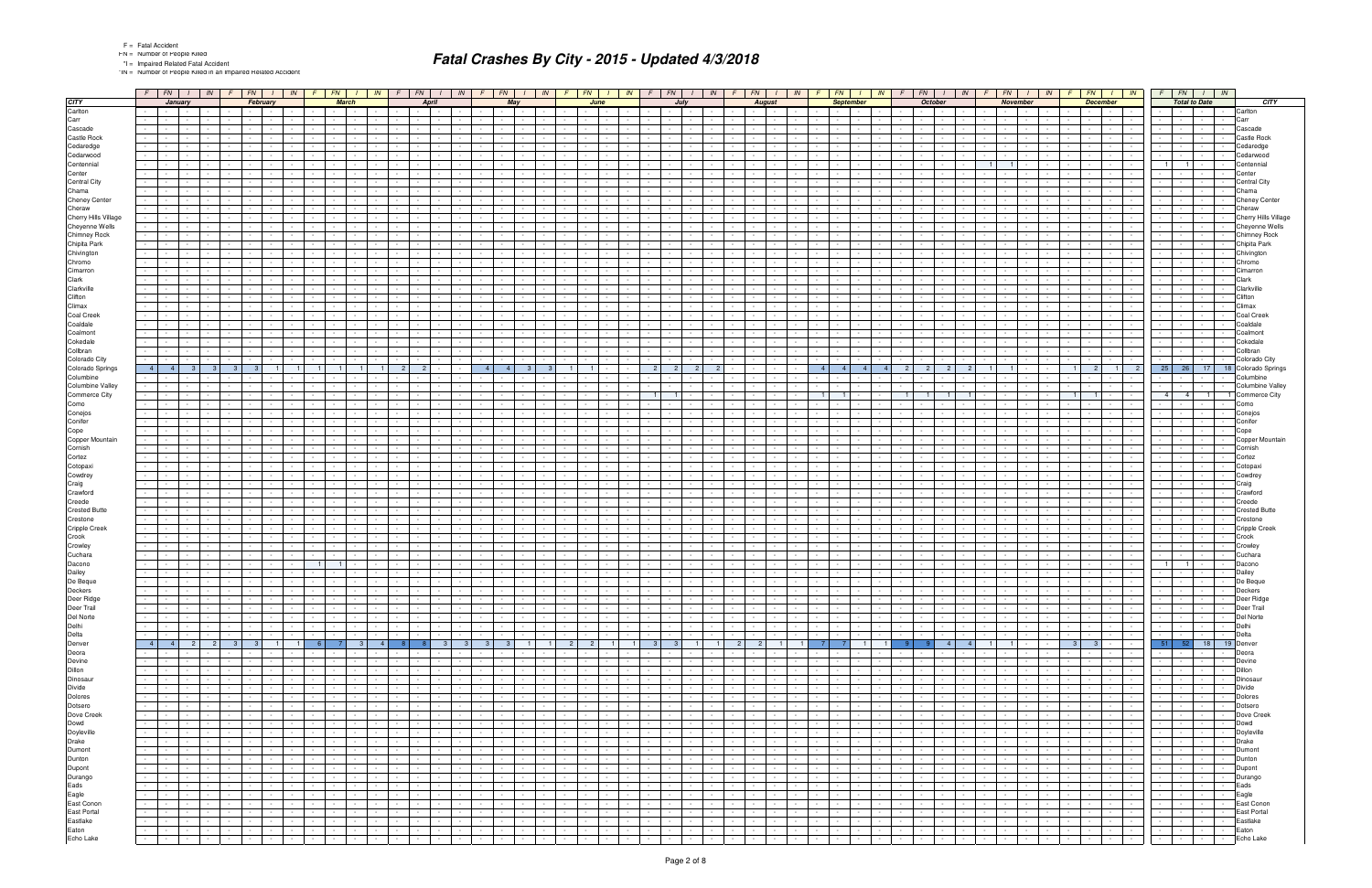\*IN = Number of People Killed in an Impaired Related Accident

|                                                                                                   |                                    | $F$ $FN$ $I$ $N$                                        |                          | $F$ $FN$                                                    |                 |                                             | $IN$ $F$ $FN$                                               |                          | $\sqrt{N}$                                      | $F$ $FN$                                        | $1 \parallel IN$                                     | F                                                                                                                                                                                                                              | $FN$ $1$                            | IN             | $F$ $FN$                                        |                             | IN                           | F                    | FN  <br>IN                                                                          | FN<br>$\sqrt{F}$                                |                                             | $\sqrt{N}$                 | FN                               |                                                                                                               | IN                       | FN                              | IN                                                                                                                                                  |                                   | FN                                                                                                                                                                                                                                  | IN                        | FN                                        | $\blacksquare$                                                                                                  |                | $F$ $FN$ $I$ $N$                                                                                                                                                                                                                                                                                                                                                                                                                                                                                               |                          |                         |
|---------------------------------------------------------------------------------------------------|------------------------------------|---------------------------------------------------------|--------------------------|-------------------------------------------------------------|-----------------|---------------------------------------------|-------------------------------------------------------------|--------------------------|-------------------------------------------------|-------------------------------------------------|------------------------------------------------------|--------------------------------------------------------------------------------------------------------------------------------------------------------------------------------------------------------------------------------|-------------------------------------|----------------|-------------------------------------------------|-----------------------------|------------------------------|----------------------|-------------------------------------------------------------------------------------|-------------------------------------------------|---------------------------------------------|----------------------------|----------------------------------|---------------------------------------------------------------------------------------------------------------|--------------------------|---------------------------------|-----------------------------------------------------------------------------------------------------------------------------------------------------|-----------------------------------|-------------------------------------------------------------------------------------------------------------------------------------------------------------------------------------------------------------------------------------|---------------------------|-------------------------------------------|-----------------------------------------------------------------------------------------------------------------|----------------|----------------------------------------------------------------------------------------------------------------------------------------------------------------------------------------------------------------------------------------------------------------------------------------------------------------------------------------------------------------------------------------------------------------------------------------------------------------------------------------------------------------|--------------------------|-------------------------|
| <b>CITY</b>                                                                                       |                                    | January                                                 |                          |                                                             | February        |                                             |                                                             | <b>March</b>             |                                                 | April                                           |                                                      |                                                                                                                                                                                                                                | May                                 |                |                                                 | June                        |                              |                      | July                                                                                |                                                 | <b>August</b>                               |                            |                                  | <b>September</b>                                                                                              |                          |                                 | <b>October</b>                                                                                                                                      |                                   | November                                                                                                                                                                                                                            |                           |                                           | <b>December</b>                                                                                                 |                | <b>Total to Date</b>                                                                                                                                                                                                                                                                                                                                                                                                                                                                                           |                          | <b>CITY</b>             |
| Carlton                                                                                           |                                    | <b>Service</b><br>$\sim 10^{-1}$                        |                          |                                                             |                 |                                             |                                                             |                          |                                                 |                                                 |                                                      |                                                                                                                                                                                                                                |                                     |                |                                                 |                             |                              |                      |                                                                                     |                                                 |                                             |                            |                                  |                                                                                                               |                          | $\sim 100$                      |                                                                                                                                                     |                                   | $\sim$                                                                                                                                                                                                                              |                           |                                           |                                                                                                                 |                |                                                                                                                                                                                                                                                                                                                                                                                                                                                                                                                |                          | Carlton                 |
| Carr                                                                                              |                                    | <b>Service</b>                                          |                          |                                                             |                 |                                             |                                                             |                          |                                                 |                                                 |                                                      |                                                                                                                                                                                                                                |                                     |                |                                                 |                             |                              |                      |                                                                                     |                                                 |                                             |                            |                                  |                                                                                                               |                          |                                 |                                                                                                                                                     |                                   |                                                                                                                                                                                                                                     |                           |                                           |                                                                                                                 |                |                                                                                                                                                                                                                                                                                                                                                                                                                                                                                                                | Carr                     |                         |
| Cascade                                                                                           |                                    |                                                         |                          |                                                             |                 |                                             |                                                             |                          |                                                 |                                                 |                                                      |                                                                                                                                                                                                                                |                                     |                |                                                 |                             |                              |                      |                                                                                     |                                                 |                                             |                            |                                  |                                                                                                               |                          |                                 |                                                                                                                                                     |                                   |                                                                                                                                                                                                                                     |                           |                                           |                                                                                                                 |                |                                                                                                                                                                                                                                                                                                                                                                                                                                                                                                                |                          | Cascade                 |
| Castle Rock                                                                                       |                                    | $\sim$                                                  |                          |                                                             |                 |                                             |                                                             |                          |                                                 |                                                 |                                                      |                                                                                                                                                                                                                                |                                     |                |                                                 |                             |                              |                      |                                                                                     |                                                 |                                             |                            |                                  |                                                                                                               |                          |                                 |                                                                                                                                                     |                                   |                                                                                                                                                                                                                                     |                           |                                           |                                                                                                                 |                |                                                                                                                                                                                                                                                                                                                                                                                                                                                                                                                |                          | <b>Castle Rock</b>      |
| Cedaredge                                                                                         |                                    |                                                         |                          |                                                             |                 |                                             |                                                             |                          |                                                 |                                                 |                                                      |                                                                                                                                                                                                                                |                                     |                |                                                 |                             |                              |                      |                                                                                     |                                                 |                                             |                            |                                  |                                                                                                               |                          |                                 |                                                                                                                                                     |                                   |                                                                                                                                                                                                                                     |                           |                                           |                                                                                                                 |                |                                                                                                                                                                                                                                                                                                                                                                                                                                                                                                                |                          | Cedaredge               |
| Cedarwood                                                                                         |                                    |                                                         |                          |                                                             |                 |                                             |                                                             |                          |                                                 |                                                 |                                                      |                                                                                                                                                                                                                                |                                     |                |                                                 |                             |                              |                      |                                                                                     |                                                 |                                             |                            |                                  |                                                                                                               |                          |                                 |                                                                                                                                                     |                                   |                                                                                                                                                                                                                                     |                           |                                           |                                                                                                                 |                |                                                                                                                                                                                                                                                                                                                                                                                                                                                                                                                |                          | Cedarwood               |
| Centennial                                                                                        |                                    |                                                         |                          |                                                             |                 |                                             |                                                             |                          |                                                 |                                                 |                                                      |                                                                                                                                                                                                                                |                                     |                |                                                 |                             |                              |                      |                                                                                     |                                                 |                                             |                            |                                  |                                                                                                               |                          |                                 |                                                                                                                                                     | $\overline{1}$                    |                                                                                                                                                                                                                                     |                           |                                           |                                                                                                                 | 1 <sup>1</sup> | $\overline{1}$                                                                                                                                                                                                                                                                                                                                                                                                                                                                                                 |                          | Centennial<br>Center    |
| Center<br>Central City                                                                            |                                    |                                                         |                          |                                                             |                 |                                             |                                                             |                          |                                                 |                                                 |                                                      |                                                                                                                                                                                                                                |                                     |                |                                                 |                             |                              |                      |                                                                                     |                                                 |                                             |                            |                                  |                                                                                                               |                          |                                 |                                                                                                                                                     |                                   |                                                                                                                                                                                                                                     |                           |                                           |                                                                                                                 |                |                                                                                                                                                                                                                                                                                                                                                                                                                                                                                                                |                          | Central City            |
| Chama                                                                                             |                                    |                                                         |                          |                                                             |                 |                                             |                                                             |                          |                                                 |                                                 |                                                      |                                                                                                                                                                                                                                |                                     |                |                                                 |                             |                              |                      |                                                                                     |                                                 |                                             |                            |                                  |                                                                                                               |                          |                                 |                                                                                                                                                     |                                   |                                                                                                                                                                                                                                     |                           |                                           |                                                                                                                 |                |                                                                                                                                                                                                                                                                                                                                                                                                                                                                                                                |                          | Chama                   |
| <b>Cheney Center</b>                                                                              |                                    |                                                         |                          |                                                             |                 |                                             |                                                             |                          |                                                 |                                                 |                                                      |                                                                                                                                                                                                                                |                                     |                |                                                 |                             |                              |                      |                                                                                     |                                                 |                                             |                            |                                  |                                                                                                               |                          |                                 |                                                                                                                                                     |                                   |                                                                                                                                                                                                                                     |                           |                                           |                                                                                                                 |                |                                                                                                                                                                                                                                                                                                                                                                                                                                                                                                                |                          | <b>Cheney Center</b>    |
| Cheraw                                                                                            |                                    |                                                         |                          |                                                             |                 |                                             |                                                             |                          |                                                 |                                                 |                                                      |                                                                                                                                                                                                                                |                                     |                |                                                 |                             |                              |                      |                                                                                     |                                                 |                                             |                            |                                  |                                                                                                               |                          |                                 |                                                                                                                                                     |                                   |                                                                                                                                                                                                                                     |                           |                                           |                                                                                                                 |                |                                                                                                                                                                                                                                                                                                                                                                                                                                                                                                                |                          | Cheraw                  |
| Cherry Hills Village                                                                              |                                    |                                                         |                          |                                                             |                 |                                             |                                                             |                          |                                                 |                                                 |                                                      |                                                                                                                                                                                                                                |                                     |                |                                                 |                             |                              |                      |                                                                                     |                                                 |                                             |                            |                                  |                                                                                                               |                          |                                 |                                                                                                                                                     |                                   |                                                                                                                                                                                                                                     |                           |                                           |                                                                                                                 |                |                                                                                                                                                                                                                                                                                                                                                                                                                                                                                                                |                          | Cherry Hills Village    |
| Cheyenne Wells                                                                                    |                                    |                                                         |                          |                                                             |                 |                                             |                                                             |                          |                                                 |                                                 |                                                      |                                                                                                                                                                                                                                |                                     |                |                                                 |                             |                              |                      |                                                                                     |                                                 |                                             |                            |                                  |                                                                                                               |                          |                                 |                                                                                                                                                     |                                   |                                                                                                                                                                                                                                     |                           |                                           |                                                                                                                 |                |                                                                                                                                                                                                                                                                                                                                                                                                                                                                                                                |                          | Cheyenne Wells          |
| <b>Chimney Rock</b>                                                                               |                                    |                                                         |                          |                                                             |                 |                                             |                                                             |                          |                                                 |                                                 |                                                      |                                                                                                                                                                                                                                |                                     |                |                                                 |                             |                              |                      |                                                                                     |                                                 |                                             |                            |                                  |                                                                                                               |                          |                                 |                                                                                                                                                     |                                   |                                                                                                                                                                                                                                     |                           |                                           |                                                                                                                 |                |                                                                                                                                                                                                                                                                                                                                                                                                                                                                                                                |                          | <b>Chimney Rock</b>     |
| Chipita Park                                                                                      |                                    |                                                         |                          |                                                             |                 |                                             |                                                             |                          |                                                 |                                                 |                                                      |                                                                                                                                                                                                                                |                                     |                |                                                 |                             |                              |                      |                                                                                     |                                                 |                                             |                            |                                  |                                                                                                               |                          |                                 |                                                                                                                                                     |                                   |                                                                                                                                                                                                                                     |                           |                                           |                                                                                                                 | $\sim$ $-$     |                                                                                                                                                                                                                                                                                                                                                                                                                                                                                                                |                          | Chipita Park            |
| Chivington                                                                                        |                                    |                                                         |                          |                                                             |                 |                                             |                                                             |                          |                                                 |                                                 |                                                      |                                                                                                                                                                                                                                |                                     |                |                                                 |                             |                              |                      |                                                                                     |                                                 |                                             |                            |                                  |                                                                                                               |                          |                                 |                                                                                                                                                     |                                   |                                                                                                                                                                                                                                     |                           |                                           |                                                                                                                 |                |                                                                                                                                                                                                                                                                                                                                                                                                                                                                                                                |                          | Chivington              |
| Chromo                                                                                            |                                    |                                                         |                          |                                                             |                 |                                             |                                                             |                          |                                                 |                                                 |                                                      |                                                                                                                                                                                                                                |                                     |                |                                                 |                             |                              |                      |                                                                                     |                                                 |                                             |                            |                                  |                                                                                                               |                          |                                 |                                                                                                                                                     |                                   |                                                                                                                                                                                                                                     |                           |                                           |                                                                                                                 |                |                                                                                                                                                                                                                                                                                                                                                                                                                                                                                                                |                          | Chromo                  |
| Cimarron                                                                                          |                                    |                                                         |                          |                                                             |                 |                                             |                                                             |                          |                                                 |                                                 |                                                      |                                                                                                                                                                                                                                |                                     |                |                                                 |                             |                              |                      |                                                                                     |                                                 |                                             |                            |                                  |                                                                                                               |                          |                                 |                                                                                                                                                     |                                   |                                                                                                                                                                                                                                     |                           |                                           |                                                                                                                 |                |                                                                                                                                                                                                                                                                                                                                                                                                                                                                                                                |                          | Cimarro                 |
| Clark                                                                                             |                                    |                                                         |                          |                                                             |                 |                                             |                                                             |                          |                                                 |                                                 |                                                      |                                                                                                                                                                                                                                |                                     |                |                                                 |                             |                              |                      |                                                                                     |                                                 |                                             |                            |                                  |                                                                                                               |                          |                                 |                                                                                                                                                     |                                   |                                                                                                                                                                                                                                     |                           |                                           |                                                                                                                 |                |                                                                                                                                                                                                                                                                                                                                                                                                                                                                                                                |                          | Clark                   |
| Clarkville                                                                                        |                                    | $\sim$                                                  |                          |                                                             |                 |                                             |                                                             |                          |                                                 |                                                 |                                                      |                                                                                                                                                                                                                                |                                     |                |                                                 |                             |                              |                      |                                                                                     |                                                 |                                             |                            |                                  |                                                                                                               |                          |                                 |                                                                                                                                                     |                                   |                                                                                                                                                                                                                                     |                           |                                           |                                                                                                                 |                |                                                                                                                                                                                                                                                                                                                                                                                                                                                                                                                |                          | Clarkville              |
| Clifton<br>Climax                                                                                 |                                    |                                                         |                          |                                                             |                 |                                             |                                                             |                          |                                                 |                                                 |                                                      |                                                                                                                                                                                                                                |                                     |                |                                                 |                             |                              |                      |                                                                                     |                                                 |                                             |                            |                                  |                                                                                                               |                          |                                 |                                                                                                                                                     |                                   |                                                                                                                                                                                                                                     |                           |                                           |                                                                                                                 |                |                                                                                                                                                                                                                                                                                                                                                                                                                                                                                                                |                          | Clifton<br>Climax       |
| <b>Coal Creek</b>                                                                                 |                                    |                                                         |                          |                                                             |                 |                                             |                                                             |                          |                                                 |                                                 |                                                      |                                                                                                                                                                                                                                |                                     |                |                                                 |                             |                              |                      |                                                                                     |                                                 |                                             |                            |                                  |                                                                                                               |                          |                                 |                                                                                                                                                     |                                   |                                                                                                                                                                                                                                     |                           |                                           |                                                                                                                 |                |                                                                                                                                                                                                                                                                                                                                                                                                                                                                                                                |                          | Coal Creel              |
| Coaldale                                                                                          |                                    |                                                         |                          |                                                             |                 |                                             |                                                             |                          |                                                 |                                                 |                                                      |                                                                                                                                                                                                                                |                                     |                |                                                 |                             |                              |                      |                                                                                     |                                                 |                                             |                            |                                  |                                                                                                               |                          |                                 |                                                                                                                                                     |                                   |                                                                                                                                                                                                                                     |                           |                                           |                                                                                                                 |                |                                                                                                                                                                                                                                                                                                                                                                                                                                                                                                                |                          | Coaldale                |
| Coalmont                                                                                          |                                    |                                                         |                          |                                                             |                 |                                             |                                                             |                          |                                                 |                                                 |                                                      |                                                                                                                                                                                                                                |                                     |                |                                                 |                             |                              |                      |                                                                                     |                                                 |                                             |                            |                                  |                                                                                                               |                          |                                 |                                                                                                                                                     |                                   |                                                                                                                                                                                                                                     |                           |                                           |                                                                                                                 |                |                                                                                                                                                                                                                                                                                                                                                                                                                                                                                                                |                          | Coalmont                |
| Cokedale                                                                                          |                                    |                                                         |                          |                                                             |                 |                                             |                                                             |                          |                                                 |                                                 |                                                      |                                                                                                                                                                                                                                |                                     |                |                                                 |                             |                              |                      |                                                                                     |                                                 |                                             |                            |                                  |                                                                                                               |                          |                                 |                                                                                                                                                     |                                   |                                                                                                                                                                                                                                     |                           |                                           |                                                                                                                 |                |                                                                                                                                                                                                                                                                                                                                                                                                                                                                                                                |                          | Cokedale                |
| Collbran                                                                                          |                                    |                                                         |                          |                                                             |                 |                                             |                                                             |                          |                                                 |                                                 |                                                      |                                                                                                                                                                                                                                |                                     |                |                                                 |                             |                              |                      |                                                                                     |                                                 |                                             |                            |                                  |                                                                                                               |                          |                                 |                                                                                                                                                     |                                   |                                                                                                                                                                                                                                     |                           |                                           |                                                                                                                 |                |                                                                                                                                                                                                                                                                                                                                                                                                                                                                                                                |                          | Collbran                |
| Colorado City                                                                                     |                                    |                                                         |                          |                                                             |                 |                                             |                                                             |                          |                                                 |                                                 |                                                      |                                                                                                                                                                                                                                |                                     |                |                                                 |                             |                              |                      |                                                                                     |                                                 |                                             |                            |                                  |                                                                                                               |                          |                                 |                                                                                                                                                     |                                   |                                                                                                                                                                                                                                     |                           |                                           |                                                                                                                 |                |                                                                                                                                                                                                                                                                                                                                                                                                                                                                                                                |                          | Colorado City           |
| Colorado Springs                                                                                  | 4                                  | $\overline{4}$                                          |                          |                                                             |                 |                                             |                                                             |                          |                                                 | $\overline{2}$                                  |                                                      | $\sim$ 4                                                                                                                                                                                                                       |                                     |                |                                                 |                             |                              | $\overline{2}$       | 2 <sup>1</sup>                                                                      |                                                 |                                             |                            | 4 <sup>1</sup><br>4 <sup>1</sup> | $\overline{4}$                                                                                                |                          | $\overline{2}$                  |                                                                                                                                                     |                                   |                                                                                                                                                                                                                                     |                           | 11<br>$\mathbf{2}$                        | $\overline{1}$                                                                                                  | $25$ 26        | 17                                                                                                                                                                                                                                                                                                                                                                                                                                                                                                             | 18                       | Colorado Springs        |
| Columbine                                                                                         |                                    |                                                         |                          |                                                             |                 |                                             |                                                             |                          |                                                 |                                                 |                                                      |                                                                                                                                                                                                                                |                                     |                |                                                 |                             |                              |                      |                                                                                     |                                                 |                                             |                            |                                  |                                                                                                               |                          |                                 |                                                                                                                                                     |                                   |                                                                                                                                                                                                                                     |                           |                                           |                                                                                                                 |                |                                                                                                                                                                                                                                                                                                                                                                                                                                                                                                                |                          | Columbine               |
| Columbine Valley                                                                                  |                                    |                                                         |                          |                                                             |                 |                                             |                                                             |                          |                                                 |                                                 |                                                      |                                                                                                                                                                                                                                |                                     |                |                                                 |                             |                              |                      |                                                                                     |                                                 |                                             |                            |                                  |                                                                                                               |                          |                                 |                                                                                                                                                     |                                   |                                                                                                                                                                                                                                     |                           |                                           |                                                                                                                 |                |                                                                                                                                                                                                                                                                                                                                                                                                                                                                                                                |                          | <b>Columbine Valley</b> |
| <b>Commerce City</b>                                                                              |                                    |                                                         |                          |                                                             |                 |                                             |                                                             |                          |                                                 |                                                 |                                                      |                                                                                                                                                                                                                                |                                     |                |                                                 |                             |                              |                      |                                                                                     |                                                 |                                             |                            |                                  |                                                                                                               |                          | 1 <sup>1</sup>                  |                                                                                                                                                     |                                   |                                                                                                                                                                                                                                     |                           | 11                                        |                                                                                                                 | $\overline{4}$ | 4 <sup>1</sup><br>$\overline{1}$                                                                                                                                                                                                                                                                                                                                                                                                                                                                               |                          | <b>Commerce City</b>    |
| Como<br>Conejos                                                                                   |                                    |                                                         |                          |                                                             |                 |                                             |                                                             |                          |                                                 |                                                 |                                                      |                                                                                                                                                                                                                                |                                     |                |                                                 |                             |                              |                      |                                                                                     |                                                 |                                             |                            |                                  |                                                                                                               |                          |                                 |                                                                                                                                                     |                                   |                                                                                                                                                                                                                                     |                           |                                           |                                                                                                                 |                | $\sim$                                                                                                                                                                                                                                                                                                                                                                                                                                                                                                         |                          | Como<br>Conejos         |
| Conifer                                                                                           |                                    |                                                         |                          |                                                             |                 |                                             |                                                             |                          |                                                 |                                                 |                                                      |                                                                                                                                                                                                                                |                                     |                |                                                 |                             |                              |                      |                                                                                     |                                                 |                                             |                            |                                  |                                                                                                               |                          |                                 |                                                                                                                                                     |                                   |                                                                                                                                                                                                                                     |                           |                                           |                                                                                                                 |                |                                                                                                                                                                                                                                                                                                                                                                                                                                                                                                                |                          | Conifer                 |
| Cope                                                                                              |                                    |                                                         |                          |                                                             |                 |                                             |                                                             |                          |                                                 |                                                 |                                                      |                                                                                                                                                                                                                                |                                     |                |                                                 |                             |                              |                      |                                                                                     |                                                 |                                             |                            |                                  |                                                                                                               |                          |                                 |                                                                                                                                                     |                                   |                                                                                                                                                                                                                                     |                           |                                           |                                                                                                                 |                |                                                                                                                                                                                                                                                                                                                                                                                                                                                                                                                |                          | Cope                    |
| Copper Mountain                                                                                   |                                    |                                                         |                          |                                                             |                 |                                             |                                                             |                          |                                                 |                                                 |                                                      |                                                                                                                                                                                                                                |                                     |                |                                                 |                             |                              |                      |                                                                                     |                                                 |                                             |                            |                                  |                                                                                                               |                          |                                 |                                                                                                                                                     |                                   |                                                                                                                                                                                                                                     |                           |                                           |                                                                                                                 |                |                                                                                                                                                                                                                                                                                                                                                                                                                                                                                                                |                          | Copper Mountain         |
| Cornish                                                                                           |                                    |                                                         |                          |                                                             |                 |                                             |                                                             |                          |                                                 |                                                 |                                                      |                                                                                                                                                                                                                                |                                     |                |                                                 |                             |                              |                      |                                                                                     |                                                 |                                             |                            |                                  |                                                                                                               |                          |                                 |                                                                                                                                                     |                                   |                                                                                                                                                                                                                                     |                           |                                           |                                                                                                                 |                |                                                                                                                                                                                                                                                                                                                                                                                                                                                                                                                |                          | Cornish                 |
| Cortez                                                                                            |                                    |                                                         |                          |                                                             |                 |                                             |                                                             |                          |                                                 |                                                 |                                                      |                                                                                                                                                                                                                                |                                     |                |                                                 |                             |                              |                      |                                                                                     |                                                 |                                             |                            |                                  |                                                                                                               |                          |                                 |                                                                                                                                                     |                                   |                                                                                                                                                                                                                                     |                           |                                           |                                                                                                                 |                |                                                                                                                                                                                                                                                                                                                                                                                                                                                                                                                |                          | Cortez                  |
| Cotopaxi                                                                                          |                                    |                                                         |                          |                                                             |                 |                                             |                                                             |                          |                                                 |                                                 |                                                      |                                                                                                                                                                                                                                |                                     |                |                                                 |                             |                              |                      |                                                                                     |                                                 |                                             |                            |                                  |                                                                                                               |                          |                                 |                                                                                                                                                     |                                   |                                                                                                                                                                                                                                     |                           |                                           |                                                                                                                 |                |                                                                                                                                                                                                                                                                                                                                                                                                                                                                                                                |                          | Cotopax                 |
| Cowdrey                                                                                           |                                    |                                                         |                          |                                                             |                 |                                             |                                                             |                          |                                                 |                                                 |                                                      |                                                                                                                                                                                                                                |                                     |                |                                                 |                             |                              |                      |                                                                                     |                                                 |                                             |                            |                                  |                                                                                                               |                          |                                 |                                                                                                                                                     |                                   |                                                                                                                                                                                                                                     |                           |                                           |                                                                                                                 |                |                                                                                                                                                                                                                                                                                                                                                                                                                                                                                                                |                          | Cowdrey                 |
| Craig                                                                                             |                                    |                                                         |                          |                                                             |                 |                                             |                                                             |                          |                                                 |                                                 |                                                      |                                                                                                                                                                                                                                |                                     |                |                                                 |                             |                              |                      |                                                                                     |                                                 |                                             |                            |                                  |                                                                                                               |                          |                                 |                                                                                                                                                     |                                   |                                                                                                                                                                                                                                     |                           |                                           |                                                                                                                 |                |                                                                                                                                                                                                                                                                                                                                                                                                                                                                                                                |                          | Craig                   |
| Crawford<br>Creede                                                                                |                                    |                                                         |                          |                                                             |                 |                                             |                                                             |                          |                                                 |                                                 |                                                      |                                                                                                                                                                                                                                |                                     |                |                                                 |                             |                              |                      |                                                                                     |                                                 |                                             |                            |                                  |                                                                                                               |                          |                                 |                                                                                                                                                     |                                   |                                                                                                                                                                                                                                     |                           |                                           |                                                                                                                 |                |                                                                                                                                                                                                                                                                                                                                                                                                                                                                                                                |                          | Crawford<br>Creede      |
| <b>Crested Butte</b>                                                                              |                                    |                                                         |                          |                                                             |                 |                                             |                                                             |                          |                                                 |                                                 |                                                      |                                                                                                                                                                                                                                |                                     |                |                                                 |                             |                              |                      |                                                                                     |                                                 |                                             |                            |                                  |                                                                                                               |                          |                                 |                                                                                                                                                     |                                   |                                                                                                                                                                                                                                     |                           |                                           |                                                                                                                 |                |                                                                                                                                                                                                                                                                                                                                                                                                                                                                                                                |                          | <b>Crested Butte</b>    |
| Crestone                                                                                          |                                    |                                                         |                          |                                                             |                 |                                             |                                                             |                          |                                                 |                                                 |                                                      |                                                                                                                                                                                                                                |                                     |                |                                                 |                             |                              |                      |                                                                                     |                                                 |                                             |                            |                                  |                                                                                                               |                          |                                 |                                                                                                                                                     |                                   |                                                                                                                                                                                                                                     |                           |                                           |                                                                                                                 |                |                                                                                                                                                                                                                                                                                                                                                                                                                                                                                                                |                          | Crestone                |
| <b>Cripple Creek</b>                                                                              |                                    |                                                         |                          |                                                             |                 |                                             |                                                             |                          |                                                 |                                                 |                                                      |                                                                                                                                                                                                                                |                                     |                |                                                 |                             |                              |                      |                                                                                     |                                                 |                                             |                            |                                  |                                                                                                               |                          |                                 |                                                                                                                                                     |                                   |                                                                                                                                                                                                                                     |                           |                                           |                                                                                                                 |                |                                                                                                                                                                                                                                                                                                                                                                                                                                                                                                                |                          | <b>Cripple Creek</b>    |
| Crook                                                                                             |                                    |                                                         |                          |                                                             |                 |                                             |                                                             |                          |                                                 |                                                 |                                                      |                                                                                                                                                                                                                                |                                     |                |                                                 |                             |                              |                      |                                                                                     |                                                 |                                             |                            |                                  |                                                                                                               |                          |                                 |                                                                                                                                                     |                                   |                                                                                                                                                                                                                                     |                           |                                           |                                                                                                                 |                |                                                                                                                                                                                                                                                                                                                                                                                                                                                                                                                |                          | Crook                   |
| Crowley                                                                                           |                                    |                                                         |                          |                                                             |                 |                                             |                                                             |                          |                                                 |                                                 |                                                      |                                                                                                                                                                                                                                |                                     |                |                                                 |                             |                              |                      |                                                                                     |                                                 |                                             |                            |                                  |                                                                                                               |                          |                                 |                                                                                                                                                     |                                   |                                                                                                                                                                                                                                     |                           |                                           |                                                                                                                 |                |                                                                                                                                                                                                                                                                                                                                                                                                                                                                                                                |                          | Crowley                 |
| Cuchara                                                                                           |                                    |                                                         |                          |                                                             |                 |                                             |                                                             |                          |                                                 |                                                 |                                                      |                                                                                                                                                                                                                                |                                     |                |                                                 |                             |                              |                      |                                                                                     |                                                 |                                             |                            |                                  |                                                                                                               |                          |                                 |                                                                                                                                                     |                                   |                                                                                                                                                                                                                                     |                           |                                           |                                                                                                                 |                |                                                                                                                                                                                                                                                                                                                                                                                                                                                                                                                |                          | Cuchara                 |
| Dacono                                                                                            |                                    |                                                         |                          |                                                             |                 |                                             | 1                                                           | $\overline{1}$           |                                                 |                                                 |                                                      |                                                                                                                                                                                                                                |                                     |                |                                                 |                             |                              |                      |                                                                                     |                                                 |                                             |                            |                                  |                                                                                                               |                          |                                 |                                                                                                                                                     |                                   |                                                                                                                                                                                                                                     |                           |                                           |                                                                                                                 | 1              | $\vert$ 1                                                                                                                                                                                                                                                                                                                                                                                                                                                                                                      |                          | Dacono                  |
| Dailey                                                                                            |                                    |                                                         |                          |                                                             |                 |                                             |                                                             |                          |                                                 |                                                 |                                                      |                                                                                                                                                                                                                                |                                     |                |                                                 |                             |                              |                      |                                                                                     |                                                 |                                             |                            |                                  |                                                                                                               |                          |                                 |                                                                                                                                                     |                                   |                                                                                                                                                                                                                                     |                           |                                           |                                                                                                                 |                |                                                                                                                                                                                                                                                                                                                                                                                                                                                                                                                |                          | Dailey                  |
| De Beque                                                                                          |                                    | $\sim$<br>$\sim$                                        |                          |                                                             |                 |                                             |                                                             |                          |                                                 |                                                 |                                                      |                                                                                                                                                                                                                                |                                     |                |                                                 |                             |                              |                      |                                                                                     |                                                 |                                             |                            |                                  |                                                                                                               |                          |                                 |                                                                                                                                                     |                                   |                                                                                                                                                                                                                                     |                           |                                           |                                                                                                                 |                |                                                                                                                                                                                                                                                                                                                                                                                                                                                                                                                |                          | De Beque                |
| Deckers                                                                                           | the contract of the con-<br>$\sim$ | $\blacksquare$<br>and the property of the con-          | <b>Contract</b>          |                                                             | $\sim$ $-$      | $\sim 10^{-11}$                             | $\sim$ $\sim$ $\sim$ $\sim$                                 |                          |                                                 | <del>- - - - - - - -</del>                      |                                                      |                                                                                                                                                                                                                                |                                     |                | $\frac{1}{\sqrt{2}}$                            |                             |                              |                      | 극물물위                                                                                | <del>승규는 아이가 좋</del>                            |                                             |                            |                                  | $-1 - 1 - 1 - 1$                                                                                              |                          |                                 | <u> 승규는 승규는 </u>                                                                                                                                    |                                   |                                                                                                                                                                                                                                     |                           |                                           |                                                                                                                 |                | 동물물                                                                                                                                                                                                                                                                                                                                                                                                                                                                                                            |                          | Deckers<br>Deer Ridge   |
|                                                                                                   | $\sim 10^{-11}$                    | the company's state                                     |                          | the contract of the con-<br>the contract of the             |                 |                                             | the contract of the con-                                    |                          | the contract of<br>the contract of              | and the state of the state                      | <b>Contract Contract</b>                             | $\sim 10^{-11}$<br><b>Contract Contract</b>                                                                                                                                                                                    | $\mathbf{I}$ and $\mathbf{I}$       |                | the contract of                                 | <b>Contract Contract</b>    |                              | $\sim 10^{-11}$      | and the state of the state<br>$\sim 10^{-10}$                                       | $\sim 10^{-11}$<br><b>Contract</b>              | the contract of the con-                    |                            | $\sim$ $\sim$ $\sim$ $\sim$      | $\sim 10^{-11}$                                                                                               | $\sim$ 100 $\mu$         |                                 | the contract of the contract of the con-                                                                                                            | <b>Contract Contract Contract</b> | <b>Contract</b>                                                                                                                                                                                                                     | $\sim 100$                |                                           | .                                                                                                               |                |                                                                                                                                                                                                                                                                                                                                                                                                                                                                                                                |                          | Deer Trail              |
|                                                                                                   |                                    | the contract of the contract of the con-                |                          | <b>Second Second Second</b>                                 |                 | $\sim 10^{-11}$                             |                                                             | $-1 - 1 - 1 - 1 - 1$     |                                                 | the contract of                                 | and the state of the state                           |                                                                                                                                                                                                                                |                                     |                | $-1 - 1 - 1 - 1$                                |                             | $\sim 10^{-1}$               |                      |                                                                                     |                                                 |                                             | $\sim$                     |                                  | $-1 - 1 - 1 - 1$                                                                                              |                          |                                 |                                                                                                                                                     |                                   | .                                                                                                                                                                                                                                   |                           |                                           | .                                                                                                               |                | $\sim$ 1 - 1 - 1 -                                                                                                                                                                                                                                                                                                                                                                                                                                                                                             |                          | Del Norte               |
|                                                                                                   | $\sim$ $\sim$                      | and the state of the state                              | $\sim 100$ m $^{-1}$     | <b><i>Property Lines</i></b>                                | $\sim 10^{-1}$  | $\sim 10^{-1}$                              | the contract of the contract of                             |                          | <b>Second Control</b>                           | <b>Contract Contract</b>                        | <b>Contract Contract</b>                             |                                                                                                                                                                                                                                |                                     | $\sim 10^{-1}$ | the contract of the contract of the contract of |                             | $\sim 10^{-11}$              |                      |                                                                                     | .                                               |                                             | $\sim$ $-$                 |                                  | 1949 - 1949 - 1949 - 1949 - 1949 - 1949 - 1949 - 1949 - 1949 - 1949 - 1949 - 1949 - 1949 - 1949 - 1949 - 1949 |                          |                                 | <b>The Common Section</b>                                                                                                                           |                                   |                                                                                                                                                                                                                                     |                           |                                           |                                                                                                                 |                | $-1 - 1 - 1$                                                                                                                                                                                                                                                                                                                                                                                                                                                                                                   | $\sim 10^{-1}$           | Delhi                   |
|                                                                                                   |                                    | and the property of the con-                            | <b>Contract Contract</b> | the contract of the con-                                    |                 | $\sim 100$                                  | the contract of the con-                                    |                          | the contract of the con-                        | the contract of                                 | the contract of the con-                             | <b>Contract Contract</b>                                                                                                                                                                                                       | and the contract of the contract of | $\sim$ $-$     | the contract of the contract of                 | $\sim 10^{-10}$             | $\sim$ $-$                   | $ -$                 | the contract of the con-                                                            | <b>Service</b> Service<br>$\sim$ $-$            | the contract of the con-                    | $\sim$                     |                                  | $-1 - 1 - 1 - 1$                                                                                              |                          |                                 |                                                                                                                                                     | the contract of the con-          | $\sim$ 100 $\sim$ 100 $\sim$                                                                                                                                                                                                        | $\sim 100$                |                                           | $-1 - 1 - 1 - 1 - 1$                                                                                            |                | $-1 - 1 - 1 - 1$                                                                                                                                                                                                                                                                                                                                                                                                                                                                                               | $\sim$ $-$               | Delta                   |
|                                                                                                   |                                    |                                                         |                          |                                                             |                 |                                             |                                                             |                          |                                                 |                                                 |                                                      |                                                                                                                                                                                                                                |                                     |                |                                                 |                             |                              |                      | 4 4 2 2 3 3 1 1 6 7 3 4 8 8 3 3 3 4 1 2 2 1 1 3 3 1 1 2 2 1 1 7 7 1 1 9 9 4 4 1 1 - |                                                 |                                             |                            |                                  |                                                                                                               |                          |                                 |                                                                                                                                                     |                                   |                                                                                                                                                                                                                                     |                           |                                           | $\begin{array}{ c c c c c c c c c }\n\hline\n\text{3} & \text{3} & \text{-} & \text{-} \\ \hline\n\end{array}$  |                | 51 52 18 19 Denver                                                                                                                                                                                                                                                                                                                                                                                                                                                                                             |                          |                         |
| Deckers<br>Deer Ridge<br>Deer Trail<br>Del Norte<br>Delhi<br>Denver<br>Devine<br>Dilion<br>Dilion |                                    | $-1 - 1 - 1 - 1$                                        | <b>Contract</b>          |                                                             |                 |                                             | <b>Second Control</b>                                       |                          | the contract of                                 | <b>Contract Contract</b>                        | <b>Contract Contract</b>                             | $\sim 100$                                                                                                                                                                                                                     | the contract of                     |                | <b>Service</b> Service                          | $\sim 10^{-11}$             | $\sim$                       | $\sim 10^{-11}$      | the contract of<br><b>Contract Contract</b>                                         | $\sim$ $-$<br><b>Contract</b>                   | the contract of                             | $\sim$                     |                                  | the contract of the contract of the con-                                                                      |                          |                                 | $-1 - 1 - 1 - 1 - 1$                                                                                                                                |                                   | $-1 - 1 - 1 - 1$                                                                                                                                                                                                                    | $\sim$ $-$                | <b>Contract Contract</b>                  | and the contract of the con-                                                                                    | $-1 - 1$       | $\sim 10^{-11}$                                                                                                                                                                                                                                                                                                                                                                                                                                                                                                | $\sim$                   | Deora                   |
|                                                                                                   |                                    | $-1 - 1 - 1 - 1$                                        | $\sim 100$               | $\sim$ $\sim$ $\sim$                                        | $\sim$          | $\sim$ 100 $\mu$                            | the contract of the                                         |                          | the contract of the con-                        | the contract of the con-                        | the contract of                                      | $\sim$<br><b>Service</b>                                                                                                                                                                                                       | $\sim$ $\sim$                       | $\sim$         | the contract of the con-                        | <b>Contract</b>             | $\sim$ $\sim$                | $\sim 10^{-11}$      | the contract of<br><b>Contract</b>                                                  | $\sim$<br><b>Contract</b>                       | $\sim 10^{-11}$                             | $\blacksquare$<br>$\sim$   |                                  | the contract of the                                                                                           | $\sim$ $-$               | the contract of                 | the contract of the con-                                                                                                                            | the contract of                   | <b>Contract Contract</b>                                                                                                                                                                                                            | $\sim$ $-$                | <b>Service</b> Service                    | .                                                                                                               |                | $-1 - 1 - 1 - 1$                                                                                                                                                                                                                                                                                                                                                                                                                                                                                               | $\sim$ $-$               | Devine                  |
|                                                                                                   |                                    | $-1 - 1 - 1 - 1$                                        |                          | the contract of the contract of                             |                 |                                             | the contract of                                             |                          | the contract of                                 | <b>Contract Contract</b>                        | <b>Contract Contract</b>                             | $\sim 10^{-10}$<br>$\sim 100$                                                                                                                                                                                                  | $\sim 100$ km s $^{-1}$             |                | the control of the                              | <b>Contract</b>             | $\sim$ $-$                   | $\sim$ $-$           | $\sim$ $-$<br><b>Contract</b><br>.                                                  | the contract of<br>$\sim 100$ km s $^{-1}$      | <b>Contract</b>                             | $\mathbf{I}$               |                                  | the contract of                                                                                               | $\sim 10^{-11}$          | the contract of the con-        | $\sim$ $\sim$ $\sim$ $\sim$                                                                                                                         | <b>Contract Contract Contract</b> | <b>Contract Contract</b>                                                                                                                                                                                                            |                           |                                           |                                                                                                                 |                |                                                                                                                                                                                                                                                                                                                                                                                                                                                                                                                | $\sim$ $-$               | Dillon                  |
| Dinosaur<br>Divide                                                                                | $\sim$ $\sim$                      | .                                                       | <b>Contract</b>          | the contract of the con-                                    | $\sim$ $-$      | <b>Contract</b><br><b>Contract Contract</b> | the contract of the contract of<br><b>Contract Contract</b> | <b>Contract</b>          | and the contract of<br><b>Contract Contract</b> | and the control<br>start for the con-           | and the control                                      | and the state of the state of the state<br><b>Contract</b>                                                                                                                                                                     | and the contract of                 | $\sim$ $-$     | the contract of                                 | <b>Contract Contract</b>    | $\sim 10^{-1}$<br>$\sim$     | $\sim$ $-$           | <b>Carl Park</b><br><b>Contractor</b>                                               | $\sim 10^{-11}$<br>$\sim 10^{-10}$              | <b>Contract Contract</b><br>the contract of | $\sim$ $-$<br>$\sim$ $-$   |                                  | .<br>the company of                                                                                           |                          | $-1 - 1 - 1$                    | the contract of the contract of the con-<br><b>Contract</b>                                                                                         | the contract of                   | <b>Contractor</b>                                                                                                                                                                                                                   | $\sim 10^{-11}$<br>$\sim$ |                                           | $+ + +$                                                                                                         |                | $-1 - 1 - 1 - 1$                                                                                                                                                                                                                                                                                                                                                                                                                                                                                               | J,                       | Dinosaur<br>Divide      |
|                                                                                                   |                                    | and the property of the<br>and the property of the con- | <b>Contract</b>          | the contract of the contract of<br>the contract of the con- | $\sim$ $-$      |                                             | the contract of the con-                                    |                          | the company of                                  | the contract of                                 | and the state<br>the contract of                     |                                                                                                                                                                                                                                |                                     | $\sim$ $-$     | $-1 - 1$                                        | $\sim$ $\sim$ $\sim$ $\sim$ | $\sim 10^{-1}$               |                      | .                                                                                   | and the contract of the con-<br><b>Contract</b> | the contract of                             |                            |                                  |                                                                                                               | $\sim$ $-$               |                                 | $      -$                                                                                                                                           | the contract of the con-          | $\sim$ $-$                                                                                                                                                                                                                          | $\sim 100$                | <b>Contract Contract</b>                  |                                                                                                                 |                | $\begin{tabular}{c} \multicolumn{1}{c}{ \multicolumn{1}{c}{ \multicolumn{1}{c}{ \multicolumn{1}{c}{ \multicolumn{1}{c}{ \multicolumn{1}{c}{ \multicolumn{1}{c}{ \multicolumn{1}{c}{ \multicolumn{1}{c}{ \multicolumn{1}{c}{ \multicolumn{1}{c}{ \multicolumn{1}{c}{ \multicolumn{1}{c}{ \multicolumn{1}{c}{ \multicolumn{1}{c}{ \multicolumn{1}{c}{ \multicolumn{1}{c}{ \multicolumn{1}{c}{ \multicolumn{1}{c}{ \multicolumn{1}{c}{ \multicolumn{1}{c}{ \multicolumn{1}{c}{ \multicolumn{1}{c}{ \multicolumn{$ |                          | Dolores                 |
|                                                                                                   | $\sim 10^{-11}$                    | the company's state                                     | <b>Contract</b>          |                                                             |                 | $\sim 100$                                  | the contract of                                             |                          | the contract of                                 | and the control                                 | <b>Contract Contract</b>                             | .                                                                                                                                                                                                                              |                                     | $\sim$ $-$     |                                                 |                             | $\sim 10^{-1}$               |                      | 1 - 1 - 1 - 1 - 1 - 1                                                               | $\mathbf{I}$ and $\mathbf{I}$                   | and the contract                            |                            |                                  |                                                                                                               |                          |                                 |                                                                                                                                                     | <b>Contract Contract Contract</b> | $\sim$ $-$                                                                                                                                                                                                                          | $\sim 10^{-1}$            |                                           |                                                                                                                 |                | the contract of the contract of the con-                                                                                                                                                                                                                                                                                                                                                                                                                                                                       |                          | Dotsero                 |
|                                                                                                   |                                    | the contract of the con-                                | $\sim 10^{-11}$          | $-1 - 1$                                                    | $\sim$ $-$      | <b>Contract</b>                             | $\sim$                                                      | <b>Contract</b>          | the contract of                                 | start for the con-                              | <b>Contract Contract</b>                             | $\sim$ $\sim$                                                                                                                                                                                                                  | the contract of                     | $\sim$ $-$     | the contract of                                 | <b>Contract</b>             | $\sim$                       |                      | and the contract of the contract of the con-<br><b>Contract</b>                     | $\sim 10^{-11}$<br>$\sim 10^{-10}$              | the contract of                             | $\sim$ $-$                 |                                  | the contract of                                                                                               | $\sim$ $-$               | $-1 - 1 - 1 - 1$                | $\sim 10^{-11}$                                                                                                                                     | the contract of                   | <b>Contract Contract</b>                                                                                                                                                                                                            | $\sim$ $-$                |                                           |                                                                                                                 |                | $-1 - 1 - 1 - 1$                                                                                                                                                                                                                                                                                                                                                                                                                                                                                               | $\sim 100$               | Dove Creek              |
|                                                                                                   |                                    | <b>Contract Contract Contract</b>                       | <b>Contract</b>          | the contract of the con-                                    | $\sim$ $-$      |                                             |                                                             | <b>Contract Contract</b> | the contract of                                 | and the control                                 | <b>Contract Contract</b>                             | <b>Service</b>                                                                                                                                                                                                                 | .                                   | $\sim$ $-$     | the contract of                                 | <b>Service</b>              | $\sim$ $\sim$                | $\sim$ $-$           | and the state of                                                                    | $\sim 10^{-11}$<br><b>Contractor</b>            | the contract of                             |                            |                                  |                                                                                                               | <b>Contract Contract</b> | the contract of the contract of | the contract of the con-                                                                                                                            | the contract of                   | <b>Contract Contract</b>                                                                                                                                                                                                            | $\sim 10^{-1}$            |                                           |                                                                                                                 |                | - 1 - 1 - 7                                                                                                                                                                                                                                                                                                                                                                                                                                                                                                    | $\sim$ $\sim$            | Dowd                    |
|                                                                                                   | $\sim 10^{-11}$                    | the contract of                                         | <b>Contract</b>          | the contract of the con-                                    | $\sim$ $-$      | $\sim 10^{-11}$                             | the contract of the con-                                    |                          | the company of                                  | <b>Contract Contract</b>                        | the contract of                                      | .                                                                                                                                                                                                                              |                                     | $\sim$ $-$     |                                                 |                             | $\sim$ $-$                   |                      |                                                                                     | and the state of the state                      | and the control                             | $\sim$ $-$                 |                                  | $-1 - 1 - 1 - 1$                                                                                              |                          |                                 |                                                                                                                                                     | the contract of                   | $\sim$ $-$                                                                                                                                                                                                                          | $\sim 10^{-1}$            |                                           | and the state of the state of the state                                                                         |                |                                                                                                                                                                                                                                                                                                                                                                                                                                                                                                                | $\sim$ 100 $\mu$         | Doyleville              |
| Dolores<br>Dolores<br>Dove Creek<br>Dowd<br>Doyleville<br>Drake                                   |                                    | the contract of the con-                                | $\sim 10^{-11}$          | the contract of the contract of the                         | $\sim$ $-$      |                                             | $\sim$                                                      | <b>Contract</b>          | the contract of                                 | $\sim$ $-$<br>$\sim 10^{-11}$                   | and the state                                        | $\sim 100$                                                                                                                                                                                                                     | <b>Contract Contract Contract</b>   | $\sim$ $-$     | <b>Second Control</b>                           | <b>Contract</b>             | $\sim$                       | $\sim$ $\sim$ $\sim$ | and the contract of<br><b>Contractor</b>                                            | $\sim$<br><b>Contract</b>                       | $\sim 10^{-11}$                             | $\mathbf{I}$<br>$\sim$ $-$ |                                  | the company                                                                                                   | $\sim$ $-$               | $-1$ . $-1$ . $-1$              | $\sim 10^{-11}$                                                                                                                                     | the contract of                   | <b>Contract</b>                                                                                                                                                                                                                     | $\sim$ $-$                |                                           |                                                                                                                 |                | $-1 - 1 - 1$                                                                                                                                                                                                                                                                                                                                                                                                                                                                                                   | $\sim$                   | Drake                   |
| Dumont                                                                                            | $\sim$ $\sim$                      | and the property of the con-                            | <b>Contract</b>          | $-1 - 1$                                                    | $\sim$ $-$      |                                             |                                                             | <b>Contractor</b>        | the contract of the con-                        | the contract of                                 | and the state of the state                           | <b>Service</b>                                                                                                                                                                                                                 | and the contract of the contract of | $\sim$ $-$     | the contract of                                 | <b>Service</b>              | $\sim$ $\sim$                |                      | and the state of                                                                    | and the state of the state<br><b>Contractor</b> | and the state                               |                            |                                  | <b>Contract Contract Contract</b>                                                                             | $\sim$ $-$               |                                 | the contract of the contract of the contract of                                                                                                     | and the control                   | <b>Contract Contract</b>                                                                                                                                                                                                            | $\sim 100$                |                                           | the contract of the contract of the contract of the contract of the contract of the contract of the contract of |                | - 1 - 1 - 7                                                                                                                                                                                                                                                                                                                                                                                                                                                                                                    | $\sim$ $\sim$            | Dumont                  |
| Dunton                                                                                            | $\sim 100$                         | and the property of the                                 | $\sim 100$ km s $^{-1}$  | the contract of the con-                                    | $\sim$ $-$      | $\sim 100$                                  | the contract of the con-                                    |                          | the company of                                  | <b>Carl Carl</b>                                | the contract of                                      | .                                                                                                                                                                                                                              |                                     | $\sim$ $-$     |                                                 |                             | $\sim 10^{-1}$               | $\sqrt{-1}$          | the contract of                                                                     | <b>Carl Land</b><br>$\sim$ $-$                  | and the control                             | $\sim$ $-$                 |                                  | the contract of the contract of the con-                                                                      |                          |                                 |                                                                                                                                                     | and the state                     | $\sim$ $\sim$ $\sim$ $\sim$                                                                                                                                                                                                         | $\sim 10^{-1}$            |                                           | and the state of the state of the state                                                                         |                |                                                                                                                                                                                                                                                                                                                                                                                                                                                                                                                | $\sim$ $-$               | Dunton                  |
| Dupont                                                                                            |                                    | the contract of the con-                                | $\sim$ 100 $\sim$        | the contract of the contract of the con-                    |                 |                                             |                                                             | <b>The Common</b>        | the contract of                                 | the contract of the con-                        | the contract of                                      | the contract of the contract of the contract of the contract of the contract of the contract of the contract of the contract of the contract of the contract of the contract of the contract of the contract of the contract o |                                     |                | the contract of                                 | $\sim 10^{-10}$             | $\sim$ $-$                   |                      | the contract of the con-<br><b>Contractor</b>                                       | $\sim 100$ m $^{-1}$<br>$\sim$ $-$              | <b>Contract Contract</b>                    | $\sim$ $-$                 | <b>Contract Contract</b>         |                                                                                                               | $\sim 100$               |                                 |                                                                                                                                                     | and the control of the con-       | and the state of the state                                                                                                                                                                                                          |                           |                                           |                                                                                                                 |                | $-1 - 1 - 1 - 1 - 1 - 1$                                                                                                                                                                                                                                                                                                                                                                                                                                                                                       |                          | Dupont                  |
|                                                                                                   |                                    | the contract of the con-<br>$-1 - 1 - 1 - 1$            | $\sim 100$ km s $^{-1}$  | the contract of the<br>1989 - Peter Bank Bank               | $\sim$ $-$      | $\sim 10^{-11}$                             | $\sim$ $\sim$                                               | $\sim 10^{-10}$          | the contract of                                 | and the contract of the con-<br>그대 지            | <b>Contract Contract</b><br><b>Contract Contract</b> | $-1 - 1 - 1 - 1 - 1$                                                                                                                                                                                                           |                                     | $\sim$ $-$     | $-1 - 1 - 1$                                    | $\sim 10^{-11}$             | $\sim$ $-$<br>$\sim 10^{-1}$ | $\sim$               | the contract of                                                                     | and the state of the state<br><b>Contract</b>   | and the control                             | $\sim$ $-$<br>$\sim$ $-$   |                                  | the contract of<br>the property of the con-                                                                   | $\sim$ $-$               |                                 | the contract of the contract of the contract of the contract of the contract of the contract of the contract of<br>the collection of the collection |                                   | .<br>and the characters of the control of the control of the control of the control of the control of the control of the control of the control of the control of the control of the control of the control of the control of the c |                           |                                           |                                                                                                                 |                | $-1 - 1 - 1 - 1$<br>$-1 - 1 - 1 - 1$                                                                                                                                                                                                                                                                                                                                                                                                                                                                           | $\sim$ $-$<br>$\sim$ $-$ | Durango<br>Eads         |
|                                                                                                   | $\sim$ $\sim$                      | and the property of the                                 | <b>Contract</b>          | the contract of the con-                                    | $\sim 10^{-11}$ | $\sim 10^{-11}$                             | $\sim$                                                      | and the contract         |                                                 | <b>Contract Contract</b>                        | the contract of                                      | the contract of the con-                                                                                                                                                                                                       |                                     | $\sim$ $-$     |                                                 |                             | $\sim$ $-$                   | $\sim$ $-$           | - 1 - 1                                                                             | <b>Contract Contract</b><br>$\sim$ - $\sim$ -   | and the state                               | $\sim$ $-$                 |                                  | the contract of                                                                                               | $\sim 100$               |                                 |                                                                                                                                                     | and the state                     | <b>Contract Contract</b>                                                                                                                                                                                                            | $\sim 100$                |                                           |                                                                                                                 |                | - 1 - 1 - 7                                                                                                                                                                                                                                                                                                                                                                                                                                                                                                    | $\sim$ $\sim$            | Eagle                   |
|                                                                                                   |                                    | $-1 - 1 - 1 - 1$                                        | <b>Contract</b>          | the contract of the con-                                    | $\sim 100$      |                                             | the contract of                                             |                          | the company of                                  | the contract of the con-                        | <b>Contract Contract</b>                             | $\sim 10^{-10}$                                                                                                                                                                                                                | the contract of the con-            | $\sim$ $-$     |                                                 |                             | $\sim 10^{-1}$               |                      | $      -$                                                                           | the contract of<br><b>Contract Contract</b>     | <b>Contract Contract</b>                    | $\sim$ $-$                 |                                  | the contract of the con-                                                                                      |                          |                                 |                                                                                                                                                     | the contract of the contract of   | $\sim$ $-$                                                                                                                                                                                                                          | $\sim 100$                |                                           |                                                                                                                 |                |                                                                                                                                                                                                                                                                                                                                                                                                                                                                                                                | $\sim 10^{-1}$           | East Conon              |
| Durango<br>Eads<br>Eagle<br>East Conon<br>East Portal                                             | $\sim$ $\sim$                      | and the contract of the con-                            |                          | <b>Contract Contract Contract</b>                           | $\sim$          | $\sim 10^{-11}$                             | the contract of                                             |                          | the contract of the con-                        | $-1 - 1$                                        | <b>Contract Contract</b>                             | .                                                                                                                                                                                                                              |                                     | $\sim 10^{-1}$ | $-1 - 1 - 1$                                    |                             | $\sim 10^{-1}$               |                      |                                                                                     | .                                               |                                             | $\sim$ $-$                 |                                  | <b>Second Contract Contract</b>                                                                               |                          |                                 |                                                                                                                                                     |                                   |                                                                                                                                                                                                                                     |                           | the control of the                        | $\  \cdot \ $                                                                                                   |                | $-1 - 1 - 1 - 1$                                                                                                                                                                                                                                                                                                                                                                                                                                                                                               | $\sim$                   | <b>East Portal</b>      |
| Eastlake                                                                                          | $\sim 10^{-11}$                    | and the state                                           | <b>Contract</b>          | the contract of                                             | $\sim$ $-$      |                                             | $\sim$                                                      | $\sim 10^{-10}$          | the contract of                                 | $\sim$ $\sim$ $\sim$<br>$\sim 100$ km s $^{-1}$ | and the state                                        | <b>Contract</b>                                                                                                                                                                                                                | and the contract of the contract of | $\sim$ $-$     | <b>Contract Contract</b>                        | $\sim$ 100 $\mu$            | $\sim 100$                   | $\sim 10^{-11}$      | and the state of<br><b>Contractor</b>                                               | $\sim 10^{-10}$<br><b>Contract</b>              | <b>Contract Contract</b>                    | $\sim$ $-$                 | $\sim$ $\sim$ $\sim$ $\sim$      | $\sim 10^{-11}$                                                                                               | $\sim 100$               | $-1 - 1$                        | <b>Contract</b>                                                                                                                                     | and the state of the state        | <b>Contract Contract</b>                                                                                                                                                                                                            | $\sim$ $-$                | $\sim$ $-$<br>$\sim$ $\sim$ $\sim$ $\sim$ | <b>Second Control</b>                                                                                           |                | the contract of the con-                                                                                                                                                                                                                                                                                                                                                                                                                                                                                       | $\sim$                   | Eastlake                |
| Eaton                                                                                             |                                    | $-1 - 1 - 1 - 1$                                        | <b>Contract</b>          | the contract of the con-                                    | $\sim$ $-$      | $\sim$ 100 $\pm$                            | the contract of                                             |                          | the company of                                  | the contract of                                 | the contract of                                      | $\sim 10^{-10}$                                                                                                                                                                                                                | and the contract                    |                | the contract of the con-                        |                             | $\sim 10^{-1}$               | $\sim$ $\sim$ $\sim$ | the contract of<br><b>Contract Contract</b>                                         | $\sim 100$<br><b>Contract</b>                   | <b>Contract Contract</b>                    | $\sim$ $-$                 |                                  | the contract of the con-                                                                                      |                          |                                 |                                                                                                                                                     | the contract of                   | <b>Contract</b>                                                                                                                                                                                                                     | $\sim 10^{-1}$            | <b>Contract Contract</b>                  | .                                                                                                               |                | the contract of the con-                                                                                                                                                                                                                                                                                                                                                                                                                                                                                       | $\sim$ $-$               | Eaton                   |
| Echo Lake                                                                                         |                                    | <b>All All And</b>                                      | $\sim 10^{-10}$          | $-1 - 1$                                                    | $\sim$ $-$      |                                             | <b>Service Control</b>                                      |                          | $-1 - 1$                                        | <b>Contract Contract</b>                        | <b>Contract Contract</b>                             | $-1 - 1 - 1 - 1$                                                                                                                                                                                                               |                                     | $\sim$         | the contract of the contract of the contract of |                             | $\sim 10^{-1}$               |                      |                                                                                     | <b>Contract Contract</b>                        |                                             | $\sim$ $-$                 |                                  |                                                                                                               |                          |                                 |                                                                                                                                                     |                                   |                                                                                                                                                                                                                                     | $\sim$                    | $\sim$ 100 $\pm$<br>$\sim 10^{-1}$        | $\sim$ $\sim$ $\sim$<br>$\sim$                                                                                  |                | <b>Second Contract Contract</b>                                                                                                                                                                                                                                                                                                                                                                                                                                                                                | $\sim$                   | Echo Lake               |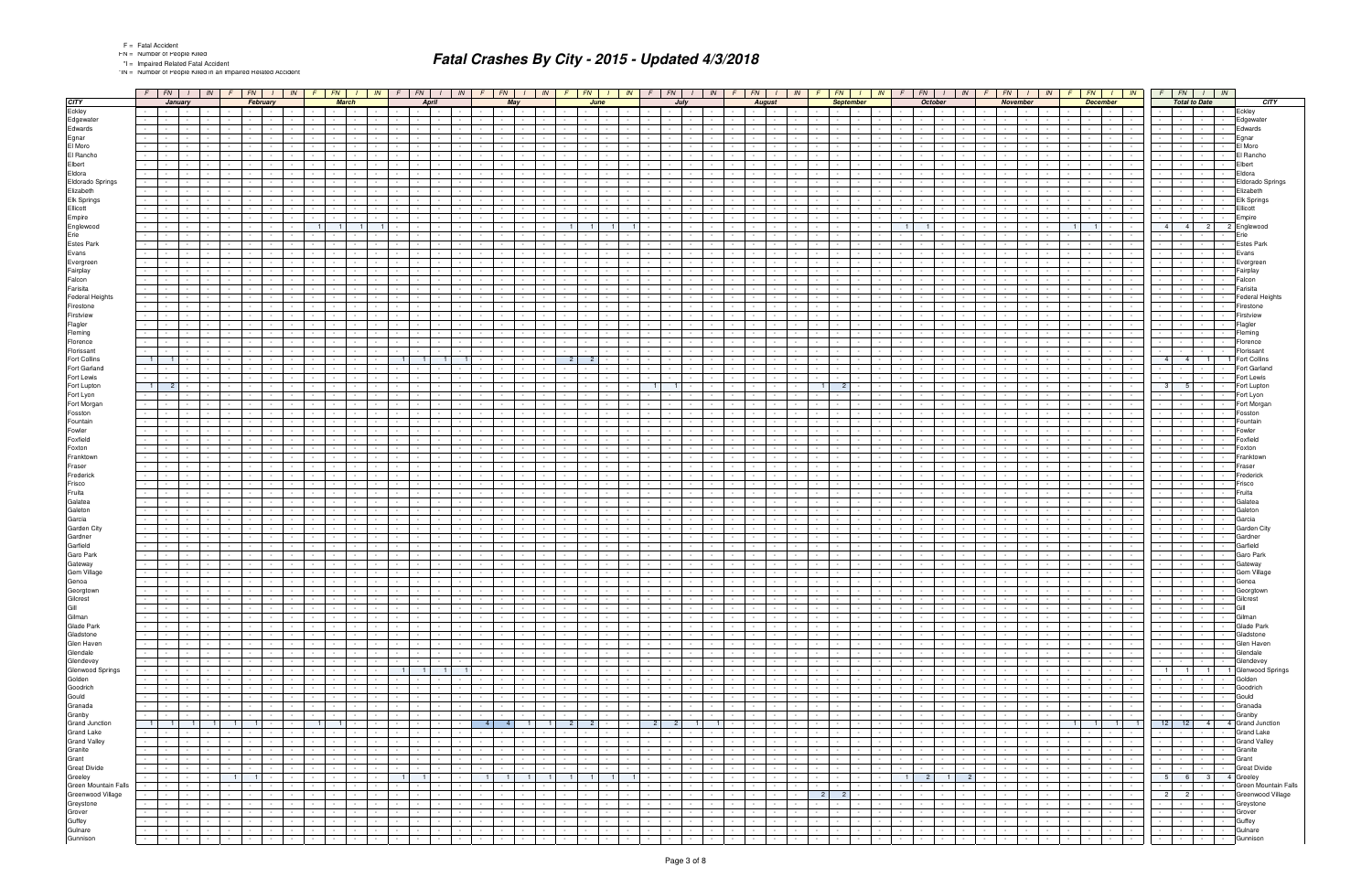\*IN = Number of People Killed in an Impaired Related Accident

|                                                       |                   | $F$ $FN$ $I$ $N$            |                                 |                  | $F$ $FN$ $I$                  |                                                      | IN         |                      | $F$   $FN$                         |                               |                  | $IN$ $F$ $FN$                              | IN                                               |                                    | $F \mid FN$                   | $1 \parallel IN$                                                   |                           | $F \mid FN$          | $\frac{1}{1}$ IN                                      |                  |                                                          |                               |                                                                                       |                                    | $F$   FN   $I$   IN   $F$   FN   $I$   IN | $\sqrt{F}$                              |                               |                      |                          |        | $FN$ $I$ $N$ $F$ $F$ $I$ $N$ $I$ $N$          |                                    |                                   | $FN$ $1$                        | IN                                 | $F \parallel FN \parallel$                  | $\frac{1}{1}$ IN                                      | $F$ $FN$ $I$ $IN$                                                         |                          |
|-------------------------------------------------------|-------------------|-----------------------------|---------------------------------|------------------|-------------------------------|------------------------------------------------------|------------|----------------------|------------------------------------|-------------------------------|------------------|--------------------------------------------|--------------------------------------------------|------------------------------------|-------------------------------|--------------------------------------------------------------------|---------------------------|----------------------|-------------------------------------------------------|------------------|----------------------------------------------------------|-------------------------------|---------------------------------------------------------------------------------------|------------------------------------|-------------------------------------------|-----------------------------------------|-------------------------------|----------------------|--------------------------|--------|-----------------------------------------------|------------------------------------|-----------------------------------|---------------------------------|------------------------------------|---------------------------------------------|-------------------------------------------------------|---------------------------------------------------------------------------|--------------------------|
| <b>CITY</b>                                           |                   | January                     |                                 |                  |                               | February                                             |            |                      | <b>March</b>                       |                               |                  | <b>April</b>                               |                                                  |                                    | May                           |                                                                    |                           | June                 |                                                       |                  |                                                          | July                          |                                                                                       |                                    | <b>August</b>                             |                                         |                               | <b>September</b>     |                          |        | <b>October</b>                                |                                    | November                          |                                 |                                    |                                             | <b>December</b>                                       | <b>Total to Date</b>                                                      | <b>CITY</b>              |
| Eckley                                                |                   | $\sim 10^{-1}$              | $\sim 10^{-11}$                 |                  |                               | <b>Contract Contract</b><br>$\sim 100$               |            | $\sim$               | <b>Contract</b>                    |                               |                  |                                            |                                                  |                                    |                               |                                                                    |                           | $\sim$               |                                                       |                  |                                                          |                               |                                                                                       |                                    |                                           |                                         |                               | $\sim$               |                          |        | $\sim$                                        |                                    | $\sim 100$                        | $\sim 100$                      |                                    | $\sim$                                      | $\sim$ 100 $\mu$<br>$\sim$                            | Eckley<br>$\sim$                                                          |                          |
| Edgewater                                             |                   |                             |                                 |                  |                               |                                                      |            |                      |                                    |                               |                  |                                            |                                                  |                                    |                               |                                                                    |                           |                      |                                                       |                  |                                                          |                               |                                                                                       |                                    |                                           |                                         |                               |                      |                          |        |                                               |                                    |                                   |                                 |                                    |                                             |                                                       |                                                                           | Edgewater                |
| Edwards                                               |                   |                             |                                 |                  |                               |                                                      |            |                      |                                    |                               |                  |                                            |                                                  |                                    |                               |                                                                    |                           |                      |                                                       |                  |                                                          |                               |                                                                                       |                                    |                                           |                                         |                               |                      |                          |        |                                               |                                    |                                   |                                 |                                    |                                             |                                                       |                                                                           | Edwards                  |
| Egnar                                                 |                   |                             |                                 |                  |                               | $\sim$                                               |            |                      |                                    |                               |                  |                                            |                                                  |                                    |                               |                                                                    |                           |                      |                                                       |                  |                                                          |                               |                                                                                       |                                    |                                           |                                         |                               |                      |                          |        |                                               |                                    |                                   |                                 |                                    |                                             |                                                       | Egnar                                                                     |                          |
| El Moro                                               |                   |                             |                                 |                  |                               |                                                      |            |                      |                                    |                               |                  |                                            |                                                  |                                    |                               |                                                                    |                           |                      |                                                       |                  |                                                          |                               |                                                                                       |                                    |                                           |                                         |                               |                      |                          |        |                                               |                                    |                                   |                                 |                                    |                                             |                                                       |                                                                           | El Moro                  |
| El Rancho                                             |                   |                             |                                 |                  |                               |                                                      |            |                      |                                    |                               |                  |                                            |                                                  |                                    |                               |                                                                    |                           |                      |                                                       |                  |                                                          |                               |                                                                                       |                                    |                                           |                                         |                               |                      |                          |        |                                               |                                    |                                   |                                 |                                    |                                             |                                                       |                                                                           | El Rancho                |
| Elbert                                                |                   |                             |                                 |                  |                               | $\sim$                                               |            |                      |                                    |                               |                  |                                            |                                                  |                                    |                               |                                                                    |                           |                      |                                                       |                  |                                                          |                               |                                                                                       |                                    |                                           |                                         |                               |                      |                          |        |                                               |                                    |                                   |                                 |                                    |                                             |                                                       | Elbert<br>$\sim$                                                          |                          |
| Eldora                                                |                   |                             |                                 |                  |                               |                                                      |            |                      |                                    |                               |                  |                                            |                                                  |                                    |                               |                                                                    |                           |                      |                                                       |                  |                                                          |                               |                                                                                       |                                    |                                           |                                         |                               |                      |                          |        |                                               |                                    |                                   |                                 |                                    |                                             |                                                       | Eldora                                                                    |                          |
| Eldorado Springs                                      |                   |                             |                                 |                  |                               |                                                      |            |                      |                                    |                               |                  |                                            |                                                  |                                    |                               |                                                                    |                           |                      |                                                       |                  |                                                          |                               |                                                                                       |                                    |                                           |                                         |                               |                      |                          |        |                                               |                                    |                                   |                                 |                                    |                                             |                                                       |                                                                           | Eldorado Springs         |
| Elizabeth                                             |                   |                             |                                 |                  |                               |                                                      |            |                      |                                    |                               |                  |                                            |                                                  |                                    |                               |                                                                    |                           |                      |                                                       |                  |                                                          |                               |                                                                                       |                                    |                                           |                                         |                               |                      |                          |        |                                               |                                    |                                   |                                 |                                    |                                             |                                                       |                                                                           | Elizabeth                |
| Elk Springs                                           |                   |                             |                                 |                  |                               |                                                      |            |                      |                                    |                               |                  |                                            |                                                  |                                    |                               |                                                                    |                           |                      |                                                       |                  |                                                          |                               |                                                                                       |                                    |                                           |                                         |                               |                      |                          |        |                                               |                                    |                                   |                                 |                                    |                                             |                                                       |                                                                           | <b>Elk Springs</b>       |
| Ellicott                                              |                   |                             |                                 |                  |                               |                                                      |            |                      |                                    |                               |                  |                                            |                                                  |                                    |                               |                                                                    |                           |                      |                                                       |                  |                                                          |                               |                                                                                       |                                    |                                           |                                         |                               |                      |                          |        |                                               |                                    |                                   |                                 |                                    |                                             |                                                       | Ellicott                                                                  |                          |
| Empire                                                |                   |                             |                                 |                  |                               |                                                      |            | 1 <sup>1</sup>       |                                    |                               |                  |                                            |                                                  |                                    |                               |                                                                    |                           |                      |                                                       |                  |                                                          |                               |                                                                                       |                                    |                                           |                                         |                               |                      |                          |        |                                               |                                    |                                   |                                 |                                    |                                             |                                                       | Empire<br>4 <sup>1</sup><br>2 <sup>1</sup><br>2 Englewood                 |                          |
| Englewood<br>Erie                                     |                   |                             |                                 |                  |                               |                                                      |            |                      |                                    |                               |                  |                                            |                                                  |                                    |                               |                                                                    |                           |                      |                                                       |                  |                                                          |                               |                                                                                       |                                    |                                           |                                         |                               |                      |                          |        |                                               |                                    |                                   |                                 |                                    |                                             |                                                       | Erie                                                                      |                          |
| <b>Estes Park</b>                                     |                   |                             |                                 |                  |                               |                                                      |            |                      |                                    |                               |                  |                                            |                                                  |                                    |                               |                                                                    |                           |                      |                                                       |                  |                                                          |                               |                                                                                       |                                    |                                           |                                         |                               |                      |                          |        |                                               |                                    |                                   |                                 |                                    |                                             |                                                       |                                                                           | <b>Estes Park</b>        |
| Evans                                                 |                   |                             |                                 |                  |                               |                                                      |            |                      |                                    |                               |                  |                                            |                                                  |                                    |                               |                                                                    |                           |                      |                                                       |                  |                                                          |                               |                                                                                       |                                    |                                           |                                         |                               |                      |                          |        |                                               |                                    |                                   |                                 |                                    |                                             |                                                       | Evans                                                                     |                          |
| Evergreen                                             |                   |                             |                                 |                  |                               |                                                      |            |                      |                                    |                               |                  |                                            |                                                  |                                    |                               |                                                                    |                           |                      |                                                       |                  |                                                          |                               |                                                                                       |                                    |                                           |                                         |                               |                      |                          |        |                                               |                                    |                                   |                                 |                                    |                                             |                                                       |                                                                           | Evergree                 |
| Fairplay                                              |                   |                             |                                 |                  |                               |                                                      |            |                      |                                    |                               |                  |                                            |                                                  |                                    |                               |                                                                    |                           |                      |                                                       |                  |                                                          |                               |                                                                                       |                                    |                                           |                                         |                               |                      |                          |        |                                               |                                    |                                   |                                 |                                    |                                             |                                                       |                                                                           | Fairplay                 |
| Falcon                                                |                   |                             |                                 |                  |                               |                                                      |            |                      |                                    |                               |                  |                                            |                                                  |                                    |                               |                                                                    |                           |                      |                                                       |                  |                                                          |                               |                                                                                       |                                    |                                           |                                         |                               |                      |                          |        |                                               |                                    |                                   |                                 |                                    |                                             |                                                       | Falcon                                                                    |                          |
| Farisita                                              |                   |                             |                                 |                  |                               |                                                      |            |                      |                                    |                               |                  |                                            |                                                  |                                    |                               |                                                                    |                           |                      |                                                       |                  |                                                          |                               |                                                                                       |                                    |                                           |                                         |                               |                      |                          |        |                                               |                                    |                                   |                                 |                                    |                                             |                                                       |                                                                           | Farisita                 |
| <b>Federal Heights</b>                                |                   |                             |                                 |                  |                               |                                                      |            |                      |                                    |                               |                  |                                            |                                                  |                                    |                               |                                                                    |                           |                      |                                                       |                  |                                                          |                               |                                                                                       |                                    |                                           |                                         |                               |                      |                          |        |                                               |                                    |                                   |                                 |                                    |                                             |                                                       |                                                                           | <b>Federal Heights</b>   |
| Firestone                                             |                   |                             |                                 |                  |                               |                                                      |            |                      |                                    |                               |                  |                                            |                                                  |                                    |                               |                                                                    |                           |                      |                                                       |                  |                                                          |                               |                                                                                       |                                    |                                           |                                         |                               |                      |                          |        |                                               |                                    |                                   |                                 |                                    |                                             |                                                       |                                                                           | Firestone                |
| Firstview                                             |                   |                             |                                 |                  |                               |                                                      |            |                      |                                    |                               |                  |                                            |                                                  |                                    |                               |                                                                    |                           |                      |                                                       |                  |                                                          |                               |                                                                                       |                                    |                                           |                                         |                               |                      |                          |        |                                               |                                    |                                   |                                 |                                    |                                             |                                                       |                                                                           | Firstview                |
| Flagler                                               |                   |                             |                                 |                  |                               |                                                      |            |                      |                                    |                               |                  |                                            |                                                  |                                    |                               |                                                                    |                           |                      |                                                       |                  |                                                          |                               |                                                                                       |                                    |                                           |                                         |                               |                      |                          |        |                                               |                                    |                                   |                                 |                                    |                                             |                                                       | Flagler                                                                   |                          |
| Fleming                                               |                   |                             |                                 |                  |                               |                                                      |            |                      |                                    |                               |                  |                                            |                                                  |                                    |                               |                                                                    |                           |                      |                                                       |                  |                                                          |                               |                                                                                       |                                    |                                           |                                         |                               |                      |                          |        |                                               |                                    |                                   |                                 |                                    |                                             |                                                       |                                                                           | Fleming                  |
| Florence                                              |                   |                             |                                 |                  |                               |                                                      |            |                      |                                    |                               |                  |                                            |                                                  |                                    |                               |                                                                    |                           |                      |                                                       |                  |                                                          |                               |                                                                                       |                                    |                                           |                                         |                               |                      |                          |        |                                               |                                    |                                   |                                 |                                    |                                             |                                                       |                                                                           | Florence                 |
| Florissant                                            |                   |                             |                                 |                  |                               |                                                      |            |                      |                                    |                               |                  |                                            |                                                  |                                    |                               |                                                                    |                           |                      |                                                       |                  |                                                          |                               |                                                                                       |                                    |                                           |                                         |                               |                      |                          |        |                                               |                                    |                                   |                                 |                                    |                                             |                                                       |                                                                           | Florissant               |
| Fort Collins                                          | $\vert$ 1 $\vert$ |                             |                                 |                  |                               |                                                      |            |                      |                                    |                               |                  |                                            |                                                  |                                    |                               |                                                                    |                           | 2 <sup>1</sup>       |                                                       |                  |                                                          |                               |                                                                                       |                                    |                                           |                                         |                               |                      |                          |        |                                               |                                    |                                   |                                 |                                    |                                             |                                                       | 4 <sup>1</sup><br>4 <sup>1</sup><br>1 Fort Collins<br>11                  |                          |
| Fort Garland                                          |                   |                             |                                 |                  |                               |                                                      |            |                      |                                    |                               |                  |                                            |                                                  |                                    |                               |                                                                    |                           |                      |                                                       |                  |                                                          |                               |                                                                                       |                                    |                                           |                                         |                               |                      |                          |        |                                               |                                    |                                   |                                 |                                    |                                             |                                                       |                                                                           | Fort Garland             |
| Fort Lewis                                            |                   |                             |                                 |                  |                               |                                                      |            |                      |                                    |                               |                  |                                            |                                                  |                                    |                               |                                                                    |                           |                      |                                                       |                  | $\overline{1}$                                           |                               |                                                                                       |                                    |                                           |                                         |                               |                      |                          |        |                                               |                                    |                                   |                                 |                                    |                                             |                                                       |                                                                           | Fort Lewis               |
| Fort Lupton                                           | 1 <sup>1</sup>    | $\overline{2}$              |                                 |                  |                               |                                                      |            |                      |                                    |                               |                  |                                            |                                                  |                                    |                               |                                                                    |                           |                      |                                                       |                  |                                                          |                               |                                                                                       |                                    |                                           |                                         |                               |                      |                          |        |                                               |                                    |                                   |                                 |                                    |                                             |                                                       | 3<br>5 <sub>1</sub>                                                       | Fort Lupton              |
| Fort Lyon<br>Fort Morgan                              |                   |                             |                                 |                  |                               |                                                      |            |                      |                                    |                               |                  |                                            |                                                  |                                    |                               |                                                                    |                           |                      |                                                       |                  |                                                          |                               |                                                                                       |                                    |                                           |                                         |                               |                      |                          |        |                                               |                                    |                                   |                                 |                                    |                                             |                                                       |                                                                           | Fort Lyon<br>Fort Morgan |
| Fosston                                               |                   |                             |                                 |                  |                               |                                                      |            |                      |                                    |                               |                  |                                            |                                                  |                                    |                               |                                                                    |                           |                      |                                                       |                  |                                                          |                               |                                                                                       |                                    |                                           |                                         |                               |                      |                          |        |                                               |                                    |                                   |                                 |                                    |                                             |                                                       |                                                                           | Fosston                  |
| Fountain                                              |                   |                             |                                 |                  |                               |                                                      |            |                      |                                    |                               |                  |                                            |                                                  |                                    |                               |                                                                    |                           |                      |                                                       |                  |                                                          |                               |                                                                                       |                                    |                                           |                                         |                               |                      |                          |        |                                               |                                    |                                   |                                 |                                    |                                             |                                                       |                                                                           | Fountain                 |
| Fowler                                                |                   |                             |                                 |                  |                               |                                                      |            |                      |                                    |                               |                  |                                            |                                                  |                                    |                               |                                                                    |                           |                      |                                                       |                  |                                                          |                               |                                                                                       |                                    |                                           |                                         |                               |                      |                          |        |                                               |                                    |                                   |                                 |                                    |                                             |                                                       | Fowlei                                                                    |                          |
| Foxfield                                              |                   |                             |                                 |                  |                               |                                                      |            |                      |                                    |                               |                  |                                            |                                                  |                                    |                               |                                                                    |                           |                      |                                                       |                  |                                                          |                               |                                                                                       |                                    |                                           |                                         |                               |                      |                          |        |                                               |                                    |                                   |                                 |                                    |                                             |                                                       |                                                                           | Foxfield                 |
| Foxton                                                |                   |                             |                                 |                  |                               |                                                      |            |                      |                                    |                               |                  |                                            |                                                  |                                    |                               |                                                                    |                           |                      |                                                       |                  |                                                          |                               |                                                                                       |                                    |                                           |                                         |                               |                      |                          |        |                                               |                                    |                                   |                                 |                                    |                                             |                                                       | Foxton                                                                    |                          |
| Franktown                                             |                   |                             |                                 |                  |                               |                                                      |            |                      |                                    |                               |                  |                                            |                                                  |                                    |                               |                                                                    |                           |                      |                                                       |                  |                                                          |                               |                                                                                       |                                    |                                           |                                         |                               |                      |                          |        |                                               |                                    |                                   |                                 |                                    |                                             |                                                       |                                                                           | Franktown                |
| Fraser                                                |                   |                             |                                 |                  |                               |                                                      |            |                      |                                    |                               |                  |                                            |                                                  |                                    |                               |                                                                    |                           |                      |                                                       |                  |                                                          |                               |                                                                                       |                                    |                                           |                                         |                               |                      |                          |        |                                               |                                    |                                   |                                 |                                    |                                             |                                                       | Fraseı                                                                    |                          |
| Frederick                                             |                   |                             |                                 |                  |                               |                                                      |            |                      |                                    |                               |                  |                                            |                                                  |                                    |                               |                                                                    |                           |                      |                                                       |                  |                                                          |                               |                                                                                       |                                    |                                           |                                         |                               |                      |                          |        |                                               |                                    |                                   |                                 |                                    |                                             |                                                       |                                                                           | Frederick                |
| Frisco                                                |                   |                             |                                 |                  |                               |                                                      |            |                      |                                    |                               |                  |                                            |                                                  |                                    |                               |                                                                    |                           |                      |                                                       |                  |                                                          |                               |                                                                                       |                                    |                                           |                                         |                               |                      |                          |        |                                               |                                    |                                   |                                 |                                    |                                             |                                                       | Frisco                                                                    |                          |
| Fruita                                                |                   |                             |                                 |                  |                               |                                                      |            |                      |                                    |                               |                  |                                            |                                                  |                                    |                               |                                                                    |                           |                      |                                                       |                  |                                                          |                               |                                                                                       |                                    |                                           |                                         |                               |                      |                          |        |                                               |                                    |                                   |                                 |                                    |                                             |                                                       | Fruita                                                                    |                          |
| Galatea                                               |                   |                             |                                 |                  |                               |                                                      |            |                      |                                    |                               |                  |                                            |                                                  |                                    |                               |                                                                    |                           |                      |                                                       |                  |                                                          |                               |                                                                                       |                                    |                                           |                                         |                               |                      |                          |        |                                               |                                    |                                   |                                 |                                    |                                             |                                                       |                                                                           | Galatea                  |
| Galeton                                               |                   |                             |                                 |                  |                               |                                                      |            |                      |                                    |                               |                  |                                            |                                                  |                                    |                               |                                                                    |                           |                      |                                                       |                  |                                                          |                               |                                                                                       |                                    |                                           |                                         |                               |                      |                          |        |                                               |                                    |                                   |                                 |                                    |                                             |                                                       |                                                                           | Galeton                  |
| Garcia                                                |                   |                             |                                 |                  |                               |                                                      |            |                      |                                    |                               |                  |                                            |                                                  |                                    |                               |                                                                    |                           |                      |                                                       |                  |                                                          |                               |                                                                                       |                                    |                                           |                                         |                               |                      |                          |        |                                               |                                    |                                   |                                 |                                    |                                             |                                                       | Garcia                                                                    |                          |
| Garden City                                           |                   |                             |                                 |                  |                               |                                                      |            |                      |                                    |                               |                  |                                            |                                                  |                                    |                               |                                                                    |                           |                      |                                                       |                  |                                                          |                               |                                                                                       |                                    |                                           |                                         |                               |                      |                          |        |                                               |                                    |                                   |                                 |                                    |                                             |                                                       |                                                                           | Garden City              |
| Gardner<br>Garfield                                   |                   |                             |                                 |                  |                               |                                                      |            |                      |                                    |                               |                  |                                            |                                                  |                                    |                               |                                                                    |                           |                      |                                                       |                  |                                                          |                               |                                                                                       |                                    |                                           |                                         |                               |                      |                          |        |                                               |                                    |                                   |                                 |                                    |                                             |                                                       |                                                                           | Gardne<br>Garfield       |
| Garo Park                                             |                   |                             |                                 |                  |                               |                                                      |            |                      |                                    |                               |                  |                                            |                                                  |                                    |                               |                                                                    |                           |                      |                                                       |                  |                                                          |                               |                                                                                       |                                    |                                           |                                         |                               |                      |                          |        |                                               |                                    |                                   |                                 |                                    |                                             |                                                       |                                                                           | Garo Park                |
| Gateway                                               |                   |                             |                                 |                  |                               |                                                      |            |                      |                                    |                               |                  |                                            |                                                  |                                    |                               |                                                                    |                           |                      |                                                       |                  |                                                          |                               |                                                                                       |                                    |                                           |                                         |                               |                      |                          |        |                                               |                                    |                                   |                                 |                                    |                                             |                                                       |                                                                           | Gateway                  |
| Gem Village                                           |                   |                             |                                 |                  |                               |                                                      |            |                      |                                    |                               |                  |                                            |                                                  |                                    |                               |                                                                    |                           |                      |                                                       |                  |                                                          |                               |                                                                                       |                                    |                                           |                                         |                               |                      |                          |        |                                               |                                    |                                   |                                 |                                    |                                             |                                                       |                                                                           | Gem Village              |
| Genoa                                                 |                   |                             | $\sim$                          | $\sim$           | $\sim$                        | <b>Contract Contract</b><br>$\sim$                   |            | $\sim$               |                                    |                               |                  |                                            |                                                  |                                    |                               |                                                                    |                           |                      |                                                       |                  |                                                          |                               |                                                                                       |                                    |                                           |                                         |                               | $\sim$               |                          |        |                                               |                                    |                                   |                                 |                                    |                                             |                                                       | Genoa<br>$\sim$                                                           |                          |
|                                                       |                   |                             |                                 |                  |                               |                                                      |            |                      |                                    |                               |                  |                                            |                                                  |                                    |                               |                                                                    |                           |                      |                                                       |                  |                                                          |                               |                                                                                       |                                    |                                           |                                         |                               |                      |                          |        |                                               |                                    |                                   |                                 |                                    |                                             |                                                       |                                                                           | Laeorgion                |
|                                                       |                   |                             | $\sim 100$                      |                  | $\sim$                        | and the state                                        |            | $\sim$               |                                    |                               |                  |                                            |                                                  |                                    | $\sim$ $-$                    | the contract of the con-                                           | $\sim 10^{-11}$           | $\sim$               |                                                       |                  | $\sim$                                                   |                               |                                                                                       | the contract of                    |                                           |                                         |                               |                      |                          |        |                                               | $\mathbf{I}$ $\mathbf{I}$          | the contract of                   |                                 |                                    | <b>Contract Contract</b>                    | <b>Contract</b><br>$\sim$                             | .<br>$\sim$                                                               | Gilcrest                 |
|                                                       |                   | $\sim$                      | the contract                    |                  | $\sim 100$                    | the contract of                                      | $\sim$     |                      | the contract of the                | $\sim$                        | $\sim$           | <b>Contract</b>                            | $\sim$ $-$<br>$\sim$                             | $\sim$                             | $\sim 10^{-1}$                | the contract of the con-                                           | $\sim$ 100 $\sim$         | $\sim$               | <b>Contract Contract</b>                              |                  | $\sim$                                                   | <b>Contract Contract</b>      | $\sim$                                                                                | the contract of                    | $\sim 10^{-11}$                           | $\sim$<br>$\sim$ 100 $\mu$              | <b>Contract Contract</b>      | $\sim$               | $\sim$ $-$               |        | <b>Service</b><br>$\sim 100$                  | $\blacksquare$                     |                                   | the contract of the contract of | $\sim$ $-$                         | the contract of                             | $\sim 10^{-1}$<br><b>Contractor</b>                   | Gill<br><b>Contract Contract</b><br>$\sim$<br><b>Contract Contract</b>    |                          |
|                                                       |                   |                             | $\sim$ $\sim$ $\sim$            | $\sim$ 100 $\mu$ | $\sim$                        | the contract of the                                  |            |                      | <b>Service</b> State               |                               | $\sim$           | $\sim 100$                                 | $\sim$                                           | $\sim$ $-$                         | $\sim$ $-$                    | <b>Contract Contract</b>                                           | $\sim$ 100 $\mu$          | $\sim$ $-$           |                                                       |                  | $\sim$                                                   | <b>Contract Contract</b>      | $\sim$ $\sim$ $\sim$                                                                  | $\sim 100$                         | $\sim 10^{-1}$                            | $\sim$ 10 $\mu$<br>$\sim$               | $\sim$ $-$                    | $\sim$               | $\sim$                   |        | $\sim$ $-$                                    | $\mathbf{I}$ $\mathbf{I}$          | the contract of                   |                                 | $\sim$ $-$                         | the contract of                             | $\sim 10^{-10}$ m $^{-1}$<br>$\sim$ $\sim$            | Gilman<br>the contract of the contract of the<br>$\sim$                   |                          |
| Georgtown<br>Gilcrest<br>Gill<br>Gilman<br>Glade Park |                   |                             | <b>Contract</b>                 | $\sim$ 100 $\pm$ | $\sim 100$                    | the contract of the con-                             |            |                      | the contract of                    |                               | $\sim$           | <b>Contract</b>                            | $\sim$ $-$                                       | <b>Contract</b>                    | $\sim 10^{-1}$                | and the property of the con-                                       | $\sim 10^{-11}$           | $\sim$               | $\sim 100$                                            |                  | <b>Service</b><br>$\sim$                                 | <b>Contract</b>               | $\sim$ $\sim$ $\sim$                                                                  | $\sim 100$                         | $\sim 10^{-11}$                           | $\sim 100$<br>$\sim$                    | $\sim 10^{-11}$               | $\sim$               | $\sim$                   |        | $\sim 10^{-1}$<br><b>Service</b>              | $\sim 10^{-11}$                    | <b>Contract Contract Contract</b> |                                 | $\sim 10^{-11}$                    | <b>Contract Contract</b>                    | <b>Contract</b><br>$\sim 10^{-1}$                     | $\sim 10^{-10}$<br><b>Contract Contract Contract</b><br>$\sim$            | Glade Park               |
| Gladstone                                             | $\sim$ $\sim$     | $\sim$ $-$                  | the contract                    |                  | $\omega_{\rm{max}}$           | and the state                                        |            |                      | the contract of                    | $\sim$                        | $\sim$           | $\sim 100$ km s $^{-1}$                    | $\sim$ $-$<br>$\sim$                             | <b>Service</b>                     | $\sim 10^{-11}$               | and the state                                                      | $\sim 10^{-11}$           | $\sim$ $-$           | <b>Contract Contract</b><br>$\sim$                    |                  | the contract of                                          | $\mathbf{1}$ and $\mathbf{1}$ |                                                                                       | the contract of                    | $\sim 10^{-11}$                           | $\sim$<br>$\sim 10^{-1}$                | $\sim 10^{-11}$               |                      | the contract of          | $\sim$ | $\sim$ $\sim$ $\sim$ $\sim$<br><b>Service</b> | $\sim 10^{-11}$                    |                                   | the contract of                 | $\sim 10^{-11}$                    | the contract of                             | $\sim 10^{-11}$<br><b>Contract Contract</b>           | the contract of<br>$\sim$ $\sim$<br>$\sim$                                | Gladstone                |
| Glen Haven                                            |                   |                             | $\sim 10^{-10}$                 |                  | $\sim$                        | <b>Contract Contract</b><br>$\sim 100$               |            | <b>Service</b> State |                                    |                               |                  | <b>Contract</b>                            |                                                  |                                    | $\sim$ $-$                    | <b>Contract</b><br>$\sim$ $-$                                      | $\sim$                    | $\sim$               |                                                       |                  | $\sim$                                                   | $\sim 10^{-11}$               | $\sim 100$                                                                            | $\sim$ $\sim$                      | $\sim$ 100 $\mu$                          | $\sim$                                  | $\sim$                        | $\sim$               |                          |        | $\sim$                                        | <b>Contract</b>                    | $\sim$ $\sim$                     | $\sim 100$                      | $\sim$                             | <b>Service</b><br>$\sim 100$                | $\sim$<br>$\sim 10^{-11}$                             | $\sim 10^{-11}$<br>$\sim$<br><b>Contract</b><br><b>Contract Contract</b>  | Glen Haven               |
| Glendale                                              | $\sim$            | $\sim$                      | $\sim 10^{-11}$                 | $\sim$ 100 $\pm$ | $\sim 100$                    | the contract of                                      | $\sim$     |                      | the contract of                    | $\sim$                        | $\sim$           | <b>Contract</b>                            | $\sim 10^{-1}$<br>$\sim 10^{-11}$                | <b>Contract Contract</b>           | $\sim 100$                    | the contract of the con-                                           | <b>Contract Contract</b>  | $\sim$               | $\sim 10^{-11}$                                       |                  | $\sim$ 100 $\mu$<br>$\sim$                               | <b>Contract</b>               | $\sim$ $-$<br>$\sim 10^{-1}$                                                          | $\sim 100$                         | $\sim$ $-$                                | $\sim$<br>$\sim 100$                    | <b>Contract</b>               | $\sim$               | $\sim 100$               |        | $\sim$<br>$\sim$                              | <b>Contract</b>                    | the contract of                   |                                 | $\sim 10^{-11}$                    | the contract of                             | $\sim$ $-$<br><b>Contract</b>                         | $\sim$ $-$<br>and the contract of the contract of<br>$\sim$               | Glendale                 |
| Glendevey<br>Glenwood Springs<br>Golden               |                   | $\sim$ $-$                  | the contract                    |                  | $\sim 100$                    | and the state                                        |            |                      | <b>Service State</b>               | $\sim$                        | $\sim$           | $\sim 10^{-10}$                            | $\sim$                                           |                                    | $\sim 10^{-11}$               | and the state                                                      | $\sim$ 100 $\mu$          | $\sim$               | <b>Contract Contract</b><br>$\sim$                    |                  | $\sim 10^{-1}$                                           | $\sim 10^{-10}$               |                                                                                       | the contract of                    | $\sim 10^{-11}$                           | $\sim$                                  | $\sim 10^{-11}$               | $\sim$               |                          |        | $\sim$ $-$                                    | $\sim 10^{-11}$                    | the contract of                   |                                 | $\sim$ $-$                         | the contract of                             | $\sim 10^{-11}$<br>$\sim 10^{-10}$                    | $-1 - 1 - 1 - 1$<br>$\sim$ $-$                                            | Glendevey                |
|                                                       |                   |                             | <b>Contract</b>                 | $\sim$ 100 $\mu$ | $\sim$                        | and the state of<br>$\sim 100$                       |            |                      | and the con-                       |                               |                  | $1 \mid 1 \mid$                            | $\vert$ 1 $\vert$<br>$\overline{1}$              |                                    | $\sim 10^{-1}$                | <b>Contract</b><br>$\sim$                                          | <b>Service</b>            | $\sim$               |                                                       |                  | $\sim$                                                   |                               | $\sim 100$                                                                            | $\sim$ $\sim$                      | $\sim$ 100 $\mu$                          | $\sim$                                  | $\sim$                        | $\sim$               |                          |        | $\sim$ $-$                                    | <b>Contract</b>                    | $\sim$ $\sim$                     | $\sim 100$                      | $\sim$ $-$                         | the contract of the con-                    | $\sim$<br><b>Contract</b>                             | 1 1 1 1 Glenwood Springs                                                  |                          |
| Goodrich                                              | $\sim 100$        | $\sim$ $-$<br>$\sim$        | $\sim$ $-$                      | $\sim$ 100 $\pm$ | $\sim 100$                    | the contract of                                      | $\sim$     |                      | the contract of                    | $\sim$<br>$\sim$ $-$          |                  | the contract of                            | <b>Contract</b><br>$\sim$ $-$                    | <b>Contract Contract</b><br>$\sim$ | $\sim 100$                    | the contract of the con-                                           | $\sim 10^{-11}$<br>$\sim$ | $\sim$               | <b>Contract</b><br>$\sim$<br><b>Contract Contract</b> |                  | <b>Service</b><br>$\sim 10^{-1}$<br>$\sim$ $\sim$ $\sim$ | <b>Contract</b>               | $\sim 10^{-1}$                                                                        | the contract of<br>the contract of | $\sim$ $-$                                | $\sim$<br>$\sim 100$<br>$\sim$ 10 $\mu$ | $\sim 10^{-10}$               | $\sim$               | $\sim$                   |        | <b>Contract</b><br>$\sim 10^{-11}$            | $\mathbf{r}$                       |                                   | the contract of the contract of | $\sim 100$                         | the contract of                             | $\sim 10^{-10}$<br>$\sim 10^{-1}$                     | Golden<br>$-1 - 1 -$<br>$\sim$                                            |                          |
| Gould                                                 |                   |                             | the contract<br><b>Contract</b> | $\sim$ $-$       | $\sim 10^{-11}$<br>$\sim 100$ | the contract of the con-<br><b>Contract Contract</b> |            |                      | the contract of<br>the contract of | $\sim$<br>$\sim$              | $\sim$<br>$\sim$ | $\sim 10^{-10}$<br>$\sim 100$ km s $^{-1}$ | $\sim$ $-$<br>$\sim$<br>$\sim$<br>$\sim 10^{-1}$ | $\sim$ $-$                         | $\sim 100$<br>$\sim 10^{-11}$ | and the property of the con-<br><b>Contract</b><br>$\sim 10^{-11}$ | $\sim 10^{-1}$            | $\sim$ $-$<br>$\sim$ |                                                       |                  | $\sim$ $-$<br>$\sim 10^{-1}$<br><b>Service</b>           | <b>Contract</b><br>$\sim$ $-$ | $\sim 10^{-11}$                                                                       | $\sim 10^{-1}$                     | $\sim 10^{-10}$<br>$\sim 10^{-11}$        | $\sim$<br>$\sim$ $\sim$<br>$\sim$       | $\sim 10^{-11}$<br>$\sim$ $-$ | $\sim$<br>$\sim 100$ | $\sim$                   |        | $\sim$ $-$<br>$\sim$ $-$                      | $\sim 10^{-11}$<br>$\sim 10^{-11}$ | the contract of                   | the contract of                 | $\sim 10^{-11}$<br>$\sim 10^{-11}$ | the contract of<br><b>Contract Contract</b> | <b>Contract Contract</b><br>$\sim$<br><b>Contract</b> | the contract of the con-<br>$\sim$<br>Gould<br>$-1 - 1 - 1 - 1$<br>$\sim$ | Goodrich                 |
| Granada                                               | $\sim$ $\sim$     | $\sim$ $-$                  | the contract                    |                  | $\sim$ $ -$                   | and the state of                                     |            |                      | <b>Second Control</b>              | $\sim$                        | $\sim$           | $\mathbf{1}$ and $\mathbf{1}$              | $\sim$<br>$\sim$                                 | $\sim$ $\sim$ $\sim$               | $\sim 10^{-11}$               | the contract of                                                    | $\sim 10^{-11}$           | $\sim$ $-$           | $\sim$ 100 $\sim$                                     |                  | $\sim$ $\sim$<br>$\sim$ $-$                              | $\sim 100$ m $^{-1}$          | $\sim$ $-$                                                                            | <b>Second Control</b>              | <b>Contract</b>                           | $\sim$<br>$\sim 100$                    | $\sim 10^{-10}$               |                      | <b>Service</b>           |        | $\sim$ $-$<br><b>Service</b>                  | $\mathbf{I}$ and $\mathbf{I}$      |                                   | $-1 - 1$                        | $\sim 100$                         | <b>Second Card</b>                          | $\sim 10^{-11}$<br>$\sim 10^{-10}$                    | $\sim$                                                                    | Granada                  |
| Granby                                                |                   | $\sim$                      | $\sim 10^{-11}$                 | $\sim$ 100 $\pm$ | $\sim$                        | the contract of the                                  |            | $\sim 100$           | . .                                | $\sim$                        | $\sim$           | <b>Contract</b>                            | $\sim$<br><b>Service</b>                         | $\sim 100$                         | $\sim 100$                    | <b>Contract Contract</b>                                           | <b>Contract</b>           | $\sim$ $-$           | $\sim$                                                |                  | $\sim$                                                   | <b>Contract Contract</b>      | $\sim 10^{-11}$<br>$\sim$                                                             | $\sim 100$                         | $\sim$ $-$                                | $\sim$<br>$\sim$                        | $\sim 100$                    | $\sim$               |                          |        | $\sim$ $-$                                    | $\sim 10^{-11}$                    | $\sim$ $\sim$ $\sim$              | $\sim 100$                      | $\sim 10^{-11}$                    | the contract of                             | e Ind<br><b>Contract Contract</b>                     | Granby<br>the contract of the con-<br>$\sim$                              |                          |
| Grand Junction                                        |                   | $1 \quad 1 \quad 1 \quad 1$ |                                 |                  | $1 \cdot 1$                   |                                                      |            |                      | $1 \quad 1$                        |                               |                  | the contract of                            | $\sim$ $-$<br>$\sim 10^{-11}$                    |                                    |                               |                                                                    | $4$ 4 1 1 2 2 -           |                      |                                                       |                  |                                                          |                               | $2 \begin{bmatrix} 2 & 1 & 1 \end{bmatrix}$ $1 \begin{bmatrix} -1 & -1 \end{bmatrix}$ |                                    | $\sim 10^{-11}$                           | $\sim$<br>$\sim 100$                    | $\sim 100$                    | $\sim$               | $\mathbf{I}$             |        | <b>Contract Contract</b><br>$\sim 10^{-11}$   | $\mathbf{1}$ and $\mathbf{1}$      |                                   | the contract of                 | $\sim 10^{-11}$                    |                                             | 1 1 1 1                                               | 12 12 4 4 Grand Junction                                                  |                          |
|                                                       | $\sim 100$        | $\sim 10^{-1}$              | $\sim$ $\sim$                   | $\sim 100$       | $\sim 100$                    | <b>Contract Contract</b>                             |            |                      | the company of                     | $\sim$                        | $\sim$           | $\sim 10^{-11}$                            | $\sim$ $-$<br>$\sim$                             | $\sim$ $ -$                        | $\sim 10^{-1}$                | $\sim$ $\sim$ $\sim$<br>$\sim 10^{-11}$                            | $\sim 100$                | $\sim$               |                                                       |                  | $\sim$ $\sim$<br>$\sim 10^{-1}$                          | <b>Contract</b>               | $\sim$ $\sim$<br>$\sim$                                                               | $\sim 10^{-10}$                    | $\sim 10^{-1}$                            | $\sim$<br>$\sim$ $-$                    | $\sim 10^{-1}$                | $\sim 100$           | $\sim 10^{-11}$          |        | $\sim$                                        | $\sim 10^{-11}$                    |                                   | the company's                   | $\sim 10^{-11}$                    | <b>Service State</b>                        | $\sim 10^{-11}$<br>$\sim$                             | $\sim$<br><b>Contract Contract</b><br>$\sim$                              | <b>Grand Lake</b>        |
| Grand Lake<br>Grand Valley                            |                   | $\sim 10^{-1}$              | <b>Contract</b>                 | $\sim 100$       | $\sim$                        | <b>Contract Contract</b><br>$\sim 100$               |            | $\sim$               | $\sim$                             | $\sim$                        | $\sim$           | $\sim 10^{-11}$                            | $\sim$<br>$\sim$                                 | $\sim$                             | $\sim 10^{-11}$               | <b>Contract Contract</b><br>$\sim$ 100 $\pm$                       | $\sim$                    | $\sim$               |                                                       |                  | $\sim$ $\sim$                                            | <b>Contract</b>               | <b>Contract</b>                                                                       | $\sim 10^{-1}$                     | $\sim$ $-$                                | $\sim$<br>$\sim$                        | $\sim 10^{-11}$               | $\sim$               |                          |        | $\sim$ $-$                                    | $\sim 10^{-11}$                    | $\sim$ $\sim$ $\sim$              | $\sim 100$                      | $\sim 10^{-11}$                    | <b>Contract Contract</b>                    | $\sim$<br><b>Contract</b>                             | <b>Contract Contract</b><br><b>Contract</b><br>$\sim$                     | <b>Grand Valley</b>      |
| Granite                                               |                   | $\sim$ $-$                  | the contract                    |                  | $\sim$ $\sim$                 | and the state of the state                           |            |                      | the contract of                    | $\sim$                        | $\sim$           | $\mathbf{I}$ and $\mathbf{I}$              | $\sim 10^{-1}$<br>$\sim$ $-$                     | $\sim$ $\sim$ $\sim$               | $\sim 100$                    | and the property of the con-                                       | $\sim$ 100 $\pm$          | $\sim$ $-$           | $\sim$ $-$                                            |                  | the contract of                                          | $\sim 100$ km s $^{-1}$       | $\sim 10^{-1}$                                                                        | the contract of                    | $\sim 10^{-11}$                           | $\sim$<br>$\sim 100$                    | $\sim 100$                    | $\sim 100$           |                          |        | <b>Service</b><br>$\sim 10^{-11}$             | $\overline{a}$                     | the contract of                   |                                 | $\sim 10^{-11}$                    | the contract of                             | $\sim 10^{-10}$<br>$\sim 10^{-1}$                     | Granite<br>$\sim$                                                         |                          |
| Grant<br>Grant<br>Greeley<br>Green Mountain Falls     |                   | $\sim$ $-$                  | $\sim 10^{-11}$                 | $\sim 10^{-1}$   | $\omega_{\rm{max}}$           | the contract                                         |            |                      | <b>Service Control</b>             |                               | $\sim$           | $\sim 10^{-11}$                            | $\sim$                                           | $\sim$ $-$                         | $\sim 10^{-1}$                | $\sim$ $\sim$<br>$\sim 100$                                        | $\sim 10^{-11}$           | $\sim$               |                                                       |                  | $\sim 10$<br>$\sim$ $-$                                  | <b>Contract</b>               | $\sim$ $ -$                                                                           | $\sim 100$                         | $\sim 10^{-1}$                            | $\sim$<br>$\sim 100$                    | $\sim 10^{-11}$               | $\sim$               |                          |        | $\sim$                                        | $\sim 10^{-11}$                    | the contract of                   |                                 | $\sim 10^{-11}$                    | the contract of                             | $\sim 10^{-10}$<br>$\sim$                             | <b>Second Second Second</b><br>Grant<br>$\sim$                            |                          |
|                                                       |                   | $\sim$                      | $\sim$ $\sim$ $\sim$            | $\sim 100$       | $\sim 10^{-1}$                | and the state                                        |            | the contract of      |                                    | $\sim$                        |                  | $\sim 10^{-10}$                            | $\sim$<br>$\sim$                                 | $\sim 10^{-1}$                     | $\sim 10^{-10}$               | the contract                                                       | $\sim 10^{-11}$           | $\sim$               |                                                       |                  | $\sim 10^{-1}$                                           | $\sim 10^{-11}$               |                                                                                       | <b>Contract Contract</b>           | $\sim 10^{-1}$                            | $\sim$<br>$\sim$                        | $\sim$                        | $\sim$               |                          |        | $\sim$<br>$\sim$                              | $\sim 10^{-11}$                    | the contract of                   |                                 | $\sim 10^{-11}$                    | the contract of                             | <b>Service</b> Service                                | $\sim$                                                                    | <b>Great Divide</b>      |
|                                                       |                   | $\sim$ $-$                  | the contract                    |                  | $1 \quad 1$                   |                                                      |            |                      | the contract of the con-           | $\sim$ $-$<br>$\sim 10^{-11}$ |                  | $-1$ $-1$                                  | $\sim$ $-$<br>$\sim 100$                         |                                    | $1 \quad 1 \quad 1 \quad 1$   |                                                                    | $\blacksquare$ 1          |                      |                                                       | $\blacksquare$ 1 | <b>Service</b><br>$\sim 10^{-11}$                        | <b>Contract</b>               | $\sim$                                                                                | and the state of the state         | $\sim 10^{-11}$                           | $\sim$ 100 $\pm$<br>$\sim$              | <b>Contract</b>               | $\sim$               | <b>Contract</b>          |        | $1 \mid 2 \mid 1 \mid 2$                      |                                    |                                   | the contract of the             | $\sim 10^{-11}$                    | the contract of                             | $\sim 10^{-1}$ km s $^{-1}$                           | 5 6 3 4 Greeley                                                           |                          |
|                                                       |                   | $\sim 10^{-10}$             | <b>Contract Contract</b>        |                  | <b>All Andrew</b>             |                                                      |            |                      | the company's state                |                               |                  | the control of the                         | $\sim$                                           | $\sim$ $\sim$ $\sim$               | $\sim 10^{-11}$               | the contract of the con-                                           | <b>Service</b>            | $\sim$ $-$           |                                                       |                  | $\sim$ $-$                                               | <b>Contract</b>               | $\sim$ $\sim$                                                                         | $\sim 100$                         | $\sim 10^{-1}$                            | $\sim$<br>$\sim$ $-$                    | $\sim 10^{-11}$               | $\sim$               |                          |        | $\sim$                                        |                                    | <b>Contract Contract</b>          |                                 | $\sim 10^{-11}$                    | <b>Service State</b>                        | and the state                                         | $-1 - 1 - 1 - 1$<br>$\sim 10^{-11}$                                       | Green Mountain Falls     |
| Greenwood Village<br>Greystone                        |                   | $\sim$ $-$                  | $\sim$ $-$                      | $\sim 100$       | $\sim 10^{-11}$               | the contract                                         |            |                      | the contract of                    | $\sim$                        |                  | $\sim 10^{-11}$                            | $\sim$                                           | <b>Contract</b>                    | $\sim 10^{-11}$               | $\sim$ $\sim$ $\sim$ $\sim$<br>$\sim 100$                          | $\sim$ 100 $\mu$          | $\sim$               |                                                       |                  | $\sim$ $-$                                               | $\sim$ $-$                    | $\sim$ $\sim$ $\sim$                                                                  | $\sim 100$                         | $\sim 10^{-11}$                           | $\sim 100$                              | $2 \mid 2 \mid$               | $\sim$               |                          |        | $\sim$                                        | $\sim 10^{-1}$                     | the contract of                   |                                 | $\sim 10^{-11}$                    | the contract of                             | the contract of                                       | $2 \mid 2 \mid$<br>$\sim 10^{-1}$                                         | Greenwood Village        |
|                                                       | $\sim 100$        | $\sim$ $-$                  | <b>Contract Contract</b>        |                  | $\sim$ $ -$                   | <b>Service</b> Service                               | $\sim$     |                      | the company's state                | $\sim$                        | $\sim$           | $\mathbf{1}$ and $\mathbf{1}$              | $\sim$<br>$\sim$                                 | $\sim$ $ -$                        | $\sim 10^{-11}$               | the contract of                                                    | $\sim 10^{-11}$           | $\sim$ $-$           | <b>Contract</b><br>$\sim$                             |                  | $\sim 10^{-1}$                                           | <b>Contract</b>               | $\sim$ $-$                                                                            | <b>Second Control</b>              | $\sim$ $-$                                | $\sim$<br>$\sim$ $-$                    | $\sim 10^{-1}$                | $\sim$               | $\sim 100$               |        | $\sim 10^{-1}$<br>$\sim$                      | $\sim 10^{-11}$                    |                                   | <b>Service State</b>            | $\sim$ $-$                         | the contract of                             | <b>Contract Contract</b>                              | $-1 - 1 - 1$<br>$\sim$                                                    | Greystone                |
| Grover                                                |                   | $\sim$ $-$                  | $\sim$ $\sim$                   | $\sim$ 100 $\pm$ | $\sim$ $ -$                   | <b>Contract Contract</b>                             |            |                      | the control of the                 |                               | $\sim$           | $\sim 10^{-11}$                            | $\sim$                                           | $\sim$                             | $\sim$                        | <b>Contract Contract</b>                                           | $\sim 10^{-1}$            | $\sim$               |                                                       |                  | $\sim$ $-$                                               | $\sim$ $-$                    | $\sim 10^{-11}$                                                                       | $\sim 10^{-1}$                     | $\sim$ $-$                                | $\sim$<br>$\sim$ $-$                    | $\sim$ $-$                    | $\sim$               |                          |        | $\sim$ $-$                                    | $\sim 10^{-1}$                     | <b>Contract Contract</b>          |                                 | $\sim$ $-$                         | the contract of                             | <b>Contract</b><br>$\sim$ $\sim$                      | Grover<br>the contract of the con-<br>$\sim$                              |                          |
| Guffey                                                |                   |                             | $\sim$ $\sim$ $\sim$            | $\sim 10^{-1}$   | $\sim 100$                    | the contract                                         |            |                      | the contract of                    | $\sim$                        | $\sim$           | $\sim 10^{-11}$                            | $\sim$                                           | <b>Contract</b>                    | $\sim 10^{-11}$               | and the state                                                      | $\sim 10^{-11}$           | $\sim$               |                                                       |                  | $\sim$ $-$                                               | <b>Contract</b>               | $\sim$ $\sim$ $\sim$                                                                  | $\sim 100$                         | $\sim 10^{-11}$                           | $\sim$<br>$\sim 10^{-1}$                | $\sim 10^{-11}$               | $\sim$               |                          |        | $\sim$ $-$                                    | $\sim 10^{-11}$                    | <b>Service</b> Service            |                                 | $\sim 10^{-11}$                    | the contract                                | $\sim 10^{-1}$<br>$\sim 10^{-10}$                     | Guffey<br>.<br>$\sim$                                                     |                          |
| Gulnare                                               | $\sim$ $\sim$     | $\sim 10^{-11}$             | <b>Contract Contract</b>        |                  | <b>Second Second Second</b>   |                                                      | $\sim$     |                      | <b>Second Second</b>               | $\sim$<br>$\sim$              |                  | the contract of the contract of            | $\sim 10^{-11}$<br>$\sim 10^{-11}$               |                                    | <b>Second Control</b>         | and the state                                                      | $\sim 10^{-11}$           | the contract of      | $\sim$                                                |                  | $-1 - 1 - 1 - 1$                                         |                               | $\sim 10^{-1}$                                                                        | <b>Contract Contract</b>           | $\sim 10^{-11}$                           | $\sim$<br><b>Contract</b>               | $\sim 10^{-11}$               |                      | <b>Contract Contract</b> | $\sim$ | $ -$                                          | the contract of                    | $\sim$                            | <b>Contract Contract</b>        | $\sim 10^{-11}$                    | <b>Contract Contract</b>                    | <b>Carl Carl</b>                                      | the contract of the contract of the con-<br>Gulnare<br>$\sim$             |                          |
| Gunnison                                              | $\sim$ $\sim$     |                             | <b>Contract Contract</b>        |                  | $\sim 100$                    | <b>Contract Contract</b>                             | $\sim$ $-$ |                      | <b>Second Contract</b>             | $\sim$                        |                  | the contract of                            | $\sim 10^{-11}$<br>$\sim 10^{-1}$                | $\sim$ $\sim$ $\sim$               | $\sim 10^{-10}$               | the contract of                                                    | $\sim 10^{-10}$           | $\sim 100$           | <b>Contract Contract</b><br>$\sim$                    |                  | the control of the                                       | $\mathbf{r}$                  | $\sim 10^{-11}$                                                                       | <b>Contract Contract Contract</b>  | $\sim 10^{-10}$                           | $\sim$<br><b>Contractor</b>             | $\sim 10^{-10}$               | $\sim 100$           | $\sim$                   |        | $\sim 10^{-11}$                               | the contract of                    | $\sim 10^{-11}$                   | and the contract                | $\sim 10^{-1}$                     | <b>Contract Contract</b>                    | $\sim 10^{-1}$<br>$\sim 10^{-10}$                     | the contract of the contract of the con-<br>$\sim$                        | Gunnison                 |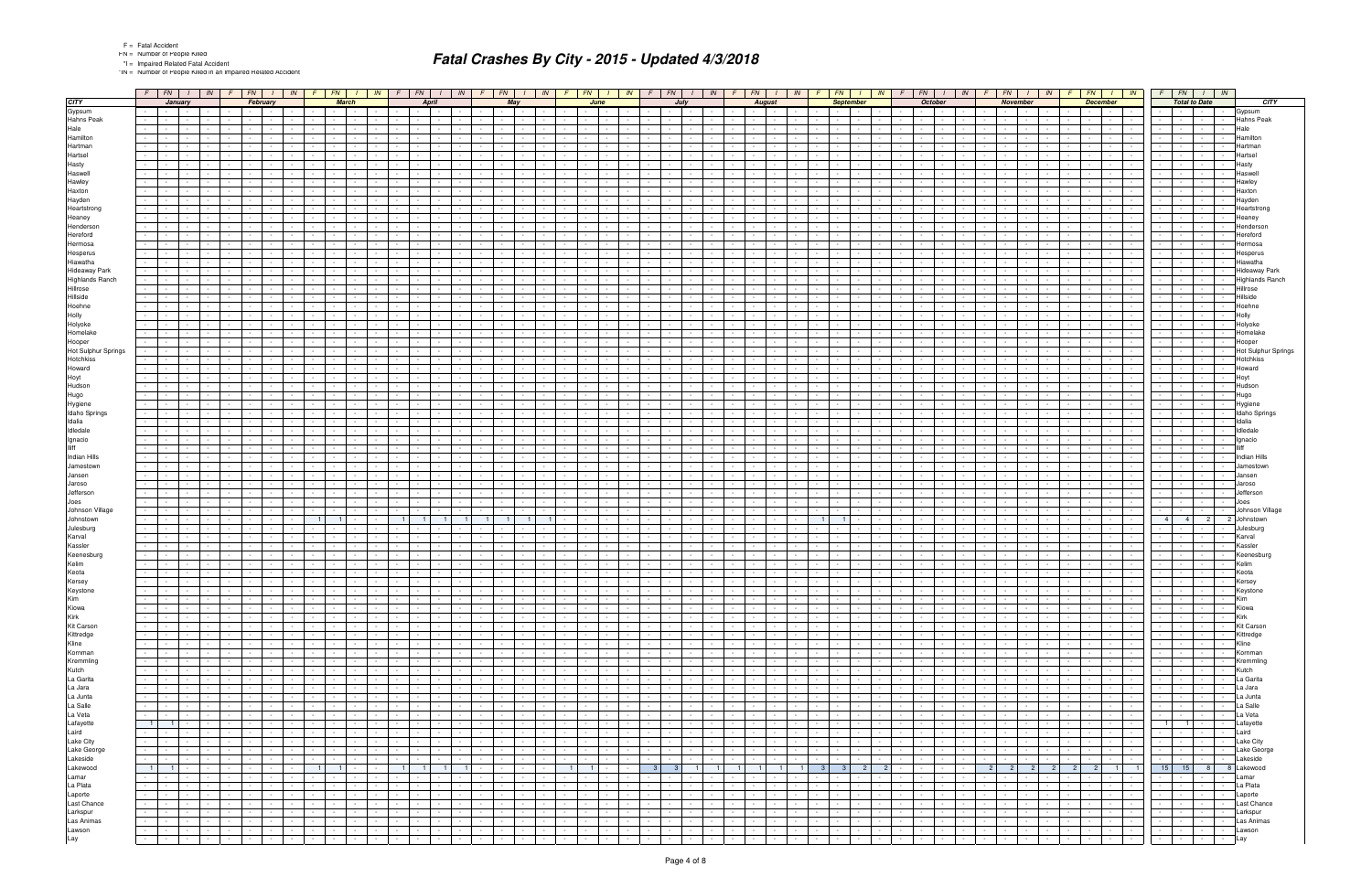\*IN = Number of People Killed in an Impaired Related Accident

|                        | $F$ $FN$ $I$                                                                 | $IN$ $F$ $FN$<br>$IN$ $F$ $FN$                                                         |                                                              | $I$ $\mid$ $IN$ $\mid$ $F$ $\mid$ $FN$ $\mid$ $I$ $\mid$ $IN$ $\mid$ $F$ $\mid$ $FN$ $\mid$ |                                    |                                        |                             | $I \mid IN \mid F \mid FN \mid I \mid IN \mid F \mid$ |                  |                                        |                 | FN  <br>IN<br>$\frac{1}{2}$                                    | $FN$ $I$ $IN$<br>FN<br>$1 \mid IN$<br>FN  <br>$IN$ F<br>FN<br>$\frac{1}{1}$ IN<br>FN  <br>$I \parallel IN \parallel F$                                                                                                                                                                                                            |                | $F$ $FN$ $1$                     |                      | IN                          |
|------------------------|------------------------------------------------------------------------------|----------------------------------------------------------------------------------------|--------------------------------------------------------------|---------------------------------------------------------------------------------------------|------------------------------------|----------------------------------------|-----------------------------|-------------------------------------------------------|------------------|----------------------------------------|-----------------|----------------------------------------------------------------|-----------------------------------------------------------------------------------------------------------------------------------------------------------------------------------------------------------------------------------------------------------------------------------------------------------------------------------|----------------|----------------------------------|----------------------|-----------------------------|
| <b>CITY</b>            | January                                                                      | February                                                                               | <b>March</b>                                                 |                                                                                             | <b>April</b>                       |                                        | May                         |                                                       | June             |                                        |                 | July                                                           | <b>August</b><br><b>September</b><br><b>October</b><br><b>November</b><br><b>December</b>                                                                                                                                                                                                                                         |                |                                  | <b>Total to Date</b> | <b>CITY</b>                 |
| Gypsum                 | <b>Contract Contract</b>                                                     | <b>Contract</b>                                                                        | $\sim$ $-$<br>$\sim$ $\sim$                                  | <b>Contract Contract</b>                                                                    |                                    |                                        |                             |                                                       |                  |                                        |                 | $\sim$                                                         | $\sim$<br>$\sim$ $-$<br><b>1999</b><br>$\sim$<br><b>Contract Contract</b><br>$\sim$ 100 $\pm$                                                                                                                                                                                                                                     |                | $\sim$                           |                      | Gypsum                      |
| Hahns Peak             |                                                                              |                                                                                        |                                                              |                                                                                             |                                    |                                        |                             |                                                       |                  |                                        |                 |                                                                |                                                                                                                                                                                                                                                                                                                                   |                |                                  |                      | Hahns Peak                  |
| Hale                   |                                                                              |                                                                                        |                                                              |                                                                                             |                                    |                                        |                             |                                                       |                  |                                        |                 |                                                                |                                                                                                                                                                                                                                                                                                                                   |                |                                  |                      | Hale                        |
| Hamilton               |                                                                              |                                                                                        |                                                              |                                                                                             |                                    |                                        |                             |                                                       |                  |                                        |                 |                                                                | $\sim$                                                                                                                                                                                                                                                                                                                            |                |                                  |                      | Hamilton                    |
| Hartman                |                                                                              |                                                                                        |                                                              |                                                                                             |                                    |                                        |                             |                                                       |                  |                                        |                 |                                                                |                                                                                                                                                                                                                                                                                                                                   |                |                                  |                      | lartman                     |
| Hartsel                |                                                                              |                                                                                        |                                                              |                                                                                             |                                    |                                        |                             |                                                       |                  |                                        |                 |                                                                |                                                                                                                                                                                                                                                                                                                                   |                |                                  |                      | Hartsel                     |
| Hasty                  |                                                                              |                                                                                        |                                                              |                                                                                             |                                    |                                        |                             |                                                       |                  |                                        |                 |                                                                |                                                                                                                                                                                                                                                                                                                                   |                |                                  |                      | Hasty                       |
| Haswell                |                                                                              |                                                                                        |                                                              |                                                                                             |                                    |                                        |                             |                                                       |                  |                                        |                 |                                                                |                                                                                                                                                                                                                                                                                                                                   |                |                                  |                      | Haswel                      |
| Hawley                 |                                                                              |                                                                                        |                                                              |                                                                                             |                                    |                                        |                             |                                                       |                  |                                        |                 |                                                                |                                                                                                                                                                                                                                                                                                                                   |                |                                  |                      | Hawlev                      |
| Haxton                 |                                                                              |                                                                                        |                                                              |                                                                                             |                                    |                                        |                             |                                                       |                  |                                        |                 |                                                                |                                                                                                                                                                                                                                                                                                                                   |                |                                  |                      | Haxton                      |
| Hayden                 |                                                                              |                                                                                        |                                                              |                                                                                             |                                    |                                        |                             |                                                       |                  |                                        |                 |                                                                |                                                                                                                                                                                                                                                                                                                                   |                |                                  |                      | Hayden                      |
| Heartstrong            |                                                                              |                                                                                        |                                                              |                                                                                             |                                    |                                        |                             |                                                       |                  |                                        |                 |                                                                |                                                                                                                                                                                                                                                                                                                                   |                |                                  |                      | Heartstrond                 |
| Heaney                 |                                                                              |                                                                                        |                                                              |                                                                                             |                                    |                                        |                             |                                                       |                  |                                        |                 |                                                                |                                                                                                                                                                                                                                                                                                                                   |                |                                  |                      | Heaney                      |
| Henderson              |                                                                              |                                                                                        |                                                              |                                                                                             |                                    |                                        |                             |                                                       |                  |                                        |                 |                                                                |                                                                                                                                                                                                                                                                                                                                   |                |                                  |                      | Hendersor                   |
| Hereford               |                                                                              |                                                                                        |                                                              |                                                                                             |                                    |                                        |                             |                                                       |                  |                                        |                 |                                                                |                                                                                                                                                                                                                                                                                                                                   |                |                                  |                      | Hereford                    |
| Hermosa                |                                                                              |                                                                                        |                                                              |                                                                                             |                                    |                                        |                             |                                                       |                  |                                        |                 |                                                                |                                                                                                                                                                                                                                                                                                                                   |                |                                  |                      | Hermosa                     |
| Hesperus               |                                                                              |                                                                                        |                                                              |                                                                                             |                                    |                                        |                             |                                                       |                  |                                        |                 |                                                                |                                                                                                                                                                                                                                                                                                                                   |                |                                  |                      | Hesperus                    |
| Hiawatha               |                                                                              |                                                                                        |                                                              |                                                                                             |                                    |                                        |                             |                                                       |                  |                                        |                 |                                                                |                                                                                                                                                                                                                                                                                                                                   |                |                                  |                      | Hiawatha                    |
| <b>Hideaway Park</b>   |                                                                              |                                                                                        |                                                              |                                                                                             |                                    |                                        |                             |                                                       |                  |                                        |                 |                                                                |                                                                                                                                                                                                                                                                                                                                   |                |                                  |                      | Hideaway Park               |
| <b>Highlands Ranch</b> |                                                                              |                                                                                        |                                                              |                                                                                             |                                    |                                        |                             |                                                       |                  |                                        |                 |                                                                |                                                                                                                                                                                                                                                                                                                                   |                |                                  |                      | Highlands Ranch             |
| Hillrose               |                                                                              |                                                                                        |                                                              |                                                                                             |                                    |                                        |                             |                                                       |                  |                                        |                 |                                                                |                                                                                                                                                                                                                                                                                                                                   |                |                                  |                      | Hillrose                    |
| Hillside               |                                                                              |                                                                                        |                                                              |                                                                                             |                                    |                                        |                             |                                                       |                  |                                        |                 |                                                                |                                                                                                                                                                                                                                                                                                                                   |                |                                  |                      | Hillside                    |
| Hoehne                 |                                                                              |                                                                                        |                                                              |                                                                                             |                                    |                                        |                             |                                                       |                  |                                        |                 |                                                                |                                                                                                                                                                                                                                                                                                                                   |                |                                  |                      | Hoehne                      |
| Holly                  |                                                                              |                                                                                        |                                                              |                                                                                             |                                    |                                        |                             |                                                       |                  |                                        |                 |                                                                |                                                                                                                                                                                                                                                                                                                                   |                |                                  |                      | Holly                       |
| Holyoke                |                                                                              |                                                                                        |                                                              |                                                                                             |                                    |                                        |                             |                                                       |                  |                                        |                 |                                                                |                                                                                                                                                                                                                                                                                                                                   |                |                                  |                      | Holyoke                     |
| Homelake               |                                                                              |                                                                                        |                                                              |                                                                                             |                                    |                                        |                             |                                                       |                  |                                        |                 |                                                                |                                                                                                                                                                                                                                                                                                                                   |                |                                  |                      | Homelake                    |
| Hooper                 |                                                                              |                                                                                        |                                                              |                                                                                             |                                    |                                        |                             |                                                       |                  |                                        |                 |                                                                |                                                                                                                                                                                                                                                                                                                                   |                |                                  |                      | Hooper                      |
| Hot Sulphur Springs    |                                                                              |                                                                                        |                                                              |                                                                                             |                                    |                                        |                             |                                                       |                  |                                        |                 |                                                                |                                                                                                                                                                                                                                                                                                                                   |                |                                  |                      | Hot Sulphur Springs         |
| Hotchkiss              |                                                                              |                                                                                        |                                                              |                                                                                             |                                    |                                        |                             |                                                       |                  |                                        |                 |                                                                |                                                                                                                                                                                                                                                                                                                                   |                |                                  |                      | Hotchkiss                   |
| Howard                 |                                                                              |                                                                                        |                                                              |                                                                                             |                                    |                                        |                             |                                                       |                  |                                        |                 |                                                                |                                                                                                                                                                                                                                                                                                                                   |                |                                  |                      | Howard                      |
| Hoyt                   |                                                                              |                                                                                        |                                                              |                                                                                             |                                    |                                        |                             |                                                       |                  |                                        |                 |                                                                |                                                                                                                                                                                                                                                                                                                                   |                |                                  |                      | Hoyt                        |
| Hudson                 |                                                                              |                                                                                        |                                                              |                                                                                             |                                    |                                        |                             |                                                       |                  |                                        |                 |                                                                |                                                                                                                                                                                                                                                                                                                                   |                |                                  |                      | Hudson                      |
| Hugo                   |                                                                              |                                                                                        |                                                              |                                                                                             |                                    |                                        |                             |                                                       |                  |                                        |                 |                                                                |                                                                                                                                                                                                                                                                                                                                   |                |                                  |                      | Hugo                        |
| Hygiene                |                                                                              |                                                                                        |                                                              |                                                                                             |                                    |                                        |                             |                                                       |                  |                                        |                 |                                                                |                                                                                                                                                                                                                                                                                                                                   |                |                                  |                      | Hygiene                     |
| Idaho Springs          |                                                                              |                                                                                        |                                                              |                                                                                             |                                    |                                        |                             |                                                       |                  |                                        |                 |                                                                |                                                                                                                                                                                                                                                                                                                                   |                |                                  |                      | Idaho Springs               |
| Idalia                 |                                                                              |                                                                                        |                                                              |                                                                                             |                                    |                                        |                             |                                                       |                  |                                        |                 |                                                                |                                                                                                                                                                                                                                                                                                                                   |                |                                  |                      | Idalia                      |
| Idledale               |                                                                              |                                                                                        |                                                              |                                                                                             |                                    |                                        |                             |                                                       |                  |                                        |                 |                                                                |                                                                                                                                                                                                                                                                                                                                   |                |                                  |                      | Idledale                    |
| Ignacio                |                                                                              |                                                                                        |                                                              |                                                                                             |                                    |                                        |                             |                                                       |                  |                                        |                 |                                                                |                                                                                                                                                                                                                                                                                                                                   |                |                                  |                      | Ignacio                     |
| lliff                  |                                                                              |                                                                                        |                                                              |                                                                                             |                                    |                                        |                             |                                                       |                  |                                        |                 |                                                                |                                                                                                                                                                                                                                                                                                                                   |                |                                  |                      |                             |
| Indian Hills           |                                                                              |                                                                                        |                                                              |                                                                                             |                                    |                                        |                             |                                                       |                  |                                        |                 |                                                                |                                                                                                                                                                                                                                                                                                                                   |                |                                  |                      | Indian Hills                |
| Jamestown              |                                                                              |                                                                                        |                                                              |                                                                                             |                                    |                                        |                             |                                                       |                  |                                        |                 |                                                                |                                                                                                                                                                                                                                                                                                                                   |                |                                  |                      |                             |
| Jansen                 |                                                                              |                                                                                        |                                                              |                                                                                             |                                    |                                        |                             |                                                       |                  |                                        |                 |                                                                |                                                                                                                                                                                                                                                                                                                                   |                |                                  |                      | Jansen                      |
| Jaroso                 |                                                                              |                                                                                        |                                                              |                                                                                             |                                    |                                        |                             |                                                       |                  |                                        |                 |                                                                |                                                                                                                                                                                                                                                                                                                                   |                |                                  |                      | Jaroso                      |
| Jefferson              |                                                                              |                                                                                        |                                                              |                                                                                             |                                    |                                        |                             |                                                       |                  |                                        |                 |                                                                |                                                                                                                                                                                                                                                                                                                                   |                |                                  |                      | Jefferson                   |
| Joes                   |                                                                              |                                                                                        |                                                              |                                                                                             |                                    |                                        |                             |                                                       |                  |                                        |                 |                                                                |                                                                                                                                                                                                                                                                                                                                   |                |                                  |                      | Joes                        |
| Johnson Village        |                                                                              |                                                                                        |                                                              |                                                                                             |                                    |                                        |                             |                                                       |                  |                                        |                 |                                                                |                                                                                                                                                                                                                                                                                                                                   |                |                                  |                      | Johnson Village             |
| Johnstown              |                                                                              |                                                                                        |                                                              |                                                                                             |                                    |                                        |                             |                                                       |                  |                                        |                 |                                                                |                                                                                                                                                                                                                                                                                                                                   |                | 4 <sup>1</sup><br>4 <sup>1</sup> | $\overline{2}$       | 2 Johnstown                 |
| Julesburg              |                                                                              |                                                                                        |                                                              |                                                                                             |                                    |                                        |                             |                                                       |                  |                                        |                 |                                                                |                                                                                                                                                                                                                                                                                                                                   |                |                                  |                      | Julesburg                   |
| Karval                 |                                                                              |                                                                                        |                                                              |                                                                                             |                                    |                                        |                             |                                                       |                  |                                        |                 |                                                                |                                                                                                                                                                                                                                                                                                                                   |                |                                  |                      | Karval                      |
| Kassler                |                                                                              |                                                                                        |                                                              |                                                                                             |                                    |                                        |                             |                                                       |                  |                                        |                 |                                                                |                                                                                                                                                                                                                                                                                                                                   |                |                                  |                      | Kassler                     |
| Keenesburg             |                                                                              |                                                                                        |                                                              |                                                                                             |                                    |                                        |                             |                                                       |                  |                                        |                 |                                                                |                                                                                                                                                                                                                                                                                                                                   |                |                                  |                      | Keenesburg                  |
| Kelim                  |                                                                              |                                                                                        |                                                              |                                                                                             |                                    |                                        |                             |                                                       |                  |                                        |                 |                                                                |                                                                                                                                                                                                                                                                                                                                   |                |                                  |                      | Kelim                       |
| Keota                  |                                                                              |                                                                                        |                                                              |                                                                                             |                                    |                                        |                             |                                                       |                  |                                        |                 |                                                                |                                                                                                                                                                                                                                                                                                                                   |                |                                  |                      | Keota                       |
| Kersey                 |                                                                              |                                                                                        | $\sim$<br>$\sim$                                             | $\sim$<br>$\sim$                                                                            |                                    |                                        |                             |                                                       |                  |                                        |                 | $\sim$                                                         | $\sim$<br>$\sim 10^{-11}$<br>$\sim$<br>$\sim$                                                                                                                                                                                                                                                                                     |                |                                  |                      | Kersey                      |
|                        |                                                                              |                                                                                        |                                                              |                                                                                             |                                    |                                        |                             |                                                       |                  |                                        |                 |                                                                |                                                                                                                                                                                                                                                                                                                                   |                | <b>Contract Contract</b>         |                      | keystone                    |
| Keystone<br>Kim        | $\sim$ $-$                                                                   | $\sim 10^{-11}$                                                                        | $\sim$ $-$<br>$\sim 10^{-1}$                                 | $\sim 10^{-11}$<br>$\sim$                                                                   | $\sim$                             |                                        |                             | $\sim 10^{-1}$<br>$\sim$                              |                  | $\sim$<br>$\sim 10^{-1}$               | $\sim 10^{-1}$  | $\sim 10^{-11}$<br>$\sim 10^{-11}$<br>$\sim 10^{-1}$           | <b>Contract</b><br><b>Contract</b><br>$\sim$<br>$\sim 10^{-1}$<br>$\sim 100$<br>$\sim$<br>$\sim 10^{-1}$<br>$\sim$ $-$<br>in Poli<br>$\sim 10^{-10}$<br>$\sim 100$<br>$\sim$<br>$\sim$ $\sim$<br>$\sim$ $\sim$<br>$\sim$<br>$\sim 10^{-11}$                                                                                       | $\sim$         | <b>Second Contract</b>           | $\sim$               | Kim<br>$\sim$               |
| Kiowa<br>Kirk          | <b>Contract Contract</b>                                                     | $\sim 100$                                                                             | <b>Contract</b><br>the contract of the con-                  | the contract of                                                                             | $\sim$ $-$                         |                                        | <b>Service</b>              | $\sim$                                                |                  | <b>Service</b><br>$\sim$ $-$           | $\sim$ $-$      | <b>Contract Contract</b><br>$\sim 10^{-11}$<br>$\sim$          | $\sim 10^{-1}$<br>$\sim$<br>$\sim$ $-$<br>$\mathbf{I}$<br>$\sim$<br>$\sim 100$<br>$\sim 10^{-11}$<br>the contract<br>$\sim$<br>the contract of the con-<br><b>Service</b><br>$\sim 10^{-11}$                                                                                                                                      |                | the contract of                  | <b>Service</b>       | Kiowa<br>$\sim$             |
|                        |                                                                              |                                                                                        |                                                              | $\sim 100$<br><b>Service</b>                                                                |                                    |                                        |                             |                                                       |                  | $\sim$ $\sim$ $\sim$<br>$\sim$ $-$     |                 | $\sim$                                                         | $\sim$<br>$\sim$ $-$<br>$\sim 10^{-11}$<br>$\sim$ $-$<br>$\sim$ $-$<br>and the state<br>$\sim$<br>$\sim$ $-$<br>$\sim$<br>$\sim$                                                                                                                                                                                                  |                | the contract of                  |                      | Kirk                        |
| Kit Carson             | $\sim$<br>$\mathbf{I}$ and $\mathbf{I}$<br>$\sim$<br>$\sim$ $-$              | $\sim$ $-$<br>$\mathbf{I}$ and $\mathbf{I}$<br>and the state                           | $\sim 10^{-11}$<br><b>Contract Contract</b>                  | and the state                                                                               | $\sim 10^{-11}$<br>$\sim$          | $\sim$ $-$                             |                             | $\sim 10^{-11}$<br>$\sim$ $-$                         | $\sim$           | <b>Contract Contract</b>               | $\sim 10^{-11}$ | $\sim$ $\sim$ $\sim$<br>$\sim 10^{-10}$<br>$\sim 100$          | $\sim 10^{-11}$<br>$\sim 10^{-11}$<br>and the control<br>$\sim$<br>$\sim 10^{-11}$<br>$\sim 10^{-11}$<br>$\sim 10^{-11}$<br>the contract of<br>and the state<br>$\sim 100$<br>the contract of the contract of<br>$\mathbf{I}$ $\mathbf{I}$<br>$\sim$                                                                              |                |                                  |                      | <b>Kit Carson</b><br>$\sim$ |
| Kittredge              | $\sim$<br>$\sim$ $-$<br>$\sim$<br>$\sim$ 100 $\mu$                           | $\sim$ $-$<br><b>Contract Contract</b><br><b>Contract Contract</b><br>$\sim$ $-$       | $\sim 10^{-1}$<br>$\sim$ 100 $\pm$                           | <b>Contract Contract</b>                                                                    | <b>Contract Contract</b><br>$\sim$ | <b>Service</b><br>$\sim$               | <b>Service</b>              | $\sim 10^{-11}$<br>$\sim$ $-$                         | $\sim$ $-$       | the contract                           | $\sim$          | $\sim 10^{-11}$<br>$\sim 10^{-11}$<br>$\sim 100$               | $\sim 10^{-10}$<br>$\sim$ $-$<br>$\sim 10^{-11}$<br>$\sim 10^{-11}$<br>$\sim 10^{-1}$<br><b>Contract Contract</b><br>$\sim 10^{-1}$<br>1949 - Personal Property Corp.<br>$\sim$ $-$<br>$\mathbf{I}$ and $\mathbf{I}$<br>$\sim$<br>$\sim 10^{-11}$<br><b>Contract</b><br>$\sim$ $-$<br>$\sim$<br><b>Contract</b><br><b>Service</b> |                | the contract of                  | <b>Service</b>       | Kittredge<br>$\sim$         |
| Kline                  | <b>Contract Contract</b>                                                     | $\sim$ $-$<br><b>Contract Contract</b><br>$\sim 10^{-1}$                               | $\sim$ $-$<br><b>Contract Contract</b>                       | <b>Contract Contract</b>                                                                    | $\sim$                             |                                        | $\sim$ $-$                  | $\sim 10^{-11}$                                       | $\sim$           | the contract                           | $\sim$          | $\sim 10^{-11}$<br>$\sim 100$                                  | $\sim$<br>$\sim$ $-$<br>$\mathbf{I}$ and $\mathbf{I}$<br>$\sim 10^{-11}$<br>the contract of<br>$\sim 10^{-1}$<br><b>Contract Contract</b><br>$\sim 10^{-11}$<br>$\sim 100$<br>$\sim$<br>$\sim 10^{-11}$<br>$\sim 10^{-11}$                                                                                                        |                | the control of the               |                      | Kline<br>$\sim$             |
| Kornman                |                                                                              | $\sim 10^{-1}$<br>$\sim 10^{-11}$                                                      | $\sim 10^{-11}$<br>and the state                             | the contract of                                                                             | $\sim$ $-$<br>$\sim$               | $\sim 10^{-11}$<br>$\sim$              | <b>Contract</b>             | $\sim 10^{-11}$<br>$\sim$ $-$                         | $\sim$ $-$       | $\sim$ $\sim$ $\sim$<br>$\sim 10^{-1}$ | $\sim$ $-$      | $\sim 10^{-11}$<br>$\sim 10^{-11}$<br>$\sim$ 10 $\pm$          | $\sim 100$<br>$\sim$<br>$\sim$ $-$<br>$\mathbf{I}$<br>$\sim$ $-$<br>$\sim$<br>$\sim 10^{-10}$<br><b>Contract</b><br>$\sim 10^{-11}$<br><b>Contract Contract</b><br>$\sim 10^{-1}$<br>$\sim$ $-$<br><b>Contract</b><br>$\sim 100$<br><b>Contract</b>                                                                               | $\sim 10^{-1}$ | the contract of                  | $\sim$ 100 $\mu$     | Kornman<br>$\sim$ $-$       |
| Kremmling              | $\sim$<br>$\mathbf{I}$ and $\mathbf{I}$<br>$\sim$ 100 $\mu$                  | $\sim 10^{-1}$<br>$\sim 10^{-11}$<br><b>Contract Contract</b><br>$\sim$                | $\sim 10^{-1}$<br>$\sim$ 100 $\pm$                           | <b>Contract Contract</b>                                                                    | <b>Contract Contract</b><br>$\sim$ | <b>Service</b><br>$\sim$               | <b>Contract</b>             | $\sim$ $-$<br>$\sim 10^{-11}$                         | $\sim$ $-$       | the contract                           | $\sim$          | $\sim 10^{-11}$<br>$\sim 10^{-11}$<br>$\sim 100$               | $\sim 10^{-10}$<br>$\sim 10^{-1}$<br>$\sim 10^{-11}$<br>$\sim 10^{-11}$<br>$\sim 10^{-11}$<br><b>Contract Contract</b><br>the contract of the con-<br>$\sim$ $-$<br>$\mathbf{r}$<br>$\sim$<br>$\sim$ $-$<br><b>Contract</b><br>$\sim 10^{-11}$<br><b>Contract</b><br>$\sim$ $-$<br><b>Service</b>                                 |                | the control of the               | <b>Contract</b>      | Kremmling<br>$\sim$ $-$     |
| Kutch                  | $\sim$<br><b>Contract Contract</b>                                           | $\sim 10^{-11}$                                                                        | $\sim$ $-$<br>$\sim 100$                                     | <b>Contract Contract</b>                                                                    | $\sim$                             |                                        | $\sim$ $-$                  | $\sim$ 100 $\mu$                                      |                  | the contract                           | $\sim$          | $\sim 10^{-11}$<br>$\sim 100$                                  | $\sim$<br>$\mathbf{I}$ and $\mathbf{I}$<br>$\sim 10^{-11}$<br>the contract of<br>the contract of the contract of the<br>$\sim 10^{-11}$<br>$\sim$<br>$\sim$ $-$<br>$\sim$<br>$\sim 10^{-11}$<br>$\sim 10^{-11}$                                                                                                                   |                | the contract of                  |                      | Kutch<br>$\sim$             |
| La Garita              | $\sim$                                                                       | $\sim 10^{-11}$<br>$\sim$ $-$                                                          | $\sim 10^{-11}$<br><b>Contract Contract</b>                  | the contract of                                                                             | $\sim$ $  -$<br>$\sim$             | $\sim 10^{-11}$<br>$\sim$              | <b>Contract</b>             | $\sim$ $-$<br>$\sim 10^{-11}$                         | $\sim$           | $\sim$ $\sim$ $\sim$<br>$\sim 10^{-1}$ | $\sim$ $-$      | <b>Contract</b><br>$\sim 100$<br>$\sim 100$                    | $\sim 10^{-11}$<br>$\sim$<br>$\sim 100$<br>$\sim$ $-$<br>$\sim$<br>$\sim$ $-$<br>$\sim$ $-$<br>$\sim 10^{-11}$<br><b>Contract</b><br>$\sim 10^{-11}$<br><b>Contract Contract</b><br>$\sim 10^{-11}$<br>$\sim$ $-$<br>the contract of the con-<br><b>Contract</b>                                                                  |                | the contract of                  | <b>Contract</b>      | La Garita<br>$\sim$         |
| La Jara                | $-1 - 1$<br>$\sim$                                                           | $\sim$<br>$\sim 10^{-10}$                                                              | $\sim 10^{-11}$<br><b>Contract Contract</b>                  | the contract of                                                                             | $\sim 10^{-11}$<br>$\sim$          | $\sim$ $-$                             | $\sim$ $\sim$ $\sim$        | $\sim$ $-$<br>$\sim 10^{-11}$                         | $\sim$           | the contract                           | $\sim$          | the contract of                                                | $\sim 10^{-10}$<br>$\sim$ $-$<br>$\sim 10^{-10}$<br>$\sim$ $\sim$<br>$\sim 10^{-11}$<br><b>Contract Contract</b><br>the contract of the con-<br>$\sim 100$<br>$\sim$<br>$\sim$ $\sim$ $\sim$<br>the contract of<br>$\sim$<br>$\sim$ $-$<br>$\sim 10^{-1}$<br>$\sim 10^{-11}$                                                      |                | the control of the               | $\sim 10^{-11}$      | La Jara<br>$\sim$           |
| La Junta               | $\sim$<br><b>Contract</b>                                                    | $\sim$ $-$<br><b>Contract</b>                                                          | $\sim$ $-$<br><b>Contract Contract</b><br>$\sim 10^{-11}$    | <b>Contract Contract</b><br>$\sim$ 100 $\pm$                                                | $\sim$<br>$\sim$                   | $\sim$                                 |                             | $\sim$<br>$\sim$                                      |                  | <b>Service</b><br>$\sim$ $\sim$        | $\sim$ $-$      | $\sim 10^{-11}$<br>$\sim 100$                                  | $\sim$<br><b>Contract Contract</b><br>the contract of the contract of the<br>$\sim$ $\sim$<br>$\sim 10^{-1}$<br>$\sim 10^{-11}$<br>$\sim 10^{-11}$<br>$\sim 10^{-1}$<br>$\sim$<br>$\sim$<br><b>Contract</b>                                                                                                                       |                | the contract                     |                      | La Junta<br>$\sim$          |
| La Salle               | $\sim$<br>$\mathbf{I}$ and $\mathbf{I}$ and $\mathbf{I}$<br>$\sim$ 100 $\mu$ | the contract of<br>$\sim$ $-$<br>and the state                                         | $\sim 100$<br>the contract of the con-                       | the contract of                                                                             | $\sim$ $-$<br><b>Contractor</b>    | <b>Contract</b><br>$\sim$              | $\sim 10^{-10}$             | $\sim$ $ \sim$<br>$\sim 10^{-11}$                     | $\sim$ $-$       | <b>Service</b>                         | $\sim 10^{-11}$ | $\sim 10^{-11}$<br>$\sim 10^{-10}$<br>$\sim 100$               | the contract of<br>the contract of the con-<br>$\sim 10^{-11}$<br>the contract of<br>$\sim 100$<br>$\sim 10^{-11}$<br>$\sim 10^{-10}$<br>$\sim 10^{-11}$<br>$\blacksquare$<br>$\sim$<br><b>Contract</b><br>$\sim$<br>$\sim 10^{-11}$<br><b>Contract Contract</b><br><b>Service</b>                                                |                | the contract of                  | $\sim$ 100 $\mu$     | La Salle<br>$\sim$          |
| La Veta                | $\sim$<br>$\mathbf{I}$<br>$\sim$                                             | $\sim 10^{-11}$<br>$\sim$                                                              | $\sim 10^{-11}$<br><b>Contract Contract</b>                  | <b>Contract Contract</b>                                                                    | $\sim 10^{-11}$<br>$\sim$          | $\sim$<br><b>Contract</b>              | <b>Contract</b>             | $\sim$ $-$<br>$\sim 10^{-11}$                         | $\sim$ $-$       | $\sim$ $\sim$ $\sim$<br>$\sim$ $\sim$  | $\sim$ $-$      | $\sim 10^{-11}$<br>$\sim 100$<br>$\sim$                        | $\sim 10^{-11}$<br>$\sim$ $-$<br>$\sim$ $-$<br>$\sim 100$<br>$\sim$<br>$\sim$ $-$<br>$\sim$ $\sim$<br>$\sim 10^{-11}$<br><b>Contract Contract</b><br>$\sim 10^{-11}$<br><b>Contract Contract</b><br>$\sim 10^{-11}$<br>$\sim 10^{-11}$<br><b>Contract Contract</b><br><b>Contract</b><br>$\sim$ $-$<br><b>Contract</b>            |                | the control of the               | $\sim$ 100 $\mu$     | La Veta<br>$\sim$           |
| Lafayette              | $-1$ $1$ $-1$                                                                | $\sim$ $-$<br>$\mathbf{1}$ and $\mathbf{1}$<br><b>Contract Contract</b>                | $\sim 10^{-11}$<br>and the state                             | and the state                                                                               | <b>Service</b><br>$\sim$           | $\sim$ $\sim$ $\sim$<br>$\sim$ $-$     | <b>Service</b>              | $\sim 10^{-11}$<br>$\sim$ $-$                         | $\sim 10^{-1}$   | the contract                           | $\sim$ $-$      | $\sim 10^{-11}$<br><b>Contract</b><br>$\sim$ 100 $\mu$         | $\sim 100$<br>$\sim 10^{-11}$<br>$\sim 10^{-11}$<br>the contract of<br>the contract of the con-<br>$\sim 10^{-11}$<br>$\overline{a}$<br>the contract of<br>$\sim$ $-$<br>$\sim 10^{-10}$<br><b>Service</b><br><b>Contract Contract</b>                                                                                            |                |                                  |                      | Lafayette<br>$\sim$         |
| Laird<br>Lake City     | $-1 - 1$                                                                     | <b>Second Control</b><br><b>Contract Contract</b><br>$\sim$ $ \sim$                    | $\sim 10^{-10}$<br>the contract of                           | <b>Contract Contract</b>                                                                    | <b>Contract</b><br>$\sim$ $-$      | <b>Service</b><br>$\sim$               | <b>Contract</b>             | $\sim 10^{-1}$<br>$\sim$                              | $\sim$ $-$       | <b>Service</b>                         | $\sim$          | $\sim 10^{-11}$<br>$\sim 10^{-11}$<br><b>Contract</b>          | 1941 F<br>$\sim 10^{-11}$<br>$\sim 10^{-1}$<br>and the local control<br>$\sim$ $-$<br><b>Service Control</b><br>$\sim$ $ -$<br>$\sim 10^{-10}$<br>$\sim 10^{-10}$<br>$\sim$<br><b>Contract</b><br>$\sim$ $-$<br><b>Contract</b>                                                                                                   |                | <b>Second Control</b>            | $\sim 10^{-10}$      | Laird<br>$\sim$             |
|                        | $\sim 100$ km s $^{-1}$<br>$\sim$                                            | $\sim$<br>$\sim 10^{-11}$<br>$\sim$<br>$\sim$ $\sim$                                   | $\sim 10^{-11}$<br>and the state                             | <b>Contract Contract</b>                                                                    | $\sim 10^{-11}$<br>$\sim$          | $\sim$<br><b>Contract</b>              | $\sim 10^{-11}$             | $\sim$ $-$<br>$\sim 10^{-11}$                         | $\sim$ $-$       | $\sim$ $-$<br>$\sim$                   | $\sim$ $-$      | $\sim 10^{-11}$<br>$\sim 10^{-11}$<br>$\sim$                   | $\sim 10^{-1}$<br>$\sim 10^{-11}$<br><b>Contract Contract</b><br>$\sim 10^{-11}$<br>$\sim$<br>$\sim$ 100 $\mu$<br>$\sim$ $-$<br>$\sim 10^{-11}$<br>$\sim$<br>$\sim$ $-$<br>$\sim$ $\sim$<br>$\sim 10^{-11}$<br><b>Contract Contract</b><br><b>Contract Contract</b><br>$\sim 10^{-11}$<br>$\sim$ $-$                              |                | <b>Second Control</b>            | $\sim 10^{-10}$      | Lake City<br>$\sim$         |
| Lake George            | $-1 - 1$<br>$\sim$ $-$                                                       | the contract of<br>the contract of the con-                                            | <b>Contract Contract</b>                                     | and the state                                                                               | $\sim 10^{-11}$<br>$\sim$ $-$      | <b>Contract Contract</b>               | $\sim$ $\sim$ $\sim$ $\sim$ | $\sim 10^{-10}$<br>$\sim$ 10 $\pm$                    | $\sim$           | the contract                           | $\sim$ $-$      | $\sim$ $\sim$ $\sim$<br>$\sim 10^{-10}$<br>$\sim 100$          | $\sim 10^{-10}$<br><b>Service Control</b><br>the contract of<br>$\sim$<br>$\sim 10^{-10}$<br>$\sim 10^{-11}$<br>$\sim$ $\sim$ $\sim$<br>$\sim 10^{-11}$<br>the contract of<br>and the company<br>$\sim$<br>$\sim$ $\sim$ $\sim$<br><b>Contract</b>                                                                                |                | .                                |                      | Lake George                 |
| Lakeside               | $\sim$<br><b>Contract Contract</b>                                           | $\sim$<br>$\sim$ $\sim$ $\sim$<br>$\mathbf{1}$ and $\mathbf{1}$                        | $\sim 10^{-10}$<br><b>Contract Contract</b>                  | <b>Contract Contract</b>                                                                    | $\sim$ $-$<br>$\sim 10^{-11}$      | $\sim$ $\sim$ $\sim$<br>$\sim$         | $\sim$ $\sim$ $\sim$        | $\sim 10^{-1}$<br>$\sim$                              | $\sim$           | <b>Carl Park</b>                       | $\sim$ $-$      | $\sim 10^{-11}$<br><b>Contract</b>                             | $\sim$<br>1941 F<br>$\sim 10^{-1}$<br>$\mathbf{I}$<br>$\sim 10^{-11}$<br>$\sim 10^{-11}$<br>the control of the<br>$\sim 10^{-10}$<br>$\mathbb{R}^n$ and $\mathbb{R}^n$<br>$\sim 10^{-1}$<br>$\sim 10^{-10}$<br><b>Contract</b><br><b>Contract</b><br>$\sim$<br>$\sim 10^{-11}$<br>$  1$                                           |                | <b>Second Card</b>               | $\sim$ $\sim$ $\sim$ | $\sim$<br>Lakeside          |
| Lakewood               | $-1$ $1$                                                                     | $\sim 10^{-1}$<br><b>Contract</b><br>$\sim$                                            | $1 \ 1 \ 1$                                                  |                                                                                             | $-1$<br>$-1$                       | $\sim$ $-$                             | $\sim$ $\sim$               | $\sim$ 10 $\pm$                                       | $1 \t1$ $1$ $ -$ |                                        |                 | $3$ $3$ $1$ $1$                                                | $1 \quad 1$<br>$1 \quad 1$<br>$3 \mid 3 \mid 2 \mid 2 \mid$<br>2 2 2 2 2 2 2 1 1<br>$\sim 10^{-11}$<br>$\sim 10^{-11}$<br>$\sim 10^{-11}$                                                                                                                                                                                         |                |                                  |                      | 15 15 8 8 Lakewood          |
| Lamar                  | $\mathbf{I}$ and $\mathbf{I}$ and $\mathbf{I}$                               | $\sim$ $-$<br>and the state of<br>$\sim$ $\sim$ $\sim$<br>$\sim$ $-$<br>$\sim$ $-$     | $\sim 10^{-11}$<br><b>Contract Contract</b>                  | <b>Contract Contract</b>                                                                    | $\sim 10^{-11}$<br>$\sim$          | $\sim$ $-$<br><b>Contract Contract</b> | the control of              | $\sim$ $-$<br>$\sim 10^{-1}$                          | $\sim$ $-$       | $\sim$<br>$\sim 10^{-1}$               | $\sim$ $-$      | $\sim 10^{-11}$<br><b>Contract Contract</b><br>$\sim$ 10 $\pm$ | $\sim$ $-$<br>$\sim$<br><b>Contract Contract</b><br>$\sim$<br>$\sim 10^{-11}$<br>$\sim$ $\sim$ $\sim$ $\sim$<br>$\sim 100$<br>$\sim$ $\sim$ $\sim$<br>$\sim 10^{-11}$<br><b>Contract Contract</b><br>the contract of the con-<br>$\sim$ 100 $\pm$<br>$\sim$<br><b>Service</b><br><b>Contract Contract</b>                         | $\sim$ $-$     | the contract of                  | $\sim$               | Lamar<br>$\sim$ $-$         |
| La Plata               | $\sim$<br>$\mathbf{1}$ $\mathbf{1}$ $\mathbf{1}$<br>$\sim$ $-$               | the contract of<br>$\sim$ $\sim$ $\sim$<br>$\sim$ $-$                                  | $\sim 10^{-10}$<br><b>Contract Contract</b>                  | <b>Contract Contract</b>                                                                    | $\sim 10^{-11}$<br>$\sim$ $-$      | $-1$<br>$\sim$ $-$                     | $\sim$ $\sim$               | $\sim$ $\sim$<br>$\sim 10^{-11}$                      | $\sim$           | <b>Contract Contract</b>               | $\sim$ $-$      | $\sim 10^{-11}$<br>$\sim 10^{-11}$<br><b>Contract</b>          | <b>Contract Contract</b><br>the contract of<br>$\sim$<br>$\sim 10^{-11}$<br>$\sim 10^{-11}$<br>$\sim 10^{-10}$<br>$\sim 10^{-10}$<br>and the contract<br>the contract of the con-<br><b>Contract</b><br>$\sim$<br>$\sim 100$<br>$\sim$ $\sim$ $\sim$<br>$\sim 10^{-1}$                                                            |                | <b>Second Control</b>            | $\sim 100$           | La Plata<br>$\sim$          |
| Laporte                | $\sim$<br>$\mathbf{I}$ and $\mathbf{I}$<br>$\sim$<br>$\sim 10^{-10}$         | $\sim 10^{-1}$<br><b>Contract</b><br>$\sim 10^{-1}$<br><b>Contract</b><br>$\sim$ $-$   | $\sim 10^{-10}$<br><b>Contract Contract Street</b><br>$\sim$ | the contract of                                                                             | $\sim 10^{-1}$<br>$\sim 10^{-11}$  | $\sim 10^{-1}$<br><b>Service</b>       | $\sim$ $\sim$ $\sim$        | $\sim 10^{-1}$<br>$\sim 10^{-11}$                     | $\sim 10^{-1}$   | $\sim$ $\sim$ $\sim$<br>$\sim 10^{-1}$ | $\sim 10^{-11}$ | $\sim 10^{-10}$<br>$\sim 10^{-11}$<br>$\sim$                   | $\sim 10^{-1}$<br>$\sim 10^{-11}$<br>$\sim 10^{-1}$<br>$\sim 10^{-11}$<br>$\sim 10^{-10}$<br><b>Contract</b><br>$\sim 10^{-11}$<br><b>Contract Contract</b><br>$\sim 10^{-1}$<br><b>Contract Contract</b><br>$\sim$<br>$\mathbf{I}$<br>$\sim$ 100 $\mu$<br>$\sim 100$<br><b>Contract Contract</b><br>$\sim$<br><b>Contract</b>    |                | <b>Second Card</b>               | <b>Service</b>       | Laporte<br>$\sim$ $-$       |
| Last Chance            | $\sim$<br><b>Contract Contract</b><br>$\sim$<br>$\sim$ 100 $\mu$             | $\sim$ $-$<br><b>Contract</b><br>$\sim$ $-$<br><b>Contract Contract</b><br>$\sim$ $-$  | $\sim 10^{-10}$<br>the company                               | the contract of                                                                             | <b>Contract Contract</b><br>$\sim$ | <b>Service</b><br>$\sim$               | <b>Contract</b>             | $\sim 10^{-1}$<br>$\sim 10^{-11}$                     | $\sim$ $-$       | $\sim$ $\sim$<br>$\sim 10^{-1}$        | $\sim$ $-$      | $\sim 100$<br>$\sim 10^{-11}$<br>$\sim 100$                    | $\sim$<br>$\sim 10^{-11}$<br>$\sim 10^{-11}$<br>$\sim 100$<br>$\sim 100$<br>$\sim$<br><b>Contract</b><br>$\sim$ $-$<br>$\mathbf{I}$<br>$\sim$<br>$\sim$ 100 $\mu$<br>$\sim 10^{-11}$<br><b>Contract Contract</b><br>and the state of the state<br>$\sim$ $-$<br><b>Contract</b><br>the contract of the con-                       |                | the contract of                  | $\sim$               | Last Chance<br>$\sim$ $-$   |
| Larkspur               | $\mathbf{1}$ $\mathbf{1}$<br>$\sim$<br>$\sim$                                | $\sim$<br>$\mathbf{I}$ and $\mathbf{I}$<br><b>Contract</b>                             | $\sim 10^{-1}$<br><b>Contract Contract</b>                   | <b>Contract Contract</b>                                                                    | $\sim 100$<br>$\sim$               | $\sim$ $\sim$ $\sim$<br>$\sim$         | $\sim$ $\sim$               | $\sim 10^{-11}$<br>$\sim$ $-$                         | $\sim$ $-$       | the contract                           | $\sim$          | $\sim 10^{-11}$<br>$\sim 10^{-11}$                             | $\sim 10^{-1}$<br>the contract of<br>$\sim 10^{-11}$<br>$\sim 10^{-11}$<br><b>Contract Contract</b><br>the contract of the contract of the con-<br>$\sim 10^{-11}$<br>$\sim$<br>$\sim$ $-$<br>$\sim$ $-$<br>$\sim 10^{-11}$                                                                                                       |                | the contract                     | $\sim$ $\sim$        | Larkspur<br>$\sim$ $-$      |
| Las Animas             | $\sim$<br><b>Contract Contract</b><br>$\sim 10^{-1}$<br>$\sim$ 100 $\mu$     | <b>Contract Contract</b><br>$\sim$ $-$<br>$\sim 10^{-11}$<br>$\sim 10^{-11}$<br>$\sim$ | $\sim 10^{-11}$<br><b>Service</b><br>$\sim 100$              | $\sim 100$<br><b>Service</b>                                                                | $\sim$<br>$\sim 10^{-10}$          | $\sim$<br><b>Contract Contract</b>     | <b>Contract Contract</b>    | $\sim 10^{-11}$<br>$\sim$ $\sim$                      | $\sim 10^{-1}$   | $\sim$ $\sim$ $\sim$<br>$\sim 10^{-1}$ | $\sim$          | <b>Contract</b><br>$\sim 10^{-11}$<br>$\sim$                   | $\sim$<br>$\sim 10^{-10}$<br>$\sim 10^{-11}$<br>$\sim 10^{-11}$<br><b>Contract Contract</b><br>$\sim$<br><b>Contract Contract</b><br>$\sim 10^{-11}$<br>$\sim$ $\sim$<br>$\mathbf{I}$<br>$\sim 10^{-11}$<br>$\sim 100$<br>$\sim$<br><b>Service</b><br>$\sim$<br>$\sim$ 100 $\mu$<br>$\sim 10^{-11}$                               |                | the contract of                  | <b>Service</b>       | Las Animas<br>$\sim$ $-$    |
| Lawson                 | $-1 - 1$<br>$\sim$ $ \sim$<br>$\sim 10^{-11}$                                | the contract of the<br>$\sim$ $-$<br>$\sim 10^{-11}$<br>$\sim$ $-$                     | $\sim 10^{-10}$<br>the contract of the con-                  | <b>Contract Contract</b>                                                                    | <b>Contract</b><br>$\sim$          | $\sim$ $\sim$ $\sim$<br>$\sim$ $ \sim$ | $\sim 10^{-10}$             | $\sim 10^{-1}$<br>$\sim 10^{-11}$                     | $\sim 10^{-1}$   | <b>Service</b>                         | $\sim 100$      | $\sim 100$<br><b>Contract</b>                                  | $\sim 10^{-1}$<br>$\sim 10^{-11}$<br>$\sim$ $\sim$ $\sim$<br>$\sim 100$<br><b>Contract Contract</b><br>$\sim 10^{-1}$<br><b>Contract</b><br><b>Contract</b><br>$\sim$ $-$<br>$\sim 10^{-11}$<br>the contract of the<br>$\sim$<br>$\sim 10^{-11}$<br>$\sim$ $-$<br>$\sim$ $-$                                                      |                | the contract of                  | $\sim 10^{-10}$      | Lawson<br>$\sim$            |
| Lay                    | <b>1999</b><br>$\sim$ $-$                                                    | $\sim$<br>$\sim 10^{-1}$<br>$\sim$<br>$\sim$ $-$                                       | $\sim 10^{-1}$<br>the contract of                            | <b>Contract Contract</b>                                                                    | $\sim 10^{-11}$<br>$\sim$          |                                        |                             | $\sim$                                                | $\sim$           | <b>Contract Contract</b>               | $\sim$          | $\sim 10^{-1}$<br>$\sim 10^{-11}$<br>$\sim$ $-$                | $\sim$ $-$<br>$\sim 10^{-11}$<br>$\sim 10^{-11}$<br>and the state<br>$\sim 10^{-1}$<br>$\sim$ 100 $\pm$ 100 $\pm$<br>$\sim 10^{-11}$<br>$\sim 100$<br>$\sim$ $-$<br><b>Contract</b><br>$\sim$<br>$\sim$<br>$\sim$ $-$<br>$\sim 10^{-11}$                                                                                          | $\sim$         | the contract                     | $\sim 10^{-11}$      | $\sim$<br>Lay               |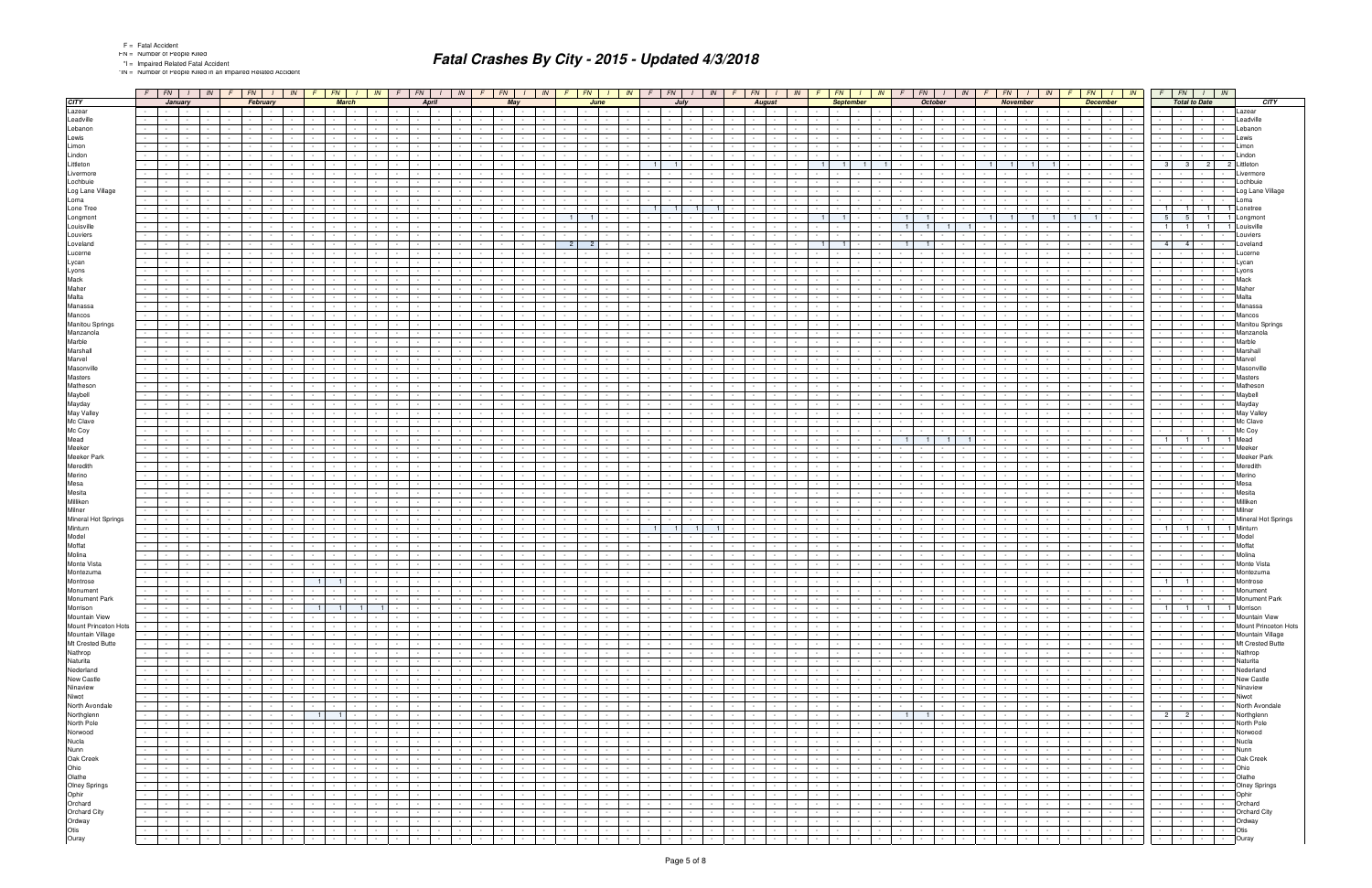\*IN = Number of People Killed in an Impaired Related Accident

|                                                       | $F$   FN   $I$   IN   $F$   FN   $I$   IN   $F$   FN                                                                                                                                                      | IN                                                                   | $F$ $FN$<br>$1$ IN                                                                 | $F$ $FN$ $I$ $IN$                                                                                                                                  | $F$ $FN$ $I$                                                         | IN                       | $F$ $FN$ $I$ $N$                                                                    | $F$ $FN$ $1$<br>IN<br>$F$ $FN$ $I$<br>FN<br>FN<br>$\frac{1}{2}$ $\frac{1}{2}$<br>$\sqrt{N}$<br>$F \mid FN \mid$<br>IN<br>IN                                                                                                                                                                                                                                                                                                                                                  |                                       | $F$ $FN$ $I$ $N$                                          |                                          |
|-------------------------------------------------------|-----------------------------------------------------------------------------------------------------------------------------------------------------------------------------------------------------------|----------------------------------------------------------------------|------------------------------------------------------------------------------------|----------------------------------------------------------------------------------------------------------------------------------------------------|----------------------------------------------------------------------|--------------------------|-------------------------------------------------------------------------------------|------------------------------------------------------------------------------------------------------------------------------------------------------------------------------------------------------------------------------------------------------------------------------------------------------------------------------------------------------------------------------------------------------------------------------------------------------------------------------|---------------------------------------|-----------------------------------------------------------|------------------------------------------|
| <b>CITY</b>                                           | <b>January</b><br>February                                                                                                                                                                                | <b>March</b>                                                         | <b>April</b>                                                                       | May                                                                                                                                                | June                                                                 |                          | July                                                                                | <b>October</b><br><b>August</b><br><b>September</b><br><b>November</b><br><b>December</b>                                                                                                                                                                                                                                                                                                                                                                                    | <b>Total to Date</b>                  |                                                           | <b>CITY</b>                              |
| Lazear                                                | <b>Contract Contract</b><br>$\sim 10^{-1}$                                                                                                                                                                |                                                                      |                                                                                    | $\sim$                                                                                                                                             |                                                                      |                          |                                                                                     | $\sim 100$<br><b>Contract</b>                                                                                                                                                                                                                                                                                                                                                                                                                                                | $\sim$                                |                                                           | Lazear                                   |
| Leadville                                             |                                                                                                                                                                                                           |                                                                      |                                                                                    |                                                                                                                                                    |                                                                      |                          |                                                                                     |                                                                                                                                                                                                                                                                                                                                                                                                                                                                              | $\sim$                                |                                                           | _eadville                                |
| Lebanon                                               |                                                                                                                                                                                                           |                                                                      |                                                                                    |                                                                                                                                                    |                                                                      |                          |                                                                                     |                                                                                                                                                                                                                                                                                                                                                                                                                                                                              | $\sim$                                |                                                           | _ebanon<br>_ewis                         |
| Lewis<br>Limon                                        |                                                                                                                                                                                                           |                                                                      |                                                                                    |                                                                                                                                                    |                                                                      |                          |                                                                                     |                                                                                                                                                                                                                                                                                                                                                                                                                                                                              |                                       |                                                           | .imon                                    |
| Lindon                                                |                                                                                                                                                                                                           |                                                                      |                                                                                    |                                                                                                                                                    |                                                                      |                          |                                                                                     |                                                                                                                                                                                                                                                                                                                                                                                                                                                                              |                                       |                                                           | .indon                                   |
| Littleton                                             |                                                                                                                                                                                                           |                                                                      |                                                                                    |                                                                                                                                                    |                                                                      | $\overline{1}$           |                                                                                     | $\overline{1}$<br>$\overline{1}$                                                                                                                                                                                                                                                                                                                                                                                                                                             | - 3  <br>3 <sup>1</sup>               | 2                                                         | ittletor                                 |
| Livermore                                             |                                                                                                                                                                                                           |                                                                      |                                                                                    |                                                                                                                                                    |                                                                      |                          |                                                                                     |                                                                                                                                                                                                                                                                                                                                                                                                                                                                              |                                       |                                                           | ivermore                                 |
| Lochbuie                                              |                                                                                                                                                                                                           |                                                                      |                                                                                    |                                                                                                                                                    |                                                                      |                          |                                                                                     |                                                                                                                                                                                                                                                                                                                                                                                                                                                                              |                                       |                                                           | _ochbuie                                 |
| Log Lane Village                                      |                                                                                                                                                                                                           |                                                                      |                                                                                    |                                                                                                                                                    |                                                                      |                          |                                                                                     | $\sim$<br>$\sim$                                                                                                                                                                                                                                                                                                                                                                                                                                                             | $\sim$                                | $\sim$ $-$<br>$\sim$                                      | Log Lane Village                         |
| Loma                                                  |                                                                                                                                                                                                           |                                                                      |                                                                                    |                                                                                                                                                    |                                                                      |                          |                                                                                     |                                                                                                                                                                                                                                                                                                                                                                                                                                                                              |                                       |                                                           | .oma                                     |
| Lone Tree                                             |                                                                                                                                                                                                           |                                                                      |                                                                                    |                                                                                                                                                    |                                                                      | $\overline{1}$           |                                                                                     |                                                                                                                                                                                                                                                                                                                                                                                                                                                                              | $\overline{1}$<br>11                  | $\overline{1}$                                            | Lonetree                                 |
| Longmont                                              |                                                                                                                                                                                                           |                                                                      |                                                                                    |                                                                                                                                                    |                                                                      |                          |                                                                                     | $\blacksquare$ 1  <br>$\blacksquare$<br>-1<br>$\overline{1}$<br>$\overline{1}$                                                                                                                                                                                                                                                                                                                                                                                               | 5<br>5 <sub>1</sub><br>$\overline{1}$ | $\mathbf{1}$                                              | Longmon<br>ouisville.                    |
| Louisville<br>Louviers                                |                                                                                                                                                                                                           |                                                                      |                                                                                    |                                                                                                                                                    |                                                                      |                          |                                                                                     |                                                                                                                                                                                                                                                                                                                                                                                                                                                                              |                                       |                                                           | Louviers                                 |
| Loveland                                              |                                                                                                                                                                                                           |                                                                      |                                                                                    |                                                                                                                                                    | 2 <sup>1</sup><br>2 <sup>1</sup>                                     |                          |                                                                                     | 1 <sup>1</sup><br>1 <sup>1</sup><br>$\overline{1}$<br>$\blacksquare$                                                                                                                                                                                                                                                                                                                                                                                                         | $4 \mid 4 \mid$                       |                                                           | _oveland                                 |
| Lucerne                                               |                                                                                                                                                                                                           |                                                                      |                                                                                    |                                                                                                                                                    |                                                                      |                          |                                                                                     |                                                                                                                                                                                                                                                                                                                                                                                                                                                                              |                                       |                                                           | ucerne                                   |
| Lycan                                                 |                                                                                                                                                                                                           |                                                                      |                                                                                    |                                                                                                                                                    |                                                                      |                          |                                                                                     |                                                                                                                                                                                                                                                                                                                                                                                                                                                                              |                                       |                                                           | _ycan                                    |
| Lyons                                                 |                                                                                                                                                                                                           |                                                                      |                                                                                    |                                                                                                                                                    |                                                                      |                          |                                                                                     |                                                                                                                                                                                                                                                                                                                                                                                                                                                                              | $\sim$                                |                                                           | Lyons                                    |
| Mack                                                  |                                                                                                                                                                                                           |                                                                      |                                                                                    |                                                                                                                                                    |                                                                      |                          |                                                                                     |                                                                                                                                                                                                                                                                                                                                                                                                                                                                              |                                       |                                                           | Mack                                     |
| Maher                                                 |                                                                                                                                                                                                           |                                                                      |                                                                                    |                                                                                                                                                    |                                                                      |                          |                                                                                     |                                                                                                                                                                                                                                                                                                                                                                                                                                                                              |                                       |                                                           | Maher                                    |
| Malta                                                 |                                                                                                                                                                                                           |                                                                      |                                                                                    |                                                                                                                                                    |                                                                      |                          |                                                                                     |                                                                                                                                                                                                                                                                                                                                                                                                                                                                              |                                       |                                                           | Malta                                    |
| Manassa<br>Mancos                                     |                                                                                                                                                                                                           |                                                                      |                                                                                    |                                                                                                                                                    |                                                                      |                          |                                                                                     |                                                                                                                                                                                                                                                                                                                                                                                                                                                                              |                                       |                                                           | Manassa<br>Mancos                        |
| Manitou Springs                                       |                                                                                                                                                                                                           |                                                                      |                                                                                    |                                                                                                                                                    |                                                                      |                          |                                                                                     |                                                                                                                                                                                                                                                                                                                                                                                                                                                                              |                                       |                                                           | Manitou Springs                          |
| Manzanola                                             |                                                                                                                                                                                                           |                                                                      |                                                                                    |                                                                                                                                                    |                                                                      |                          |                                                                                     |                                                                                                                                                                                                                                                                                                                                                                                                                                                                              |                                       |                                                           | Manzanola                                |
| Marble                                                |                                                                                                                                                                                                           |                                                                      |                                                                                    |                                                                                                                                                    |                                                                      |                          |                                                                                     |                                                                                                                                                                                                                                                                                                                                                                                                                                                                              |                                       |                                                           | Marble                                   |
| Marshall                                              |                                                                                                                                                                                                           |                                                                      |                                                                                    |                                                                                                                                                    |                                                                      |                          |                                                                                     |                                                                                                                                                                                                                                                                                                                                                                                                                                                                              |                                       |                                                           | Marshall                                 |
| Marvel                                                |                                                                                                                                                                                                           |                                                                      |                                                                                    |                                                                                                                                                    |                                                                      |                          |                                                                                     |                                                                                                                                                                                                                                                                                                                                                                                                                                                                              |                                       |                                                           | Marvel                                   |
| Masonville                                            |                                                                                                                                                                                                           |                                                                      |                                                                                    |                                                                                                                                                    |                                                                      |                          |                                                                                     |                                                                                                                                                                                                                                                                                                                                                                                                                                                                              |                                       |                                                           | Vlasonville                              |
| Masters                                               |                                                                                                                                                                                                           |                                                                      |                                                                                    |                                                                                                                                                    |                                                                      |                          |                                                                                     |                                                                                                                                                                                                                                                                                                                                                                                                                                                                              |                                       |                                                           | Masters                                  |
| Matheson                                              |                                                                                                                                                                                                           |                                                                      |                                                                                    |                                                                                                                                                    |                                                                      |                          |                                                                                     |                                                                                                                                                                                                                                                                                                                                                                                                                                                                              | $\sim$                                |                                                           | Mathesor                                 |
| Maybell<br>Mayday                                     |                                                                                                                                                                                                           |                                                                      |                                                                                    |                                                                                                                                                    |                                                                      |                          |                                                                                     |                                                                                                                                                                                                                                                                                                                                                                                                                                                                              |                                       |                                                           | Maybell<br>Mayday                        |
| May Valley                                            |                                                                                                                                                                                                           |                                                                      |                                                                                    |                                                                                                                                                    |                                                                      |                          |                                                                                     |                                                                                                                                                                                                                                                                                                                                                                                                                                                                              |                                       |                                                           | May Valley                               |
| Mc Clave                                              |                                                                                                                                                                                                           |                                                                      |                                                                                    |                                                                                                                                                    |                                                                      |                          |                                                                                     |                                                                                                                                                                                                                                                                                                                                                                                                                                                                              |                                       |                                                           | Mc Clave                                 |
| Mc Coy                                                |                                                                                                                                                                                                           |                                                                      |                                                                                    |                                                                                                                                                    |                                                                      |                          |                                                                                     |                                                                                                                                                                                                                                                                                                                                                                                                                                                                              |                                       |                                                           | Mc Coy                                   |
| Mead                                                  |                                                                                                                                                                                                           |                                                                      |                                                                                    |                                                                                                                                                    |                                                                      |                          |                                                                                     |                                                                                                                                                                                                                                                                                                                                                                                                                                                                              | $\mathbf{1}$<br>11                    | $\blacksquare$                                            | Mead                                     |
| Meeker                                                |                                                                                                                                                                                                           |                                                                      |                                                                                    |                                                                                                                                                    |                                                                      |                          |                                                                                     |                                                                                                                                                                                                                                                                                                                                                                                                                                                                              |                                       |                                                           | Meeker                                   |
| Meeker Park                                           |                                                                                                                                                                                                           |                                                                      |                                                                                    |                                                                                                                                                    |                                                                      |                          |                                                                                     |                                                                                                                                                                                                                                                                                                                                                                                                                                                                              |                                       |                                                           | Meeker Park                              |
| Meredith                                              |                                                                                                                                                                                                           |                                                                      |                                                                                    |                                                                                                                                                    |                                                                      |                          |                                                                                     |                                                                                                                                                                                                                                                                                                                                                                                                                                                                              | $\sim$                                |                                                           | Meredith                                 |
| Merino<br>Mesa                                        |                                                                                                                                                                                                           |                                                                      |                                                                                    |                                                                                                                                                    |                                                                      |                          |                                                                                     |                                                                                                                                                                                                                                                                                                                                                                                                                                                                              |                                       |                                                           | Merino<br>Mesa                           |
| Mesita                                                |                                                                                                                                                                                                           |                                                                      |                                                                                    |                                                                                                                                                    |                                                                      |                          |                                                                                     |                                                                                                                                                                                                                                                                                                                                                                                                                                                                              |                                       |                                                           | Mesita                                   |
| Milliken                                              |                                                                                                                                                                                                           |                                                                      |                                                                                    |                                                                                                                                                    |                                                                      |                          |                                                                                     |                                                                                                                                                                                                                                                                                                                                                                                                                                                                              | $\sim$                                |                                                           | Milliken                                 |
| Milner                                                |                                                                                                                                                                                                           |                                                                      |                                                                                    |                                                                                                                                                    |                                                                      |                          |                                                                                     |                                                                                                                                                                                                                                                                                                                                                                                                                                                                              | $\sim$                                | $\sim$                                                    | Milner                                   |
| Mineral Hot Springs                                   |                                                                                                                                                                                                           |                                                                      |                                                                                    |                                                                                                                                                    |                                                                      |                          |                                                                                     |                                                                                                                                                                                                                                                                                                                                                                                                                                                                              | $\sim$                                |                                                           | Mineral Hot Springs                      |
| Minturn                                               |                                                                                                                                                                                                           |                                                                      |                                                                                    |                                                                                                                                                    |                                                                      | $\overline{1}$           |                                                                                     |                                                                                                                                                                                                                                                                                                                                                                                                                                                                              | $\overline{1}$<br>1 <sup>1</sup>      | $\overline{1}$                                            | Minturn                                  |
| Model                                                 |                                                                                                                                                                                                           |                                                                      |                                                                                    |                                                                                                                                                    |                                                                      |                          |                                                                                     |                                                                                                                                                                                                                                                                                                                                                                                                                                                                              |                                       |                                                           | Model                                    |
| Moffat                                                |                                                                                                                                                                                                           |                                                                      |                                                                                    |                                                                                                                                                    |                                                                      |                          |                                                                                     |                                                                                                                                                                                                                                                                                                                                                                                                                                                                              |                                       |                                                           | Moffat                                   |
| Molina<br>Monte Vista                                 |                                                                                                                                                                                                           |                                                                      |                                                                                    |                                                                                                                                                    |                                                                      |                          |                                                                                     |                                                                                                                                                                                                                                                                                                                                                                                                                                                                              |                                       |                                                           | Molina<br>Monte Vista                    |
| Montezuma                                             |                                                                                                                                                                                                           |                                                                      |                                                                                    |                                                                                                                                                    |                                                                      |                          |                                                                                     |                                                                                                                                                                                                                                                                                                                                                                                                                                                                              |                                       |                                                           | Montezuma                                |
| Montrose                                              | $\sim$ $-$<br>$\sim$                                                                                                                                                                                      | $\overline{1}$<br>$\overline{1}$                                     |                                                                                    |                                                                                                                                                    |                                                                      |                          |                                                                                     |                                                                                                                                                                                                                                                                                                                                                                                                                                                                              | $1$ $-$<br>1 <sup>1</sup>             |                                                           | Montrose                                 |
| Monument                                              | $ -$                                                                                                                                                                                                      |                                                                      |                                                                                    | $\blacksquare$                                                                                                                                     |                                                                      |                          | $\mathbf{I}$ $\mathbf{I}$                                                           | <b>State State</b><br>$\sim$<br>$\mathbf{I}$ $\mathbf{I}$                                                                                                                                                                                                                                                                                                                                                                                                                    |                                       |                                                           | Monument                                 |
| Monument Park                                         | $\sim$ $\sim$ $\sim$<br>$\sim$ 100 $\pm$<br>$\sim$ $-$<br>$\sim 100$<br>$\sim$<br>$\sim 10^{-11}$<br>$\sim$                                                                                               | $\sim$<br>$\sim$                                                     | $\sim$<br>$\sim 10^{-11}$<br>$\sim$ $-$<br>$\sim$                                  | $\sim$<br>$\sim 10^{-11}$<br><b>Contract Contract</b><br>$\sim 100$                                                                                | $\sim$ 100 $\mu$<br>$\sim$ $-$<br>$\sim 10^{-11}$                    | $\sim$                   | $\sim$<br>$\sim$ $-$<br>$\sim$ $-$                                                  | $\sim$ $-$<br>$\sim 10^{-11}$<br>$\sim 10^{-1}$<br>$\sim 10^{-11}$<br><b>Contract</b><br><b>Contract</b><br>$\sim$ $-$<br>$\sim$<br>$\sim$<br>$\sim 10^{-1}$<br>$\sim 10^{-11}$<br>the contract of the con-<br>$\sim$ $-$                                                                                                                                                                                                                                                    | <u> 1999 - Jan Jan</u>                |                                                           | Monument Park                            |
| Morrison                                              | $\sim 10^{-1}$<br>$\sim$ $  -$<br>$\sim$<br>$\sim$<br>$\sim$ $-$<br>$\sim$ $-$                                                                                                                            | $1 \mid 1 \mid$<br>$\blacksquare$ 1<br>$\overline{1}$                | $\sim$ $-$                                                                         | $\sim 10^{-11}$<br>$\sim$ $\sim$<br><b>Contract Contract</b><br>$\sim$ 100 $\pm$                                                                   | $\sim$<br>$\sim$<br>$\sim$ $-$                                       |                          | $\sim$ $-$<br><b>Contract</b><br>$\sim$ $-$                                         | $\sim 10^{-11}$<br>$\sim$<br><b>Contract</b><br>$\sim$ $-$<br>$\sim 10^{-1}$<br>the contract of<br>$\sim$ $-$<br>$\sim$<br>$\sim$<br>$\sim 10^{-11}$<br>$\sim$                                                                                                                                                                                                                                                                                                               |                                       | 1 1 1 1 Morrison                                          |                                          |
| Mountain View                                         | $\sim$ 1 $\sim$ 1<br>$\sim$ $-$<br>$\sim$<br>$\sim 10^{-11}$<br>$\sim$<br>$\sim 100$                                                                                                                      | $\sim$<br>$\sim$                                                     | $\sim$<br>$\sim$ $-$<br>$\sim$ $-$                                                 | $\sim 10^{-11}$<br>$\sim 10^{-11}$<br><b>Contract Contract</b>                                                                                     | $\sim 10^{-11}$<br>$\sim$<br>$\sim$ $-$                              | $\sim$                   | $\sim$ $\sim$ $\sim$<br>$\sim$ $-$<br>$\sim$                                        | $\sim 100$<br>$\sim 10^{-1}$<br><b>Contract</b><br>$\sim$ $-$<br><b>Contract</b><br>$\sim$ $-$<br>$\sim 10^{-1}$<br>and the state<br>$\sim$ 100 $\pm$<br><b>Contract Contract</b><br>$\sim$<br>$ -$<br>$\sim$<br>$\sim$<br><b>Service</b>                                                                                                                                                                                                                                    |                                       | $\sim$ $-$                                                | Mountain View                            |
| Mount Princeton Hots<br>Mountain Village              | $\sim$ $-$<br>$\sim 100$<br>$\sim 10^{-11}$<br>$\sim$<br>$\sim$<br>$\sim 10^{-1}$<br>$\sim 10^{-1}$<br>$\sim$<br>$\sim$ 10 $\pm$                                                                          | $\sim$<br>$\sim$                                                     | $\sim$<br>$\sim$<br>$\sim$<br>$\sim$ $-$<br>$\sim$ $-$<br>$\sim$ $-$               | $\sim 10^{-1}$<br><b>Contract</b><br>$\sim$ $-$                                                                                                    | $\sim$<br>$\sim$ 100 $\mu$<br>$\sim 10^{-1}$<br><b>Contract</b>      |                          | $\sim$<br>$\sim$ 100 $\pm$<br>$\sim$ 10 $\pm$<br>$\sim$ $-$                         | $\sim 10^{-1}$<br>$\sim 10^{-11}$<br>$\sim 10^{-1}$<br>$\sim 10^{-10}$<br>$\sim 10^{-11}$<br>$\sim 10^{-11}$<br>$\sim 10^{-1}$<br>$\sim$ 100 $\mu$<br>$\sim$<br>$\sim$<br>$\sim$<br>$\sim 10^{-11}$<br>$\sim$<br>$\sim$<br>$\sim$<br>$\sim$ 100 $\pm$<br><b>Service</b><br>$\sim$<br>$\sim$                                                                                                                                                                                  | $-1 - 1 - 1$                          | $\sim 10^{-1}$                                            | Mount Princeton Hots<br>Mountain Village |
| Mt Crested Butte                                      | $\sim 10^{-11}$<br>$\sim$<br>$\sim$<br>$\sim$ $\sim$<br>$\sim$<br>$\sim 10^{-1}$<br>$\sim$ $-$<br>$\sim$<br>$\sim$ $-$<br>$\sim$                                                                          | $\sim$ $-$<br>$\sim$<br>$\sim$<br>$\sim 100$                         | $\sim$<br>$\sim$ $-$<br>$\sim$<br>$\sim$                                           | $\sim 10^{-11}$<br><b>Contract Contract</b><br>$\sim 10^{-11}$<br>$\sim$<br>$\sim 10^{-10}$<br>$\sim$                                              | $\sim$<br>$\sim$<br>$\sim$<br>$\sim$                                 |                          | $\sim$ $-$<br><b>Contract</b><br>$\sim$<br>$\sim$                                   | the contract of the<br>$\sim$<br>$\sim 100$ km s $^{-1}$<br>$\sim$ $-$<br>$\sim$<br>$\sim 10^{-11}$<br>$\sim 10^{-11}$<br>the contract of the con-<br>$\sim$ $-$<br>$\sim 10^{-1}$<br>$\sim$<br>$\sim 10^{-1}$<br>$\sim 10^{-11}$<br>$\sim 10^{-10}$<br>$\sim$<br>$\sim$<br>$\sim$<br>$\sim$                                                                                                                                                                                 | $\sim 10^{-11}$                       | $-1 - 1 - 1$<br>$\sim$ $\sim$ $\sim$ $\sim$<br>$\sim$ $-$ | Mt Crested Butte                         |
| Nathrop                                               | $\sim 100$<br>$\sim 10^{-1}$<br>$\sim 10^{-11}$<br>$\sim 10^{-1}$<br>$\sim$<br>$\sim$ $\sim$<br>$\sim$                                                                                                    | $\sim$                                                               | $\sim$<br>$\sim$                                                                   | $\sim 10^{-11}$<br><b>Contract</b><br>$\sim$                                                                                                       | $\sim$<br>$\sim$<br>$\sim 100$                                       |                          | $\sim$ $-$<br>$\sim$ 100 $\pm$<br>$\sim$                                            | $\sim 10^{-1}$<br>$\sim 10^{-10}$<br>and the state<br>$\sim$<br>$\sim 10^{-1}$<br>$\sim 10^{-11}$<br>$\sim$<br>$\sim$<br>$\sim$<br>$\sim$<br>$\sim 10^{-11}$<br>$\sim$<br>$\sim 10^{-11}$                                                                                                                                                                                                                                                                                    | <b>Contract Contract</b>              | $\sim$                                                    | Nathrop                                  |
| Naturita                                              | $\sim$ $\sim$ $\sim$<br>$\sim$ 100 $\pm$<br>$\sim 10^{-11}$<br>$\sim$<br>$\sim$<br>$\sim$<br>$\sim$ $-$                                                                                                   | $\sim$<br>$\sim$ 100 $\mu$                                           | $\sim$ $-$<br>$\sim$ $-$<br>$\sim$<br>$\sim$ $-$                                   | $\sim 10^{-11}$<br><b>Contract Contract Street</b><br>$\sim 100$<br>$\sim$                                                                         | $\sim$<br>$\sim 100$<br>$\sim$                                       |                          | $\sim$ $-$<br><b>Contract</b><br>$\sim$                                             | the contract of the<br>$\sim 100$<br><b>Contract</b><br>$\sim$<br><b>Contract Contract</b><br>$\sim 10^{-11}$<br>the contract of the<br>$\sim$<br>$\sim$<br><b>Service</b><br>$\sim$ $-$<br>$\sim$ $-$                                                                                                                                                                                                                                                                       | $\sim$ $\sim$ $\sim$ $\sim$ $\sim$    | $\sim$                                                    | Naturita                                 |
| Nederland                                             | $\sim 100$<br>$\sim 10^{-1}$<br>$\sim$<br>$\sim$<br>$\sim$                                                                                                                                                |                                                                      |                                                                                    | $\sim$<br>$\sim$ $-$<br>$\sim$                                                                                                                     | $\sim$<br>$\sim$                                                     |                          | $\sim$                                                                              | $\sim 10^{-1}$<br>$\sim$<br>$\sim$ $-$<br>$\sim 10^{-10}$<br>$\sim$ 100 $\pm$<br>$\sim$<br>$\sim$                                                                                                                                                                                                                                                                                                                                                                            | $\sim 10^{-11}$                       | $\sim 100$<br>$\sim$                                      | Nederland                                |
| New Castle                                            | the contract of<br>$\sim 10$<br>$\sim 10^{-11}$<br>$\sim 10^{-1}$<br>$\sim 100$<br>$\sim$                                                                                                                 | $\sim$                                                               | $\sim$ $-$<br>$\sim 10^{-11}$                                                      | $\sim 10^{-11}$<br>$\sim$<br>and the state of the<br>$\sim$                                                                                        | $\sim$<br>$\sim$<br>$\sim 100$                                       |                          | $\sim$ $-$<br><b>Contract</b>                                                       | $\sim$ $-$<br><b>Contract</b><br>$\sim$<br>$\sim 10^{-11}$<br>and the state<br>$\sim$<br>$\sim$ $\sim$<br>$\sim 10^{-11}$<br>$\sim$<br>$\sim 10^{-11}$<br>$\sim$<br>$\sim 10^{-11}$<br>$\sim$                                                                                                                                                                                                                                                                                |                                       | $\sim$                                                    | New Castle                               |
| Ninaview                                              | <b>Service State</b><br>$\sim 10^{-11}$<br>$\sim 10$<br>$\sim$<br>$\sim$ 100 $\pm$<br><b>Contract</b><br>$\sim$ 100 $\mu$                                                                                 | $\sim$ $-$<br>$\sim$<br>$\sim$ $-$<br>$\sim$ 100 $\sim$              | $\sim 10^{-11}$<br>$\sim$<br>$\sim$ $-$<br>$\sim$ $-$                              | $\sim 10^{-11}$<br><b>Contract Contract</b><br><b>Contract</b>                                                                                     | $\sim$<br><b>Contract Contract</b><br>$\sim$                         | $\sim$                   | $\sim$<br><b>Contract</b><br>$\sim$ $-$                                             | $\sim$<br>$\sim 100$<br><b>Contract</b><br>$\sim$<br>$\sim 10^{-1}$<br>the contract of<br>$\sim$ 100 $\pm$<br>$\sim$<br><b>Contract</b><br>$\sim$ $-$<br>the control of<br>$\sim$ $\sim$<br>$\sim$<br>the control of                                                                                                                                                                                                                                                         | <b>Contract Contract</b>              | $\sim 10^{-1}$                                            | Ninaview                                 |
| Niwot                                                 | $\sim$ $\sim$ $\sim$<br>$\sim 100$<br>$\sim 10^{-11}$<br>$\sim$<br><b>Contract</b><br>$\sim$                                                                                                              | $\sim$                                                               | <b>Contract</b><br>$\sim$ $-$                                                      | $\sim$<br><b>Contract Contract</b><br>$\sim$ $-$                                                                                                   | $\sim$<br>$\sim$                                                     |                          | $\sim$ $-$<br>$\sim$                                                                | $\sim$<br>$\sim$<br>$\sim 10^{-11}$<br><b>Contract</b><br>$\sim$<br><b>Contract Contract</b><br>$\sim 10^{-1}$<br>$\sim$ $-$<br><b>Contract Contract</b><br>$\sim$ 100 $\mu$<br>$\sim$                                                                                                                                                                                                                                                                                       | the company of the com-               | $\sim$                                                    | Niwot                                    |
| North Avondale<br>Northglenn                          | $\sim 100$<br>$\sim 10^{-1}$<br>$\sim 10^{-11}$<br>$\sim$<br>$\sim$<br>$\sim$ 10 $\pm$<br>$\sim$ 100 $\pm$<br>$\sim 10^{-11}$                                                                             | $\sim$<br>$\sim 100$                                                 | $\sim$ $-$<br>$\sim$ $-$<br>$\sim$                                                 | $\sim$<br><b>Contract</b><br>$\sim$<br>$\sim$                                                                                                      | $\sim$<br>$\sim$ $-$<br>$\sim 10^{-11}$<br>$\sim$ 100 $\mu$          |                          | $\sim$<br><b>Contract</b><br>$\sim$                                                 | $\sim 10^{-11}$<br>$\sim$<br>$\sim 10^{-11}$<br>$\sim$<br>$\sim$<br>$\sim 10^{-11}$<br>and the state<br>$\sim$ $-$<br><b>Contract Contract</b><br>$\sim$<br>$\sim$ $-$<br>$\sim 10^{-1}$                                                                                                                                                                                                                                                                                     |                                       | $\sim 100$                                                | North Avondale                           |
| North Pole                                            | the company of<br>$\sim 10^{-11}$<br>$\sim$ $-$<br>$\sim$<br>$\sim$<br>$\sim 10^{-1}$<br>$\sim 10^{-1}$<br>$\sim$ 10 $\pm$<br>$\sim$ $-$<br>$\sim$<br>$\sim$<br>$\sim 10^{-1}$<br>$\sim$                  | $1 \cdot 1$<br>$\mathbf{I}$                                          | $\sim$ $-$<br>$\sim$ $-$<br>$\sim 10^{-11}$<br><b>Contract</b><br>$\sim$<br>$\sim$ | $\sim 10^{-1}$<br>and the state<br>$\sim$ $-$<br>$\sim 10^{-11}$<br>$\sim$                                                                         | $\sim$<br><b>Contract Contract</b><br>$\sim$<br>$\sim$               | $\sim$                   | $\sim$ $-$<br>$\sim$ $-$<br><b>Contract Contract</b><br>$\sim$<br>$\sim$            | $\sim 100$<br>$1 \quad 1$<br><b>Contract Contract</b><br>$\sim 100$<br><b>Contract Contract Contract</b><br>$\mathbf{1}$ $\mathbf{1}$<br>$\sim$ $-$<br><b>Contract</b><br>$\sim$ $-$<br>$\sim 10^{-1}$<br>$\sim$ $-$<br>$\sim 10^{-11}$<br><b>Contract Contract</b><br><b>Contract</b><br><b>Contract</b><br>$\sim$<br><b>Contract</b><br>$\sim 10^{-1}$<br>$\sim 10^{-11}$<br>$\sim$<br>$\sim$                                                                              | $\sim 10^{-11}$                       | $2 \mid 2 \mid - \mid -$<br><b>Contract</b><br>$\sim$     | Northglenn<br>North Pole                 |
| Norwood                                               | $\sim$ $\sim$ $\sim$<br>$\sim 100$<br>$\sim 10^{-11}$<br>$\sim 100$<br>$\sim 10^{-11}$<br><b>Contract</b><br>$\sim$<br>$\sim 100$                                                                         | $\sim$<br>$\sim 100$<br>$\sim$<br>$\sim$                             | $\sim$<br>$\sim$ $-$<br>$\sim$ $\sim$<br>$\sim 10^{-11}$                           | <b>Service</b><br>$\sim 10^{-11}$<br>$\sim 100$                                                                                                    | $\sim$ $-$<br>$\sim$<br>$\sim 100$                                   |                          | $\sim$<br><b>Contract</b><br>$\sim 10^{-1}$                                         | $\sim$<br>$\sim$ $-$<br>$\sim$ $-$<br>$\sim 100$<br>$\sim$ $\sim$<br>$\sim 100$ km s $^{-1}$<br>$\sim$<br>$\sim$<br>$\sim$ 100 $\mu$<br>$\sim$<br><b>Contract Contract</b><br>$\sim 100$<br><b>Contract Contract</b><br><b>Contract</b><br>the contract of<br>$\sim$<br>$\sim$<br><b>Service</b>                                                                                                                                                                             | the contract of                       | $\sim$                                                    | Norwood                                  |
| Nucla                                                 | <b>Service State</b><br>$\sim$ $-$<br>$\sim 10^{-1}$<br>$\sim$<br>$\sim$<br>$\sim$                                                                                                                        | $\sim$<br>$\sim 10^{-11}$<br>$\sim$                                  | $\sim$ $-$<br>$\sim$<br>$\sim$ $-$<br>$\sim$                                       | $\sim 10^{-1}$<br>and the state                                                                                                                    | $\sim$<br><b>Contract</b>                                            | $\sim$                   | $\sim$ $-$<br>$\sim$ $\sim$ $\sim$<br>$\sim$ $-$                                    | $\sim 100$<br><b>Contract Contract</b><br>$\sim 100$<br><b>Contract Contract Contract</b><br><b>1999</b><br>$\sim$<br>$\sim$<br>the contract of<br><b>Contract</b><br>$\sim$<br>$\sim 10^{-11}$                                                                                                                                                                                                                                                                              |                                       | $\sim 100$                                                | Nucla                                    |
| Nunn                                                  | $\sim 100$<br>$\sim 10^{-11}$<br>$\sim$<br>$\sim 100$<br>$\sim$<br>$\sim 10^{-1}$<br>$\sim$                                                                                                               |                                                                      | $\sim 10^{-11}$                                                                    | $\sim$ $-$<br><b>Contract</b><br>$\sim$                                                                                                            | $\sim$<br>$\sim$                                                     |                          | $\sim$<br>$\sim$                                                                    | $\sim$ $-$<br><b>Contract Contract</b><br><b>Contract</b><br>$\sim 100$<br>$\sim$<br>$\sim$ $-$<br>$\sim 100$<br>$\sim$<br>$\sim$<br>$\sim$                                                                                                                                                                                                                                                                                                                                  | $\sim 10^{-11}$                       | <b>Contract</b><br>$\sim$                                 | Nunn                                     |
| Oak Creek<br>Ohio<br>Olathe<br>Olney Springs<br>Ophir | the company<br>$\sim 10^{-11}$<br>$\sim$ 10 $\pm$<br>$\sim 100$<br><b>Contract</b><br>$\sim$<br>$\sim$                                                                                                    | $\sim$ $-$<br>$\sim$<br>$\sim$                                       | $\sim$<br>$\sim 10^{-11}$<br>$\sim 10^{-11}$                                       | $\sim 10^{-11}$<br>the contract of<br>$\sim 10^{-11}$                                                                                              | $\sim$ $-$<br>$\sim$<br>$\sim 100$                                   |                          | $\sim$<br><b>Contract</b><br>$\sim$ $-$                                             | $\sim$ 100 $\pm$<br><b>Contract Contract</b><br>$\sim 100$<br>$\sim 100$<br><b>Common</b><br>$\sim$<br>$\sim$<br><b>Service</b><br>$\sim$<br><b>Contract Contract</b><br>$\sim 10^{-1}$<br><b>Contract</b><br>the contract of                                                                                                                                                                                                                                                | .                                     | $\sim 100$                                                | Oak Creek                                |
|                                                       | $\sim$ $\sim$<br>$\sim 10^{-1}$<br>$\sim$ $-$<br>$\sim$ $-$<br>$\sim$<br>$\sim$                                                                                                                           | $\sim$                                                               | $\sim$<br>$\sim$ $-$                                                               | $\sim$<br>$\sim 10^{-10}$<br>$\sim$                                                                                                                | $\sim$<br>$\sim$                                                     |                          | $\sim$<br>$\sim$                                                                    | $\sim 10^{-1}$<br>$\sim$<br>$\sim 10^{-11}$<br>$\sim$<br>$\sim 10^{-11}$<br>$\sim 100$<br>$\sim 10^{-1}$<br>$\sim$<br>$\sim$<br>$\sim$ $-$<br>$\sim 10^{-1}$                                                                                                                                                                                                                                                                                                                 | and the company                       | $\sim$                                                    | Ohio                                     |
|                                                       | <b>Service</b> State<br>$\sim$ $-$<br>$\sim 10^{-1}$<br>$\sim$<br>$\sim 100$<br>$\sim$                                                                                                                    | $\sim$<br>$\sim$                                                     | $\sim$<br>$\sim$ $-$<br>$\sim 10^{-11}$                                            | $\sim 10^{-11}$<br>$\sim$<br>and the state                                                                                                         | $\sim$ 100 $\mu$<br>$\sim$<br>$\sim 100$                             |                          | $\sim$<br><b>Service</b><br>$\sim$ $-$                                              | $\sim 10^{-1}$<br>$\sim 100$<br>$\sim 10^{-11}$<br><b>Contract Contract</b><br>$\sim$<br>$\sim$ $\sim$<br>$\sim 10^{-1}$<br>$\sim$ $-$<br>$\sim$<br><b>Service</b><br>$\sim$<br><b>Contract</b><br>$\sim$ $-$                                                                                                                                                                                                                                                                | .                                     | $\sim 10^{-1}$                                            | Olathe                                   |
|                                                       | the contract of<br>$\sim 10^{-11}$<br>$\sim 10$<br>$\sim 100$<br>$\sim 100$<br>$\sim$<br>$\sim$                                                                                                           | $\sim$<br>$\sim$<br>$\sim$ $-$                                       | $\sim$<br>$\sim$ $-$<br>$\sim 10^{-11}$                                            | $\sim 10^{-1}$<br><b>Service</b><br><b>Contract Contract</b><br>$\sim 100$                                                                         | $\sim$ $-$<br>$\sim$<br>$\sim$ $-$                                   |                          | $\sim$ $-$<br>$\sim$ $-$<br><b>Contract</b>                                         | $\sim$<br>$\sim 10^{-1}$<br>$\sim 10^{-10}$<br>$\sim$ 100 $\pm$<br>$\sim 10^{-11}$<br><b>Contractor</b><br>$\sim$<br>$\sim$<br>$\sim 10^{-11}$<br>$\sim$<br>$\sim$ 100 $\pm$<br>$\sim 100$<br>$\sim$ $-$<br><b>Service</b><br>$\sim$ $-$<br>$\sim$                                                                                                                                                                                                                           | the contract of                       | $\sim 100$                                                | <b>Olney Springs</b>                     |
|                                                       | $\sim$ $\sim$<br>$\sim$ 10 $\pm$<br>$\sim$ $-$<br>$\sim$<br>$\sim 100$<br>$\sim 10^{-1}$<br>$\sim$                                                                                                        | $\sim$<br>$\sim$<br>$\sim 100$                                       | $\sim$<br>$\sim$ $-$<br>$\sim$<br>$\sim 10^{-11}$                                  | $\sim$<br><b>Contract Contract</b><br>$\sim$ 100 $\pm$                                                                                             | $\sim$<br>$\sim$<br>$\sim 10^{-11}$                                  |                          | $\sim$ $-$<br><b>Contract</b><br>$\sim 10^{-1}$                                     | $\sim 10^{-11}$<br>$\sim 100$<br><b>Contract</b><br>$\sim 10^{-11}$<br>the contract of<br>$\sim$<br>$\sim 10^{-1}$<br>$\sim$ $-$<br>$\sim$<br>$\sim$<br>$\sim$<br>$\sim 10^{-11}$<br>$\sim$<br>$\sim$<br>$\sim$                                                                                                                                                                                                                                                              | <b>Contract Contract</b>              | $\sim 10^{-1}$                                            | Ophir                                    |
| Orchard<br>Orchard City                               | $\sim 100$<br>$\sim 10^{-1}$<br>$\sim$<br>$\sim$<br>$\sim 10^{-11}$<br>$\sim$ $-$<br>$\sim$ $-$<br>$\sim$ $\sim$<br>$\sim 10^{-11}$<br>$\sim 10$<br><b>Contract</b><br>$\sim 100$<br>$\sim 100$<br>$\sim$ | $\sim$<br>$\sim$<br>$\sim$<br>$\sim$ $-$                             | $\sim$<br>$\sim$ $-$<br>$\sim$ $-$<br>$\sim$<br>$\sim$<br>$\sim 10^{-11}$          | $\sim$<br><b>Contract</b><br><b>Contract Contract</b><br>$\sim$<br>$\sim 10^{-1}$<br><b>Service</b><br><b>Contract Contract</b><br>$\sim 10^{-11}$ | $\sim$<br>$\sim$<br>$\sim 100$<br>$\sim$ $-$<br>$\sim$<br>$\sim$ $-$ |                          | $\sim$<br><b>Contract</b><br>$\sim$<br>$\sim$ $-$<br>$\sim$ $-$<br>$\sim$ 100 $\mu$ | $\sim 10^{-11}$<br>$\sim 100$<br>$\sim 10^{-11}$<br>$\sim 10^{-11}$<br><b>Contract Contract Contract</b><br>$\sim$ $-$<br>$\sim$<br>$\sim$ 100 $\mu$<br>$\sim$<br>$\sim 10^{-11}$<br>$\sim$<br>$\sim$ 100 $\pm$<br>$\sim$<br>$\sim 10^{-11}$<br>$\sim$ $\sim$ $\sim$<br>$\sim$ 100 $\pm$<br>$\sim 10^{-11}$<br><b>Contractor</b><br>$\sim$<br>$\sim$<br><b>Contract Contract</b><br>$\sim$<br>$\sim$ 100 $\pm$<br>$\sim 100$<br>$\sim$ $-$<br>$\sim$<br>$\sim$ $-$<br>$\sim$ | and the contract of the contract of   | $\sim 100$<br>and the state of the state of the state     | Orchard<br>Orchard City                  |
| Ordway                                                | $\sim$ $\sim$<br>$\sim$ 10 $\pm$<br>$\sim$ $-$<br>$\sim$<br>$\sim$ 10 $\pm$<br>$\sim 10^{-1}$<br>$\sim$                                                                                                   | $\sim$<br>$\sim$ $\sim$                                              | $\sim$<br>$\sim$ $-$<br>$\sim$<br>$\sim$ $-$                                       | $\sim$<br>$\sim$ $\sim$<br>$\sim$<br>$\sim 100$                                                                                                    | $\sim$<br>$\sim$<br><b>Contract</b>                                  |                          | $\sim$<br><b>Contract</b><br>$\sim$ $-$                                             | $\sim 10^{-11}$<br>$\sim$<br><b>Contract</b><br>$\sim$ $-$<br>$\sim 10^{-1}$<br>$\sim$ 100 $\pm$<br>$\sim 10^{-1}$<br>$\sim$ $-$<br>$\sim$<br>$\sim$<br>$\sim$<br>$\sim 10^{-11}$<br>$\sim$<br>$\sim$<br><b>Contract Contract</b>                                                                                                                                                                                                                                            | <b>Contract Contract</b>              | $\sim 10^{-1}$                                            | Ordway                                   |
| Otis                                                  | $\sim 100$<br>$\sim 10^{-11}$<br>$\sim 10^{-11}$<br>$\sim$<br>$\sim 100$<br>$\sim$<br>$\sim$ 10 $\pm$<br>$\sim$ $-$                                                                                       | $\sim$<br><b>Service</b><br>$\sim$<br>$\sim$ $-$                     | $\sim$<br>$\sim 10^{-11}$<br>$\sim$<br>$\sim$                                      | $\sim 10^{-10}$<br>$\sim 10^{-11}$<br>the contract of                                                                                              | $\sim 10^{-11}$<br>$\sim$ $-$<br><b>Contract</b>                     | $\sim$<br><b>Service</b> | $\sim$ $-$<br>$\sim$ $-$<br><b>Contract</b>                                         | $\sim$<br>$\sim$ $\sim$ $\sim$<br>$\sim 100$<br>$\sim$<br><b>Contract</b><br>$\sim$ $-$<br>$\sim$<br>$\sim 10^{-1}$<br>$\sim 100$<br>$\sim$ $-$<br>$\sim$<br><b>Service</b><br>$\sim$<br>$\sim$<br>$\sim 10^{-11}$<br>$\sim$<br>$\sim$<br>$\sim$                                                                                                                                                                                                                             | the contract of                       | $\sim 10^{-1}$                                            | Otis                                     |
| Ouray                                                 | $\sim 10^{-11}$<br><b>Contract Contract Contract</b><br>$\sim 10^{-11}$<br><b>Contract</b><br>$\sim 10^{-1}$<br><b>Contract</b><br><b>Contract</b>                                                        | $\sim$<br>$\sim$<br>$\mathbf{I}$ and $\mathbf{I}$<br><b>Contract</b> | $\sim 10^{-11}$<br>and the state                                                   | $\sim 10^{-11}$<br>$\sim$ $\sim$ $\sim$<br>the contract of                                                                                         | the contract of the con-                                             | $\sim$<br>$\sim$ $\sim$  | the contract of<br>$\sim 10^{-1}$                                                   | <b>Contract Contract</b><br>$\sim 10^{-11}$<br><b>Contract Contract</b><br>$\sim 10^{-10}$<br>the contract of the contract of the con-<br>$\sim$ $\sim$ $\sim$ $\sim$ $\sim$ $\sim$<br>$\sim 10^{-11}$<br>$\sim 10^{-11}$<br>$\sim 10^{-11}$<br>$\sim 10^{-1}$<br>$\sim 100$<br>$\sim$<br>$\sim$ $\sim$ $\sim$                                                                                                                                                               |                                       |                                                           | Ouray                                    |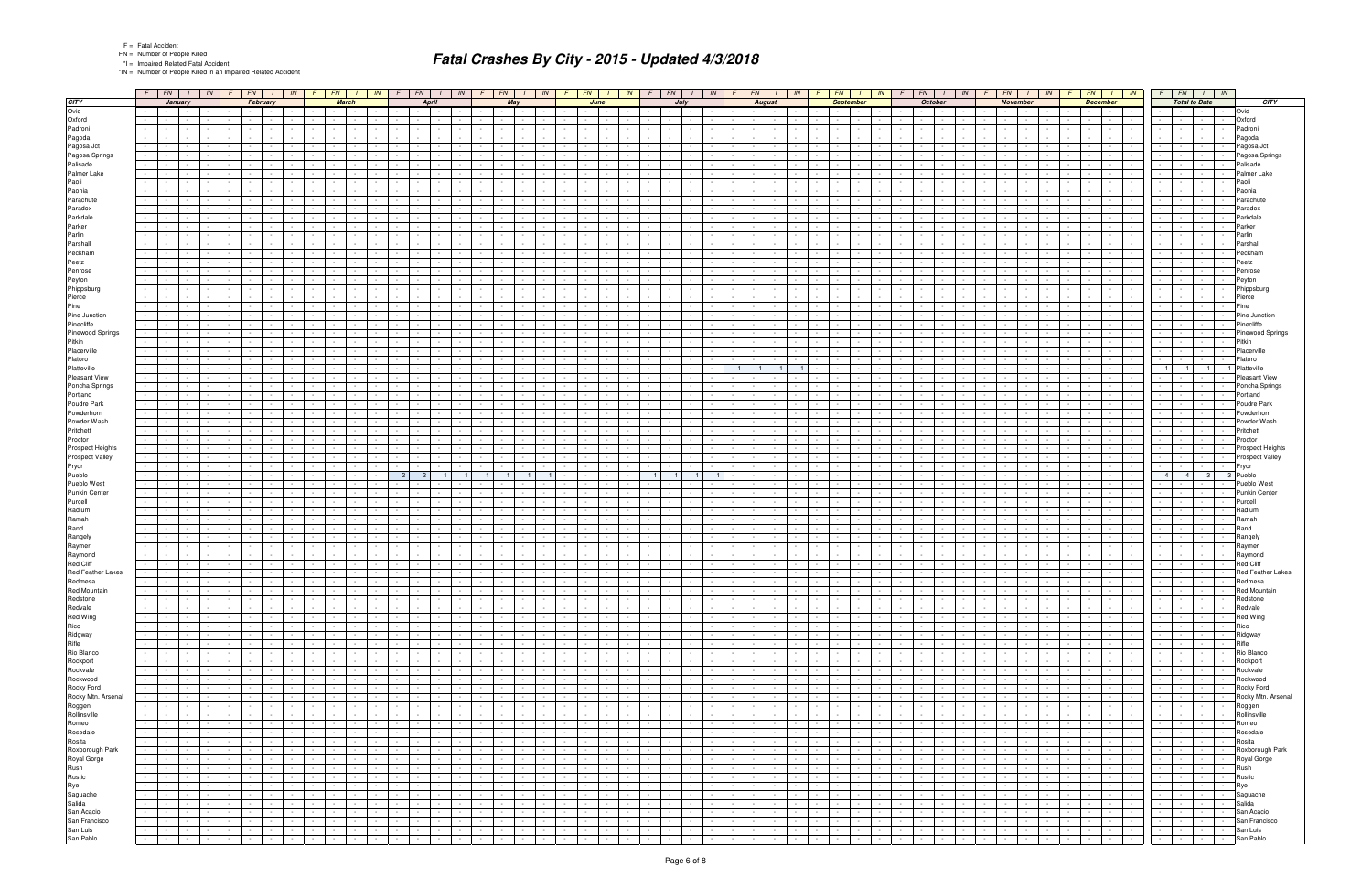|  | <b>Fatal Accide</b> |
|--|---------------------|
|  |                     |

\*IN = Number of People Killed in an Impaired Related Accident

|                                                                                                 | $F$ $FN$ $I$                                               | IN                                         | $F \mid$                 | FN                                                                                                              |                               | IN<br>$\sqrt{F}$ | $FN$   $1$                  |                            | IN     | FN                                                      | IN               |                                            | $F \parallel FN$ |                                        | IN                                     | FN             |                                   | $\frac{1}{1}$ IN |                             | IN<br>$F \mid FN \mid$                               |                      | FN                                | IN                                  |                | FN                      |                  | IN                                  |                          | FN                                 | IN                          |                 | FN                                  | IN              |                          | FN                       |                           | IN                                  |                                                                                                                                                                                                                                                         | $FN$   $1$   $1N$                   |                             |
|-------------------------------------------------------------------------------------------------|------------------------------------------------------------|--------------------------------------------|--------------------------|-----------------------------------------------------------------------------------------------------------------|-------------------------------|------------------|-----------------------------|----------------------------|--------|---------------------------------------------------------|------------------|--------------------------------------------|------------------|----------------------------------------|----------------------------------------|----------------|-----------------------------------|------------------|-----------------------------|------------------------------------------------------|----------------------|-----------------------------------|-------------------------------------|----------------|-------------------------|------------------|-------------------------------------|--------------------------|------------------------------------|-----------------------------|-----------------|-------------------------------------|-----------------|--------------------------|--------------------------|---------------------------|-------------------------------------|---------------------------------------------------------------------------------------------------------------------------------------------------------------------------------------------------------------------------------------------------------|-------------------------------------|-----------------------------|
|                                                                                                 | January                                                    |                                            |                          | February                                                                                                        |                               |                  |                             | <b>March</b>               |        | <b>April</b>                                            |                  |                                            | May              |                                        |                                        |                | June                              |                  |                             | July                                                 |                      | <b>August</b>                     |                                     |                |                         | <b>September</b> |                                     |                          | <b>October</b>                     |                             |                 | <b>November</b>                     |                 |                          | <b>December</b>          |                           |                                     | <b>Total to Date</b>                                                                                                                                                                                                                                    |                                     | <b>CITY</b>                 |
| $rac{\mathbf{C} \mathbf{I} \mathbf{I} \mathbf{Y}}{\mathbf{O} \mathbf{V} \mathbf{I} \mathbf{d}}$ |                                                            |                                            |                          |                                                                                                                 |                               |                  | $\sim$ $\sim$ $\sim$ $\sim$ |                            |        |                                                         |                  |                                            | $\sim 10^{-11}$  |                                        |                                        |                |                                   |                  |                             |                                                      |                      |                                   |                                     |                | <b>Contract</b>         |                  |                                     |                          |                                    |                             |                 |                                     |                 |                          | $\sim$                   | $\sim 100$                |                                     |                                                                                                                                                                                                                                                         |                                     | Ovid                        |
| Oxford                                                                                          |                                                            |                                            |                          |                                                                                                                 |                               |                  |                             |                            |        |                                                         |                  |                                            |                  |                                        |                                        |                |                                   |                  |                             |                                                      |                      |                                   |                                     |                |                         |                  |                                     |                          |                                    |                             |                 |                                     |                 |                          |                          |                           |                                     |                                                                                                                                                                                                                                                         |                                     | Oxford                      |
| Padroni                                                                                         |                                                            |                                            |                          |                                                                                                                 |                               |                  |                             |                            |        |                                                         |                  |                                            |                  |                                        |                                        |                |                                   |                  |                             |                                                      |                      |                                   |                                     |                |                         |                  |                                     |                          |                                    |                             |                 |                                     |                 |                          |                          |                           |                                     |                                                                                                                                                                                                                                                         |                                     | Padroni                     |
| Pagoda                                                                                          |                                                            |                                            |                          |                                                                                                                 |                               |                  |                             |                            |        |                                                         |                  |                                            |                  |                                        |                                        |                |                                   |                  |                             |                                                      |                      |                                   |                                     |                |                         |                  |                                     |                          |                                    |                             |                 |                                     |                 |                          |                          |                           |                                     |                                                                                                                                                                                                                                                         |                                     | Pagoda                      |
| Pagosa Jct                                                                                      |                                                            |                                            |                          |                                                                                                                 |                               |                  |                             |                            |        |                                                         |                  |                                            |                  |                                        |                                        |                |                                   |                  |                             |                                                      |                      |                                   |                                     |                |                         |                  |                                     |                          |                                    |                             |                 |                                     |                 |                          |                          |                           |                                     |                                                                                                                                                                                                                                                         |                                     | Pagosa Jct                  |
| Pagosa Springs                                                                                  |                                                            |                                            |                          |                                                                                                                 |                               |                  |                             |                            |        |                                                         |                  |                                            |                  |                                        |                                        |                |                                   |                  |                             |                                                      |                      |                                   |                                     |                |                         |                  |                                     |                          |                                    |                             |                 |                                     |                 |                          |                          |                           |                                     |                                                                                                                                                                                                                                                         |                                     | Pagosa Springs              |
| Palisade                                                                                        |                                                            |                                            |                          |                                                                                                                 |                               |                  |                             |                            |        |                                                         |                  |                                            |                  |                                        |                                        |                |                                   |                  |                             |                                                      |                      |                                   |                                     |                |                         |                  |                                     |                          |                                    |                             |                 |                                     |                 |                          |                          |                           |                                     |                                                                                                                                                                                                                                                         |                                     | Palisade                    |
| Palmer Lake                                                                                     |                                                            |                                            |                          |                                                                                                                 |                               |                  |                             |                            |        |                                                         |                  |                                            |                  |                                        |                                        |                |                                   |                  |                             |                                                      |                      |                                   |                                     |                |                         |                  |                                     |                          |                                    |                             |                 |                                     |                 |                          |                          |                           |                                     |                                                                                                                                                                                                                                                         |                                     | Palmer Lake                 |
| Paoli                                                                                           |                                                            |                                            |                          |                                                                                                                 |                               |                  |                             |                            |        |                                                         |                  |                                            |                  |                                        |                                        |                |                                   |                  |                             |                                                      |                      |                                   |                                     |                |                         |                  |                                     |                          |                                    |                             |                 |                                     |                 |                          |                          |                           |                                     |                                                                                                                                                                                                                                                         |                                     | Paoli                       |
| Paonia                                                                                          |                                                            |                                            |                          |                                                                                                                 |                               |                  |                             |                            |        |                                                         |                  |                                            |                  |                                        |                                        |                |                                   |                  |                             |                                                      |                      |                                   |                                     |                |                         |                  |                                     |                          |                                    |                             |                 |                                     |                 |                          |                          |                           | $\overline{\phantom{a}}$            |                                                                                                                                                                                                                                                         |                                     | Paonia                      |
| Parachute                                                                                       |                                                            |                                            |                          |                                                                                                                 |                               |                  |                             |                            |        |                                                         |                  |                                            |                  |                                        |                                        |                |                                   |                  |                             |                                                      |                      |                                   |                                     |                |                         |                  |                                     |                          |                                    |                             |                 |                                     |                 |                          |                          |                           |                                     |                                                                                                                                                                                                                                                         |                                     | Parachut                    |
| Paradox                                                                                         |                                                            |                                            |                          |                                                                                                                 |                               |                  |                             |                            |        |                                                         |                  |                                            |                  |                                        |                                        |                |                                   |                  |                             |                                                      |                      |                                   |                                     |                |                         |                  |                                     |                          |                                    |                             |                 |                                     |                 |                          |                          |                           |                                     |                                                                                                                                                                                                                                                         |                                     | Paradox                     |
| Parkdale                                                                                        |                                                            |                                            |                          |                                                                                                                 |                               |                  |                             |                            |        |                                                         |                  |                                            |                  |                                        |                                        |                |                                   |                  |                             |                                                      |                      |                                   |                                     |                |                         |                  |                                     |                          |                                    |                             |                 |                                     |                 |                          |                          |                           |                                     |                                                                                                                                                                                                                                                         |                                     | Parkdale                    |
| Parker                                                                                          |                                                            |                                            |                          |                                                                                                                 |                               |                  |                             |                            |        |                                                         |                  |                                            |                  |                                        |                                        |                |                                   |                  |                             |                                                      |                      |                                   |                                     |                |                         |                  |                                     |                          |                                    |                             |                 |                                     |                 |                          |                          |                           |                                     |                                                                                                                                                                                                                                                         |                                     | Parkei                      |
| Parlin                                                                                          |                                                            |                                            |                          |                                                                                                                 |                               |                  |                             |                            |        |                                                         |                  |                                            |                  |                                        |                                        |                |                                   |                  |                             |                                                      |                      |                                   |                                     |                |                         |                  |                                     |                          |                                    |                             |                 |                                     |                 |                          |                          |                           |                                     |                                                                                                                                                                                                                                                         |                                     | Parlin                      |
|                                                                                                 |                                                            |                                            |                          |                                                                                                                 |                               |                  |                             |                            |        |                                                         |                  |                                            |                  |                                        |                                        |                |                                   |                  |                             |                                                      |                      |                                   |                                     |                |                         |                  |                                     |                          |                                    |                             |                 |                                     |                 |                          |                          |                           |                                     |                                                                                                                                                                                                                                                         |                                     |                             |
| Parshall                                                                                        |                                                            |                                            |                          |                                                                                                                 |                               |                  |                             |                            |        |                                                         |                  |                                            |                  |                                        |                                        |                |                                   |                  |                             |                                                      |                      |                                   |                                     |                |                         |                  |                                     |                          |                                    |                             |                 |                                     |                 |                          |                          |                           |                                     |                                                                                                                                                                                                                                                         |                                     | Parshal                     |
| Peckham                                                                                         |                                                            |                                            |                          |                                                                                                                 |                               |                  |                             |                            |        |                                                         |                  |                                            |                  |                                        |                                        |                |                                   |                  |                             |                                                      |                      |                                   |                                     |                |                         |                  |                                     |                          |                                    |                             |                 |                                     |                 |                          |                          |                           |                                     |                                                                                                                                                                                                                                                         |                                     | Peckhan                     |
| Peetz                                                                                           |                                                            |                                            |                          |                                                                                                                 |                               |                  |                             |                            |        |                                                         |                  |                                            |                  |                                        |                                        |                |                                   |                  |                             |                                                      |                      |                                   |                                     |                |                         |                  |                                     |                          |                                    |                             |                 |                                     |                 |                          |                          |                           |                                     |                                                                                                                                                                                                                                                         |                                     | Peetz                       |
| Penrose                                                                                         |                                                            |                                            |                          |                                                                                                                 |                               |                  |                             |                            |        |                                                         |                  |                                            |                  |                                        |                                        |                |                                   |                  |                             |                                                      |                      |                                   |                                     |                |                         |                  |                                     |                          |                                    |                             |                 |                                     |                 |                          |                          |                           |                                     |                                                                                                                                                                                                                                                         |                                     | Penrose                     |
| Peyton                                                                                          |                                                            |                                            |                          |                                                                                                                 |                               |                  |                             |                            |        |                                                         |                  |                                            |                  |                                        |                                        |                |                                   |                  |                             |                                                      |                      |                                   |                                     |                |                         |                  |                                     |                          |                                    |                             |                 |                                     |                 |                          |                          |                           |                                     |                                                                                                                                                                                                                                                         |                                     | Peyton                      |
| Phippsburg                                                                                      |                                                            |                                            |                          |                                                                                                                 |                               |                  |                             |                            |        |                                                         |                  |                                            |                  |                                        |                                        |                |                                   |                  |                             |                                                      |                      |                                   |                                     |                |                         |                  |                                     |                          |                                    |                             |                 |                                     |                 |                          |                          |                           |                                     |                                                                                                                                                                                                                                                         |                                     | Phippsburg                  |
| Pierce                                                                                          |                                                            |                                            |                          |                                                                                                                 |                               |                  |                             |                            |        |                                                         |                  |                                            |                  |                                        |                                        |                |                                   |                  |                             |                                                      |                      |                                   |                                     |                |                         |                  |                                     |                          |                                    |                             |                 |                                     |                 |                          |                          |                           |                                     |                                                                                                                                                                                                                                                         |                                     | Pierce                      |
| Pine                                                                                            |                                                            |                                            |                          |                                                                                                                 |                               |                  |                             |                            |        |                                                         |                  |                                            |                  |                                        |                                        |                |                                   |                  |                             |                                                      |                      |                                   |                                     |                |                         |                  |                                     |                          |                                    |                             |                 |                                     |                 |                          |                          |                           |                                     |                                                                                                                                                                                                                                                         |                                     | Pine                        |
| Pine Junction                                                                                   |                                                            |                                            |                          |                                                                                                                 |                               |                  |                             |                            |        |                                                         |                  |                                            |                  |                                        |                                        |                |                                   |                  |                             |                                                      |                      |                                   |                                     |                |                         |                  |                                     |                          |                                    |                             |                 |                                     |                 |                          |                          |                           |                                     |                                                                                                                                                                                                                                                         |                                     | Pine Junction               |
| Pinecliffe                                                                                      |                                                            |                                            |                          |                                                                                                                 |                               |                  |                             |                            |        |                                                         |                  |                                            |                  |                                        |                                        |                |                                   |                  |                             |                                                      |                      |                                   |                                     |                |                         |                  |                                     |                          |                                    |                             |                 |                                     |                 |                          |                          |                           |                                     |                                                                                                                                                                                                                                                         |                                     | Pinecliffe                  |
| Pinewood Springs                                                                                |                                                            |                                            |                          |                                                                                                                 |                               |                  |                             |                            |        |                                                         |                  |                                            |                  |                                        |                                        |                |                                   |                  |                             |                                                      |                      |                                   |                                     |                |                         |                  |                                     |                          |                                    |                             |                 |                                     |                 |                          |                          |                           |                                     |                                                                                                                                                                                                                                                         |                                     | Pinewood Springs            |
| Pitkin                                                                                          |                                                            |                                            |                          |                                                                                                                 |                               |                  |                             |                            |        |                                                         |                  |                                            |                  |                                        |                                        |                |                                   |                  |                             |                                                      |                      |                                   |                                     |                |                         |                  |                                     |                          |                                    |                             |                 |                                     |                 |                          |                          |                           |                                     |                                                                                                                                                                                                                                                         |                                     | Pitkin                      |
| Placerville                                                                                     |                                                            |                                            |                          |                                                                                                                 |                               |                  |                             |                            |        |                                                         |                  |                                            |                  |                                        |                                        |                |                                   |                  |                             |                                                      |                      |                                   |                                     |                |                         |                  |                                     |                          |                                    |                             |                 |                                     |                 |                          |                          |                           |                                     |                                                                                                                                                                                                                                                         |                                     | Placerville                 |
| Platoro                                                                                         |                                                            |                                            |                          |                                                                                                                 |                               |                  |                             |                            |        |                                                         |                  |                                            |                  |                                        |                                        |                |                                   |                  |                             |                                                      |                      |                                   |                                     |                |                         |                  |                                     |                          |                                    |                             |                 |                                     |                 |                          |                          |                           |                                     |                                                                                                                                                                                                                                                         |                                     | Platoro                     |
| Platteville                                                                                     |                                                            |                                            |                          |                                                                                                                 |                               |                  |                             |                            |        |                                                         |                  |                                            |                  |                                        |                                        |                |                                   |                  |                             |                                                      |                      |                                   |                                     |                |                         |                  |                                     |                          |                                    |                             |                 |                                     |                 |                          |                          |                           |                                     |                                                                                                                                                                                                                                                         | $\overline{1}$                      | Platteville                 |
| Pleasant View                                                                                   |                                                            |                                            |                          |                                                                                                                 |                               |                  |                             |                            |        |                                                         |                  |                                            |                  |                                        |                                        |                |                                   |                  |                             |                                                      |                      |                                   |                                     |                |                         |                  |                                     |                          |                                    |                             |                 |                                     |                 |                          |                          |                           |                                     |                                                                                                                                                                                                                                                         |                                     | Pleasant View               |
| Poncha Springs                                                                                  |                                                            |                                            |                          |                                                                                                                 |                               |                  |                             |                            |        |                                                         |                  |                                            |                  |                                        |                                        |                |                                   |                  |                             |                                                      |                      |                                   |                                     |                |                         |                  |                                     |                          |                                    |                             |                 |                                     |                 |                          |                          |                           |                                     |                                                                                                                                                                                                                                                         |                                     | Poncha Springs              |
| Portland                                                                                        |                                                            |                                            |                          |                                                                                                                 |                               |                  |                             |                            |        |                                                         |                  |                                            |                  |                                        |                                        |                |                                   |                  |                             |                                                      |                      |                                   |                                     |                |                         |                  |                                     |                          |                                    |                             |                 |                                     |                 |                          |                          |                           |                                     |                                                                                                                                                                                                                                                         |                                     | Portland                    |
| Poudre Park                                                                                     |                                                            |                                            |                          |                                                                                                                 |                               |                  |                             |                            |        |                                                         |                  |                                            |                  |                                        |                                        |                |                                   |                  |                             |                                                      |                      |                                   |                                     |                |                         |                  |                                     |                          |                                    |                             |                 |                                     |                 |                          |                          |                           |                                     |                                                                                                                                                                                                                                                         |                                     | Poudre Park                 |
| Powderhorn                                                                                      |                                                            |                                            |                          |                                                                                                                 |                               |                  |                             |                            |        |                                                         |                  |                                            |                  |                                        |                                        |                |                                   |                  |                             |                                                      |                      |                                   |                                     |                |                         |                  |                                     |                          |                                    |                             |                 |                                     |                 |                          |                          |                           |                                     |                                                                                                                                                                                                                                                         |                                     | Powderhori                  |
| Powder Wash                                                                                     |                                                            |                                            |                          |                                                                                                                 |                               |                  |                             |                            |        |                                                         |                  |                                            |                  |                                        |                                        |                |                                   |                  |                             |                                                      |                      |                                   |                                     |                |                         |                  |                                     |                          |                                    |                             |                 |                                     |                 |                          |                          |                           |                                     |                                                                                                                                                                                                                                                         |                                     | Powder Wash                 |
| Pritchett                                                                                       |                                                            |                                            |                          |                                                                                                                 |                               |                  |                             |                            |        |                                                         |                  |                                            |                  |                                        |                                        |                |                                   |                  |                             |                                                      |                      |                                   |                                     |                |                         |                  |                                     |                          |                                    |                             |                 |                                     |                 |                          |                          |                           |                                     |                                                                                                                                                                                                                                                         |                                     | Pritchett                   |
| Proctor                                                                                         |                                                            |                                            |                          |                                                                                                                 |                               |                  |                             |                            |        |                                                         |                  |                                            |                  |                                        |                                        |                |                                   |                  |                             |                                                      |                      |                                   |                                     |                |                         |                  |                                     |                          |                                    |                             |                 |                                     |                 |                          |                          |                           |                                     |                                                                                                                                                                                                                                                         |                                     | Proctor                     |
| Prospect Heights                                                                                |                                                            |                                            |                          |                                                                                                                 |                               |                  |                             |                            |        |                                                         |                  |                                            |                  |                                        |                                        |                |                                   |                  |                             |                                                      |                      |                                   |                                     |                |                         |                  |                                     |                          |                                    |                             |                 |                                     |                 |                          |                          |                           |                                     |                                                                                                                                                                                                                                                         |                                     | Prospect Heights            |
| Prospect Valley                                                                                 |                                                            |                                            |                          |                                                                                                                 |                               |                  |                             |                            |        |                                                         |                  |                                            |                  |                                        |                                        |                |                                   |                  |                             |                                                      |                      |                                   |                                     |                |                         |                  |                                     |                          |                                    |                             |                 |                                     |                 |                          |                          |                           |                                     |                                                                                                                                                                                                                                                         |                                     | Prospect Valley             |
| Pryor                                                                                           |                                                            |                                            |                          |                                                                                                                 |                               |                  |                             |                            |        |                                                         |                  |                                            |                  |                                        |                                        |                |                                   |                  |                             |                                                      |                      |                                   |                                     |                |                         |                  |                                     |                          |                                    |                             |                 |                                     |                 |                          |                          |                           |                                     |                                                                                                                                                                                                                                                         |                                     | Pryor                       |
|                                                                                                 |                                                            |                                            |                          |                                                                                                                 |                               |                  |                             |                            |        |                                                         |                  |                                            |                  |                                        |                                        |                |                                   |                  |                             |                                                      |                      |                                   |                                     |                |                         |                  |                                     |                          |                                    |                             |                 |                                     |                 |                          |                          |                           |                                     | 4 <sup>1</sup>                                                                                                                                                                                                                                          | 3 <sup>1</sup>                      | 3 Pueblo                    |
| Pueblo<br>Pueblo West                                                                           |                                                            |                                            |                          |                                                                                                                 |                               |                  |                             |                            |        |                                                         |                  |                                            |                  |                                        |                                        |                |                                   |                  |                             |                                                      |                      |                                   |                                     |                |                         |                  |                                     |                          |                                    |                             |                 |                                     |                 |                          |                          |                           |                                     |                                                                                                                                                                                                                                                         |                                     | Pueblo West                 |
| Punkin Center                                                                                   |                                                            |                                            |                          |                                                                                                                 |                               |                  |                             |                            |        |                                                         |                  |                                            |                  |                                        |                                        |                |                                   |                  |                             |                                                      |                      |                                   |                                     |                |                         |                  |                                     |                          |                                    |                             |                 |                                     |                 |                          |                          |                           |                                     |                                                                                                                                                                                                                                                         |                                     | <b>Punkin Center</b>        |
| Purcell                                                                                         |                                                            |                                            |                          |                                                                                                                 |                               |                  |                             |                            |        |                                                         |                  |                                            |                  |                                        |                                        |                |                                   |                  |                             |                                                      |                      |                                   |                                     |                |                         |                  |                                     |                          |                                    |                             |                 |                                     |                 |                          |                          |                           |                                     |                                                                                                                                                                                                                                                         |                                     | Purcell                     |
| Radium                                                                                          |                                                            |                                            |                          |                                                                                                                 |                               |                  |                             |                            |        |                                                         |                  |                                            |                  |                                        |                                        |                |                                   |                  |                             |                                                      |                      |                                   |                                     |                |                         |                  |                                     |                          |                                    |                             |                 |                                     |                 |                          |                          |                           |                                     |                                                                                                                                                                                                                                                         |                                     | Radium                      |
| Ramah                                                                                           |                                                            |                                            |                          |                                                                                                                 |                               |                  |                             |                            |        |                                                         |                  |                                            |                  |                                        |                                        |                |                                   |                  |                             |                                                      |                      |                                   |                                     |                |                         |                  |                                     |                          |                                    |                             |                 |                                     |                 |                          |                          |                           |                                     |                                                                                                                                                                                                                                                         |                                     | Ramah                       |
| Rand                                                                                            |                                                            |                                            |                          |                                                                                                                 |                               |                  |                             |                            |        |                                                         |                  |                                            |                  |                                        |                                        |                |                                   |                  |                             |                                                      |                      |                                   |                                     |                |                         |                  |                                     |                          |                                    |                             |                 |                                     |                 |                          |                          |                           |                                     |                                                                                                                                                                                                                                                         |                                     | Rand                        |
| Rangely                                                                                         |                                                            |                                            |                          |                                                                                                                 |                               |                  |                             |                            |        |                                                         |                  |                                            |                  |                                        |                                        |                |                                   |                  |                             |                                                      |                      |                                   |                                     |                |                         |                  |                                     |                          |                                    |                             |                 |                                     |                 |                          |                          |                           |                                     |                                                                                                                                                                                                                                                         |                                     | Rangely                     |
| Raymer                                                                                          |                                                            |                                            |                          |                                                                                                                 |                               |                  |                             |                            |        |                                                         |                  |                                            |                  |                                        |                                        |                |                                   |                  |                             |                                                      |                      |                                   |                                     |                |                         |                  |                                     |                          |                                    |                             |                 |                                     |                 |                          |                          |                           |                                     |                                                                                                                                                                                                                                                         |                                     |                             |
| Raymond                                                                                         |                                                            |                                            |                          |                                                                                                                 |                               |                  |                             |                            |        |                                                         |                  |                                            |                  |                                        |                                        |                |                                   |                  |                             |                                                      |                      |                                   |                                     |                |                         |                  |                                     |                          |                                    |                             |                 |                                     |                 |                          |                          |                           |                                     |                                                                                                                                                                                                                                                         |                                     | Raymer                      |
| Red Cliff                                                                                       |                                                            |                                            |                          |                                                                                                                 |                               |                  |                             |                            |        |                                                         |                  |                                            |                  |                                        |                                        |                |                                   |                  |                             |                                                      |                      |                                   |                                     |                |                         |                  |                                     |                          |                                    |                             |                 |                                     |                 |                          |                          |                           |                                     |                                                                                                                                                                                                                                                         |                                     | Raymond<br><b>Red Cliff</b> |
| Red Feather Lakes                                                                               |                                                            |                                            |                          |                                                                                                                 |                               |                  |                             |                            |        |                                                         |                  |                                            |                  |                                        |                                        |                |                                   |                  |                             |                                                      |                      |                                   |                                     |                |                         |                  |                                     |                          |                                    |                             |                 |                                     |                 |                          |                          |                           |                                     |                                                                                                                                                                                                                                                         |                                     | <b>Red Feather Lakes</b>    |
| Redmesa                                                                                         |                                                            |                                            |                          |                                                                                                                 |                               |                  |                             |                            |        |                                                         |                  |                                            |                  |                                        |                                        |                |                                   |                  |                             |                                                      |                      |                                   |                                     |                |                         |                  |                                     |                          |                                    |                             |                 |                                     |                 |                          |                          |                           |                                     |                                                                                                                                                                                                                                                         |                                     |                             |
|                                                                                                 | $\sim$ $-$                                                 | $\sim$                                     | $\sim$                   | $\sim$<br>$\sim$                                                                                                | $\sim$ $-$                    |                  |                             |                            |        |                                                         |                  |                                            | $\sim$           |                                        |                                        |                |                                   |                  |                             |                                                      |                      |                                   |                                     |                |                         |                  |                                     |                          |                                    |                             |                 |                                     |                 |                          |                          |                           |                                     | $\sim$                                                                                                                                                                                                                                                  | $\sim 100$                          | Redmesa                     |
| Red Mountain                                                                                    | $\sim$ 1 $\sim$                                            |                                            |                          | $\sim$ $\sim$<br>$\mathbf{I}$ and $\mathbf{I}$                                                                  |                               |                  |                             | $\mathbf{1}$               |        | $\mathbf{r}$ and $\mathbf{r}$ and $\mathbf{r}$          |                  | $\overline{a}$ . The set of $\overline{a}$ |                  |                                        | $\sim$                                 |                |                                   |                  |                             |                                                      |                      |                                   |                                     |                |                         |                  |                                     |                          | $\sim$ $\sim$ $\sim$ $\sim$        |                             |                 |                                     |                 |                          | <b>Service</b> State     |                           | $\sim$<br>$\mathbb{Z}^{\mathbb{Z}}$ | $\sim$<br>$\sim$                                                                                                                                                                                                                                        | the contract of the contract of     | <b>Red Mountair</b>         |
| Redstone                                                                                        | $\sim$                                                     | $\sim 10^{-1}$<br>$\sim 10^{-11}$          | $\sim 10^{-1}$           | $\sim 10^{-10}$<br>$\sim 10^{-11}$                                                                              | $\sim 10^{-11}$               | $\sim$           | <b>Contract Contract</b>    | $\sim 10^{-11}$            |        | $\sim$<br>$\sim$ $\sim$ $\sim$                          | $\sim 10^{-11}$  |                                            |                  | $\sim 10^{-10}$                        | $\sim 10^{-11}$<br>$\sim 10^{-1}$      | $\sim 10^{-1}$ | <b>Contract</b>                   | $\sim$           | $\sim$                      | $\sim 10^{-1}$<br>$\sim 10^{-1}$<br>$\sim 10^{-11}$  | $\sim 10^{-11}$      | $\sim 10^{-11}$                   | $\sim 10^{-11}$<br>$\sim 10^{-11}$  | $\sim 10^{-1}$ | $\sim 10^{-11}$         | $\sim$           | $\sim 10^{-11}$                     | $\sim$                   | $\sim$<br>$\sim$                   | $\sim 10^{-11}$             |                 | $\sim 10^{-11}$<br>$\sim 10^{-11}$  | $\sim 10^{-1}$  |                          | <b>Contract Contract</b> | <b>Contract</b>           |                                     | and the state of                                                                                                                                                                                                                                        | $\sim$                              | Redstone                    |
|                                                                                                 | the contract of the con-                                   | $\sim$ 100 $\mu$<br>$\sim$ $-$             | <b>Contract Contract</b> | <b>Contract Contract</b>                                                                                        | the contract of the con-      | $\sim$           |                             | the company                |        | $ -$<br>$\sim$ 100 $\pm$                                | $\sim$ $-$       | the contract of the con-                   |                  | $\sim$ $\sim$ $\sim$ $\sim$ $\sim$     | $\sim 100$                             | $\sim$         | <b>Contract Contract</b>          |                  |                             | $\sim$<br>$\sim$ $\sim$ $\sim$<br>$\sim$ $-$         | $\sim 10^{-11}$      | <b>Contract Contract</b>          | $\sim 100$                          | $\sim$         | <b>Contract</b>         | $\sim$           | $\sim$ 100 $\sim$                   |                          | $\sim$ $-$<br><b>Service</b>       | $\sim 100$                  |                 | the contract of the contract of the | $\sim 100$      |                          | the contract of the con- | <b>Contractor</b>         | $\sim$                              | <b>Contract Contract</b><br>$\sim$ $\sim$ $\sim$ $\sim$ $\sim$                                                                                                                                                                                          | $\sim$                              | Redvale                     |
|                                                                                                 | $\sim 10^{-1}$<br>the contract of the contract of the con- | $\sim 10^{-11}$                            | $\sim 10^{-11}$          | $\sim 10^{-10}$<br>$\sim 10^{-11}$                                                                              | $\sim 100$                    | $\sim$           | $\sim$ 100 $\pm$ 100 $\pm$  | $\sim$                     |        | $\sim$ $-$<br>$\sim$ $-$                                |                  | $\sim 10^{-11}$                            | $\sim 10^{-11}$  | $\sim$ 100 $\mu$                       | $\sim$ $-$                             | $\sim$         | <b>Service</b>                    |                  | $\sim$ $\sim$ $\sim$ $\sim$ | $\sim$ $-$<br>$\sim$                                 | $\sim$ 100 $\pm$     | $\sim 10^{-1}$                    | $\sim 10^{-11}$<br>$\sim 100$       | $\sim$         | $\sim 100$              | $\sim$           |                                     | $\sim$                   | $\sim$<br><b>Contract Contract</b> | $\sim$ $-$                  | $\sim 10^{-11}$ | the contract of the con-            | $\sim 10^{-11}$ |                          | the contract of          | $\sim 100$ km s $^{-1}$   | $\sim$<br>$\sim$                    | the contract of<br><u>the community of the community of the community of the community of the community of the community of the community of the community of the community of the community of the community of the community of the community of </u> | <b>The Contract State</b><br>$\sim$ | Red Wing                    |
|                                                                                                 |                                                            | $\sim 10^{-11}$                            | $\sim 10^{-11}$          | the contract of the contract of the contract of the contract of the contract of the contract of the contract of |                               | $\sim$           |                             | and the state              |        | $1 - 1 - 1$                                             | $\sim$           | the contract of                            |                  | <b>Contract Contract</b>               | $\sim 10^{-11}$                        | $\sim$ $-$     | $\sim$ $\sim$ $\sim$ $\sim$       |                  |                             | and the state<br>$\sim$ $-$                          |                      | the contract of the con-          |                                     | $\sim 10^{-1}$ | $\sim$                  |                  | the contract of                     |                          |                                    | the contract of             |                 | and the college of                  |                 |                          | and the state            | $\sim 10^{-10}$           | $\sim$                              |                                                                                                                                                                                                                                                         |                                     | Rico                        |
|                                                                                                 | the control of the                                         | <b>Contract Contract</b><br>$\sim 100$     |                          | $\sim 10^{-11}$                                                                                                 | $\sim 100$ km s $^{-1}$       | $\sim$           |                             | the company                |        | $\sim 10^{-1}$<br>$\sim$<br>$\sim$                      | $\sim$ 100 $\mu$ | <b>Committee</b>                           |                  | $\sim$ $-$<br><b>Contract Contract</b> | $\sim 100$<br>$\sim$ 100 $\mu$         | $\sim$         | $\sim$ $  \sim$                   | $\sim$           |                             | $\sim$<br>$\sim$ $\sim$ $\sim$<br>$\sim$ $-$         | $\sim 10^{-11}$      | $\sim$ $-$                        | $\sim 10^{-11}$<br>$\sim$ 100 $\mu$ | $\sim 10$      | <b>Contract</b>         | $\sim 10^{-1}$   | <b>Contract</b><br>$\sim$ 100 $\mu$ | $\sim$                   | $\sim$<br><b>Service</b>           | $\sim$ $-$                  | $\sim 10^{-1}$  |                                     | $\sim 10^{-1}$  |                          | start in the con-        | <b>Contract Contract</b>  |                                     | the contract of<br><b>Contract Contract</b>                                                                                                                                                                                                             | $\sim$<br>$\sim$                    | Ridgway                     |
|                                                                                                 | the control of the                                         | $\sim$ $-$                                 | $\sim 10^{-11}$          | <b>Contract Contract Contract</b><br>$\sim 100$                                                                 | $\sim$                        | $\sim$           |                             | <b>Contract Contract</b>   |        | $\sim$ 100 $\pm$                                        | $\sim$           | <b>Contract Contract</b>                   |                  |                                        | $\sim 10^{-1}$<br>$\sim$ $-$           | $\sim$         | <b>Contract Contract</b>          |                  |                             | $\sim$<br>$\sim$ $\sim$ $\sim$<br>$\sim$ $-$         | $\sim 10^{-11}$      | $\sim 10^{-1}$                    | $\sim 10^{-11}$                     | $\sim$         | $\sim 100$              | $\sim$           |                                     |                          | $\sim$                             | $\sim 10^{-11}$             |                 | the contract of                     | $\sim 100$      |                          | the contract of          | $\sim 10^{-10}$ m $^{-1}$ | $\sim$ $\sim$                       |                                                                                                                                                                                                                                                         |                                     | Rifle                       |
| Reasione<br>Redvale<br>Red Wing<br>Rico<br>Rico Blanco<br>Rockport                              | $\sim$ $-$<br>$\sim$ $\sim$ $\sim$                         | $\sim$ $-$<br>$\sim 10^{-1}$               | $\sim 10^{-11}$          | $\sim$ $ -$<br>$\sim 100$                                                                                       | $\sim 100$                    | $\sim$           | $\sim$ $\sim$ $\sim$ $\sim$ | $\sim$                     |        | <b>Contract</b><br>$\sim$ $-$                           | $\sim$ $-$       | the contract of                            |                  | $\sim 10^{-11}$                        | $\sim 10^{-11}$<br>$\sim 10^{-1}$      | $\sim$         | <b>Contract</b>                   |                  |                             | $\sim$ $-$<br>$\sim$<br><b>Contract</b>              | $\sim 10^{-11}$      | $\sim 10^{-11}$                   | $\sim 10^{-11}$<br>$\sim 10^{-11}$  | $\sim 10$      | $\sim 100$              | $\sim$           | $\sim$                              |                          | $\sim$ 100 $\mu$<br>$\sim$         | $\sim 100$                  |                 | the contract of                     | $\sim 10^{-11}$ |                          | the contract of          | $\sim 100$ km s $^{-1}$   | $\sim$<br>$\overline{\mathcal{L}}$  | <b>Contract Contract Contract</b>                                                                                                                                                                                                                       | $\sim$                              | Rio Blanco                  |
|                                                                                                 | the contract of                                            | <b>Contract Contract</b><br>$\sim$ $-$     | $\sim 10^{-11}$          | $\sim$ $-1$                                                                                                     | and the state                 | $\sim$           |                             | the company                |        | $\sim$<br>$\sim$ 100 $\pm$<br>$\sim$                    | $\sim 10^{-10}$  | <b>Contract Contract</b>                   |                  | <b>Contract Contract</b>               | $\sim 100$<br><b>Contract</b>          | $\sim$         | $\sim$ $-$                        | $\sim$           |                             | $\sim$<br>$\sim$ $\sim$ $\sim$<br>$\sim$ $-$         | $\sim 10^{-11}$      |                                   | $\sim 10^{-11}$<br>$\sim$ 100 $\mu$ | $\sim 10$      | $\sim 100$              | $\sim$           | .                                   | $\overline{\phantom{a}}$ | $\sim$<br>$\sim$                   | $\sim 100$                  |                 | the contract of the contract of     | $\sim 10^{-1}$  |                          | start in the con-        | <b>Contract Contract</b>  |                                     | <b>Contract Contract Contract</b><br><b>Service</b>                                                                                                                                                                                                     | $\sim$                              | Rockport                    |
| Rockvale                                                                                        | the contract of                                            | <b>Contract Contract</b>                   | $\sim 10^{-11}$          | <b>Contract Contract Contract</b><br>$\sim 100$                                                                 | $\sim$                        | $\sim$           |                             | <b>Contract Contract</b>   |        | $\sim$ $\sim$ $\sim$<br>$\sim$ 100 $\pm$                | $\sim$           | and the state                              |                  | <b>Contract Contract</b>               | $\sim 10^{-1}$<br>$\sim$ $-$           | $\sim$         | <b>Contract Contract</b>          | $\sim$           |                             | $\sim$<br>$\sim$ $\sim$ $\sim$<br>$\sim$ $-$         | $\sim 10^{-11}$      | $\sim 10^{-1}$                    | $\sim$ $-$                          | $\sim$         | $\sim 100$              | $\sim$           | $\sim$                              |                          | $\sim$                             | $\sim$ $-$                  |                 | the contract of                     | $\sim 100$      |                          | the contract of          | $\sim 10^{-10}$ m $^{-1}$ | $\sim$ $\sim$                       |                                                                                                                                                                                                                                                         | $\sim$                              | Rockvale                    |
|                                                                                                 | $\sim 10^{-1}$                                             | $\sim 10^{-11}$<br>$\sim 10^{-1}$          |                          |                                                                                                                 | $\sim 100$                    | $\sim$ $-$       |                             | and the state of the state |        | $\sim 10^{-11}$<br>$\sim$ $-$                           | $\sim$ $-$       | the contract of                            |                  |                                        | $\sim 100$<br>$\sim 10^{-11}$          | $\sim$         | <b>Contract Contract Contract</b> |                  |                             | $\sim$ $-$<br>$\sim$<br><b>Contract</b>              | $\sim 10^{-11}$      | $\sim 10^{-11}$                   | $\sim 10^{-1}$<br><b>Contract</b>   | $\sim$ $-$     | $\sim 100$              | $\sim$           | $\sim$                              |                          | $\sim$ 100 $\mu$<br>$\sim$         | $\sim 10^{-11}$             |                 | the contract of the con-            | $\sim 10^{-11}$ |                          | the contract of          | <b>Contract</b>           | $\sim 10^{-1}$                      |                                                                                                                                                                                                                                                         | $\sim$                              | Rockwood                    |
|                                                                                                 | $-1 - 1$                                                   | $\sim 10^{-11}$<br>$\sim 10^{-11}$         | $\sim$ $-$               | and the contract of the con-                                                                                    |                               | $\sim$           |                             | the contract of            |        | the company<br>$\sim$                                   | $\sim$ $-$       | the contract of                            |                  |                                        | $\sim 100$<br>$\sim 10^{-11}$          | $\sim$         | $\sim$ $-$                        | $\sim$ $-$       |                             | $\sim 10^{-11}$<br>$\sim$<br>$\sim$ $\sim$ $\sim$    | $\sim 100$           |                                   | $\sim 10^{-10}$<br>$\sim 100$       | $\sim 10^{-1}$ | <b>Contract</b>         | $\sim$           | <b>Contract</b>                     | $\sim$                   | $\sim$<br>$\sim$ 100 $\mu$         | $\sim 10^{-11}$             | $\sim$          | the contract of the contract of     | $\sim 10^{-11}$ |                          | <b>Carl Park</b>         | $\sim 10^{-10}$           | $\sim 10^{-11}$                     |                                                                                                                                                                                                                                                         |                                     | Rocky Ford                  |
|                                                                                                 | $\sim 10^{-11}$                                            | <b>Contract Contract</b>                   | $\sim 10^{-11}$          | $\sim 10^{-11}$<br><b>Contractor</b>                                                                            | $\sim 100$                    | $\sim$           | and the state of the state  |                            |        | <b>Service</b><br>$\sim$ 10 $\pm$                       |                  | and the control                            |                  | <b>Contract</b>                        | $\sim 10^{-11}$<br>$\sim$ $-$          | $\sim$         | <b>Service</b>                    | $\sim$           |                             | <b>Contract Contract</b><br>$\sim$<br>$\sim 10^{-1}$ | $\sim$ 100 $\mu$     | $\sim$ $\sim$                     | <b>Contract</b>                     | $\sim 10^{-1}$ | $\sim 100$              | $\sim$ $-$       | $\sim$ $\sim$                       |                          | $\sim$                             | $\sim 10^{-11}$             |                 | <b>Service Control</b>              | $\sim 10^{-11}$ |                          | and the state            | $\sim 10^{-10}$           | $\sim 10^{-1}$                      | $-1 - 1 - 1$                                                                                                                                                                                                                                            | $\sim$ $-$                          | Rocky Mtn. Arsenal          |
|                                                                                                 | the contract of the con-                                   | <b>Contract</b><br>$\sim$ $-$              | $\sim$ $\sim$ $\sim$     | the contract of                                                                                                 | <b>Contract</b>               | $\sim$           |                             | and the state of the state |        | $\sim$<br>$ -$<br>$\sim 10^{-1}$                        | $\sim$ $-$       | the contract of                            |                  | the contract of the con-               | <b>Contract</b>                        | $\sim$         |                                   | $\sim$           | $\sim$                      | the contract of<br>$\sim$                            | $\sim 10^{-11}$      |                                   | $\sim 10^{-1}$<br><b>Contract</b>   | $\sim$         | <b>Contract</b>         |                  | the contract of                     | $\sim$                   | $\sim$ $-$<br>$\sim$ $-$           | <b>Contract</b>             | $\sim 10^{-1}$  | the contract of the con-            | $\sim 100$      |                          | the contract of          | $\sim 10^{-10}$           | $\sim$                              | <u> Estados de</u>                                                                                                                                                                                                                                      |                                     | Roggen                      |
| nookwood<br>Rocky Ford<br>Rocky Mtn. Arsenal<br>Roggen<br>Rollinsville<br>Rosedale<br>Rosedale  | the contract of                                            | $\sim$ $-$<br><b>Contract Contract</b>     | $\sim$ $\sim$ $\sim$     | and the contract of the con-                                                                                    |                               | $\sim$           |                             | <b>Contract Contract</b>   |        | the contract of                                         | $\sim$ $-$       | <b>Contract Contract</b>                   |                  | <b>Service Control</b>                 | $\sim 10^{-11}$                        | $\sim$         | $\sim$ $-$                        | $\sim$           |                             | $\sim$ $-$<br>$\sim$ $\sim$ $\sim$<br>$\sim 10^{-1}$ | <b>Contract</b>      | and the con-                      |                                     | $\sim$ $-$     | <b>Contract</b>         | $\sim 10^{-1}$   | $\sim$ 100 $\mu$                    | $\sim$                   | $\sim$<br><b>Contract</b>          | $\sim$ $-$                  | $\sim 10^{-1}$  | $-1 - 1$                            | $\sim 100$      |                          | and the state            | $\sim$ 100 $\mu$          |                                     | and the state of the state                                                                                                                                                                                                                              |                                     | Rollinsville                |
|                                                                                                 | $\sim 10^{-11}$                                            | <b>Contract</b>                            | $\sim$ $\sim$ $\sim$     | $\sim 10^{-10}$<br><b>Contract</b>                                                                              | $\sim 100$                    | $\sim$ $-$       |                             | <b>Contract Contract</b>   |        | $\sim$ $\sim$ $\sim$<br>$\sim 10^{-1}$                  | $\sim$           | the contract of                            |                  | $\sim 10^{-10}$                        | $\sim 10^{-11}$<br>$\sim 10^{-11}$     | $\sim$ $-$     | $\sim$ $\sim$ $\sim$ $\sim$       | $\sim$           |                             | $\sim$ $-$<br>$\sim$ $\sim$ $\sim$<br>$\sim$ $-$     | $\sim 100$           | $\sim 10^{-1}$                    | $\sim 10^{-11}$<br>$\sim 100$       | $\sim$ $-$     | $\sim 10^{-11}$         |                  | the contract of                     | $\sim$                   | $\sim$                             | $\sim 10^{-11}$             |                 | <b>Service Control</b>              | $\sim 10^{-11}$ |                          | and the state            | <b>Contract Contract</b>  | $\sim 10^{-1}$                      |                                                                                                                                                                                                                                                         | $\sim$                              | Romeo                       |
|                                                                                                 | $-1 - 1 - 1$                                               | $\sim 100$                                 |                          | and the collection of the collection                                                                            |                               | $\sim 10^{-1}$   |                             | and the state of the state |        | the contract<br>$\sim$                                  | $\sim 10^{-11}$  | <b>Contract Contract</b>                   |                  | the contract of                        | $\sim 10^{-10}$                        | $\sim 10^{-1}$ | $\sim$ $\sim$ $\sim$ $\sim$       |                  | $ -$                        | <b>Second Control</b><br>$\sim 10^{-1}$              | $\sim$ $-$           | $\sim$ $-$                        | $\sim 10^{-10}$<br><b>Contract</b>  | $\sim 10^{-1}$ | $\sim 100$ km s $^{-1}$ |                  | the company                         | $\sim$                   | $\sim$ $\sim$ $\sim$               | the contract of the con-    | $\sim$ $-$      | and the state of the state          |                 |                          | <b>Second Control</b>    | 1. – 1. –                 |                                     | ति । ।<br>सन्दर्भ स <u>म</u>                                                                                                                                                                                                                            | $\sim$                              | Rosedale                    |
| Rosida<br>Roxborough Park<br>Royal Gorge<br>Rush                                                | the contract of the contract of                            | <b>Contract</b><br>$\sim$ $-$              | $\sim$ $\sim$ $\sim$     | and the contract of the con-                                                                                    |                               | $\sim$           |                             | the contract of            |        | the contract of                                         | $\sim$ $-$       | the contract of                            |                  | <b>Service Control</b>                 | $\sim 10^{-11}$                        | $\sim$         | and the state of the state        |                  |                             | $\sim$ $-$<br>$\sim$ $\sim$ $\sim$<br>$\sim$ $-$     | $\sim$ $\sim$ $\sim$ | $\sim$ $-$                        | $\sim 100$                          | $\sim$         | <b>Contract</b>         | $\sim 10^{-1}$   | $\sim$                              | $\sim$                   | $\sim$<br><b>Service</b>           | $\sim$ $-$                  | $\sim 10^{-1}$  | the contract of the con-            | $\sim 10^{-11}$ |                          | and the state            | <b>Service</b> Service    |                                     | $-1 - 1 - 1 - 1 - 1$                                                                                                                                                                                                                                    |                                     | Rosita                      |
|                                                                                                 | $\sim$ 1 $\sim$ 1                                          | <b>Contract</b><br>$\sim$ $\sim$           | $\sim$ $-$               | $\sim 10^{-10}$<br><b>Contract</b>                                                                              | $\sim 100$                    | $\sim$ $-$       |                             | <b>Contract Contract</b>   |        | $\sim$ $\sim$ $\sim$<br>$\sim 10^{-1}$                  | $\sim$           | the contract of                            |                  | $\sim 10^{-10}$                        | $\sim 10^{-11}$<br>$\sim 10^{-11}$     | $\sim$ $-$     | $\sim$                            | $\sim$           |                             | $\sim$ $-$<br>$\sim$ $\sim$ $\sim$<br>$\sim$ $-$     | $\sim 10^{-11}$      | $\sim 100$                        | $\sim 10^{-11}$<br>$\sim 100$       | $\sim$ $-$     | $\sim 10^{-11}$         |                  | the contract of                     |                          | $\sim$                             | $\sim 10^{-11}$             |                 | <b>Service Control</b>              | $\sim 10^{-11}$ |                          | and the state            | <b>Contract Contract</b>  | $\sim 10^{-1}$                      | .                                                                                                                                                                                                                                                       |                                     | Roxborough Park             |
|                                                                                                 | $-1 - 1$                                                   | $\sim 10^{-10}$ m $^{-1}$<br>$\sim$ $-$    |                          | te di estima di est                                                                                             |                               | $\sim 10^{-1}$   | the contract of the         |                            |        | the contract of<br>$\sim$                               | $\sim 10^{-11}$  | <b>Committee</b>                           |                  | <b>Contract Contract</b>               | <b>Contract</b><br>$\sim 100$          | $\sim 10^{-1}$ | $\sim$ - $\sim$ 10                | $\sim$ $-$       |                             | <b>Contract Contract</b><br>$\sim$                   | $\sim$ $-$           |                                   | $\sim 10^{-1}$<br>$\sim$ 100 $\mu$  | $\sim$         | $\sim 100$ km s $^{-1}$ |                  | the contract of                     |                          | $\sim$ $-$<br>$\sim$               | $\mathcal{L} = \mathcal{L}$ |                 | <b>Contract Contract</b>            | $\sim 10^{-10}$ |                          | <b>Second Control</b>    | 1. – 1. –                 |                                     |                                                                                                                                                                                                                                                         |                                     | Royal Gorge                 |
|                                                                                                 | $\sim$ $\sim$<br>$\sim 10^{-1}$                            | <b>Contract Contract</b><br>$\sim 10^{-1}$ | $\sim 10^{-11}$          | $\sim 100$<br><b>Contract Contract</b>                                                                          | <b>Contract</b>               | $\sim$           | <b>Contract Contract</b>    | $\sim$                     |        | $\sim$ $-$<br>$\sim$ 100 $\mu$                          | $\sim 10^{-11}$  | $\sim$ $\sim$ $\sim$ $\sim$                | $\sim 100$       | <b>Contract Contract</b>               | $\sim 100$<br><b>Contract</b>          | $\sim$         | <b>Contract Contract</b>          | $\sim$           |                             | $\sim$<br><b>Contract Contract</b><br>$\sim 100$     | $\sim 10^{-11}$      | $\sim 10^{-1}$                    | $\sim 10^{-11}$<br>$\sim$           | $\sim$         | <b>Contract</b>         | $\sim$           | $\sim$ 100 $\mu$                    | $\sim$                   | $\sim$<br>$\sim$                   | $\sim$ $-$                  | $\sim$          | the contract of                     | $\sim$ $-$      |                          | and the state            | <b>Contract Contract</b>  | $\sim$ $\sim$                       | and the collection                                                                                                                                                                                                                                      | $\sim$                              | Rush                        |
|                                                                                                 | the contract of the con-                                   | <b>Contract</b><br>$\sim$ $-$              |                          |                                                                                                                 |                               | $\sim$           |                             | and the state of the state |        | the contract of                                         | $\sim$ 100 $\mu$ | the contract of                            |                  | <b>Service Control</b>                 | $\sim 100$                             | $\sim$         | <b>Contract Contract</b>          |                  | <b>Service</b>              | $\sim$ $-$<br>and the property                       | $\sim 10^{-11}$      | <b>Contract Contract Contract</b> | <b>Contract</b><br>$\sim$ $-$       | $\sim$         | $\sim 100$              |                  | the control of the                  |                          | $\sim$ $-$                         | <b>Service Control</b>      |                 | the contract of the con-            | $\sim 100$      |                          | and the state            | <b>Contract Contract</b>  | $\sim 10^{-1}$                      |                                                                                                                                                                                                                                                         | $\sim$                              | Rustic                      |
|                                                                                                 | the company of                                             | <b>Contract</b>                            |                          | $-1 - 1 - 1$<br>$\sim 10^{-11}$                                                                                 | <b>Contract</b>               | $\sim$           |                             | <b>Contract Contract</b>   |        | $\sim$<br>$\sim 10^{-1}$<br>$\sim$                      | $\sim 10^{-11}$  | <b>Carl Carl</b>                           |                  | $\sim 10^{-11}$                        | $\sim 10^{-11}$<br><b>Contract</b>     | $\sim$         | $\sim$ $\sim$ $\sim$              | $\sim$           |                             | $\sim 10^{-1}$<br>$\sim$ $-$<br>$\sim$ $\sim$ $\sim$ | $\sim 10^{-11}$      | $\sim 10^{-11}$                   | $\sim 10^{-11}$<br>$\sim 10^{-11}$  | $\sim 10$      | $\sim 10^{-11}$         | $\sim 100$       | <b>Contract</b>                     |                          | $\sim$                             | $\sim 10^{-11}$             |                 | the company of                      | $\sim 10^{-11}$ |                          | <b>Carl Park</b>         | $\sim 10^{-10}$           | $\sim$                              | the contract of the con-                                                                                                                                                                                                                                | $\sim$                              | Rye                         |
|                                                                                                 | the contract of                                            | $\sim 10^{-11}$<br>$\sim 10^{-1}$          | $\sim$ $-$               | <b>Contract Contract</b><br>$\sim 10^{-11}$                                                                     | $\mathbf{I}$ and $\mathbf{I}$ | $\sim$ $-$       |                             | and the state              |        | $\sim 10^{-1}$                                          | $\sim$ 100 $\mu$ | <b>Carl Park</b>                           |                  | <b>Contract Contract Contract</b>      | $\sim 100$<br><b>Contract Contract</b> | $\sim$         | $\sim$ $  \sim$                   | $\sim$           |                             | $\sim$ $\sim$ $\sim$<br>$\sim 10^{-1}$<br>$\sim$     | $\sim$ $\sim$ $\sim$ | <b>Contract</b>                   | $\sim 10^{-11}$<br>$\sim 10^{-1}$   | $\sim 10$      | $\sim 100$              |                  | the contract of                     | $\sim$                   | $\sim$ 100 $\mu$<br>$\sim$ $-$     | <b>Contract</b>             |                 | <b>Service</b>                      | $\sim 10^{-11}$ | <b>Contract Contract</b> |                          | <b>Carl Park</b>          |                                     |                                                                                                                                                                                                                                                         | $\sim$                              | Saguache                    |
|                                                                                                 | the contract of                                            | $\sim 10^{-11}$<br>$\sim$ $-$              | $\sim$ $\sim$ $\sim$     | the contract of the                                                                                             | $\mathbf{1}$ and $\mathbf{1}$ | $\sim$ $-$       |                             | the company                | $\sim$ | $\sim$ $\sim$ $\sim$ $\sim$<br>$\sim 10^{-1}$<br>$\sim$ | $\sim 10^{-11}$  | the contract of                            |                  | the contract of the con-               | <b>Contract</b>                        | $\sim$ $-$     | $\sim$ $ \sim$ $-$                | $\sim$           | <b>Service</b>              | $\sim$<br>$\sim$ $-$<br>$\sim$ $-$                   | <b>Contract</b>      | $\sim$ $\sim$ $\sim$ $\sim$       | <b>Contract</b><br><b>Contract</b>  | $\sim$         | $\sim 100$              | $\sim 10^{-11}$  | $\blacksquare$                      | $\sim$                   | <b>Service</b>                     | the contract of             | $\sim$ $-$      | the contract of the contract of the | <b>Contract</b> |                          | the contract of the con- | <b>Contract Contract</b>  | $\sim 100$                          |                                                                                                                                                                                                                                                         | $\sim$                              | Salida                      |
|                                                                                                 | the contract of                                            | <b>Contract</b>                            |                          | $-1 - 1 - 1$<br>$\sim 10^{-11}$                                                                                 | $\sim 10^{-10}$               | $\sim$           | $\sim$ $\sim$ $\sim$        | $\sim$                     |        | $\sim$ $\sim$ $\sim$<br>$\sim$ $-$                      | $\sim$           | $\sim$ $-$                                 | $\sim 10^{-10}$  | $\sim 10^{-11}$                        | $\sim$ $-$<br><b>Contract</b>          | $\sim$         | $\sim$ $\sim$                     | $\sim$           |                             | $\sim 10^{-1}$<br>$\sim$ $-$<br>$\sim$ $\sim$ $\sim$ | $\sim 10^{-11}$      | $\sim 10^{-1}$                    | $\sim 10^{-11}$                     | $\sim 10$      | $\sim 10^{-11}$         | $\sim$           | $\sim 10^{-11}$                     |                          | $\sim$                             | $\sim 10^{-11}$             |                 | the contract of                     | $\sim 10^{-11}$ |                          | <b>Carl Park</b>         | <b>Contract</b>           | $\sim$                              | $\sim$ $\sim$ $\sim$<br>and the contract of the contract of                                                                                                                                                                                             | $\sim$                              | San Acacio                  |
|                                                                                                 | the contract                                               | $\sim 10^{-11}$<br>$\sim 10^{-1}$          | $\sim 10^{-1}$           | $\sim 10^{-10}$ m $^{-1}$<br>$\sim 10^{-11}$                                                                    | $\sim 100$                    | $\sim$ $-$       |                             | and the state              |        | $\sim 10^{-1}$<br>$\sim$ $\sim$ $\sim$                  | $\sim$ $-$       | the contract of                            |                  | $\sim 10^{-10}$                        | $\sim 10^{-11}$<br>$\sim$ $-$          | $\sim$         | $\sim$                            | $\sim$           |                             | $\sim$<br>$\sim$ $\sim$ $\sim$<br>$\sim$ $\sim$      | $\sim 10^{-11}$      | $\sim 10^{-1}$                    | $\sim 10^{-11}$                     | $\sim$         | $\sim 100$              | $\sim$           | $\sim$                              | $\sim$                   | $\sim$ $-$<br>$\sim$ 100 $\mu$     | $\sim 10^{-11}$             |                 | <b>Contract Contract</b>            | $\sim 10^{-11}$ | <b>Contract Contract</b> |                          | <b>Contract</b>           | $\sim$                              | <b>Contract Contract Contract</b><br><b>Contract Contract</b>                                                                                                                                                                                           | $\sim$                              | San Francisco               |
|                                                                                                 | the contract of the con-                                   | <b>Contract</b><br><b>Contract</b>         | $\sim$ $\sim$ $\sim$     | the contract of the                                                                                             | $\sim 100$ km s $^{-1}$       | $\sim$           |                             | and the state of the state | $\sim$ | the contract of<br>$\sim$                               | $\sim 10^{-11}$  | the contract of                            |                  | the contract of the con-               | <b>Contract</b>                        | $\sim$ $-$     | $\sim$ $ \sim$ $-$                | $\sim$           | $  -$                       | $\sim 10^{-1}$<br>$\sim$ $-$<br>$\sim$ $-$           | <b>Contract</b>      | the contract of the con-          | $\sim 100$                          | $\sim$         | <b>Contract</b>         | $\sim 10^{-11}$  | $\sim$ 100 $\sim$                   | $\sim$                   | <b>Service</b>                     | the contract of the con-    | $\sim$ $-$      | the contract of the con-            | <b>Contract</b> |                          | the contract of the con- | <b>Contract</b>           | $\sim 100$                          | and the contract of the contract of<br>$\sim 10^{-10}$                                                                                                                                                                                                  | $\sim$                              | San Luis                    |
| Hush<br>Rye<br>Rye<br>Saguache<br>Saida<br>San Francisco<br>San Luis<br>San Pablo               | and the state of the state of                              | $\sim 10^{-11}$                            | $\sim$ $-$               |                                                                                                                 |                               | $\sim 10^{-1}$   |                             | <b>Contract Contract</b>   |        | <b>Contract Contract</b>                                | $\sim 10^{-11}$  | <b>Contract Contract</b>                   |                  | <b>Contract Contract</b>               | $\sim 10^{-10}$                        | $\sim 10^{-1}$ |                                   | $\sim$           |                             | $\sim 10^{-11}$<br>$\sim$<br>$\sim$ $\sim$ $\sim$    | $\sim$ $\sim$        |                                   | $\sim 10^{-11}$<br>$\sim 10^{-11}$  | $\sim 10^{-1}$ | <b>Contract</b>         |                  | <b>Carl Carl Carl</b>               |                          | $\sim$                             | $\sim 10^{-11}$             | $\sim 10^{-1}$  | and the contract                    | $\sim 10^{-11}$ |                          | <b>Contract Contract</b> | $\sim 10^{-10}$           | $\sim$                              |                                                                                                                                                                                                                                                         | $\sim$                              | San Pablo                   |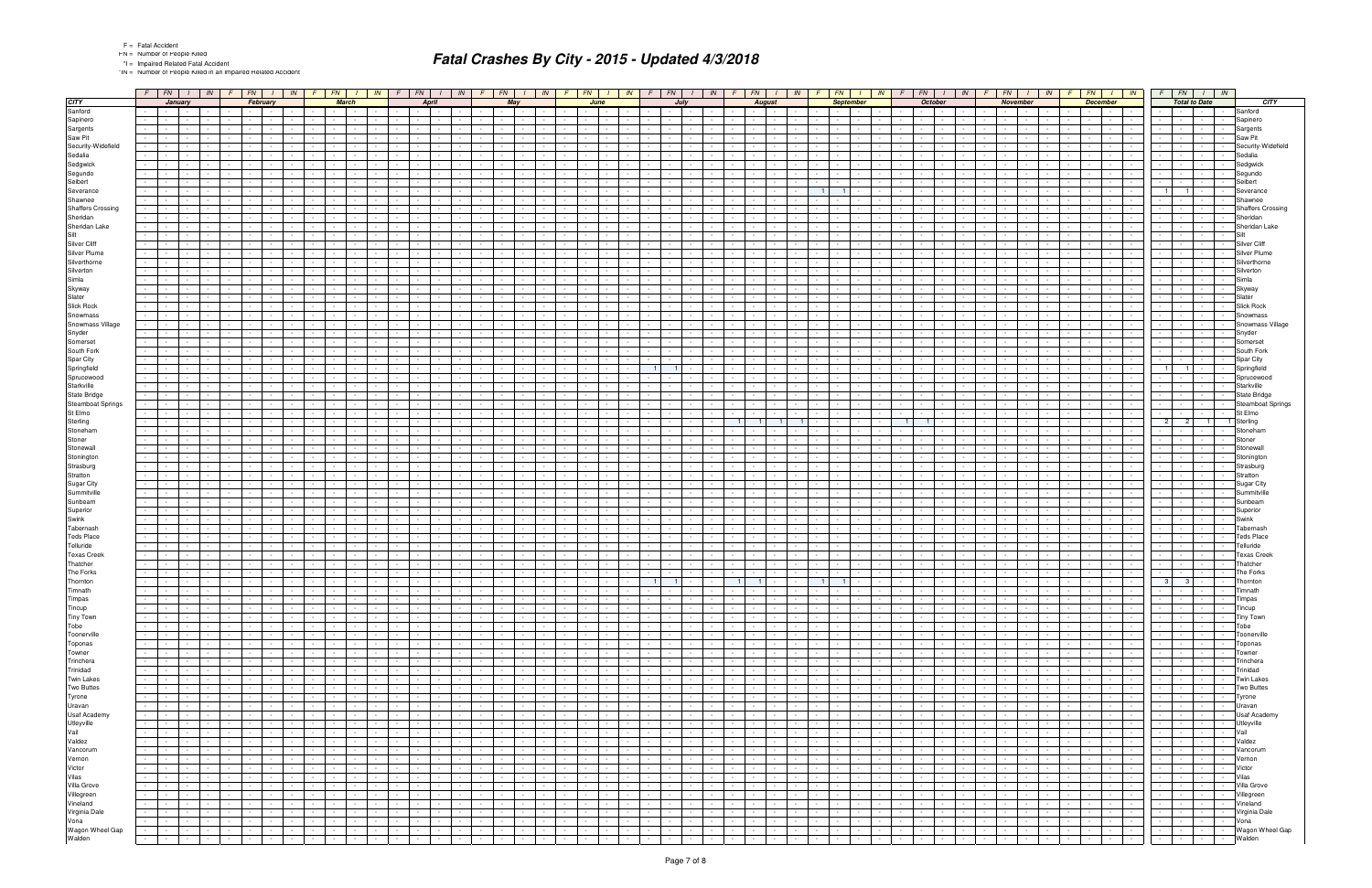\*IN = Number of People Killed in an Impaired Related Accident

|                            |                 | $F$ $F$ $N$ $I$ $N$ $F$ $F$ $N$ $I$                                                |                                |                          |                                   |                                         |                  | $\vert$ <i>IN</i> $\vert$ <i>F</i> $\vert$ <i>FN</i> $\vert$ | $\frac{1}{1}$ $\frac{1}{1}$                 |                             | $F$ $FN$                         | $1 \parallel IN$                                                                 | $F$   FN   I   IN   F   FN   I   IN                  |                                                    |                                                      |                                    |                                                                  | $F$   $FN$   $I$   $IN$  |                                                                          |                                    |                                    | $F$ $FN$ $I$ $IN$                 | - F                                                                 | $FN$   $1$       |                                            | $IN$ $F$ $FN$ |                  | $\frac{1}{1}$ IN                                                             | FN                                               |                      | IN                                         | $F$ $FN$ $I$ $N$                   |                                     |                                             | $FN$ $1$ $1N$                |                                                                                      |
|----------------------------|-----------------|------------------------------------------------------------------------------------|--------------------------------|--------------------------|-----------------------------------|-----------------------------------------|------------------|--------------------------------------------------------------|---------------------------------------------|-----------------------------|----------------------------------|----------------------------------------------------------------------------------|------------------------------------------------------|----------------------------------------------------|------------------------------------------------------|------------------------------------|------------------------------------------------------------------|--------------------------|--------------------------------------------------------------------------|------------------------------------|------------------------------------|-----------------------------------|---------------------------------------------------------------------|------------------|--------------------------------------------|---------------|------------------|------------------------------------------------------------------------------|--------------------------------------------------|----------------------|--------------------------------------------|------------------------------------|-------------------------------------|---------------------------------------------|------------------------------|--------------------------------------------------------------------------------------|
| <b>CITY</b>                |                 |                                                                                    | January                        |                          |                                   | February                                |                  |                                                              |                                             | <b>March</b>                |                                  | April                                                                            |                                                      |                                                    | May                                                  |                                    | June                                                             |                          |                                                                          | July                               |                                    |                                   | <b>August</b>                                                       |                  | <b>September</b>                           |               |                  | <b>October</b>                                                               |                                                  |                      | November                                   |                                    |                                     | <b>December</b>                             |                              | <b>Total to Date</b><br>CITY                                                         |
| Sanford                    |                 | <b>Contract</b>                                                                    | $\sim$                         |                          |                                   |                                         |                  |                                                              |                                             |                             |                                  |                                                                                  |                                                      |                                                    |                                                      |                                    |                                                                  |                          |                                                                          |                                    |                                    |                                   |                                                                     |                  |                                            |               |                  |                                                                              |                                                  |                      |                                            |                                    |                                     |                                             |                              | Sanford                                                                              |
| Sapinero                   |                 | $\sim 100$                                                                         |                                |                          |                                   |                                         |                  |                                                              |                                             |                             |                                  |                                                                                  |                                                      |                                                    |                                                      |                                    |                                                                  |                          |                                                                          |                                    |                                    |                                   |                                                                     |                  |                                            |               |                  |                                                                              |                                                  |                      |                                            |                                    |                                     |                                             |                              | Sapinero                                                                             |
| Sargents                   |                 |                                                                                    |                                |                          |                                   |                                         |                  |                                                              |                                             |                             |                                  |                                                                                  |                                                      |                                                    |                                                      |                                    |                                                                  |                          |                                                                          |                                    |                                    |                                   |                                                                     |                  |                                            |               |                  |                                                                              |                                                  |                      |                                            |                                    |                                     |                                             |                              | Sargents                                                                             |
| Saw Pit                    |                 |                                                                                    |                                |                          |                                   |                                         |                  |                                                              |                                             |                             |                                  |                                                                                  |                                                      |                                                    |                                                      |                                    |                                                                  |                          |                                                                          |                                    |                                    |                                   |                                                                     |                  |                                            |               |                  |                                                                              |                                                  |                      |                                            |                                    |                                     |                                             |                              | Saw Pit                                                                              |
| Security-Widefield         |                 |                                                                                    |                                |                          |                                   |                                         |                  |                                                              |                                             |                             |                                  |                                                                                  |                                                      |                                                    |                                                      |                                    |                                                                  |                          |                                                                          |                                    |                                    |                                   |                                                                     |                  |                                            |               |                  |                                                                              |                                                  |                      |                                            |                                    |                                     |                                             |                              | Security-Widefield                                                                   |
| Sedalia                    |                 |                                                                                    |                                |                          |                                   |                                         |                  |                                                              |                                             |                             |                                  |                                                                                  |                                                      |                                                    |                                                      |                                    |                                                                  |                          |                                                                          |                                    |                                    |                                   |                                                                     |                  |                                            |               |                  |                                                                              |                                                  |                      |                                            |                                    |                                     |                                             |                              | Sedalia                                                                              |
| Sedgwick                   |                 |                                                                                    |                                |                          |                                   |                                         |                  |                                                              |                                             |                             |                                  |                                                                                  |                                                      |                                                    |                                                      |                                    |                                                                  |                          |                                                                          |                                    |                                    |                                   |                                                                     |                  |                                            |               |                  |                                                                              |                                                  |                      |                                            |                                    |                                     |                                             |                              | Sedgwick                                                                             |
| Segundo                    |                 |                                                                                    |                                |                          |                                   |                                         |                  |                                                              |                                             |                             |                                  |                                                                                  |                                                      |                                                    |                                                      |                                    |                                                                  |                          |                                                                          |                                    |                                    |                                   |                                                                     |                  |                                            |               |                  |                                                                              |                                                  |                      |                                            |                                    |                                     |                                             |                              | Segundo                                                                              |
| Seibert                    |                 |                                                                                    |                                |                          |                                   |                                         |                  |                                                              |                                             |                             |                                  |                                                                                  |                                                      |                                                    |                                                      |                                    |                                                                  |                          |                                                                          |                                    |                                    |                                   |                                                                     |                  |                                            |               |                  |                                                                              |                                                  |                      |                                            |                                    |                                     |                                             |                              | Seibert                                                                              |
| Severance                  |                 |                                                                                    |                                |                          |                                   |                                         |                  |                                                              |                                             |                             |                                  |                                                                                  |                                                      |                                                    |                                                      |                                    |                                                                  |                          |                                                                          |                                    |                                    |                                   |                                                                     |                  | $\blacksquare$                             |               |                  |                                                                              |                                                  |                      |                                            |                                    |                                     |                                             |                              | Severance                                                                            |
| Shawnee                    |                 |                                                                                    |                                |                          |                                   |                                         |                  |                                                              |                                             |                             |                                  |                                                                                  |                                                      |                                                    |                                                      |                                    |                                                                  |                          |                                                                          |                                    |                                    |                                   |                                                                     |                  |                                            |               |                  |                                                                              |                                                  |                      |                                            |                                    |                                     |                                             |                              | Shawnee                                                                              |
| <b>Shaffers Crossing</b>   |                 |                                                                                    |                                |                          |                                   |                                         |                  |                                                              |                                             |                             |                                  |                                                                                  |                                                      |                                                    |                                                      |                                    |                                                                  |                          |                                                                          |                                    |                                    |                                   |                                                                     |                  |                                            |               |                  |                                                                              |                                                  |                      |                                            |                                    |                                     |                                             |                              | <b>Shaffers Crossing</b>                                                             |
| Sheridan                   |                 |                                                                                    |                                |                          |                                   |                                         |                  |                                                              |                                             |                             |                                  |                                                                                  |                                                      |                                                    |                                                      |                                    |                                                                  |                          |                                                                          |                                    |                                    |                                   |                                                                     |                  |                                            |               |                  |                                                                              |                                                  |                      |                                            |                                    |                                     |                                             |                              | Sheridan                                                                             |
| Sheridan Lake              |                 |                                                                                    |                                |                          |                                   |                                         |                  |                                                              |                                             |                             |                                  |                                                                                  |                                                      |                                                    |                                                      |                                    |                                                                  |                          |                                                                          |                                    |                                    |                                   |                                                                     |                  |                                            |               |                  |                                                                              |                                                  |                      |                                            |                                    |                                     |                                             |                              | Sheridan Lake                                                                        |
| Silt<br>Silver Cliff       |                 |                                                                                    |                                |                          |                                   |                                         |                  |                                                              |                                             |                             |                                  |                                                                                  |                                                      |                                                    |                                                      |                                    |                                                                  |                          |                                                                          |                                    |                                    |                                   |                                                                     |                  |                                            |               |                  |                                                                              |                                                  |                      |                                            |                                    |                                     |                                             |                              |                                                                                      |
|                            |                 |                                                                                    |                                |                          |                                   |                                         |                  |                                                              |                                             |                             |                                  |                                                                                  |                                                      |                                                    |                                                      |                                    |                                                                  |                          |                                                                          |                                    |                                    |                                   |                                                                     |                  |                                            |               |                  |                                                                              |                                                  |                      |                                            |                                    |                                     |                                             |                              | <b>Silver Cliff</b>                                                                  |
| Silver Plume               |                 |                                                                                    |                                |                          |                                   |                                         |                  |                                                              |                                             |                             |                                  |                                                                                  |                                                      |                                                    |                                                      |                                    |                                                                  |                          |                                                                          |                                    |                                    |                                   |                                                                     |                  |                                            |               |                  |                                                                              |                                                  |                      |                                            |                                    |                                     |                                             |                              | Silverthorne                                                                         |
| Silverthorne               |                 |                                                                                    |                                |                          |                                   |                                         |                  |                                                              |                                             |                             |                                  |                                                                                  |                                                      |                                                    |                                                      |                                    |                                                                  |                          |                                                                          |                                    |                                    |                                   |                                                                     |                  |                                            |               |                  |                                                                              |                                                  |                      |                                            |                                    |                                     |                                             | $\sim$                       | Silverton                                                                            |
| Silverton<br>Simla         |                 |                                                                                    |                                |                          |                                   |                                         |                  |                                                              |                                             |                             |                                  |                                                                                  |                                                      |                                                    |                                                      |                                    |                                                                  |                          |                                                                          |                                    |                                    |                                   |                                                                     |                  |                                            |               |                  |                                                                              |                                                  |                      |                                            |                                    |                                     |                                             |                              |                                                                                      |
| Skyway                     |                 |                                                                                    |                                |                          |                                   |                                         |                  |                                                              |                                             |                             |                                  |                                                                                  |                                                      |                                                    |                                                      |                                    |                                                                  |                          |                                                                          |                                    |                                    |                                   |                                                                     |                  |                                            |               |                  |                                                                              |                                                  |                      |                                            |                                    |                                     |                                             |                              | Skyway                                                                               |
| Slater                     |                 |                                                                                    |                                |                          |                                   |                                         |                  |                                                              |                                             |                             |                                  |                                                                                  |                                                      |                                                    |                                                      |                                    |                                                                  |                          |                                                                          |                                    |                                    |                                   |                                                                     |                  |                                            |               |                  |                                                                              |                                                  |                      |                                            |                                    |                                     |                                             | $\overline{\phantom{a}}$     | Slater                                                                               |
| <b>Slick Rock</b>          |                 |                                                                                    |                                |                          |                                   |                                         |                  |                                                              |                                             |                             |                                  |                                                                                  |                                                      |                                                    |                                                      |                                    |                                                                  |                          |                                                                          |                                    |                                    |                                   |                                                                     |                  |                                            |               |                  |                                                                              |                                                  |                      |                                            |                                    |                                     |                                             |                              | <b>Slick Rock</b>                                                                    |
| Snowmass                   |                 |                                                                                    |                                |                          |                                   |                                         |                  |                                                              |                                             |                             |                                  |                                                                                  |                                                      |                                                    |                                                      |                                    |                                                                  |                          |                                                                          |                                    |                                    |                                   |                                                                     |                  |                                            |               |                  |                                                                              |                                                  |                      |                                            |                                    |                                     |                                             |                              | Snowmass                                                                             |
| Snowmass Village           |                 |                                                                                    |                                |                          |                                   |                                         |                  |                                                              |                                             |                             |                                  |                                                                                  |                                                      |                                                    |                                                      |                                    |                                                                  |                          |                                                                          |                                    |                                    |                                   |                                                                     |                  |                                            |               |                  |                                                                              |                                                  |                      |                                            |                                    |                                     |                                             |                              | Snowmass Village                                                                     |
| Snyder                     |                 |                                                                                    |                                |                          |                                   |                                         |                  |                                                              |                                             |                             |                                  |                                                                                  |                                                      |                                                    |                                                      |                                    |                                                                  |                          |                                                                          |                                    |                                    |                                   |                                                                     |                  |                                            |               |                  |                                                                              |                                                  |                      |                                            |                                    |                                     |                                             |                              | Snyder                                                                               |
| Somerset                   |                 |                                                                                    |                                |                          |                                   |                                         |                  |                                                              |                                             |                             |                                  |                                                                                  |                                                      |                                                    |                                                      |                                    |                                                                  |                          |                                                                          |                                    |                                    |                                   |                                                                     |                  |                                            |               |                  |                                                                              |                                                  |                      |                                            |                                    |                                     |                                             |                              | Somerse                                                                              |
| South Fork                 |                 |                                                                                    |                                |                          |                                   |                                         |                  |                                                              |                                             |                             |                                  |                                                                                  |                                                      |                                                    |                                                      |                                    |                                                                  |                          |                                                                          |                                    |                                    |                                   |                                                                     |                  |                                            |               |                  |                                                                              |                                                  |                      |                                            |                                    |                                     |                                             |                              | South Fork                                                                           |
| Spar City                  |                 |                                                                                    |                                |                          |                                   |                                         |                  |                                                              |                                             |                             |                                  |                                                                                  |                                                      |                                                    |                                                      |                                    |                                                                  |                          |                                                                          |                                    |                                    |                                   |                                                                     |                  |                                            |               |                  |                                                                              |                                                  |                      |                                            |                                    |                                     |                                             |                              | Spar City                                                                            |
| Springfield                |                 |                                                                                    |                                |                          |                                   |                                         |                  |                                                              |                                             |                             |                                  |                                                                                  |                                                      |                                                    |                                                      |                                    |                                                                  |                          |                                                                          |                                    |                                    |                                   |                                                                     |                  |                                            |               |                  |                                                                              |                                                  |                      |                                            |                                    |                                     |                                             |                              | Springfield                                                                          |
| Sprucewood                 |                 |                                                                                    |                                |                          |                                   |                                         |                  |                                                              |                                             |                             |                                  |                                                                                  |                                                      |                                                    |                                                      |                                    |                                                                  |                          |                                                                          |                                    |                                    |                                   |                                                                     |                  |                                            |               |                  |                                                                              |                                                  |                      |                                            |                                    |                                     |                                             |                              | Sprucewooc                                                                           |
| Starkville                 |                 |                                                                                    |                                |                          |                                   |                                         |                  |                                                              |                                             |                             |                                  |                                                                                  |                                                      |                                                    |                                                      |                                    |                                                                  |                          |                                                                          |                                    |                                    |                                   |                                                                     |                  |                                            |               |                  |                                                                              |                                                  |                      |                                            |                                    |                                     |                                             |                              | Starkville                                                                           |
| State Bridge               |                 |                                                                                    |                                |                          |                                   |                                         |                  |                                                              |                                             |                             |                                  |                                                                                  |                                                      |                                                    |                                                      |                                    |                                                                  |                          |                                                                          |                                    |                                    |                                   |                                                                     |                  |                                            |               |                  |                                                                              |                                                  |                      |                                            |                                    |                                     |                                             |                              | State Bridge                                                                         |
| <b>Steamboat Springs</b>   |                 |                                                                                    |                                |                          |                                   |                                         |                  |                                                              |                                             |                             |                                  |                                                                                  |                                                      |                                                    |                                                      |                                    |                                                                  |                          |                                                                          |                                    |                                    |                                   |                                                                     |                  |                                            |               |                  |                                                                              |                                                  |                      |                                            |                                    |                                     |                                             |                              | <b>Steamboat Springs</b>                                                             |
| St Elmo                    |                 |                                                                                    |                                |                          |                                   |                                         |                  |                                                              |                                             |                             |                                  |                                                                                  |                                                      |                                                    |                                                      |                                    |                                                                  |                          |                                                                          |                                    |                                    |                                   |                                                                     |                  |                                            |               |                  |                                                                              |                                                  |                      |                                            |                                    |                                     |                                             |                              | St Elmo                                                                              |
| Sterling                   |                 |                                                                                    |                                |                          |                                   |                                         |                  |                                                              |                                             |                             |                                  |                                                                                  |                                                      |                                                    |                                                      |                                    |                                                                  |                          |                                                                          |                                    |                                    |                                   |                                                                     |                  |                                            |               |                  |                                                                              |                                                  |                      |                                            |                                    |                                     |                                             |                              | 1 Sterlina                                                                           |
| Stoneham                   |                 |                                                                                    |                                |                          |                                   |                                         |                  |                                                              |                                             |                             |                                  |                                                                                  |                                                      |                                                    |                                                      |                                    |                                                                  |                          |                                                                          |                                    |                                    |                                   |                                                                     |                  |                                            |               |                  |                                                                              |                                                  |                      |                                            |                                    |                                     |                                             |                              | Stoneham                                                                             |
| Stoner                     |                 |                                                                                    |                                |                          |                                   |                                         |                  |                                                              |                                             |                             |                                  |                                                                                  |                                                      |                                                    |                                                      |                                    |                                                                  |                          |                                                                          |                                    |                                    |                                   |                                                                     |                  |                                            |               |                  |                                                                              |                                                  |                      |                                            |                                    |                                     |                                             |                              | Stone                                                                                |
| Stonewall                  |                 |                                                                                    |                                |                          |                                   |                                         |                  |                                                              |                                             |                             |                                  |                                                                                  |                                                      |                                                    |                                                      |                                    |                                                                  |                          |                                                                          |                                    |                                    |                                   |                                                                     |                  |                                            |               |                  |                                                                              |                                                  |                      |                                            |                                    |                                     |                                             |                              | Stonewa                                                                              |
| Stonington                 |                 |                                                                                    |                                |                          |                                   |                                         |                  |                                                              |                                             |                             |                                  |                                                                                  |                                                      |                                                    |                                                      |                                    |                                                                  |                          |                                                                          |                                    |                                    |                                   |                                                                     |                  |                                            |               |                  |                                                                              |                                                  |                      |                                            |                                    |                                     |                                             |                              | Stoningto                                                                            |
| Strasburg                  |                 |                                                                                    |                                |                          |                                   |                                         |                  |                                                              |                                             |                             |                                  |                                                                                  |                                                      |                                                    |                                                      |                                    |                                                                  |                          |                                                                          |                                    |                                    |                                   |                                                                     |                  |                                            |               |                  |                                                                              |                                                  |                      |                                            |                                    |                                     |                                             |                              | Strasburg                                                                            |
| Stratton                   |                 |                                                                                    |                                |                          |                                   |                                         |                  |                                                              |                                             |                             |                                  |                                                                                  |                                                      |                                                    |                                                      |                                    |                                                                  |                          |                                                                          |                                    |                                    |                                   |                                                                     |                  |                                            |               |                  |                                                                              |                                                  |                      |                                            |                                    |                                     |                                             |                              | Stratton                                                                             |
| Sugar City                 |                 |                                                                                    |                                |                          |                                   |                                         |                  |                                                              |                                             |                             |                                  |                                                                                  |                                                      |                                                    |                                                      |                                    |                                                                  |                          |                                                                          |                                    |                                    |                                   |                                                                     |                  |                                            |               |                  |                                                                              |                                                  |                      |                                            |                                    |                                     |                                             |                              | Sugar City                                                                           |
| Summitville                |                 |                                                                                    |                                |                          |                                   |                                         |                  |                                                              |                                             |                             |                                  |                                                                                  |                                                      |                                                    |                                                      |                                    |                                                                  |                          |                                                                          |                                    |                                    |                                   |                                                                     |                  |                                            |               |                  |                                                                              |                                                  |                      |                                            |                                    |                                     |                                             |                              | Summitvill                                                                           |
| Sunbeam                    |                 |                                                                                    |                                |                          |                                   |                                         |                  |                                                              |                                             |                             |                                  |                                                                                  |                                                      |                                                    |                                                      |                                    |                                                                  |                          |                                                                          |                                    |                                    |                                   |                                                                     |                  |                                            |               |                  |                                                                              |                                                  |                      |                                            |                                    |                                     |                                             |                              | Sunbeam                                                                              |
| Superior                   |                 |                                                                                    |                                |                          |                                   |                                         |                  |                                                              |                                             |                             |                                  |                                                                                  |                                                      |                                                    |                                                      |                                    |                                                                  |                          |                                                                          |                                    |                                    |                                   |                                                                     |                  |                                            |               |                  |                                                                              |                                                  |                      |                                            |                                    |                                     |                                             |                              | Superior                                                                             |
| Swink                      |                 |                                                                                    |                                |                          |                                   |                                         |                  |                                                              |                                             |                             |                                  |                                                                                  |                                                      |                                                    |                                                      |                                    |                                                                  |                          |                                                                          |                                    |                                    |                                   |                                                                     |                  |                                            |               |                  |                                                                              |                                                  |                      |                                            |                                    |                                     |                                             |                              | Swink                                                                                |
| Tabernash                  |                 |                                                                                    |                                |                          |                                   |                                         |                  |                                                              |                                             |                             |                                  |                                                                                  |                                                      |                                                    |                                                      |                                    |                                                                  |                          |                                                                          |                                    |                                    |                                   |                                                                     |                  |                                            |               |                  |                                                                              |                                                  |                      |                                            |                                    |                                     |                                             |                              | Tabernash                                                                            |
| <b>Teds Place</b>          |                 |                                                                                    |                                |                          |                                   |                                         |                  |                                                              |                                             |                             |                                  |                                                                                  |                                                      |                                                    |                                                      |                                    |                                                                  |                          |                                                                          |                                    |                                    |                                   |                                                                     |                  |                                            |               |                  |                                                                              |                                                  |                      |                                            |                                    |                                     |                                             |                              | <b>Teds Place</b>                                                                    |
| Telluride                  |                 |                                                                                    |                                |                          |                                   |                                         |                  |                                                              |                                             |                             |                                  |                                                                                  |                                                      |                                                    |                                                      |                                    |                                                                  |                          |                                                                          |                                    |                                    |                                   |                                                                     |                  |                                            |               |                  |                                                                              |                                                  |                      |                                            |                                    |                                     |                                             |                              | Telluride                                                                            |
| <b>Texas Creek</b>         |                 |                                                                                    |                                |                          |                                   |                                         |                  |                                                              |                                             |                             |                                  |                                                                                  |                                                      |                                                    |                                                      |                                    |                                                                  |                          |                                                                          |                                    |                                    |                                   |                                                                     |                  |                                            |               |                  |                                                                              |                                                  |                      |                                            |                                    |                                     |                                             |                              | <b>Texas Creek</b>                                                                   |
| Thatcher                   |                 |                                                                                    |                                |                          |                                   |                                         |                  |                                                              |                                             |                             |                                  |                                                                                  |                                                      |                                                    |                                                      |                                    |                                                                  |                          |                                                                          |                                    |                                    |                                   |                                                                     |                  |                                            |               |                  |                                                                              |                                                  |                      |                                            |                                    |                                     |                                             |                              | Thatcher                                                                             |
| The Forks                  |                 |                                                                                    |                                |                          |                                   |                                         |                  |                                                              |                                             |                             |                                  |                                                                                  |                                                      |                                                    |                                                      |                                    |                                                                  |                          |                                                                          |                                    |                                    |                                   |                                                                     |                  |                                            |               |                  |                                                                              |                                                  |                      |                                            |                                    |                                     |                                             |                              | The Forks                                                                            |
| Thornton                   |                 | <b>Contract Contract</b>                                                           | $\sim$                         |                          |                                   |                                         |                  |                                                              |                                             |                             |                                  |                                                                                  |                                                      |                                                    |                                                      |                                    |                                                                  |                          | $\overline{1}$<br>$\overline{1}$                                         |                                    | 1 <sup>1</sup>                     | $\blacksquare$ 1                  |                                                                     |                  | 1 <sup>1</sup>                             |               |                  |                                                                              |                                                  |                      |                                            |                                    |                                     |                                             |                              | 3 <sup>1</sup><br>3<br>Thornton                                                      |
| Timnath                    | $\sim$          | <b>Service State</b>                                                               |                                |                          |                                   | $\sim$                                  |                  |                                                              |                                             |                             |                                  |                                                                                  | the contract of the con-                             | the contract of the con-<br>and the state          |                                                      |                                    | $\sim$ $\sim$ $\sim$ $\sim$                                      |                          |                                                                          |                                    | <b>Province</b><br>$\sim$          | the contract of the con-          | $\mathbf{I}$ and $\mathbf{I}$                                       |                  |                                            |               |                  | .                                                                            |                                                  |                      |                                            |                                    | the contract of                     | $\sim$ $\sim$ $\sim$                        | $\sim$                       | limnath<br>$\overline{\phantom{a}}$<br>$\frac{1}{\sqrt{2}}$ .<br>Timpas              |
| Timpas<br>Tincup           | $\sim 10^{-11}$ | <b>Contract Contract Contract</b>                                                  | $\sim 10^{-1}$<br>المحال الجال | $\sim 10^{-11}$          | $\sim 10^{-1}$                    | <b>Contract Contract</b>                |                  | $\sim$                                                       | $\sim 10^{-11}$<br>the contract of the con- | $\sim$ $-$<br>$\sim$        | $\sim 10^{-1}$<br>$\sim 10^{-1}$ | $\sim 10^{-1}$<br><b>Contract Contract</b><br>the contract of<br><b>Contract</b> | $\sim 10^{-10}$<br><b>Contract Contract Contract</b> | and the state                                      | <b>Contract Contract</b><br><b>Contract Contract</b> | $\sim 10^{-10}$<br><b>Contract</b> | $\sim$<br>$\sim$ $\sim$ $\sim$<br>$\sim$<br>$\sim$ $\sim$ $\sim$ | $\sim 10^{-1}$<br>$\sim$ | $\sim 10^{-11}$<br>$\sim$ $\sim$<br>$\sim 10^{-1}$<br><b>State State</b> | $\sim 10^{-10}$<br>the contract of | $\sim 100$<br>$\sim 10^{-11}$      | <b>Contractor</b>                 | and the control<br><b>Contract</b><br><b>Contract</b><br>$\sim 100$ | $\sim$<br>$\sim$ | <b>Service</b><br><b>Contract Contract</b> | $\sim$        | $\sim$<br>$\sim$ | <b>Contract Contract</b><br>$\sim 10^{-11}$<br>$\mathbf{I}$ and $\mathbf{I}$ | $\sim 10^{-11}$<br>$\sim$ $-$<br>the contract of | $\sim 10^{-11}$      | $\sim 100$<br>and the contract of the con- | $\sim 10^{-11}$<br>$\sim 10^{-11}$ | <b>Carl Park</b><br>the contract of | <b>Contract</b><br><b>Contract Contract</b> | $\sim$                       | $\sim 10^{-1}$<br>जिल्लामा<br>$\sim 10^{-1}$                                         |
| Tiny Town                  | $\sim$ $ -$     |                                                                                    | <b>Contract Contract</b>       | $\sim 10^{-11}$          | <b>Contract Contract Contract</b> | $\sim$                                  | $\sim 10^{-11}$  |                                                              | <b>Second Second</b>                        | the contract of             |                                  | <b>CALL CALL</b>                                                                 | $\sim$ $\sim$ $\sim$<br>$\sim 100$                   | <b>Contract Contract</b>                           | <b>Contract Contract</b>                             | $\sim 10^{-10}$                    | $\sim$                                                           | <b>Committee</b>         | $\sim$ $\sim$<br>$\sim 10^{-11}$                                         | <b>Contract Contract</b>           | $\sim 10^{-11}$                    |                                   | and the contract of the contract of the con-                        | $\sim$           | <b>Contract Contract</b>                   | $\sim$        | $\sim$           | 1994 - 1994 - 1995                                                           |                                                  | $\sim$ $\sim$ $\sim$ | <b>Contract Contract Contract</b>          | $\sim 10^{-10}$                    | <b>Contract Contract</b>            |                                             | <b>Contract Contract</b>     | Tincup<br>$-1 - 1 - 1 - 1 -$<br><b>Tiny Town</b>                                     |
| Tobe                       |                 | the contract of the contract of the con-                                           |                                | <b>Contract Contract</b> | the contract of                   | $\sim$ $-$                              | $\sim$           |                                                              | the contract of                             | <b>Service</b>              | $\sim 10^{-11}$                  | the contract of                                                                  | <b>Contract Contract Contract</b><br><b>Contract</b> | <b>Contract Contract</b>                           | the contract of                                      | <b>Contract Contract</b>           | $\sim$                                                           | the contract of          | $\sim 10^{-1}$<br><b>Contract Contract</b>                               | <b>Contract Contract</b>           | $\sim$                             |                                   | <b>Contract Contract</b><br><b>Contract</b>                         | $\sim$           | <b>Contract Contract</b>                   |               | $\sim$           | $\sim 10^{-11}$<br>$\sim$ $\sim$ $\sim$ $\sim$                               | $\sim 100$<br>$\sim 10^{-11}$                    |                      | <b>Contract Contract</b>                   | $\sim 10^{-11}$                    | <b>Contract Contract</b>            |                                             | $\sim$ $\sim$                | $\sim 10^{-1}$<br>Tobe<br>1999 - Personal Property Corp.<br><b>Contract Contract</b> |
| Toonerville                | $\sim 100$      |                                                                                    | the company                    |                          | the contract of                   |                                         |                  | $\sim$                                                       | $\sim 10^{-11}$                             | $\sim$                      | $\sim 10^{-11}$                  | the contract of                                                                  | $\sim 10^{-11}$<br>$\sim$ $-$                        | $\sim 100$                                         | the control of the                                   |                                    | $ -$<br>$\sim$                                                   | $\sim$ $-$               | $\sim 100$<br>$\sim$ $-$                                                 | $\sim$ $\sim$ $\sim$               | $\sim 100$<br>$\sim 10^{-1}$       | the contract of                   | $\sim 100$                                                          | $\sim$           | <b>Contract Contract</b>                   |               | $\sim$           | <b>Contract Contract</b><br>$\sim$ $-$                                       | $\sim 100$                                       | $\sim$ $\sim$ $\sim$ | $\sim 100$                                 | $\sim 10^{-11}$                    | the contract of                     | $\sim 10^{-10}$                             | $\sim 10^{-1}$               | Toonerville<br>$\sim 10^{-11}$<br>$\sim$<br>and the state of the state               |
| Toponas                    |                 | <b>All All An</b>                                                                  |                                | $\sim 10^{-11}$          | the contract of the con-          | $\sim$                                  |                  |                                                              | <b>Second Control</b>                       | $\sim$ $\sim$ $\sim$        | $\sim 100$                       | <b>Contract Contract</b>                                                         | the contract of                                      | <b>Contract Contract</b>                           | the control of the                                   | <b>Contract</b>                    | $\sim$                                                           | the contract of          | $\sim 10^{-10}$<br>$\sim 10^{-1}$                                        | <b>Contract Contract</b>           | $\sim 10^{-1}$                     |                                   | and the contract                                                    | $\sim$           | the contract of                            |               | $\sim$           | $1 - 1 - 1$                                                                  | $\sim 10^{-11}$<br>$\sim$ $-$                    |                      | <b>Contract Contract</b>                   | $\sim 10^{-11}$                    | <b>Contract Contract</b>            |                                             | <b>Contract Contract</b>     | $\sim 10^{-10}$<br>$\sim 10^{-11}$<br>Toponas<br><b><i>Property Security</i></b>     |
| Towner                     | $\sim$          |                                                                                    | and the state                  | $\sim$ $-$               | $\sim$                            | $\mathbf{I}$<br>$\sim$                  |                  | $\sim$                                                       | $\sim 10^{-11}$                             | <b>Contract</b>             | $\sim 10^{-1}$                   | $\sim$ $-$<br>$\sim 10^{-11}$<br><b>Contract</b>                                 | $\sim 10^{-1}$                                       | $\sim$ $\sim$ $\sim$<br>$\sim 10^{-11}$            | <b>Contract Contract</b>                             |                                    | $\sim$<br>$\sim 10^{-11}$                                        | $\sim$                   | $\sim 10^{-11}$<br>$\sim 10^{-1}$                                        | $\sim 100$                         | $\sim$ $-$<br>$\sim 10^{-1}$       | <b>Contract</b>                   | $\sim 10^{-11}$<br>$\sim 100$                                       | $\sim$           | and the state                              |               |                  | $\sim$<br>$\sim 10^{-11}$                                                    | $\sim 10^{-11}$<br>$\sim$                        | $\sim$ $ -$          | $\sim 10^{-1}$                             | $\sim 10^{-1}$                     | <b>Contract Contract</b>            | <b>Contract</b>                             | $\sim$ $\sim$                | $\sim$ $\sim$ $\sim$ $\sim$<br>Towner<br>$\sim$<br>$\sim 10^{-1}$<br><b>Contract</b> |
| Trinchera                  | $\sim 100$      |                                                                                    | the contract of the con-       |                          | $\sim$ $-$                        | $\mathbf{I}$                            |                  |                                                              | $\sim$ $-$                                  | $\sim$                      | $\sim$ $-$                       | the contract of<br><b>Contract Contract</b>                                      | $\sim$ $-$                                           | <b>Contract</b><br>$\sim 10^{-1}$                  | the contract                                         |                                    | $\sim$<br>$\sim$ $\sim$ $\sim$                                   | $\sim$ $-$               | $\sim$<br>$\sim$ $-$                                                     | $\sim$ $\sim$ $\sim$               | $\sim$ 10 $\pm$<br>$\sim 10^{-1}$  | <b>Contract Contract Contract</b> | $\sim 100$ m $^{-1}$<br>$\sim 100$                                  | $\sim$           | <b>Contract Contract</b>                   |               |                  | <b>Contract</b><br>$\sim$ $-$                                                | $\sim 10^{-11}$                                  | <b>Contract</b>      | $\sim 100$                                 | $\sim 10^{-11}$                    | the contract of                     | $\sim 10^{-11}$                             | $\sim 10^{-1}$               | Trinchera<br>$\sim$<br><b>Contract Contract</b>                                      |
| Trinidad                   |                 | $-1 - 1 - 1 - 1$                                                                   |                                | $\sim$ 100 $\pm$         | the contract of the contract of   |                                         |                  | $\sim$                                                       | $\sim 10^{-11}$                             | $\sim$ $\sim$ $\sim$        | $\sim 10^{-1}$                   | the contract of                                                                  | $\sim 10^{-10}$<br>$\sim 10^{-11}$                   | <b>Contract Contract</b>                           | the control of the                                   | <b>Contract Contract</b>           | $\sim$                                                           | the company              | $\sim 10^{-11}$<br>$\sim 10^{-1}$                                        | <b>Contract Contract</b>           | $\sim$                             |                                   | and the control<br>$\sim 100$                                       | $\sim$           | <b>Contract Contract</b>                   |               | $\sim$           | $\sim$ $-$                                                                   | $\sim 10^{-1}$                                   |                      | the contract of                            | $\sim 10^{-11}$                    | <b>Service State</b>                | $\sim 10^{-10}$                             | $\sim 10^{-1}$               | Trinidad<br>$\sim$<br><b><i>Property Security</i></b>                                |
| <b>Twin Lakes</b>          | $\sim 100$      |                                                                                    | and the state                  | $\sim 10^{-11}$          | $\sim$ $-$                        | $\mathbf{1}$ and $\mathbf{1}$<br>$\sim$ |                  | $\sim$                                                       | $\sim 10^{-11}$                             | $\sim$ $\sim$ $\sim$        | $\sim 10^{-1}$                   | $\sim$ $-$<br>$\sim 10^{-11}$                                                    | $\sim 10^{-11}$<br>$\sim$ $-$                        | <b>Contract</b><br>$\sim 10^{-1}$                  | and the state                                        |                                    | $\sim$<br>$\sim$ $\sim$ $\sim$                                   | $\sim 10^{-1}$           | $\sim 10^{-11}$<br>$\sim 10^{-1}$                                        | $\sim 100$                         | $\sim$<br>$\sim 10^{-1}$           | <b>Contract</b>                   | $\sim 10^{-11}$<br>$\sim$ 100 $\pm$                                 | $\sim$           | and the state                              |               |                  | $\sim$ $-$<br><b>Contract</b>                                                | $\sim 10^{-11}$                                  | $\sim$ $ -$          | $\sim 10^{-1}$                             | $\sim$ $-$                         | the contract of                     | <b>Contract</b>                             | , Т.,                        | <b>Twin Lakes</b><br>$\sim$<br><b>Contract Contract</b>                              |
| Two Buttes                 |                 | $\overline{1}$ , $\overline{1}$ , $\overline{1}$ , $\overline{1}$ , $\overline{1}$ |                                | $\sim$ $-$               | $\sim$                            | $\mathbf{1}$ and $\mathbf{1}$<br>$\sim$ |                  | $\sim$                                                       | <b>Contract</b>                             | <b>Service</b>              | $\sim$ 100 $\pm$                 | the contract of the con-                                                         | <b>Service</b><br>$\sim 100$                         | <b>Contract Contract</b><br>$\sim 100$             | the contract of                                      |                                    | $\sim$<br>$\sim$ $\sim$                                          | $\sim$                   | $\sim$ $-$<br>$\sim$ $-$                                                 | $\sim$ $\sim$ $\sim$               | $\sim 10^{-1}$<br>$\sim$ 100 $\pm$ | the contract of the con-          | $\sim 100$                                                          | $\sim$           | the contract of                            |               |                  | <b>Contract Contract</b>                                                     | $\sim 10^{-11}$                                  |                      | the contract of the                        | $\sim 10^{-11}$                    | the contract of                     | <b>Contract Contract</b>                    | $\sim 10^{-1}$               | <b>Two Buttes</b><br><b>Contract</b><br>$\sim$<br>the contract of the con-           |
| Tyrone                     |                 |                                                                                    | the contract of                |                          | the contract of                   |                                         |                  | $\sim$                                                       | $\sim 10^{-11}$                             | $\sim$                      | $\sim$ $-$                       | $\sim$ $-$<br>$\sim 100$                                                         | $\sim$ $-$                                           | the contract of                                    | <b>Contract Contract</b>                             |                                    | $\sim$<br><b>Contract</b>                                        | $\sim$ $\sim$            | <b>Service</b><br>$\sim$ $-$                                             | $\sim$ $\sim$ $\sim$               | $\sim 10^{-1}$<br>$\sim$ 10 $\pm$  | $\sim 10^{-10}$                   | $\sim 100$<br>$\sim 100$                                            | $\sim$           | <b>Contract Contract</b>                   |               |                  | $\sim$<br><b>Contract</b>                                                    | $\sim 10^{-11}$                                  | $\sim$ $\sim$ $\sim$ | $\sim 100$                                 |                                    | the contract of                     | <b>Contract</b>                             | $\sim 10^{-1}$               | Tyrone<br><b>Contract</b><br>$\sim 100$<br>$\sim$ $\sim$ $\sim$ $\sim$<br>$\sim$     |
| Uravan                     |                 | the contract of the contract of the con-                                           |                                | $\sim 10^{-11}$          |                                   | $\sim$                                  |                  |                                                              | $\mathbf{L} = \mathbf{L}$                   | <b>Service</b> Service      |                                  | the contract of                                                                  | $\sim$ $-$<br><b>Contract Contract</b>               | $\sim$ $\sim$ $\sim$<br>$\sim 100$                 | and the state                                        |                                    | $\sim$                                                           | <b>Contract Contract</b> | $\sim 10^{-11}$<br>$\sim$                                                | the contract of                    | $\sim 10^{-1}$                     |                                   | and the contract<br>$\sim$ 100 $\mu$                                | $\sim$           | <b>Contract Contract</b>                   |               |                  | $\mathbf{1}$ and $\mathbf{1}$                                                | the contract of                                  |                      | <b>Service</b> Service                     | $\sim 10^{-11}$                    | and the state                       |                                             |                              | .<br>Uravan                                                                          |
|                            |                 | <b>All All An</b>                                                                  |                                | <b>Contract Contract</b> | the contract of the contract of   | $\sim$ $-$                              | $\sim$ 100 $\mu$ | $\sim$                                                       | $\sim$ $-$                                  |                             | $\sim 10^{-11}$                  | the contract of                                                                  | $\sim 10^{-11}$<br><b>Contract Contract</b>          | $\sim 10^{-11}$<br><b>Contract Contract Street</b> | <b>Contract Contract</b>                             | <b>Contract Contract</b>           | $\sim$<br>$ -$                                                   | $\sim$ $-$               | $\sim 10^{-11}$<br>$\sim$ $-$                                            | <b>Service</b>                     | $\sim$ $-$                         |                                   | and the control<br>$\sim 100$                                       | $\sim$           | <b>Service</b>                             |               | $\sim$           | $\sim$ $\sim$ $\sim$<br><b>Contract Contract</b>                             | $\sim 10^{-11}$                                  |                      | the contract of                            | $\sim 10^{-1}$                     | <b>Contract Contract</b>            | $\sim 10^{-10}$                             | in 1                         | <b>Usaf Academy</b><br>$-1 - 1 - 1 -$<br><b>Contract</b>                             |
| Usaf Academy<br>Utleyville |                 | <b>All All All</b>                                                                 |                                | <b>Contract Contract</b> | <b>Contract Contract</b>          |                                         |                  | $\sim$                                                       | $\sim 100$                                  | $\sim$                      | $\sim$ $-$                       | <b>Contract Contract</b><br>$\sim 100$                                           | $\sim$ $-$                                           | the contract of                                    | the contract of                                      |                                    | $\sim$<br>$ -$                                                   | $\sim$ $-$               | <b>Contract Contract</b><br>$\sim$ $-$                                   | the contract                       | $\sim 10^{-1}$                     | <b>Service</b>                    | $\sim 100$ km s $^{-1}$<br>$\sim$                                   | $\sim$           | the contract of the con-                   |               |                  | <b>Contract</b><br>$\sim$ $-$                                                | $\sim 10^{-11}$                                  |                      | the control of the                         | $\sim 10^{-11}$                    | the contract of                     |                                             | the contract                 | Utleyville<br>.                                                                      |
| Vail                       | $\sim 10^{-11}$ |                                                                                    | and the property of the con-   | $\sim 10^{-11}$          | <b>Contract Contract Contract</b> |                                         |                  | $\sim$                                                       | $\sim 10^{-11}$                             | $\sim$                      | $\sim 10^{-11}$                  | the contract of                                                                  | $\sim 10^{-10}$<br>$\sim$ $-$                        | $\sim 10^{-1}$                                     | and the state                                        |                                    | <b>Service</b>                                                   | $\sim$ $-$               | <b>Service</b><br>$\sim$ $-$                                             | $\sim$ $\sim$ $\sim$               | $\sim 10^{-1}$<br>$\sim 100$       | the contract of                   | $\sim 100$                                                          | $\sim$           | and the property of the con-               |               |                  | $\sim$ $-$<br><b>Contract Contract</b>                                       | $\sim 10^{-11}$                                  | $\sim$ $\sim$ $\sim$ | $\sim 100$                                 | $\sim 10^{-11}$                    | the contract of                     | <b>Contract Contract</b>                    | $\sim 10^{-1}$               | Vail<br>the contract of the contract of                                              |
| Valdez                     |                 | the property of the con-                                                           |                                | $\sim 10^{-11}$          | the contract of                   | $\sim$                                  | $\sim$ 100 $\mu$ | $\sim$                                                       | $\sim$ $-$                                  |                             | $\sim 10^{-11}$                  | the contract of                                                                  | $\sim$ $-$<br>$\sim 10^{-11}$                        | <b>Contract Contract</b>                           | <b>Contract Contract</b>                             | <b>Contract Contract</b>           | $\sim$                                                           | the control of the       | $\sim$ $-$<br>$\sim$ $-$                                                 | <b>Service</b>                     | $\sim$ $-$                         |                                   | <b>Contract Contract</b><br>$\sim 100$                              | $\sim$           | <b>Service</b>                             |               | $\sim$           | $\sim$ $\sim$ $\sim$<br><b>Service</b>                                       | $\sim 10^{-11}$<br>$\sim$ $\sim$                 |                      | the contract of                            | $\sim 10^{-1}$                     | <b>Contract Contract</b>            |                                             | and the state                | Valdez<br>$\sim 10^{-11}$<br>$\sim$ $\sim$ $\sim$ $\sim$<br><b>Contractor</b>        |
| Vancorum                   |                 | the contract of the contract of the                                                |                                | <b>Contract Contract</b> | <b>Contract Contract</b>          |                                         |                  | $\sim$                                                       | $\sim 100$                                  | $\sim$                      | $\sim$ $-$                       | <b>Committee</b><br>$\sim 100$                                                   | $\sim$ $-$                                           | the contract of                                    | the contract of the con-                             |                                    | $\sim$<br>$ -$                                                   | $\sim$ $-$               | <b>Contract Contract</b><br>$\sim 100$                                   | the contract                       | $\sim$                             | <b>Contract Contract</b>          | $\sim 100$ km s $^{-1}$<br>$\sim 100$                               | $\sim$           | the contract of the con-                   |               |                  | <b>Contract</b><br>$\sim$ $-$                                                | $\sim 10^{-11}$                                  |                      | the control of the                         |                                    | the contract of                     |                                             | the contract                 | Vancorum                                                                             |
| Vernon                     | $\sim 100$      |                                                                                    | the company                    | $\sim 10^{-11}$          | $\sim$ $-$                        | $\mathbf{I}$ and $\mathbf{I}$           |                  | $\sim$                                                       | $\sim 10^{-11}$                             | $\sim$                      | $\sim 10^{-11}$                  | the contract of                                                                  | $\sim 10^{-10}$<br>$\sim 10^{-11}$                   | $\sim 10^{-1}$                                     | $\sim 100$                                           |                                    | <b>Service</b><br>$\sim$                                         | $\sim$ $-$               | $\sim$ $-$<br>$\sim$ $-$                                                 | $\sim$ $\sim$ $\sim$               | $\sim 10^{-1}$<br>$\sim 100$       | the contract of                   | $\sim 100$                                                          | $\sim$           | <b>Contract Contract</b>                   |               |                  | $\sim 100$<br>$\sim$ $-$                                                     | $\sim 10^{-11}$                                  | <b>Contract</b>      | $\sim 100$                                 | $\sim 10^{-11}$                    | the contract of                     | <b>Contract Contract</b>                    | $\sim$                       | Vernon<br>$\sim 10^{-11}$<br><b>Contract Contract</b>                                |
| Victor                     |                 |                                                                                    |                                | $\sim 10^{-11}$          | the contract of the con-          | $\sim$                                  | <b>Service</b>   | $\sim$                                                       | $\sim$ $-$                                  | $\sim$ $\sim$ $\sim$        | $\sim 10^{-11}$                  | <b>Service Control</b>                                                           | $\sim$ $-$<br>$\sim 100$                             | <b>Service</b> Service                             | <b>Contract Contract</b>                             |                                    | $\sim$                                                           | the contract             | $\sim 10^{-1}$<br>$\sim 100$                                             | and the state                      | $\sim$ $-$                         |                                   | and the contract                                                    | $\sim$           | <b>Contract Contract</b>                   |               | $\sim$           | $\sim$ $\sim$ $\sim$ $\sim$<br>$\sim 100$                                    | $\sim 10^{-11}$                                  |                      | the contract of                            | $\sim 10^{-11}$                    | <b>Contract Contract</b>            |                                             | and the state                | the contract of the con-<br>Victor                                                   |
| Vilas                      | $\sim 10^{-11}$ |                                                                                    | and the property of the con-   | <b>Contract</b>          | the contract of                   | $\sim$                                  |                  | $\sim$                                                       | $\sim$ $-$                                  | $\sim$                      | $\sim 10^{-11}$                  | $\sim$ $-$<br>$\sim 10^{-11}$<br>$\sim 100$                                      | $\sim$                                               | $\sim 10^{-11}$<br><b>Service</b>                  | <b>Contract Contract</b><br>$\sim 10^{-1}$           |                                    | <b>Service</b><br>$\sim$                                         | $\sim$ $\sim$            | $\sim$ 100 $\mu$<br>$\sim 100$                                           | $\sim$ $\sim$ $\sim$               | $\sim 10^{-1}$<br>$\sim$ 10 $\pm$  | <b>Contract</b>                   | $\sim 10^{-11}$<br>$\sim 100$                                       | $\sim$           | <b>Contract Contract</b>                   |               |                  | $\sim$ $-$<br><b>Contract</b>                                                | <b>Contract</b>                                  | $\sim$ $\sim$ $\sim$ | <b>Contract</b>                            | $\sim 10^{-11}$                    | the contract of                     | <b>Contract Contract</b>                    | $\sim 100$                   | Vilas<br>.<br>$\sim$<br><b>Contractor</b>                                            |
| Villa Grove                |                 | $    -$                                                                            |                                | <b>Contract</b>          | the contract of the con-          |                                         | $\sim$ $-$       |                                                              | the contract of the                         | the contract of             |                                  | the contract of                                                                  | <b>Contract Contract</b><br>$\sim 100$               | the contract of                                    | <b>Contract Contract</b>                             | $\sim$ 100 $\sim$                  | $\sim$                                                           | the contract             | <b>Contract</b><br>$\sim$ $-$                                            | the contract                       | $\sim 10^{-11}$                    |                                   |                                                                     | $\sim$           | the company                                |               | $\sim$           | $\mathbf{I}$ $\mathbf{I}$                                                    | the contract of the con-<br>$\sim$ $-$           |                      | the contract of the contract of            | <b>Contract</b>                    | the contract of                     |                                             | $\sim 10^{-10}$ km s $^{-1}$ | Villa Grove<br>.<br><b>Contractor</b>                                                |
| Villegreen                 | $\sim 10^{-11}$ |                                                                                    | the company                    | $\sim 10^{-11}$          | $\sim$ $-$                        | $\sim 100$ km s $^{-1}$<br>$\sim$       |                  | $\sim$                                                       | $\sim$ $-$                                  | $\sim$ $-$                  | $\sim$ $-$                       | $\sim$ $-$<br>$\sim 10^{-10}$                                                    | $\sim 10^{-11}$<br>$\sim$ $-$                        | $\sim 10^{-11}$<br>$\sim 10^{-1}$                  | the control of the                                   |                                    | $\sim$<br><b>Service</b>                                         | $\sim$ $-$               | $\sim$<br>$\sim$ $-$                                                     | $\sim 10^{-11}$                    | $\sim 10^{-1}$<br>$\sim 10^{-1}$   | <b>Contract</b>                   | $\sim 100$<br>$\sim$ 100 $\mu$                                      | $\sim$           | <b>Service</b>                             |               | $\sim$           | <b>Contract</b><br>$\sim$ $-$                                                | $\sim 10^{-11}$                                  | $\sim 10^{-11}$      | $\sim 10^{-1}$                             | $\sim$ $-$                         | the contract of                     | <b>Contract</b>                             | $\sim 10^{-1}$               | Villegreen<br>$\sim 10^{-1}$<br>and the state of the state                           |
| Vineland                   | $\sim$ $-$      |                                                                                    | and the state                  | $\sim 10^{-11}$          | <b>Second Contract</b>            | $\sim$                                  |                  | $\sim$                                                       | $\mathbf{1}$ and $\mathbf{1}$               | $\sim$                      | $\sim 10^{-11}$                  | <b>Contract Contract</b><br><b>Contract</b>                                      | $\sim$ $-$                                           | $\sim$ $\sim$ $\sim$<br>$\sim 100$                 | <b>Contract Contract</b>                             |                                    | $\sim$ $\sim$ $\sim$<br>$\sim$                                   | $\sim$ $-$               | $\sim 100$<br>$\sim$ $-$                                                 | $\sim$ $\sim$ $\sim$               | $\sim 10^{-1}$<br>$\sim$ 10 $\pm$  | $\sim 10^{-10}$                   | $\sim 10^{-10}$<br>$\sim 100$                                       | $\sim$           | <b>Contract Contract</b>                   |               |                  | <b>Contract Contract</b>                                                     | the contract of                                  |                      |                                            | $\sim 10^{-11}$                    | <b>Contract Contract</b>            | $\sim 10^{-10}$                             | $\sim 100$                   | $\sim 10^{-10}$<br>.<br>Vineland                                                     |
| Virginia Dale              |                 | $    -$                                                                            |                                | <b>Contract</b>          | the contract of the con-          |                                         | $\sim$ $-$       |                                                              | the contract of the                         | $\sim$ $\sim$ $\sim$ $\sim$ | <b>Contract</b>                  | the contract of                                                                  | <b>Service</b><br>$\sim 100$                         | $\sim 100$                                         | the contract of                                      |                                    | $ -$<br>$\sim$                                                   | $\sim$ $-$               | <b>Contract</b><br>$\sim$ $-$                                            | the contract                       | $\sim 10^{-1}$                     |                                   |                                                                     | $\sim$           | the contract of                            |               | $\sim$           | $\mathbf{I}$ $\mathbf{I}$                                                    | the contract of the con-<br>$\sim$ 100 $\mu$     |                      | the contract of the contract of            | $\sim 100$                         | the contract of                     | <b>Contract Contract</b>                    | $\sim 10^{-1}$               | Virginia Dale<br>$    -$<br><b>Contract Contract</b>                                 |
| Vona                       |                 |                                                                                    | the company                    | $\sim$ $-$               | $\sim$                            | <b>Contractor</b><br>$\sim$             |                  | $\sim$                                                       | $\sim$ $-$                                  | $\sim$                      | $\sim$                           | $\sim$ $-$<br>$\sim 10^{-10}$<br><b>Contract</b>                                 | $\sim$                                               | $\sim 10^{-11}$<br>$\sim 10^{-1}$                  | <b>Service</b><br>$\sim$ $-$                         |                                    | $\sim$<br>$\sim$                                                 | $\sim$ $-$               | $\sim$<br>$\sim$ $-$                                                     | $\sim 10^{-11}$                    | $\sim 10^{-1}$<br>$\sim 10^{-1}$   | $\sim 10^{-10}$                   | $\sim 100$<br>$\sim$ 100 $\mu$                                      | $\sim$           | <b>Contract Contract</b>                   |               | $\sim$           | $\sim$ $-$<br>$\sim$ $-$                                                     | $\sim 10^{-1}$                                   | $\sim 10^{-11}$      | $\sim 10^{-1}$                             | $\sim$ $-$                         | the contract of                     | $\sim$ $-$                                  | $\sim 10^{-1}$               | Vona<br>$\sim$<br><b>Contract</b><br>$\sim 10^{-11}$                                 |
| Wagon Wheel Gap            |                 | te and the contract of the con-                                                    |                                | $\sim 10^{-11}$          | $-1 - 1$                          | $\sim$ $-$                              |                  | $\sim$                                                       | $\mathbb{R}^n$ and $\mathbb{R}^n$           | $\sim$ $\sim$ $\sim$ $\sim$ | $\sim 10^{-11}$                  | the contract of                                                                  | $\sim$ $-$<br>$\sim$ $-$                             | <b>Contract Contract</b>                           | and the state                                        |                                    | $\sim$ $-$                                                       | and the state            | $\sim 10^{-11}$<br>$\sim 10^{-1}$                                        | the contract of                    | $\sim$ $-$                         |                                   | and the contract<br>$\mathbf{I}$ and $\mathbf{I}$                   | $\sim$           | and the state of the state                 |               | $\sim$           |                                                                              | $\sim$                                           |                      | <b>Contract Contract</b>                   | $\sim 10^{-11}$                    | and the state                       | $\sim 10^{-10}$                             | $\sim$                       | $\sim 10^{-10}$<br>Wagon Wheel Gap<br>$\sim 10^{-1}$<br><b>Contract Contract</b>     |
| Walden                     |                 | <b>All All And</b>                                                                 |                                | $\sim 10^{-11}$          | <b>Service State</b>              | $\sim$                                  | $\sim 10^{-11}$  | $\sim$                                                       | $\sim$                                      | $\sim 10^{-11}$             | $\sim$ $-$                       | <b>Service</b> Service                                                           | $\sim$<br>$\sim 10^{-11}$                            | $\sim 10^{-1}$<br>$\sim$ $  -$                     | <b>Contract Contract</b>                             | $\sim$ $-$                         | $\sim$ $-$<br>$\sim$                                             | $\sim$                   | $\sim$<br>$\sim$ $\sim$                                                  | $\sim$ $\sim$                      | $\sim$<br>$\sim 10^{-11}$          |                                   | $\sim$ $\sim$ $\sim$ $\sim$ $\sim$<br>$\sim 10^{-11}$               | $\sim$           | <b>Contract Contract</b>                   |               | $\sim$           | $\sim$ $ -$                                                                  | $\sim 10^{-1}$<br>$\sim 10^{-1}$                 |                      | $\overline{\phantom{a}}$                   | in 1                               | <b>Service</b> Service              | $\sim 10^{-11}$                             | $\sim$                       | $\sim$<br>Walden<br>$\sim 10^{-10}$<br>$\sim$                                        |